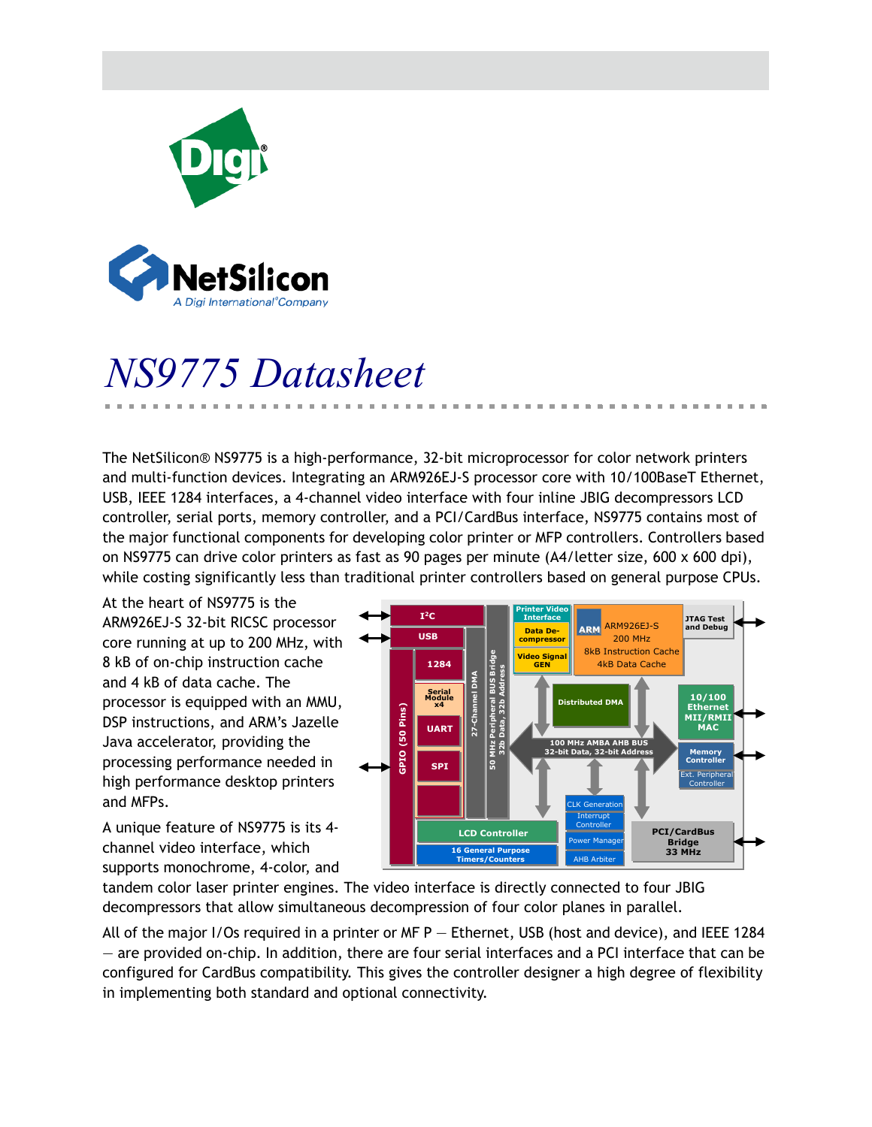

# *NS9775 Datasheet*

The NetSilicon® NS9775 is a high-performance, 32-bit microprocessor for color network printers and multi-function devices. Integrating an ARM926EJ-S processor core with 10/100BaseT Ethernet, USB, IEEE 1284 interfaces, a 4-channel video interface with four inline JBIG decompressors LCD controller, serial ports, memory controller, and a PCI/CardBus interface, NS9775 contains most of the major functional components for developing color printer or MFP controllers. Controllers based on NS9775 can drive color printers as fast as 90 pages per minute (A4/letter size, 600 x 600 dpi), while costing significantly less than traditional printer controllers based on general purpose CPUs.

At the heart of NS9775 is the ARM926EJ-S 32-bit RICSC processor core running at up to 200 MHz, with 8 kB of on-chip instruction cache and 4 kB of data cache. The processor is equipped with an MMU, DSP instructions, and ARM's Jazelle Java accelerator, providing the processing performance needed in high performance desktop printers and MFPs.

A unique feature of NS9775 is its 4 channel video interface, which supports monochrome, 4-color, and



tandem color laser printer engines. The video interface is directly connected to four JBIG decompressors that allow simultaneous decompression of four color planes in parallel.

All of the major I/Os required in a printer or MF P — Ethernet, USB (host and device), and IEEE 1284 — are provided on-chip. In addition, there are four serial interfaces and a PCI interface that can be configured for CardBus compatibility. This gives the controller designer a high degree of flexibility in implementing both standard and optional connectivity.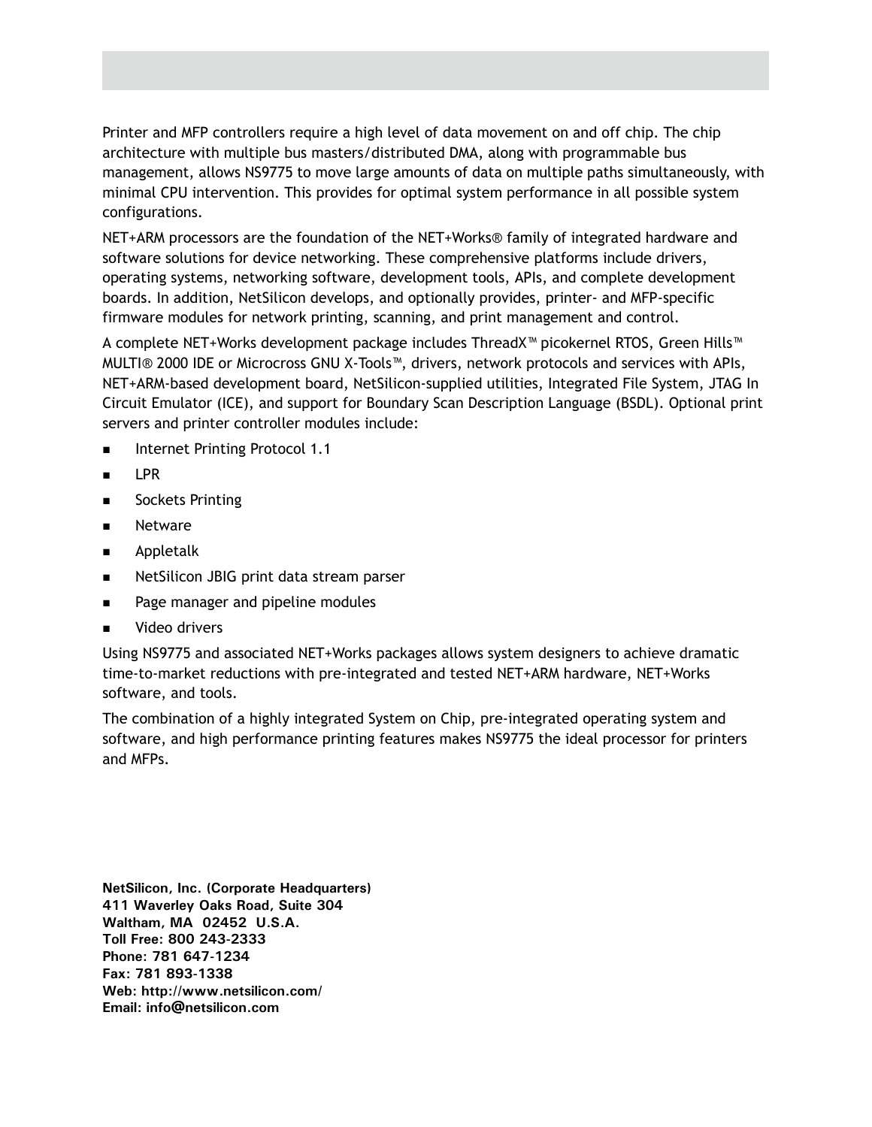Printer and MFP controllers require a high level of data movement on and off chip. The chip architecture with multiple bus masters/distributed DMA, along with programmable bus management, allows NS9775 to move large amounts of data on multiple paths simultaneously, with minimal CPU intervention. This provides for optimal system performance in all possible system configurations.

NET+ARM processors are the foundation of the NET+Works® family of integrated hardware and software solutions for device networking. These comprehensive platforms include drivers, operating systems, networking software, development tools, APIs, and complete development boards. In addition, NetSilicon develops, and optionally provides, printer- and MFP-specific firmware modules for network printing, scanning, and print management and control.

A complete NET+Works development package includes ThreadX™ picokernel RTOS, Green Hills™ MULTI® 2000 IDE or Microcross GNU X-Tools™, drivers, network protocols and services with APIs, NET+ARM-based development board, NetSilicon-supplied utilities, Integrated File System, JTAG In Circuit Emulator (ICE), and support for Boundary Scan Description Language (BSDL). Optional print servers and printer controller modules include:

- **Internet Printing Protocol 1.1**
- $\blacksquare$  IPR
- **B** Sockets Printing
- **Netware**
- Appletalk
- **NetSilicon JBIG print data stream parser**
- **Page manager and pipeline modules**
- Video drivers

Using NS9775 and associated NET+Works packages allows system designers to achieve dramatic time-to-market reductions with pre-integrated and tested NET+ARM hardware, NET+Works software, and tools.

The combination of a highly integrated System on Chip, pre-integrated operating system and software, and high performance printing features makes NS9775 the ideal processor for printers and MFPs.

**NetSilicon, Inc. (Corporate Headquarters) 411 Waverley Oaks Road, Suite 304 Waltham, MA 02452 U.S.A. Toll Free: 800 243-2333 Phone: 781 647-1234 Fax: 781 893-1338 Web: http://www.netsilicon.com/ Email: info@netsilicon.com**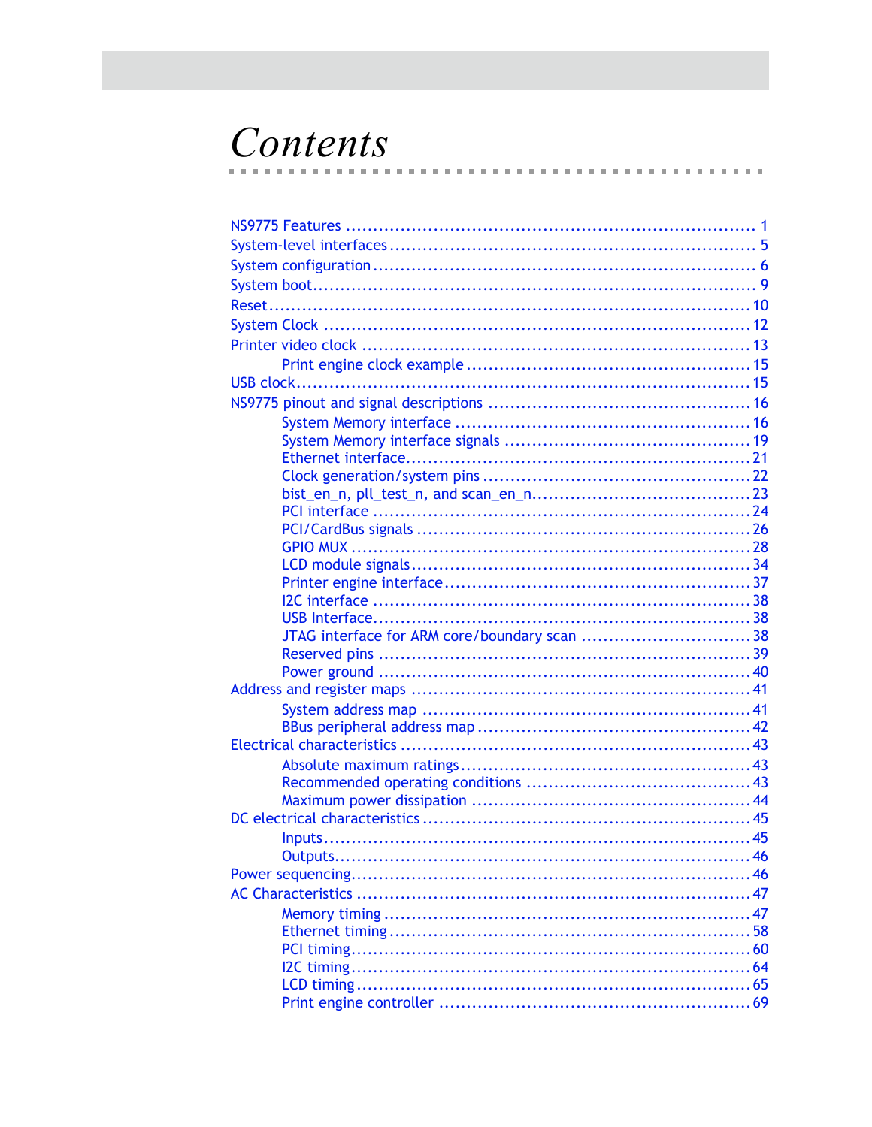## Contents  $\mathbf{r}$

 $\blacksquare$  $\mathbb{R}^d$ m. . . . . . . . . . . . . . . . . . . . .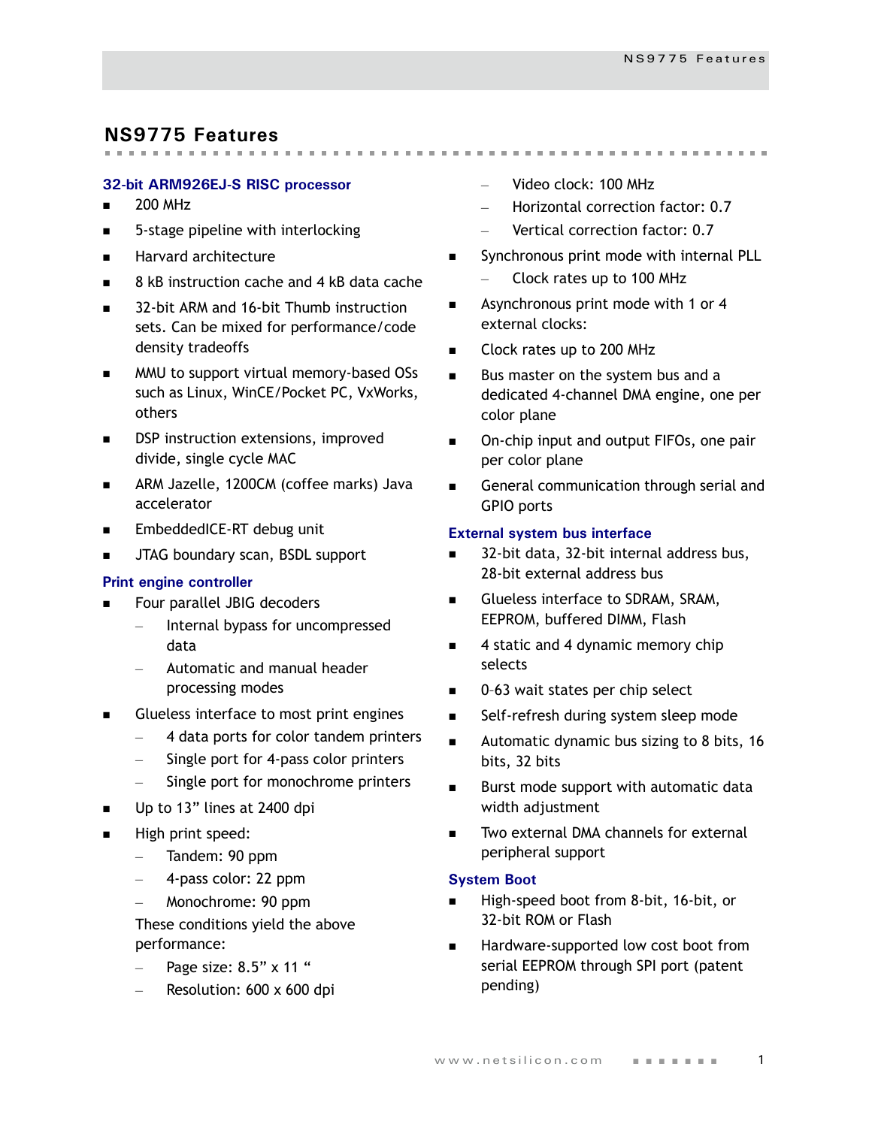## <span id="page-4-0"></span>**NS9775 Features**

## **32-bit ARM926EJ-S RISC processor**

- $\blacksquare$  200 MHz
- 5-stage pipeline with interlocking
- **Harvard architecture**
- 8 kB instruction cache and 4 kB data cache
- 32-bit ARM and 16-bit Thumb instruction sets. Can be mixed for performance/code density tradeoffs
- MMU to support virtual memory-based OSs such as Linux, WinCE/Pocket PC, VxWorks, others
- DSP instruction extensions, improved divide, single cycle MAC
- **ARM Jazelle, 1200CM (coffee marks) Java** accelerator
- EmbeddedICE-RT debug unit
- JTAG boundary scan, BSDL support

#### **Print engine controller**

- Four parallel JBIG decoders
	- Internal bypass for uncompressed data
	- Automatic and manual header processing modes
- Glueless interface to most print engines
	- 4 data ports for color tandem printers
	- Single port for 4-pass color printers
	- Single port for monochrome printers
- Up to 13" lines at 2400 dpi
- High print speed:
	- Tandem: 90 ppm
	- 4-pass color: 22 ppm
	- Monochrome: 90 ppm
	- These conditions yield the above performance:
	- Page size: 8.5" x 11 "
	- Resolution: 600 x 600 dpi

– Video clock: 100 MHz

- Horizontal correction factor: 0.7
- Vertical correction factor: 0.7
- Synchronous print mode with internal PLL
	- Clock rates up to 100 MHz
- **Asynchronous print mode with 1 or 4** external clocks:
- Clock rates up to 200 MHz
- Bus master on the system bus and a dedicated 4-channel DMA engine, one per color plane
- On-chip input and output FIFOs, one pair per color plane
- General communication through serial and GPIO ports

## **External system bus interface**

- 32-bit data, 32-bit internal address bus, 28-bit external address bus
- Glueless interface to SDRAM, SRAM, EEPROM, buffered DIMM, Flash
- 4 static and 4 dynamic memory chip selects
- 0–63 wait states per chip select
- Self-refresh during system sleep mode
- **Automatic dynamic bus sizing to 8 bits, 16** bits, 32 bits
- **Burst mode support with automatic data** width adjustment
- Two external DMA channels for external peripheral support

#### **System Boot**

- High-speed boot from 8-bit, 16-bit, or 32-bit ROM or Flash
- Hardware-supported low cost boot from serial EEPROM through SPI port (patent pending)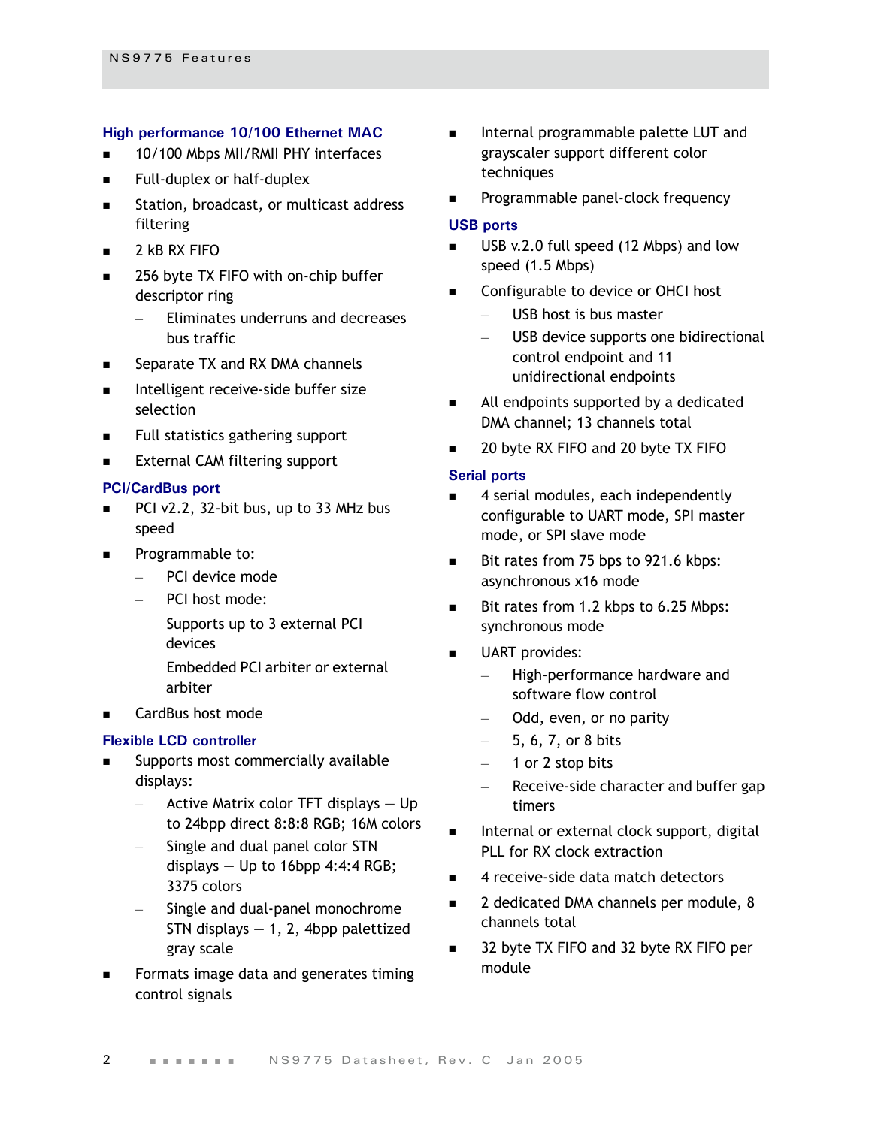#### **High performance 10/100 Ethernet MAC**

- 10/100 Mbps MII/RMII PHY interfaces
- **Full-duplex or half-duplex**
- **Station, broadcast, or multicast address** filtering
- 2 kB RX FIFO
- 256 byte TX FIFO with on-chip buffer descriptor ring
	- Eliminates underruns and decreases bus traffic
- Separate TX and RX DMA channels
- **Intelligent receive-side buffer size** selection
- Full statistics gathering support
- **External CAM filtering support**

#### **PCI/CardBus port**

- PCI v2.2, 32-bit bus, up to 33 MHz bus speed
- Programmable to:
	- PCI device mode
	- PCI host mode:
		- Supports up to 3 external PCI devices
		- Embedded PCI arbiter or external arbiter
- CardBus host mode

#### **Flexible LCD controller**

- Supports most commercially available displays:
	- $-$  Active Matrix color TFT displays  $-$  Up to 24bpp direct 8:8:8 RGB; 16M colors
	- Single and dual panel color STN displays  $-$  Up to 16bpp 4:4:4 RGB; 3375 colors
	- Single and dual-panel monochrome STN displays  $-1$ , 2, 4bpp palettized gray scale
- Formats image data and generates timing control signals
- **Internal programmable palette LUT and** grayscaler support different color techniques
- Programmable panel-clock frequency

## **USB ports**

- USB v.2.0 full speed (12 Mbps) and low speed (1.5 Mbps)
- Configurable to device or OHCI host
	- USB host is bus master
	- USB device supports one bidirectional control endpoint and 11 unidirectional endpoints
- All endpoints supported by a dedicated DMA channel; 13 channels total
- 20 byte RX FIFO and 20 byte TX FIFO

#### **Serial ports**

- 4 serial modules, each independently configurable to UART mode, SPI master mode, or SPI slave mode
- Bit rates from 75 bps to 921.6 kbps: asynchronous x16 mode
- Bit rates from 1.2 kbps to 6.25 Mbps: synchronous mode
- UART provides:
	- High-performance hardware and software flow control
	- Odd, even, or no parity
	- $-$  5, 6, 7, or 8 bits
	- 1 or 2 stop bits
	- Receive-side character and buffer gap timers
- Internal or external clock support, digital PLL for RX clock extraction
- 4 receive-side data match detectors
- 2 dedicated DMA channels per module, 8 channels total
- 32 byte TX FIFO and 32 byte RX FIFO per module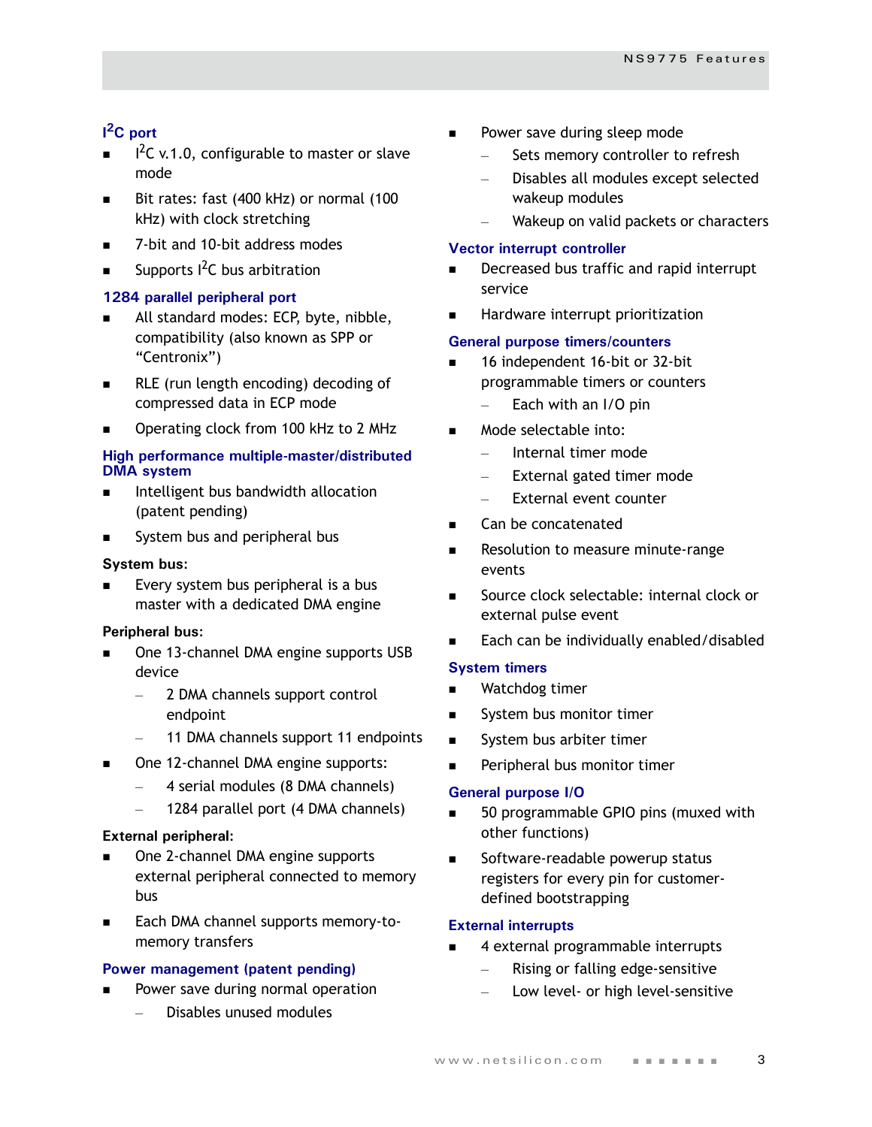## **I 2C port**

- $I^2C$  v.1.0, configurable to master or slave mode
- Bit rates: fast (400 kHz) or normal (100 kHz) with clock stretching
- 7-bit and 10-bit address modes
- Supports <sup>2</sup>C bus arbitration

## **1284 parallel peripheral port**

- All standard modes: ECP, byte, nibble, compatibility (also known as SPP or "Centronix")
- RLE (run length encoding) decoding of compressed data in ECP mode
- Operating clock from 100 kHz to 2 MHz

## **High performance multiple-master/distributed DMA system**

- Intelligent bus bandwidth allocation (patent pending)
- System bus and peripheral bus

## **System bus:**

 Every system bus peripheral is a bus master with a dedicated DMA engine

## **Peripheral bus:**

- One 13-channel DMA engine supports USB device
	- 2 DMA channels support control endpoint
	- 11 DMA channels support 11 endpoints
- One 12-channel DMA engine supports:
	- 4 serial modules (8 DMA channels)
	- 1284 parallel port (4 DMA channels)

## **External peripheral:**

- One 2-channel DMA engine supports external peripheral connected to memory bus
- Each DMA channel supports memory-tomemory transfers

## **Power management (patent pending)**

- Power save during normal operation
	- Disables unused modules
- Power save during sleep mode
	- Sets memory controller to refresh
	- Disables all modules except selected wakeup modules
	- Wakeup on valid packets or characters

## **Vector interrupt controller**

- Decreased bus traffic and rapid interrupt service
- Hardware interrupt prioritization

## **General purpose timers/counters**

- 16 independent 16-bit or 32-bit programmable timers or counters
	- Each with an I/O pin
- Mode selectable into:
	- Internal timer mode
	- External gated timer mode
	- External event counter
- Can be concatenated
- Resolution to measure minute-range events
- Source clock selectable: internal clock or external pulse event
- Each can be individually enabled/disabled

#### **System timers**

- **Natchdog timer**
- System bus monitor timer
- System bus arbiter timer
- Peripheral bus monitor timer

#### **General purpose I/O**

- 50 programmable GPIO pins (muxed with other functions)
- Software-readable powerup status registers for every pin for customerdefined bootstrapping

## **External interrupts**

- 4 external programmable interrupts
	- Rising or falling edge-sensitive
	- Low level- or high level-sensitive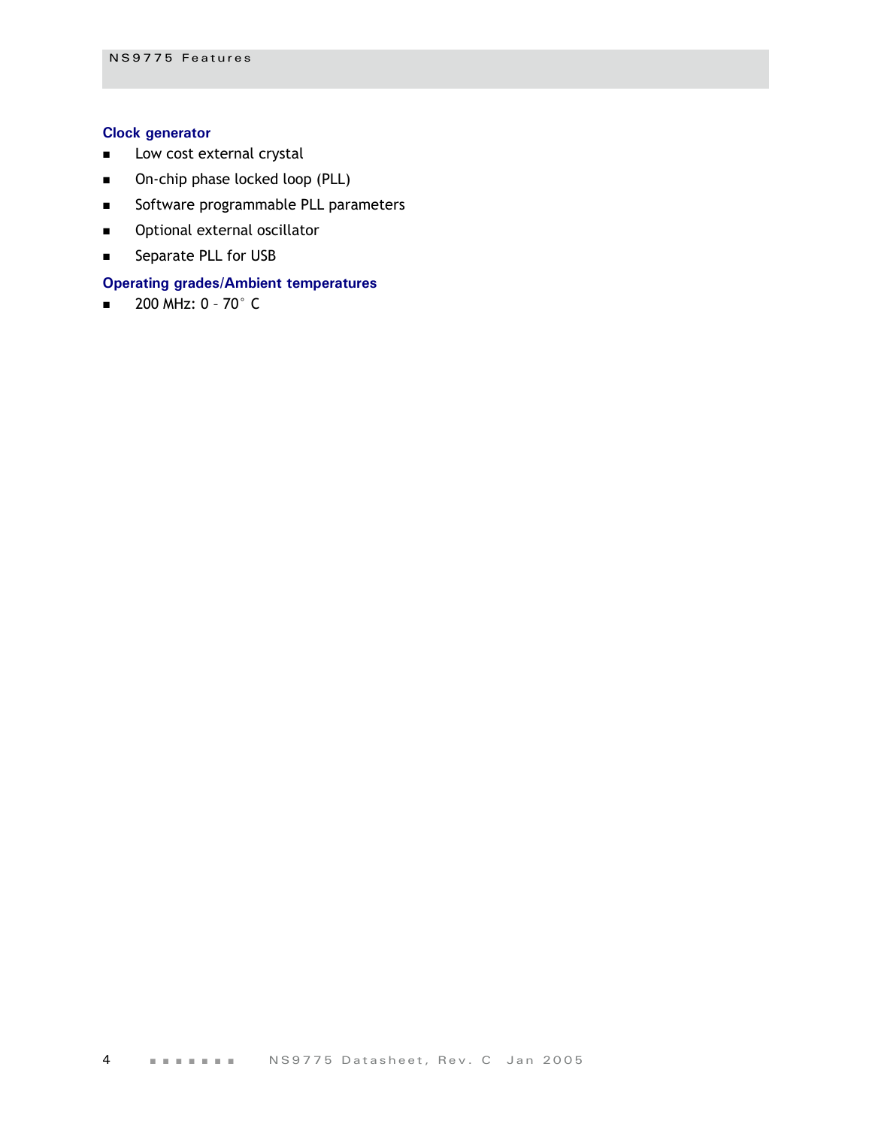## **Clock generator**

- **DECOM** COSt external crystal
- **Damage 19 Direct** ocked loop (PLL)
- Software programmable PLL parameters
- **•** Optional external oscillator
- **Separate PLL for USB**

## **Operating grades/Ambient temperatures**

 $\blacksquare$  200 MHz: 0 - 70 $^{\circ}$  C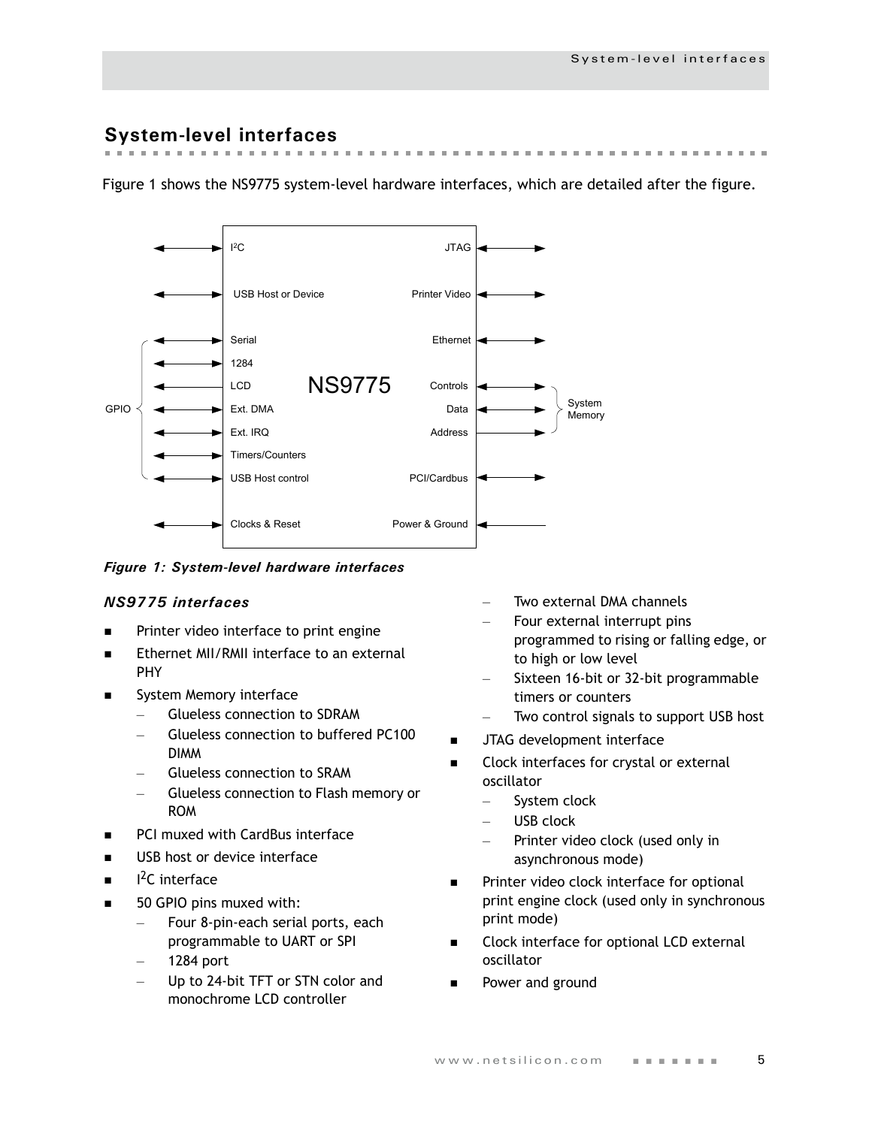## <span id="page-8-0"></span>**System-level interfaces**

Figure 1 shows the NS9775 system-level hardware interfaces, which are detailed after the figure.



## *Figure 1: System-level hardware interfaces*

## *NS9775 interfaces*

- Printer video interface to print engine
- Ethernet MII/RMII interface to an external PHY
- System Memory interface
	- Glueless connection to SDRAM
	- Glueless connection to buffered PC100 DIMM
	- Glueless connection to SRAM
	- Glueless connection to Flash memory or ROM
- **PCI muxed with CardBus interface**
- USB host or device interface
- **i** 2C interface
- 50 GPIO pins muxed with:
	- Four 8-pin-each serial ports, each programmable to UART or SPI
	- 1284 port
	- Up to 24-bit TFT or STN color and monochrome LCD controller
- Two external DMA channels
- Four external interrupt pins programmed to rising or falling edge, or to high or low level
- Sixteen 16-bit or 32-bit programmable timers or counters
- Two control signals to support USB host
- JTAG development interface
- Clock interfaces for crystal or external oscillator
	- System clock
	- USB clock
	- Printer video clock (used only in asynchronous mode)
- **Printer video clock interface for optional** print engine clock (used only in synchronous print mode)
- Clock interface for optional LCD external oscillator
- Power and ground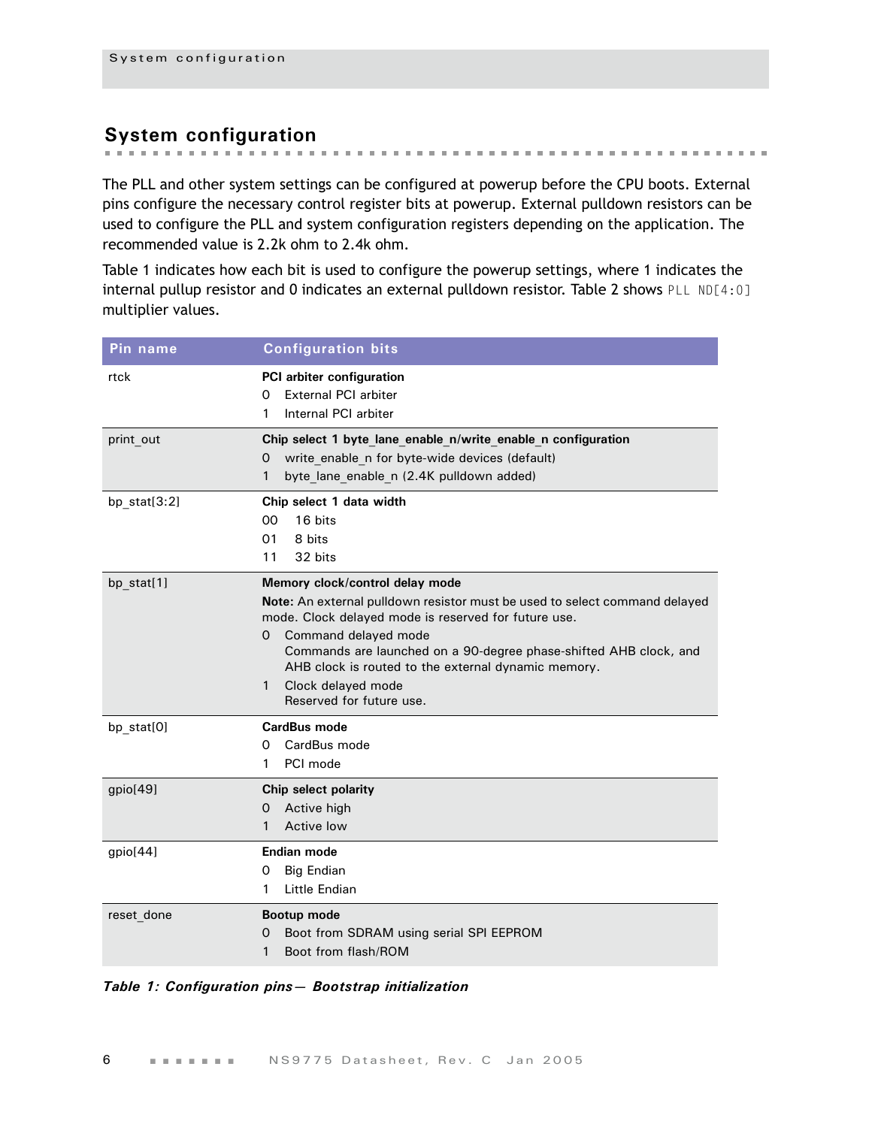## <span id="page-9-0"></span>**System configuration**

The PLL and other system settings can be configured at powerup before the CPU boots. External pins configure the necessary control register bits at powerup. External pulldown resistors can be used to configure the PLL and system configuration registers depending on the application. The recommended value is 2.2k ohm to 2.4k ohm.

**A REPORT OF A REPORT OF A REPORT OF A REPORT** 

 $\mathbf{m}$  .  $\mathbf{m}$  .  $\sim$  the first term in the first

the contract of the contract of the con-

[Table 1](#page-9-1) indicates how each bit is used to configure the powerup settings, where 1 indicates the internal pullup resistor and 0 indicates an external pulldown resistor. [Table 2](#page-10-0) shows PLL ND[4:0] multiplier values.

| Pin name     | <b>Configuration bits</b>                                                                            |
|--------------|------------------------------------------------------------------------------------------------------|
| rtck         | PCI arbiter configuration                                                                            |
|              | <b>External PCI arbiter</b><br>0                                                                     |
|              | Internal PCI arbiter<br>1                                                                            |
| print_out    | Chip select 1 byte lane enable n/write enable n configuration                                        |
|              | write_enable_n for byte-wide devices (default)<br>0<br>1<br>byte lane enable n (2.4K pulldown added) |
|              |                                                                                                      |
| bp_stat[3:2] | Chip select 1 data width<br>16 bits<br>00                                                            |
|              | 01<br>8 bits                                                                                         |
|              | 11<br>32 bits                                                                                        |
| bp stat[1]   | Memory clock/control delay mode                                                                      |
|              | Note: An external pulldown resistor must be used to select command delayed                           |
|              | mode. Clock delayed mode is reserved for future use.                                                 |
|              | Command delayed mode<br>0<br>Commands are launched on a 90-degree phase-shifted AHB clock, and       |
|              | AHB clock is routed to the external dynamic memory.                                                  |
|              | Clock delayed mode<br>1                                                                              |
|              | Reserved for future use.                                                                             |
| bp_stat[0]   | CardBus mode                                                                                         |
|              | CardBus mode<br>0                                                                                    |
|              | PCI mode<br>1                                                                                        |
| gpio[49]     | Chip select polarity                                                                                 |
|              | Active high<br>0<br>Active low<br>1                                                                  |
|              |                                                                                                      |
| gpio[44]     | Endian mode                                                                                          |
|              | <b>Big Endian</b><br>0<br>Little Endian<br>1                                                         |
|              |                                                                                                      |
| reset done   | Bootup mode<br>Boot from SDRAM using serial SPI EEPROM<br>Ő                                          |
|              | Boot from flash/ROM<br>1                                                                             |
|              |                                                                                                      |

<span id="page-9-1"></span>*Table 1: Configuration pins— Bootstrap initialization*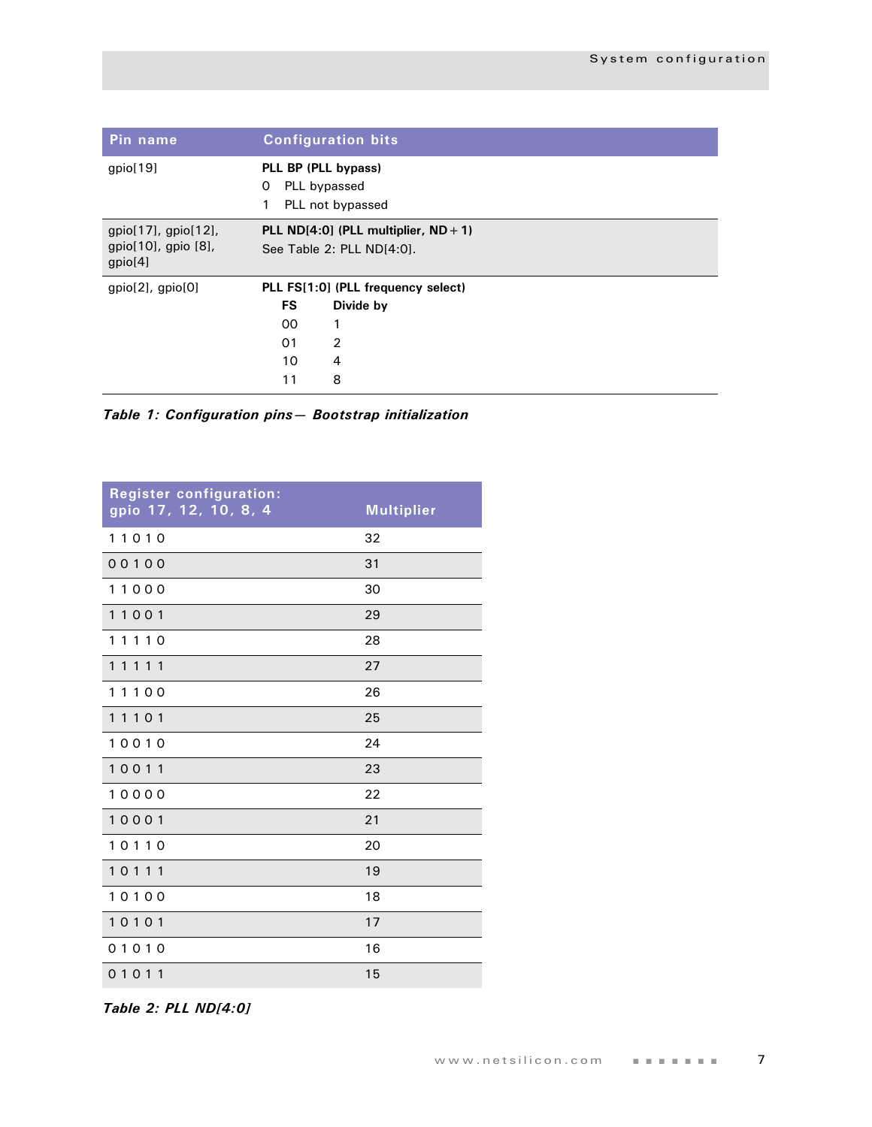| Pin name                                                          | <b>Configuration bits</b>                                              |  |  |  |  |  |  |
|-------------------------------------------------------------------|------------------------------------------------------------------------|--|--|--|--|--|--|
| gpio[19]                                                          | PLL BP (PLL bypass)<br>PLL bypassed<br>0<br>PLL not bypassed<br>1      |  |  |  |  |  |  |
| $gpio[17]$ , $gpio[12]$ ,<br>$gpio[10]$ , gpio $[8]$ ,<br>gpio[4] | PLL $ND[4:0]$ (PLL multiplier, $ND + 1$ )<br>See Table 2: PLL ND[4:0]. |  |  |  |  |  |  |
| $gpio[2]$ , $gpio[0]$                                             | PLL FS[1:0] (PLL frequency select)                                     |  |  |  |  |  |  |
|                                                                   | <b>FS</b><br>Divide by                                                 |  |  |  |  |  |  |
|                                                                   | 1<br>00                                                                |  |  |  |  |  |  |
|                                                                   | 2<br>01                                                                |  |  |  |  |  |  |
|                                                                   | 10<br>4                                                                |  |  |  |  |  |  |
|                                                                   | 8<br>11                                                                |  |  |  |  |  |  |

*Table 1: Configuration pins— Bootstrap initialization*

| <b>Register configuration:</b><br>gpio 17, 12, 10, 8, 4 | <b>Multiplier</b> |
|---------------------------------------------------------|-------------------|
| 11010                                                   | 32                |
| 00100                                                   | 31                |
| 11000                                                   | 30                |
| 11001                                                   | 29                |
| 11110                                                   | 28                |
| 11111                                                   | 27                |
| 11100                                                   | 26                |
| 11101                                                   | 25                |
| 10010                                                   | 24                |
| 10011                                                   | 23                |
| 10000                                                   | 22                |
| 10001                                                   | 21                |
| 10110                                                   | 20                |
| 10111                                                   | 19                |
| 10100                                                   | 18                |
| 10101                                                   | 17                |
| 01010                                                   | 16                |
| 01011                                                   | 15                |

<span id="page-10-0"></span>*Table 2: PLL ND[4:0]*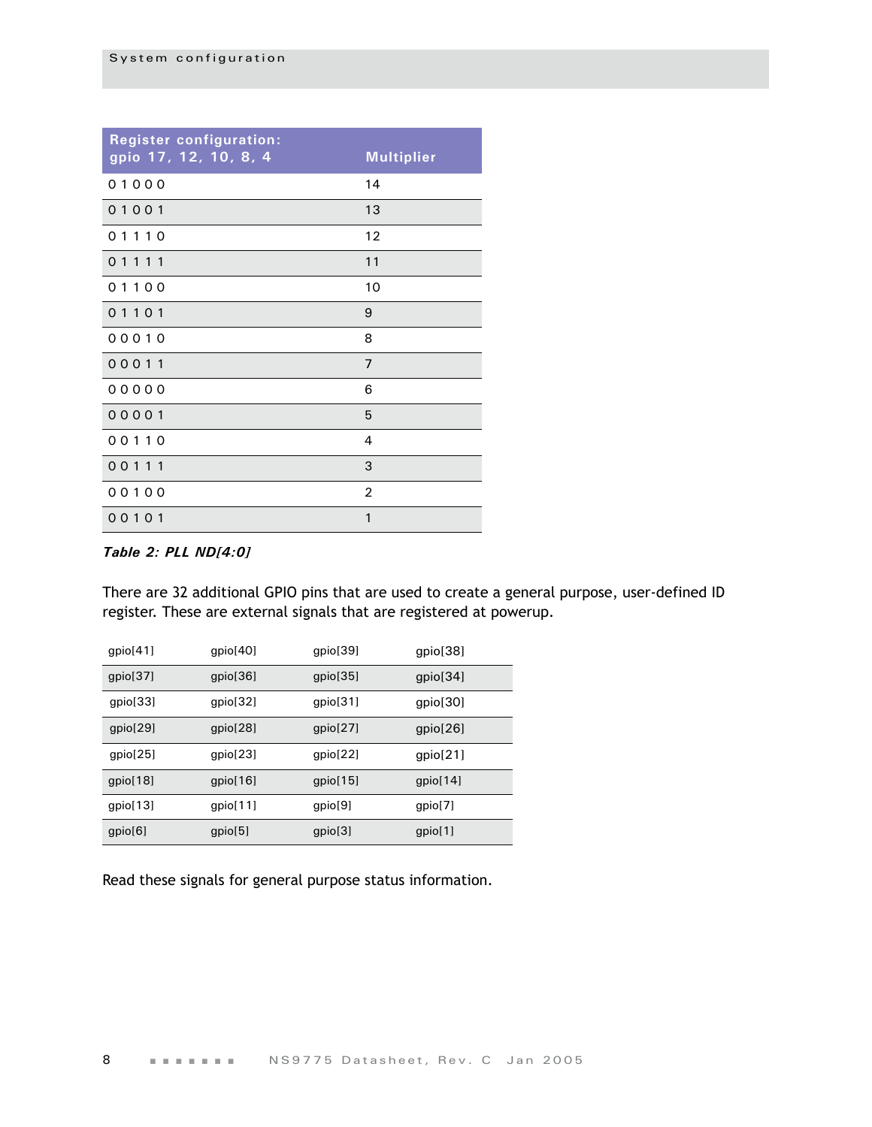| <b>Register configuration:</b><br>gpio 17, 12, 10, 8, 4 | <b>Multiplier</b> |
|---------------------------------------------------------|-------------------|
| 01000                                                   | 14                |
| 01001                                                   | 13                |
| 01110                                                   | 12                |
| 01111                                                   | 11                |
| 01100                                                   | 10                |
| 01101                                                   | 9                 |
| 00010                                                   | 8                 |
| 00011                                                   | $\overline{7}$    |
| 00000                                                   | 6                 |
| 00001                                                   | 5                 |
| 00110                                                   | 4                 |
| 00111                                                   | 3                 |
| 00100                                                   | $\overline{2}$    |
| 00101                                                   | $\mathbf{1}$      |

## *Table 2: PLL ND[4:0]*

There are 32 additional GPIO pins that are used to create a general purpose, user-defined ID register. These are external signals that are registered at powerup.

| gpio[41] | gpio[40] | gpio[39] | gpio[38] |
|----------|----------|----------|----------|
| gpio[37] | gpio[36] | gpio[35] | gpio[34] |
| qpio[33] | gpio[32] | gpio[31] | gpio[30] |
| gpio[29] | gpio[28] | gpio[27] | gpio[26] |
| qpi[25]  | gpio[23] | gpio[22] | gpio[21] |
| qpi[18]  | gpio[16] | gpio[15] | gpio[14] |
| gpio[13] | qpi[11]  | qpio[9]  | gpio[7]  |
| gpio[6]  | qpi[5]   | qpio[3]  | gpio[1]  |

Read these signals for general purpose status information.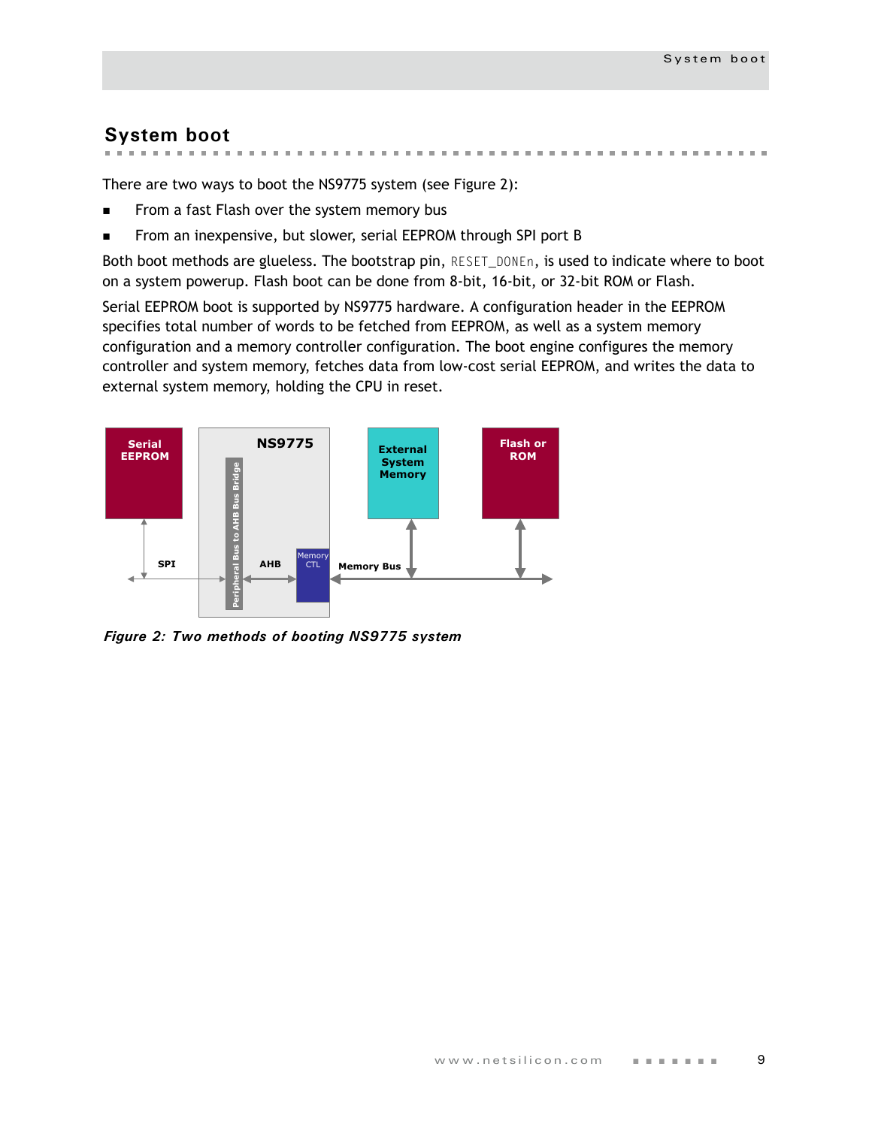## <span id="page-12-0"></span>**System boot**

**CONTRACTOR** CONTRACTOR  $\sim$  $\sim$  $\sim$  $\mathbb{R}^n$ **The first participants of the control of the control of the control of the control of the control of the control of the control of the control of the control of the control of the control of the control of the control of** 

There are two ways to boot the NS9775 system (see Figure 2):

- From a fast Flash over the system memory bus
- From an inexpensive, but slower, serial EEPROM through SPI port B

Both boot methods are glueless. The bootstrap pin, RESET\_DONEn, is used to indicate where to boot on a system powerup. Flash boot can be done from 8-bit, 16-bit, or 32-bit ROM or Flash.

Serial EEPROM boot is supported by NS9775 hardware. A configuration header in the EEPROM specifies total number of words to be fetched from EEPROM, as well as a system memory configuration and a memory controller configuration. The boot engine configures the memory controller and system memory, fetches data from low-cost serial EEPROM, and writes the data to external system memory, holding the CPU in reset.



*Figure 2: Two methods of booting NS9775 system*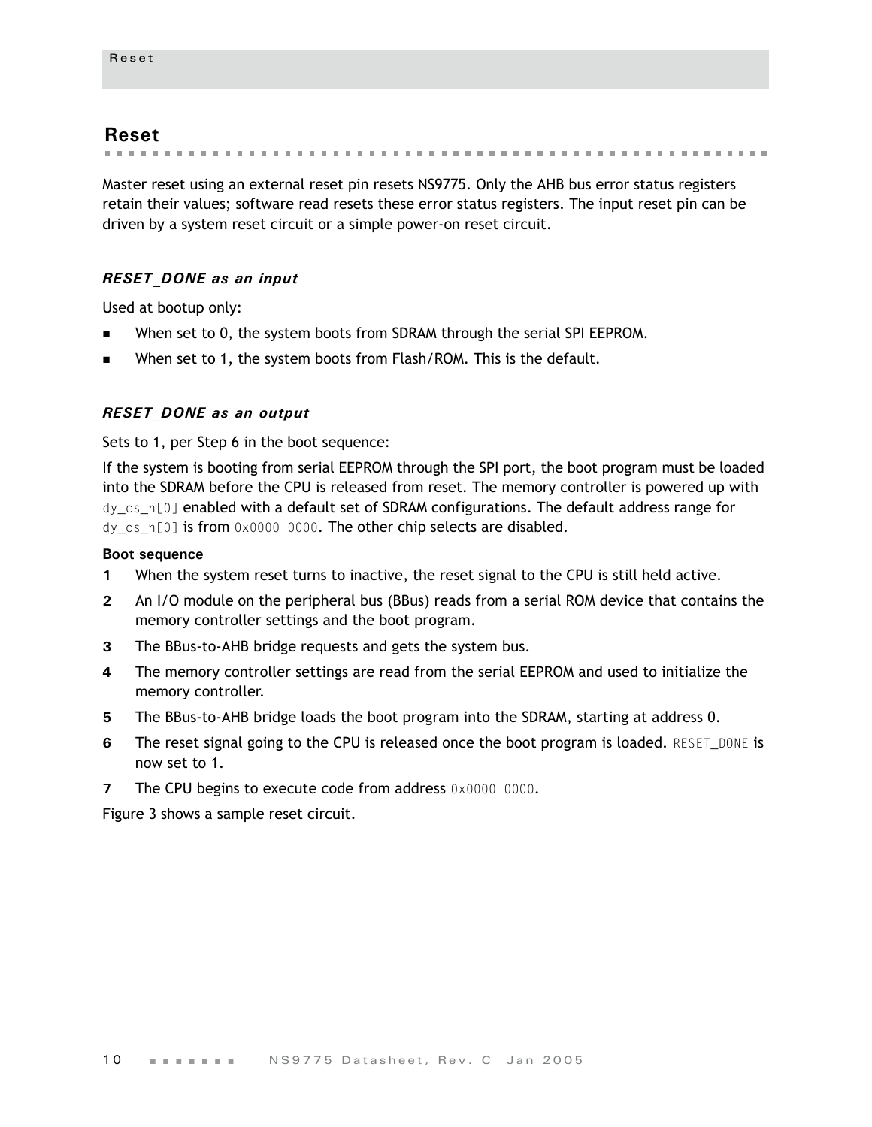## <span id="page-13-0"></span>**Reset**

. . . . . . . . . . . . . .

Master reset using an external reset pin resets NS9775. Only the AHB bus error status registers retain their values; software read resets these error status registers. The input reset pin can be driven by a system reset circuit or a simple power-on reset circuit.

## *RESET\_DONE as an input*

Used at bootup only:

- When set to 0, the system boots from SDRAM through the serial SPI EEPROM.
- When set to 1, the system boots from Flash/ROM. This is the default.

## *RESET\_DONE as an output*

Sets to 1, per Step 6 in the boot sequence:

If the system is booting from serial EEPROM through the SPI port, the boot program must be loaded into the SDRAM before the CPU is released from reset. The memory controller is powered up with dy\_cs\_n[0] enabled with a default set of SDRAM configurations. The default address range for dy\_cs\_n[0] is from 0x0000 0000. The other chip selects are disabled.

#### **Boot sequence**

- **1** When the system reset turns to inactive, the reset signal to the CPU is still held active.
- **2** An I/O module on the peripheral bus (BBus) reads from a serial ROM device that contains the memory controller settings and the boot program.
- **3** The BBus-to-AHB bridge requests and gets the system bus.
- **4** The memory controller settings are read from the serial EEPROM and used to initialize the memory controller.
- **5** The BBus-to-AHB bridge loads the boot program into the SDRAM, starting at address 0.
- **6** The reset signal going to the CPU is released once the boot program is loaded. RESET\_DONE is now set to 1.
- **7** The CPU begins to execute code from address 0x0000 0000.

Figure 3 shows a sample reset circuit.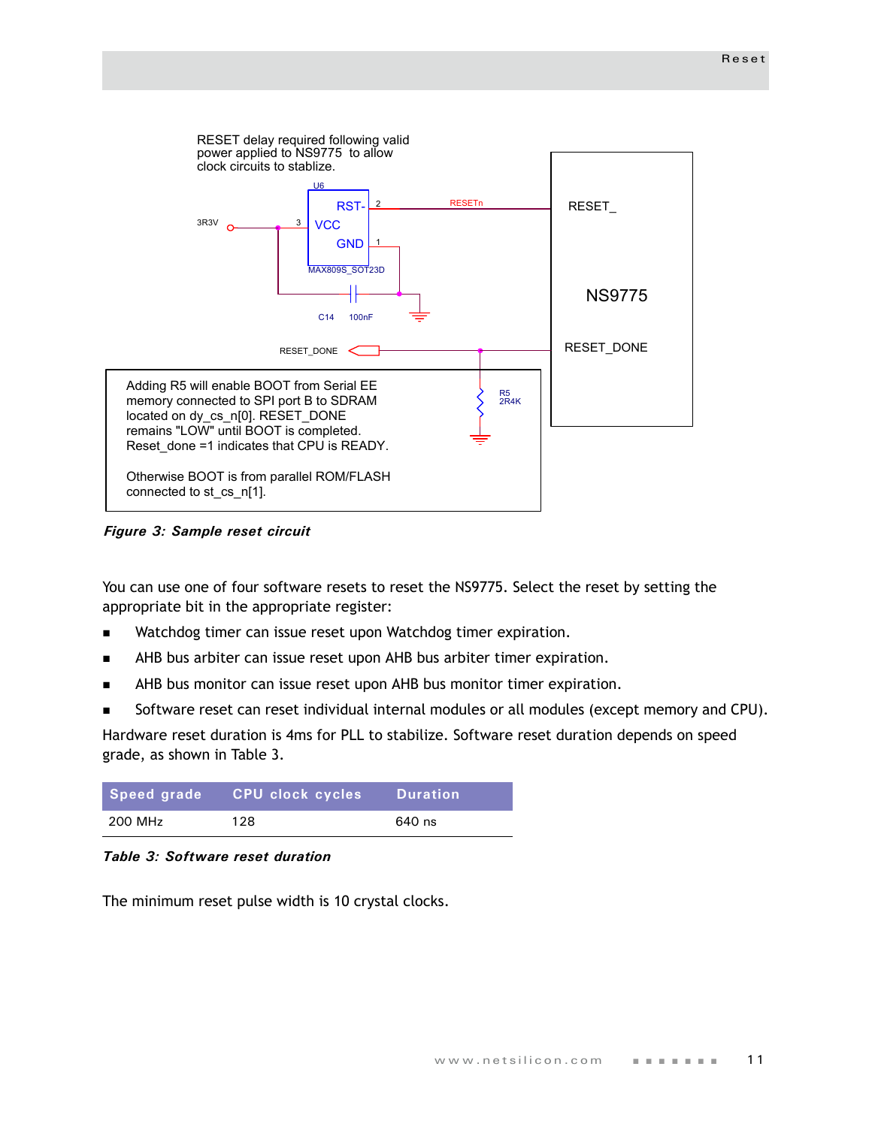

*Figure 3: Sample reset circuit*

You can use one of four software resets to reset the NS9775. Select the reset by setting the appropriate bit in the appropriate register:

- **Natchdog timer can issue reset upon Watchdog timer expiration.**
- AHB bus arbiter can issue reset upon AHB bus arbiter timer expiration.
- AHB bus monitor can issue reset upon AHB bus monitor timer expiration.
- Software reset can reset individual internal modules or all modules (except memory and CPU).

Hardware reset duration is 4ms for PLL to stabilize. Software reset duration depends on speed grade, as shown in [Table 3](#page-14-0).

| Speed grade | CPU clock cycles | <b>Duration</b> |
|-------------|------------------|-----------------|
| 200 MHz     | 128              | 640 ns          |

<span id="page-14-0"></span>

The minimum reset pulse width is 10 crystal clocks.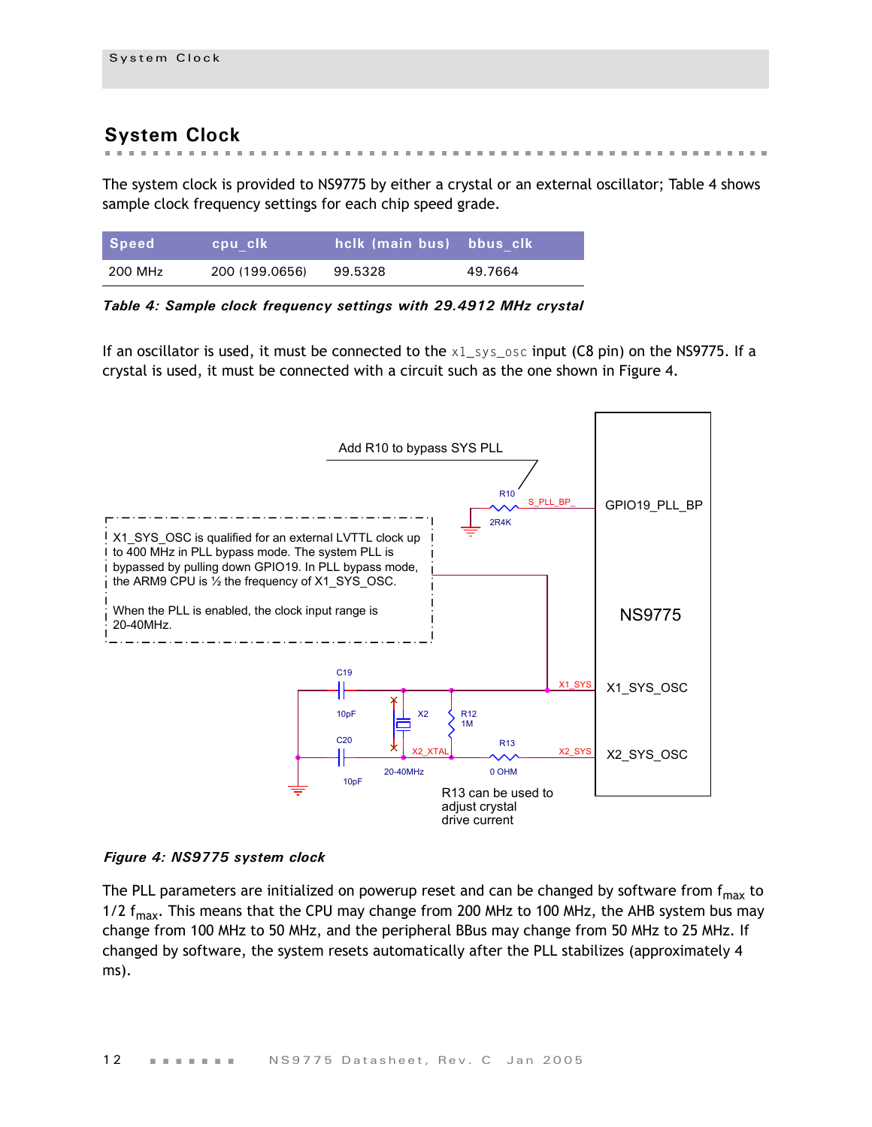## <span id="page-15-0"></span>**System Clock**

The system clock is provided to NS9775 by either a crystal or an external oscillator; [Table 4](#page-15-1) shows sample clock frequency settings for each chip speed grade.

| Speed   | cpu clk        | hclk (main bus) bbus clk |         |
|---------|----------------|--------------------------|---------|
| 200 MHz | 200 (199.0656) | 99.5328                  | 49.7664 |

<span id="page-15-1"></span>*Table 4: Sample clock frequency settings with 29.4912 MHz crystal*

If an oscillator is used, it must be connected to the  $x1$  sys osc input (C8 pin) on the NS9775. If a crystal is used, it must be connected with a circuit such as the one shown in [Figure 4.](#page-15-2)



#### <span id="page-15-2"></span>*Figure 4: NS9775 system clock*

The PLL parameters are initialized on powerup reset and can be changed by software from  $f_{max}$  to 1/2  $f_{\text{max}}$ . This means that the CPU may change from 200 MHz to 100 MHz, the AHB system bus may change from 100 MHz to 50 MHz, and the peripheral BBus may change from 50 MHz to 25 MHz. If changed by software, the system resets automatically after the PLL stabilizes (approximately 4 ms).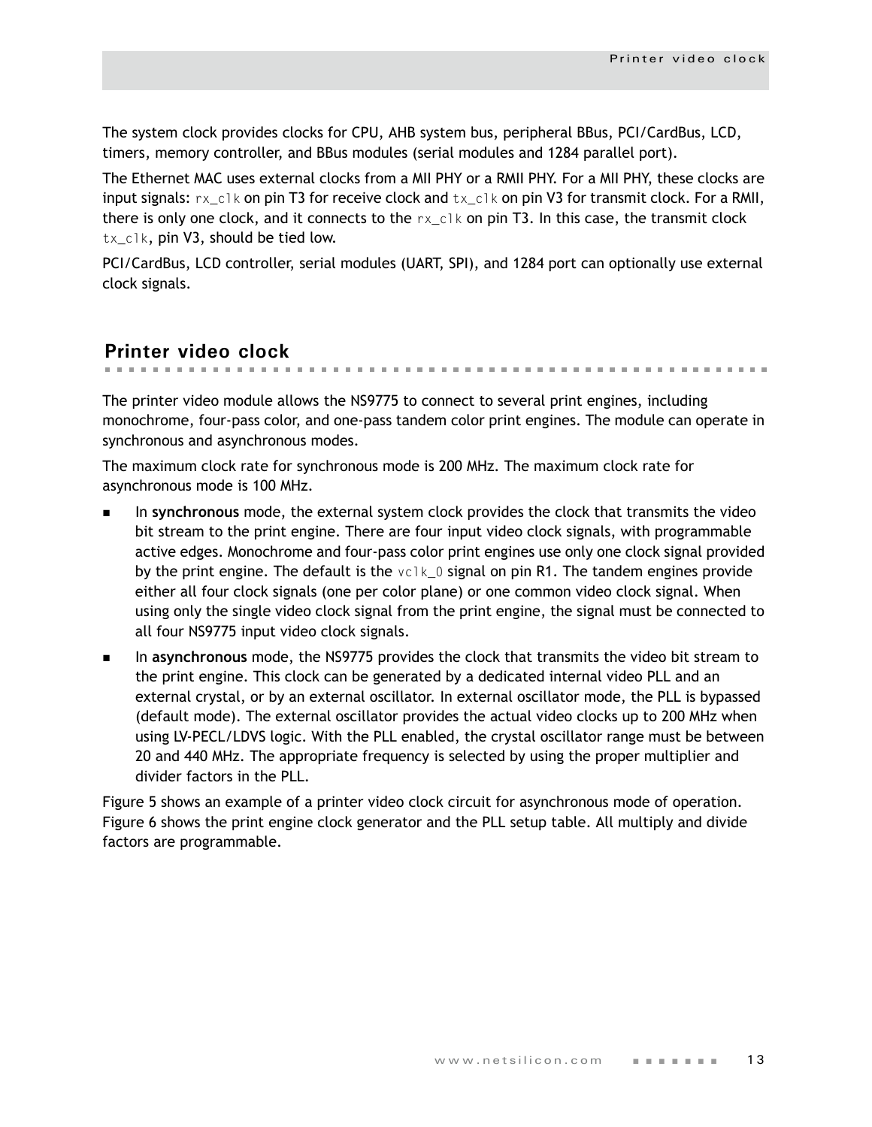The system clock provides clocks for CPU, AHB system bus, peripheral BBus, PCI/CardBus, LCD, timers, memory controller, and BBus modules (serial modules and 1284 parallel port).

The Ethernet MAC uses external clocks from a MII PHY or a RMII PHY. For a MII PHY, these clocks are input signals:  $rx\_c1k$  on pin T3 for receive clock and  $tx\_c1k$  on pin V3 for transmit clock. For a RMII, there is only one clock, and it connects to the  $rx\_c1k$  on pin T3. In this case, the transmit clock tx\_clk, pin V3, should be tied low.

PCI/CardBus, LCD controller, serial modules (UART, SPI), and 1284 port can optionally use external clock signals.

## <span id="page-16-0"></span>**Printer video clock**

. . . . . . . . . . . . . . . . .

The printer video module allows the NS9775 to connect to several print engines, including monochrome, four-pass color, and one-pass tandem color print engines. The module can operate in synchronous and asynchronous modes.

The maximum clock rate for synchronous mode is 200 MHz. The maximum clock rate for asynchronous mode is 100 MHz.

- In **synchronous** mode, the external system clock provides the clock that transmits the video bit stream to the print engine. There are four input video clock signals, with programmable active edges. Monochrome and four-pass color print engines use only one clock signal provided by the print engine. The default is the  $vc1k_0$  signal on pin R1. The tandem engines provide either all four clock signals (one per color plane) or one common video clock signal. When using only the single video clock signal from the print engine, the signal must be connected to all four NS9775 input video clock signals.
- In **asynchronous** mode, the NS9775 provides the clock that transmits the video bit stream to the print engine. This clock can be generated by a dedicated internal video PLL and an external crystal, or by an external oscillator. In external oscillator mode, the PLL is bypassed (default mode). The external oscillator provides the actual video clocks up to 200 MHz when using LV-PECL/LDVS logic. With the PLL enabled, the crystal oscillator range must be between 20 and 440 MHz. The appropriate frequency is selected by using the proper multiplier and divider factors in the PLL.

[Figure 5](#page-17-0) shows an example of a printer video clock circuit for asynchronous mode of operation. Figure 6 shows the print engine clock generator and the PLL setup table. All multiply and divide factors are programmable.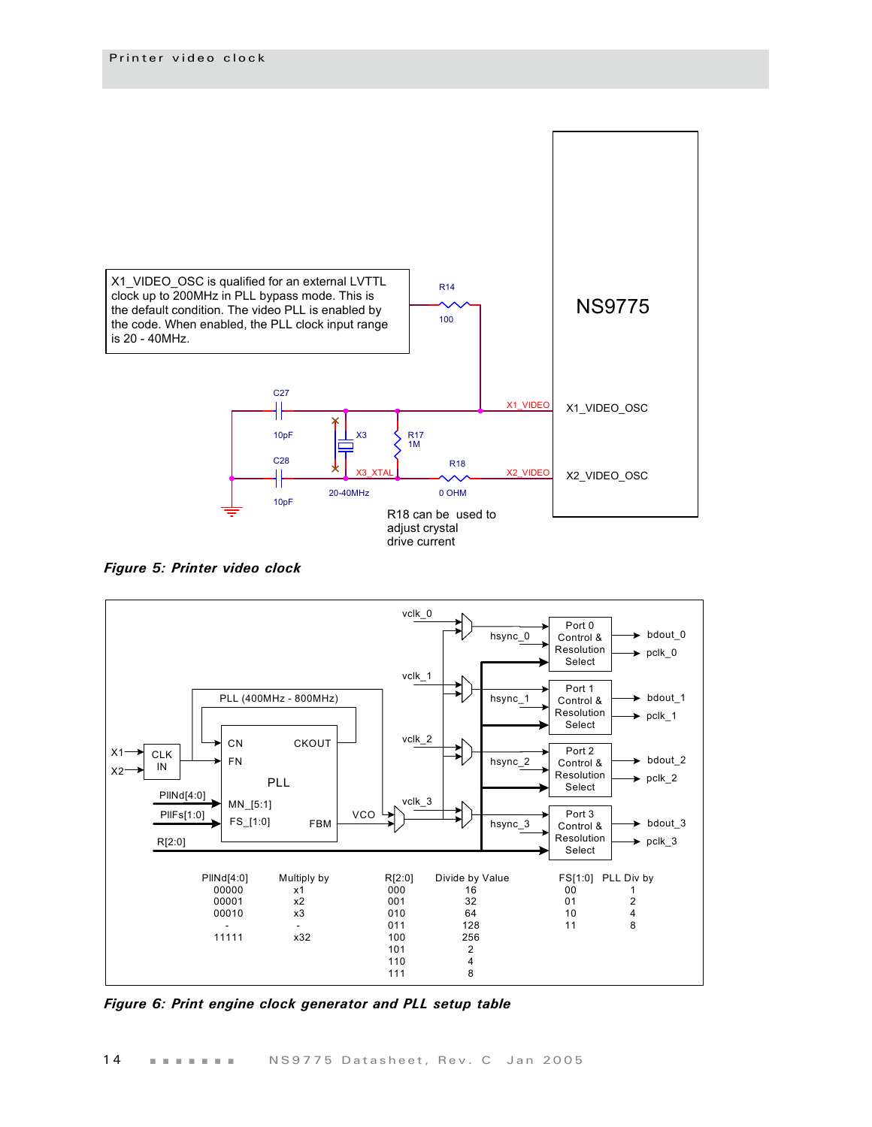

<span id="page-17-0"></span>*Figure 5: Printer video clock*



*Figure 6: Print engine clock generator and PLL setup table*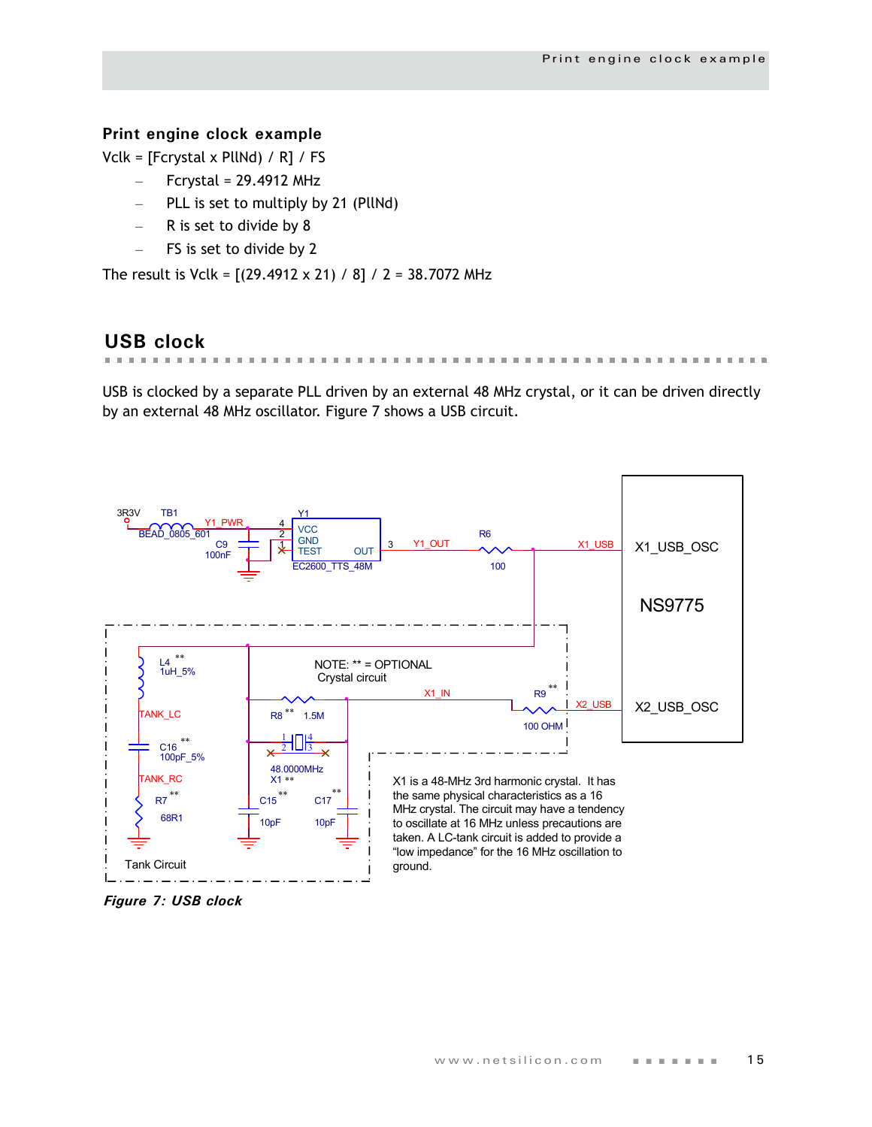## <span id="page-18-0"></span>**Print engine clock example**

Vclk = [Fcrystal x PllNd) / R] / FS

- Fcrystal = 29.4912 MHz
- PLL is set to multiply by 21 (PllNd)
- R is set to divide by 8
- FS is set to divide by 2

The result is Vclk = [(29.4912 x 21) / 8] / 2 = 38.7072 MHz

## <span id="page-18-1"></span>**USB clock**

 $\mathbf{m}$  .  $\sim$  $\sim$  $\mathbf{m}=\mathbf{m}$  .

USB is clocked by a separate PLL driven by an external 48 MHz crystal, or it can be driven directly by an external 48 MHz oscillator. [Figure 7](#page-18-2) shows a USB circuit.



<span id="page-18-2"></span>*Figure 7: USB clock*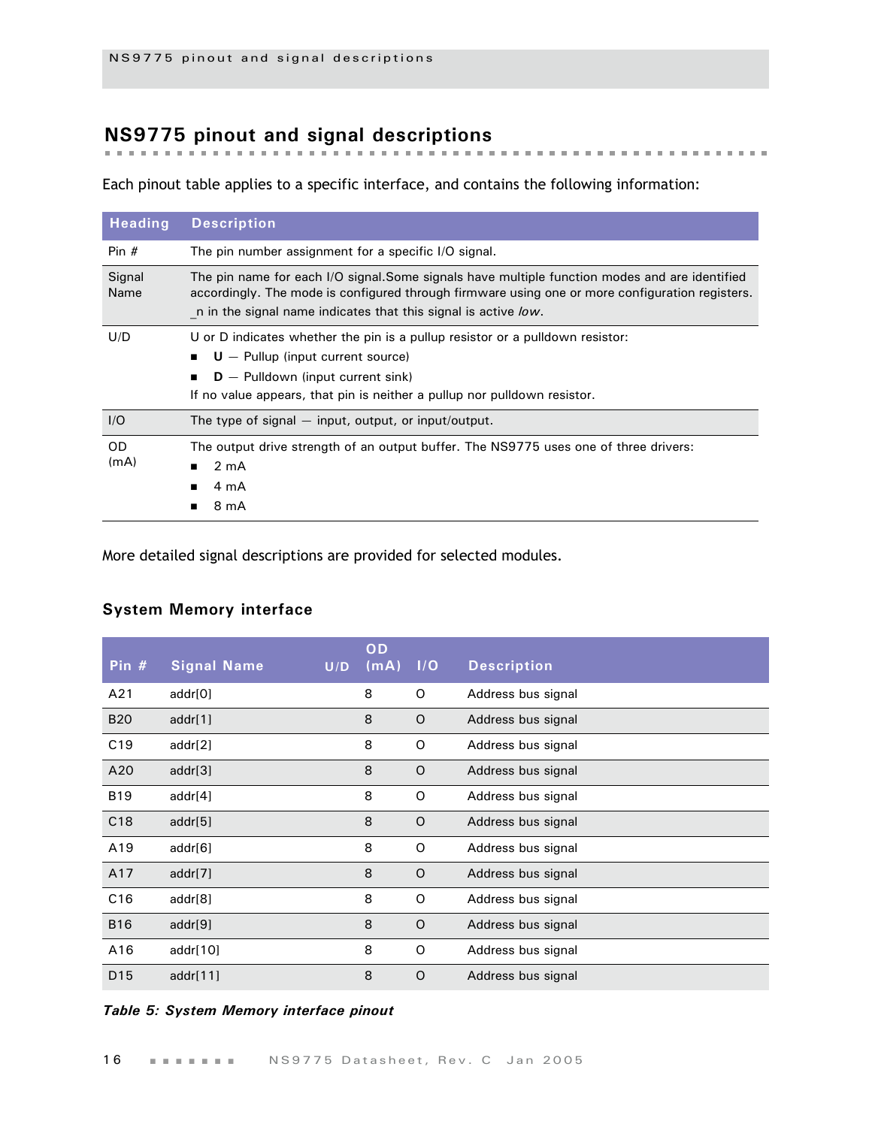## <span id="page-19-0"></span>**NS9775 pinout and signal descriptions**

Each pinout table applies to a specific interface, and contains the following information:

| <b>Heading</b>    | <b>Description</b>                                                                                                                                                                                                                                                 |  |  |  |  |  |  |
|-------------------|--------------------------------------------------------------------------------------------------------------------------------------------------------------------------------------------------------------------------------------------------------------------|--|--|--|--|--|--|
| Pin $#$           | The pin number assignment for a specific I/O signal.                                                                                                                                                                                                               |  |  |  |  |  |  |
| Signal<br>Name    | The pin name for each I/O signal.Some signals have multiple function modes and are identified<br>accordingly. The mode is configured through firmware using one or more configuration registers.<br>n in the signal name indicates that this signal is active low. |  |  |  |  |  |  |
| U/D               | U or D indicates whether the pin is a pullup resistor or a pulldown resistor:<br>$U -$ Pullup (input current source)<br>$D -$ Pulldown (input current sink)<br>If no value appears, that pin is neither a pullup nor pulldown resistor.                            |  |  |  |  |  |  |
| I/O               | The type of signal $-$ input, output, or input/output.                                                                                                                                                                                                             |  |  |  |  |  |  |
| <b>OD</b><br>(mA) | The output drive strength of an output buffer. The NS9775 uses one of three drivers:<br>$2 \text{ mA}$<br>4 mA<br>8 mA                                                                                                                                             |  |  |  |  |  |  |

More detailed signal descriptions are provided for selected modules.

## <span id="page-19-1"></span>**System Memory interface**

| Pin $#$         | <b>Signal Name</b> | U/D | OD<br>(mA) | I/O     | <b>Description</b> |
|-----------------|--------------------|-----|------------|---------|--------------------|
| A21             | addr[0]            |     | 8          | O       | Address bus signal |
| <b>B20</b>      | addr[1]            |     | 8          | $\circ$ | Address bus signal |
| C19             | addr[2]            |     | 8          | O       | Address bus signal |
| A20             | addr[3]            |     | 8          | $\circ$ | Address bus signal |
| <b>B19</b>      | addr[4]            |     | 8          | O       | Address bus signal |
| C18             | addr[5]            |     | 8          | $\circ$ | Address bus signal |
| A19             | addr[6]            |     | 8          | O       | Address bus signal |
| A17             | addr[7]            |     | 8          | $\circ$ | Address bus signal |
| C16             | addr[8]            |     | 8          | O       | Address bus signal |
| <b>B16</b>      | addr[9]            |     | 8          | $\circ$ | Address bus signal |
| A16             | addr $[10]$        |     | 8          | O       | Address bus signal |
| D <sub>15</sub> | addr $[11]$        |     | 8          | $\circ$ | Address bus signal |

#### *Table 5: System Memory interface pinout*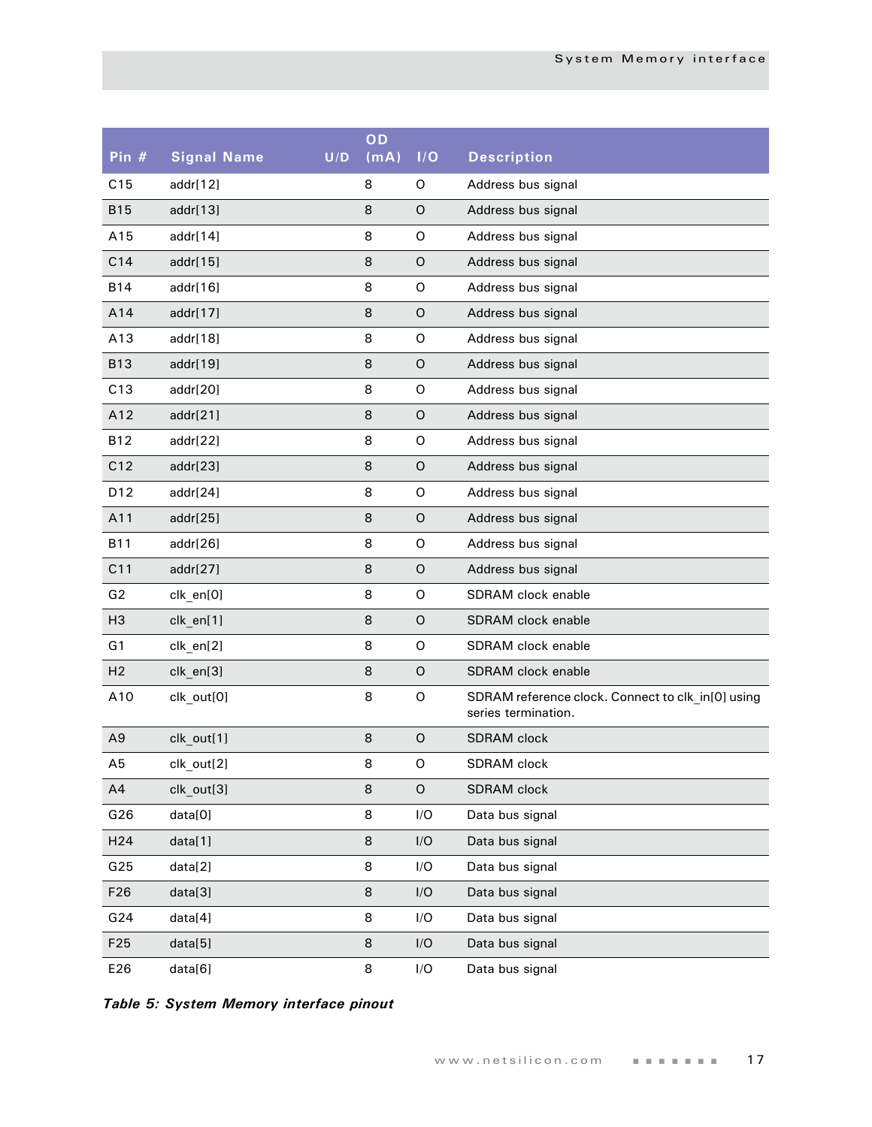| Pin #           | <b>Signal Name</b> | U/D | OD<br>(mA) | I/O         | <b>Description</b>                                                       |
|-----------------|--------------------|-----|------------|-------------|--------------------------------------------------------------------------|
| C15             | addr[12]           |     | 8          | 0           | Address bus signal                                                       |
| <b>B15</b>      | addr[13]           |     | 8          | $\circ$     | Address bus signal                                                       |
| A15             | addr[14]           |     | 8          | O           | Address bus signal                                                       |
| C14             | addr[15]           |     | 8          | $\mathsf O$ | Address bus signal                                                       |
| <b>B14</b>      | addr[16]           |     | 8          | O           | Address bus signal                                                       |
| A14             | addr[17]           |     | 8          | $\mathsf O$ | Address bus signal                                                       |
| A13             | addr[18]           |     | 8          | O           | Address bus signal                                                       |
| <b>B13</b>      | addr[19]           |     | 8          | $\mathsf O$ | Address bus signal                                                       |
| C13             | addr[20]           |     | 8          | O           | Address bus signal                                                       |
| A12             | addr[21]           |     | 8          | $\mathsf O$ | Address bus signal                                                       |
| <b>B12</b>      | addr[22]           |     | 8          | $\mathsf O$ | Address bus signal                                                       |
| C12             | addr[23]           |     | 8          | $\mathsf O$ | Address bus signal                                                       |
| D12             | addr[24]           |     | 8          | $\mathsf O$ | Address bus signal                                                       |
| A11             | addr[25]           |     | 8          | $\mathsf O$ | Address bus signal                                                       |
| <b>B11</b>      | addr[26]           |     | 8          | $\mathsf O$ | Address bus signal                                                       |
| C11             | addr[27]           |     | 8          | $\mathsf O$ | Address bus signal                                                       |
| G2              | clk_en[0]          |     | 8          | $\circ$     | SDRAM clock enable                                                       |
| H <sub>3</sub>  | clk_en[1]          |     | 8          | $\circ$     | <b>SDRAM</b> clock enable                                                |
| G1              | clk_en[2]          |     | 8          | $\mathsf O$ | SDRAM clock enable                                                       |
| H <sub>2</sub>  | clk_en[3]          |     | 8          | $\mathsf O$ | <b>SDRAM</b> clock enable                                                |
| A10             | clk out[0]         |     | 8          | O           | SDRAM reference clock. Connect to clk_in[0] using<br>series termination. |
| A <sub>9</sub>  | clk_out[1]         |     | 8          | $\mathsf O$ | <b>SDRAM</b> clock                                                       |
| A5              | clk out[2]         |     | 8          | O           | <b>SDRAM</b> clock                                                       |
| A4              | clk out[3]         |     | 8          | $\mathsf O$ | SDRAM clock                                                              |
| G26             | data[0]            |     | 8          | I/O         | Data bus signal                                                          |
| H <sub>24</sub> | data[1]            |     | 8          | I/O         | Data bus signal                                                          |
| G25             | data[2]            |     | 8          | I/O         | Data bus signal                                                          |
| F <sub>26</sub> | data[3]            |     | 8          | I/O         | Data bus signal                                                          |
| G24             | data[4]            |     | 8          | I/O         | Data bus signal                                                          |
| F <sub>25</sub> | data[5]            |     | 8          | I/O         | Data bus signal                                                          |
| E26             | data[6]            |     | 8          | I/O         | Data bus signal                                                          |

*Table 5: System Memory interface pinout*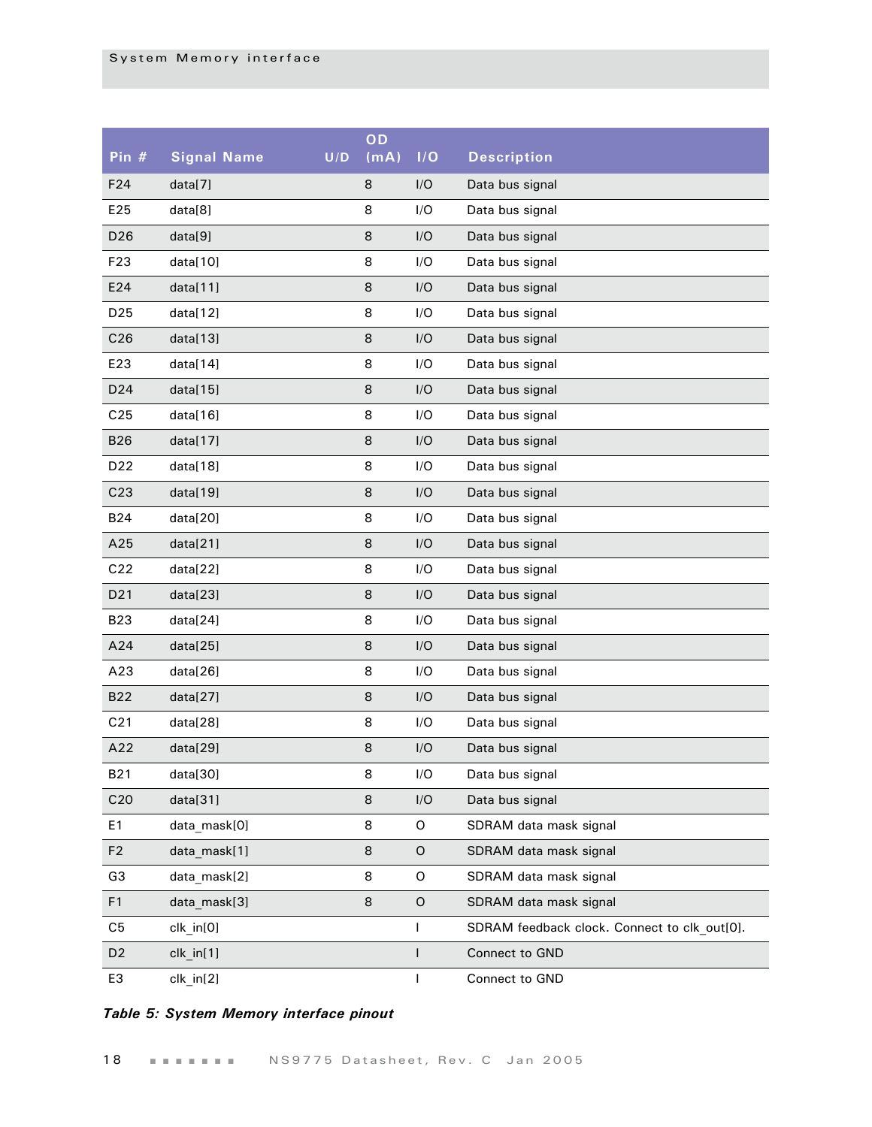| Pin $#$         | <b>Signal Name</b> | U/D | OD<br>(mA) | I/O         | <b>Description</b>                           |
|-----------------|--------------------|-----|------------|-------------|----------------------------------------------|
| F24             | data[7]            |     | 8          | I/O         | Data bus signal                              |
| E25             | data[8]            |     | 8          | I/O         | Data bus signal                              |
| D <sub>26</sub> | data[9]            |     | 8          | I/O         | Data bus signal                              |
| F <sub>23</sub> | data[10]           |     | 8          | I/O         | Data bus signal                              |
| E24             | data[11]           |     | 8          | I/O         | Data bus signal                              |
| D <sub>25</sub> | data[12]           |     | 8          | I/O         | Data bus signal                              |
| C <sub>26</sub> | data[13]           |     | 8          | I/O         | Data bus signal                              |
| E23             | data[14]           |     | 8          | I/O         | Data bus signal                              |
| D <sub>24</sub> | data[15]           |     | 8          | I/O         | Data bus signal                              |
| C <sub>25</sub> | data[16]           |     | 8          | I/O         | Data bus signal                              |
| <b>B26</b>      | data[17]           |     | 8          | I/O         | Data bus signal                              |
| D <sub>22</sub> | data[18]           |     | 8          | I/O         | Data bus signal                              |
| C <sub>23</sub> | data[19]           |     | 8          | I/O         | Data bus signal                              |
| <b>B24</b>      | data[20]           |     | 8          | I/O         | Data bus signal                              |
| A25             | data[21]           |     | 8          | I/O         | Data bus signal                              |
| C22             | data[22]           |     | 8          | I/O         | Data bus signal                              |
| D <sub>21</sub> | data[23]           |     | 8          | I/O         | Data bus signal                              |
| <b>B23</b>      | data[24]           |     | 8          | I/O         | Data bus signal                              |
| A24             | data[25]           |     | 8          | I/O         | Data bus signal                              |
| A23             | data[26]           |     | 8          | I/O         | Data bus signal                              |
| <b>B22</b>      | data[27]           |     | 8          | I/O         | Data bus signal                              |
| C <sub>21</sub> | data[28]           |     | 8          | I/O         | Data bus signal                              |
| A22             | data[29]           |     | 8          | I/O         | Data bus signal                              |
| <b>B21</b>      | data[30]           |     | 8          | I/O         | Data bus signal                              |
| C <sub>20</sub> | data[31]           |     | 8          | I/O         | Data bus signal                              |
| E1              | data mask[0]       |     | 8          | O           | SDRAM data mask signal                       |
| F <sub>2</sub>  | data mask[1]       |     | 8          | $\mathsf O$ | SDRAM data mask signal                       |
| G <sub>3</sub>  | data_mask[2]       |     | 8          | O           | SDRAM data mask signal                       |
| F1              | data_mask[3]       |     | 8          | $\mathsf O$ | SDRAM data mask signal                       |
| C <sub>5</sub>  | clk_in[0]          |     |            | I           | SDRAM feedback clock. Connect to clk out[0]. |
| D <sub>2</sub>  | $clk_in[1]$        |     |            |             | Connect to GND                               |
| E3              | $clk_in[2]$        |     |            | I           | Connect to GND                               |

## *Table 5: System Memory interface pinout*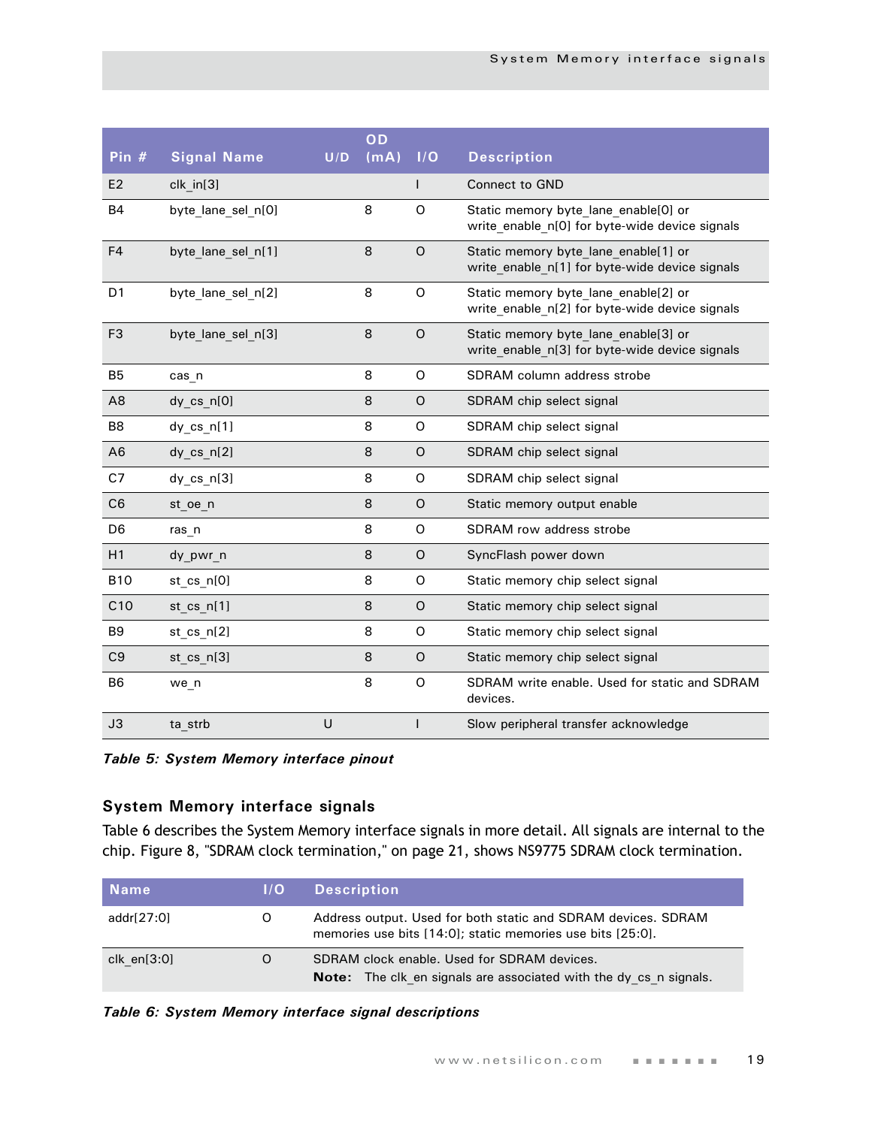| Pin #           | <b>Signal Name</b> | U/D | OD<br>(mA) | I/O          | <b>Description</b>                                                                     |
|-----------------|--------------------|-----|------------|--------------|----------------------------------------------------------------------------------------|
| E <sub>2</sub>  | clk in [3]         |     |            | $\mathsf{I}$ | <b>Connect to GND</b>                                                                  |
| <b>B4</b>       | byte lane sel n[0] |     | 8          | $\Omega$     | Static memory byte lane enable[0] or<br>write enable n[0] for byte-wide device signals |
| F <sub>4</sub>  | byte lane sel n[1] |     | 8          | $\circ$      | Static memory byte lane enable[1] or<br>write enable n[1] for byte-wide device signals |
| D <sub>1</sub>  | byte lane sel n[2] |     | 8          | O            | Static memory byte lane enable[2] or<br>write enable n[2] for byte-wide device signals |
| F <sub>3</sub>  | byte lane sel n[3] |     | 8          | $\circ$      | Static memory byte lane enable[3] or<br>write enable n[3] for byte-wide device signals |
| B <sub>5</sub>  | cas n              |     | 8          | O            | SDRAM column address strobe                                                            |
| A <sub>8</sub>  | dy_cs_n[0]         |     | 8          | $\circ$      | SDRAM chip select signal                                                               |
| B <sub>8</sub>  | $dy$ cs $n[1]$     |     | 8          | O            | SDRAM chip select signal                                                               |
| A6              | $dy$ cs $n[2]$     |     | 8          | $\circ$      | SDRAM chip select signal                                                               |
| C7              | $dy$ cs $n[3]$     |     | 8          | O            | SDRAM chip select signal                                                               |
| C <sub>6</sub>  | st oe n            |     | 8          | $\circ$      | Static memory output enable                                                            |
| D <sub>6</sub>  | ras n              |     | 8          | O            | SDRAM row address strobe                                                               |
| H1              | dy pwr n           |     | 8          | $\circ$      | SyncFlash power down                                                                   |
| <b>B10</b>      | st cs n[0]         |     | 8          | O            | Static memory chip select signal                                                       |
| C <sub>10</sub> | st cs $n[1]$       |     | 8          | O            | Static memory chip select signal                                                       |
| B <sub>9</sub>  | st cs $n[2]$       |     | 8          | O            | Static memory chip select signal                                                       |
| C <sub>9</sub>  | st cs n[3]         |     | 8          | $\circ$      | Static memory chip select signal                                                       |
| B <sub>6</sub>  | we n               |     | 8          | O            | SDRAM write enable. Used for static and SDRAM<br>devices.                              |
| J3              | ta strb            | U   |            | $\mathbf{I}$ | Slow peripheral transfer acknowledge                                                   |

*Table 5: System Memory interface pinout*

## <span id="page-22-0"></span>**System Memory interface signals**

[Table 6](#page-22-1) describes the System Memory interface signals in more detail. All signals are internal to the chip. Figure 8, "SDRAM clock termination," on page 21, shows NS9775 SDRAM clock termination.

| <b>Name</b>   | 1/O | <b>Description</b>                                                                                                          |
|---------------|-----|-----------------------------------------------------------------------------------------------------------------------------|
| addr[27:0]    | O   | Address output. Used for both static and SDRAM devices. SDRAM<br>memories use bits [14:0]; static memories use bits [25:0]. |
| clk $en[3:0]$ | O   | SDRAM clock enable. Used for SDRAM devices.<br><b>Note:</b> The clk en signals are associated with the dy cs n signals.     |

#### <span id="page-22-1"></span>*Table 6: System Memory interface signal descriptions*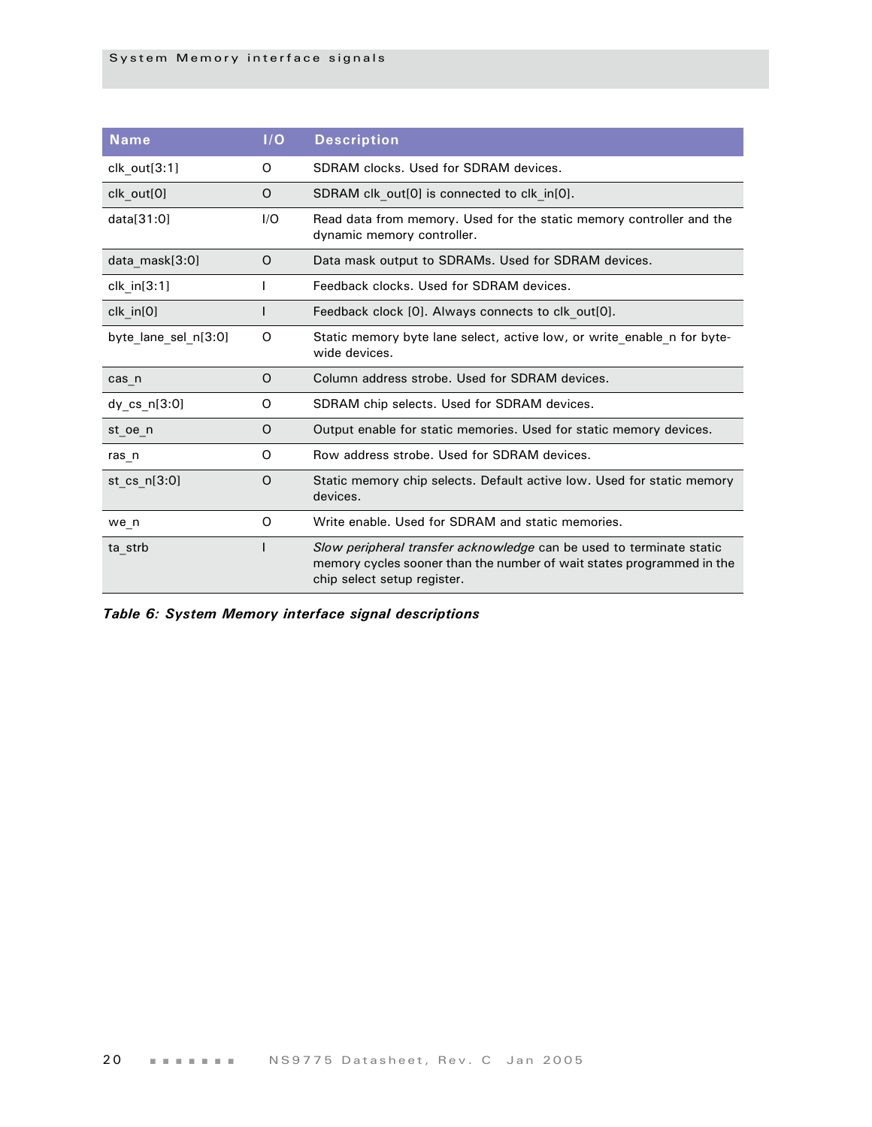| <b>Name</b>          | I/O | <b>Description</b>                                                                                                                                                           |
|----------------------|-----|------------------------------------------------------------------------------------------------------------------------------------------------------------------------------|
| clk out[3:1]         | 0   | SDRAM clocks. Used for SDRAM devices.                                                                                                                                        |
| clk out[0]           | 0   | SDRAM clk out[0] is connected to clk in[0].                                                                                                                                  |
| data[31:0]           | 1/O | Read data from memory. Used for the static memory controller and the<br>dynamic memory controller.                                                                           |
| data_mask[3:0]       | O   | Data mask output to SDRAMs. Used for SDRAM devices.                                                                                                                          |
| $clk_in[3:1]$        |     | Feedback clocks. Used for SDRAM devices.                                                                                                                                     |
| $clk$ in $[0]$       |     | Feedback clock [0]. Always connects to clk out[0].                                                                                                                           |
| byte lane sel n[3:0] | O   | Static memory byte lane select, active low, or write enable n for byte-<br>wide devices.                                                                                     |
| cas n                | O   | Column address strobe. Used for SDRAM devices.                                                                                                                               |
| $dy$ cs $n[3:0]$     | O   | SDRAM chip selects. Used for SDRAM devices.                                                                                                                                  |
| st oe n              | O   | Output enable for static memories. Used for static memory devices.                                                                                                           |
| ras n                | O   | Row address strobe. Used for SDRAM devices.                                                                                                                                  |
| st cs $n[3:0]$       | O   | Static memory chip selects. Default active low. Used for static memory<br>devices.                                                                                           |
| we n                 | O   | Write enable. Used for SDRAM and static memories.                                                                                                                            |
| ta_strb              |     | Slow peripheral transfer acknowledge can be used to terminate static<br>memory cycles sooner than the number of wait states programmed in the<br>chip select setup register. |

*Table 6: System Memory interface signal descriptions*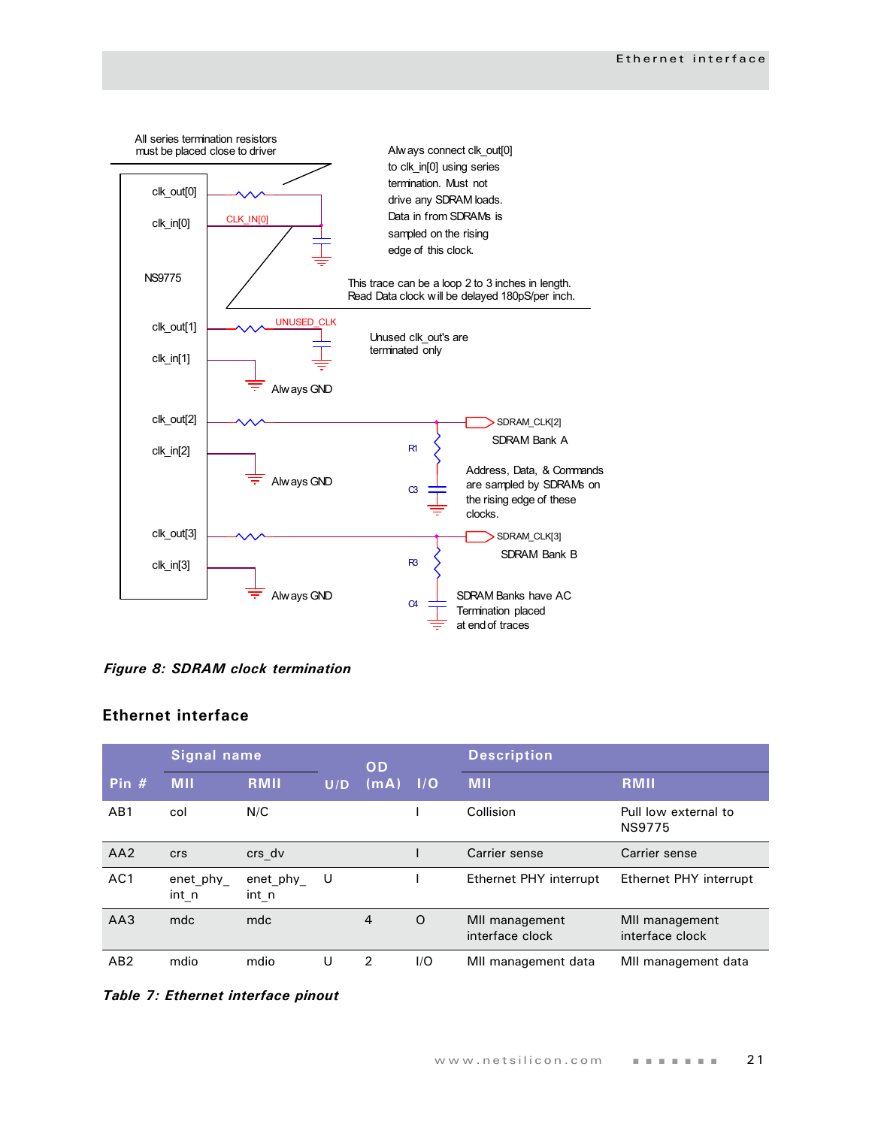

*Figure 8: SDRAM clock termination*

## <span id="page-24-0"></span>**Ethernet interface**

|                 | <b>Signal name</b> |                      |     | OD   |         | <b>Description</b>                |                                       |
|-----------------|--------------------|----------------------|-----|------|---------|-----------------------------------|---------------------------------------|
| Pin $#$         | <b>MII</b>         | RMII                 | U/D | (mA) | 1/O     | <b>MII</b>                        | <b>RMII</b>                           |
| AB <sub>1</sub> | col                | N/C                  |     |      |         | Collision                         | Pull low external to<br><b>NS9775</b> |
| AA2             | <b>crs</b>         | crs_dv               |     |      |         | Carrier sense                     | Carrier sense                         |
| AC <sub>1</sub> | enet_phy_<br>int n | enet_phy_<br>$int_n$ | U   |      |         | Ethernet PHY interrupt            | Ethernet PHY interrupt                |
| AA3             | mdc                | mdc                  |     | 4    | $\circ$ | MII management<br>interface clock | MII management<br>interface clock     |
| AB <sub>2</sub> | mdio               | mdio                 | U   | 2    | 1/O     | MII management data               | MII management data                   |

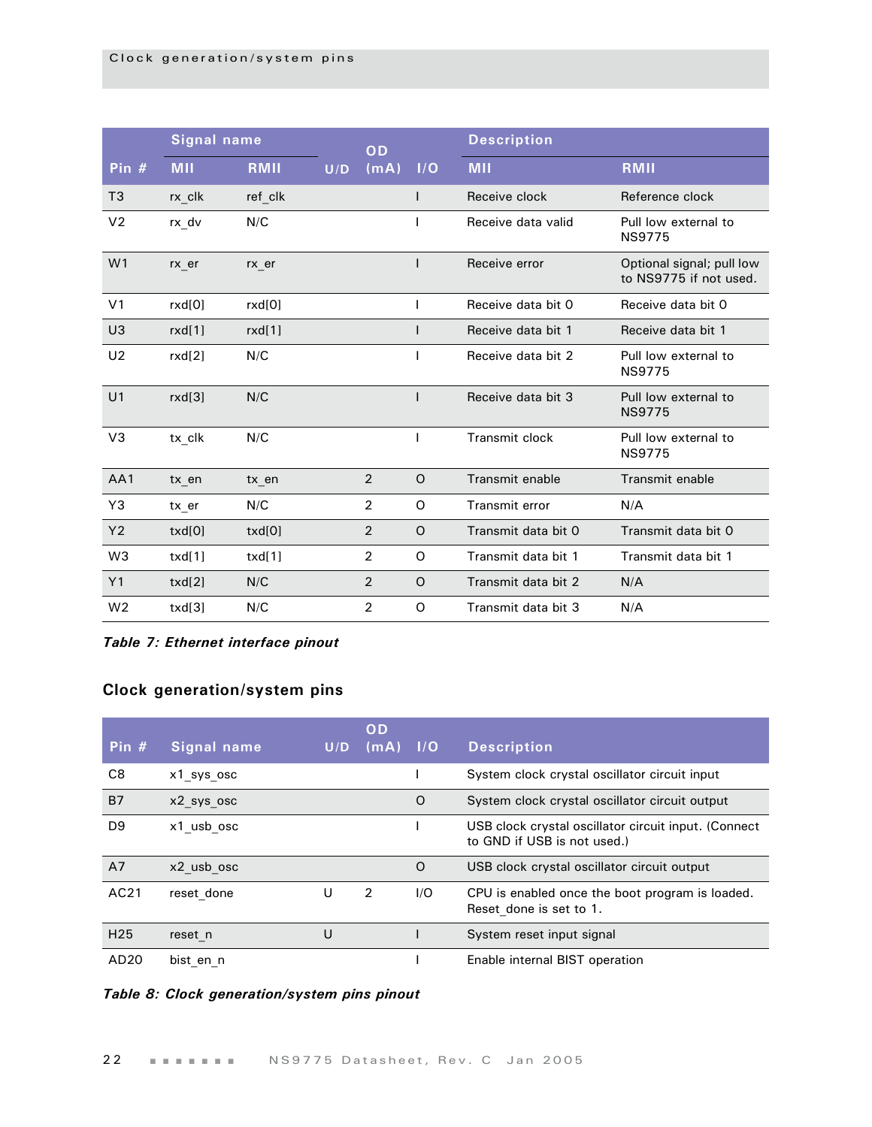|                | <b>Signal name</b> |         |     | OD             |              | <b>Description</b>  |                                                     |
|----------------|--------------------|---------|-----|----------------|--------------|---------------------|-----------------------------------------------------|
| Pin $#$        | <b>MII</b>         | RMII    | U/D | (mA)           | I/O          | <b>MII</b>          | RMII                                                |
| T <sub>3</sub> | rx clk             | ref clk |     |                | L            | Receive clock       | Reference clock                                     |
| V <sub>2</sub> | rx dv              | N/C     |     |                | I            | Receive data valid  | Pull low external to<br><b>NS9775</b>               |
| W <sub>1</sub> | rx er              | rx er   |     |                | I            | Receive error       | Optional signal; pull low<br>to NS9775 if not used. |
| V <sub>1</sub> | rxd[0]             | rxd[0]  |     |                | T            | Receive data bit 0  | Receive data bit 0                                  |
| U <sub>3</sub> | rxd[1]             | rxd[1]  |     |                | L            | Receive data bit 1  | Receive data bit 1                                  |
| U <sub>2</sub> | rxd[2]             | N/C     |     |                |              | Receive data bit 2  | Pull low external to<br><b>NS9775</b>               |
| U <sub>1</sub> | rxd[3]             | N/C     |     |                | L            | Receive data bit 3  | Pull low external to<br><b>NS9775</b>               |
| V <sub>3</sub> | tx clk             | N/C     |     |                | $\mathsf{I}$ | Transmit clock      | Pull low external to<br><b>NS9775</b>               |
| AA1            | tx en              | tx en   |     | $\overline{2}$ | $\circ$      | Transmit enable     | Transmit enable                                     |
| Y3             | tx er              | N/C     |     | $\overline{2}$ | O            | Transmit error      | N/A                                                 |
| Y <sub>2</sub> | txd[0]             | txd[0]  |     | $\overline{2}$ | O            | Transmit data bit 0 | Transmit data bit 0                                 |
| W <sub>3</sub> | txd[1]             | txd[1]  |     | $\overline{2}$ | O            | Transmit data bit 1 | Transmit data bit 1                                 |
| Y1             | txd[2]             | N/C     |     | $\overline{2}$ | $\circ$      | Transmit data bit 2 | N/A                                                 |
| W <sub>2</sub> | txd[3]             | N/C     |     | $\overline{2}$ | $\Omega$     | Transmit data bit 3 | N/A                                                 |

*Table 7: Ethernet interface pinout*

## <span id="page-25-0"></span>**Clock generation/system pins**

| Pin $#$         | <b>Signal name</b> | U/D | OD<br>(mA) | $\blacksquare$ | <b>Description</b>                                                                  |
|-----------------|--------------------|-----|------------|----------------|-------------------------------------------------------------------------------------|
| C8              | x1 sys osc         |     |            |                | System clock crystal oscillator circuit input                                       |
| <b>B7</b>       | x2 sys osc         |     |            | O              | System clock crystal oscillator circuit output                                      |
| D <sub>9</sub>  | x1 usb osc         |     |            |                | USB clock crystal oscillator circuit input. (Connect<br>to GND if USB is not used.) |
| A7              | x2 usb osc         |     |            | O              | USB clock crystal oscillator circuit output                                         |
| AC21            | reset done         | U   | 2          | I/O            | CPU is enabled once the boot program is loaded.<br>Reset done is set to 1.          |
| H <sub>25</sub> | reset n            | U   |            |                | System reset input signal                                                           |
| AD20            | bist en n          |     |            |                | Enable internal BIST operation                                                      |

## *Table 8: Clock generation/system pins pinout*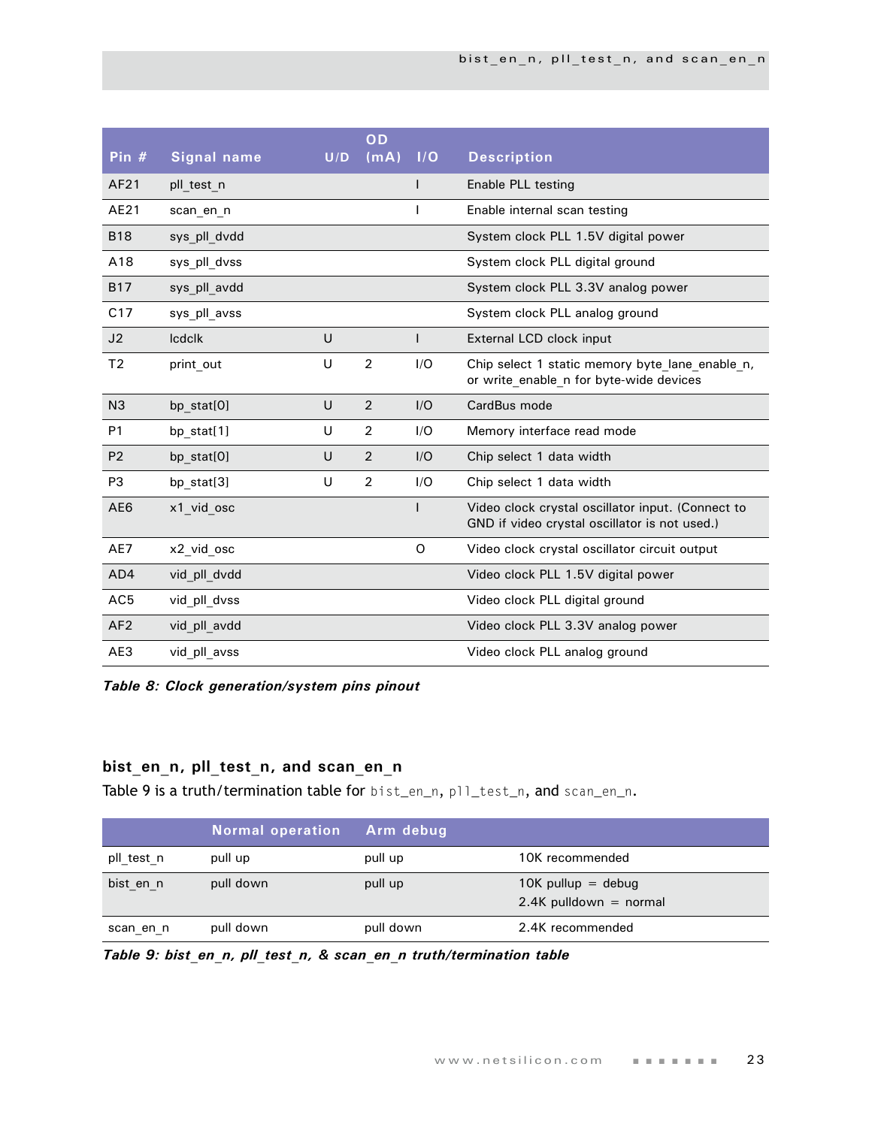| Pin $#$         | <b>Signal name</b> | U/D | OD<br>(mA)     | 1/O | <b>Description</b>                                                                                 |
|-----------------|--------------------|-----|----------------|-----|----------------------------------------------------------------------------------------------------|
| AF21            | pll test n         |     |                |     | Enable PLL testing                                                                                 |
| AE21            | scan_en_n          |     |                |     | Enable internal scan testing                                                                       |
| <b>B18</b>      | sys pll dvdd       |     |                |     | System clock PLL 1.5V digital power                                                                |
| A18             | sys pll dvss       |     |                |     | System clock PLL digital ground                                                                    |
| <b>B17</b>      | sys pll avdd       |     |                |     | System clock PLL 3.3V analog power                                                                 |
| C17             | sys pll avss       |     |                |     | System clock PLL analog ground                                                                     |
| J <sub>2</sub>  | <b>Icdclk</b>      | U   |                |     | External LCD clock input                                                                           |
| T <sub>2</sub>  | print out          | U   | $\overline{2}$ | I/O | Chip select 1 static memory byte lane enable n,<br>or write enable n for byte-wide devices         |
| N <sub>3</sub>  | bp stat[0]         | U   | 2              | I/O | CardBus mode                                                                                       |
| P <sub>1</sub>  | bp stat[1]         | U   | $\overline{2}$ | I/O | Memory interface read mode                                                                         |
| P <sub>2</sub>  | bp stat[0]         | U   | $\overline{2}$ | I/O | Chip select 1 data width                                                                           |
| P <sub>3</sub>  | bp_stat[3]         | U   | $\overline{2}$ | I/O | Chip select 1 data width                                                                           |
| AE <sub>6</sub> | x1 vid osc         |     |                |     | Video clock crystal oscillator input. (Connect to<br>GND if video crystal oscillator is not used.) |
| AE7             | x2 vid osc         |     |                | O   | Video clock crystal oscillator circuit output                                                      |
| AD4             | vid pll dvdd       |     |                |     | Video clock PLL 1.5V digital power                                                                 |
| AC <sub>5</sub> | vid pll dvss       |     |                |     | Video clock PLL digital ground                                                                     |
| AF <sub>2</sub> | vid pll avdd       |     |                |     | Video clock PLL 3.3V analog power                                                                  |
| AE3             | vid pll avss       |     |                |     | Video clock PLL analog ground                                                                      |

*Table 8: Clock generation/system pins pinout*

## <span id="page-26-0"></span>**bist\_en\_n, pll\_test\_n, and scan\_en\_n**

[Table 9 i](#page-26-1)s a truth/termination table for bist\_en\_n, pll\_test\_n, and scan\_en\_n.

|            | <b>Normal operation</b> | Arm debug |                                                  |
|------------|-------------------------|-----------|--------------------------------------------------|
| pll test n | pull up                 | pull up   | 10K recommended                                  |
| bist en n  | pull down               | pull up   | $10K$ pullup = debug<br>$2.4K$ pulldown = normal |
| scan en n  | pull down               | pull down | 2.4K recommended                                 |

<span id="page-26-1"></span>*Table 9: bist\_en\_n, pll\_test\_n, & scan\_en\_n truth/termination table*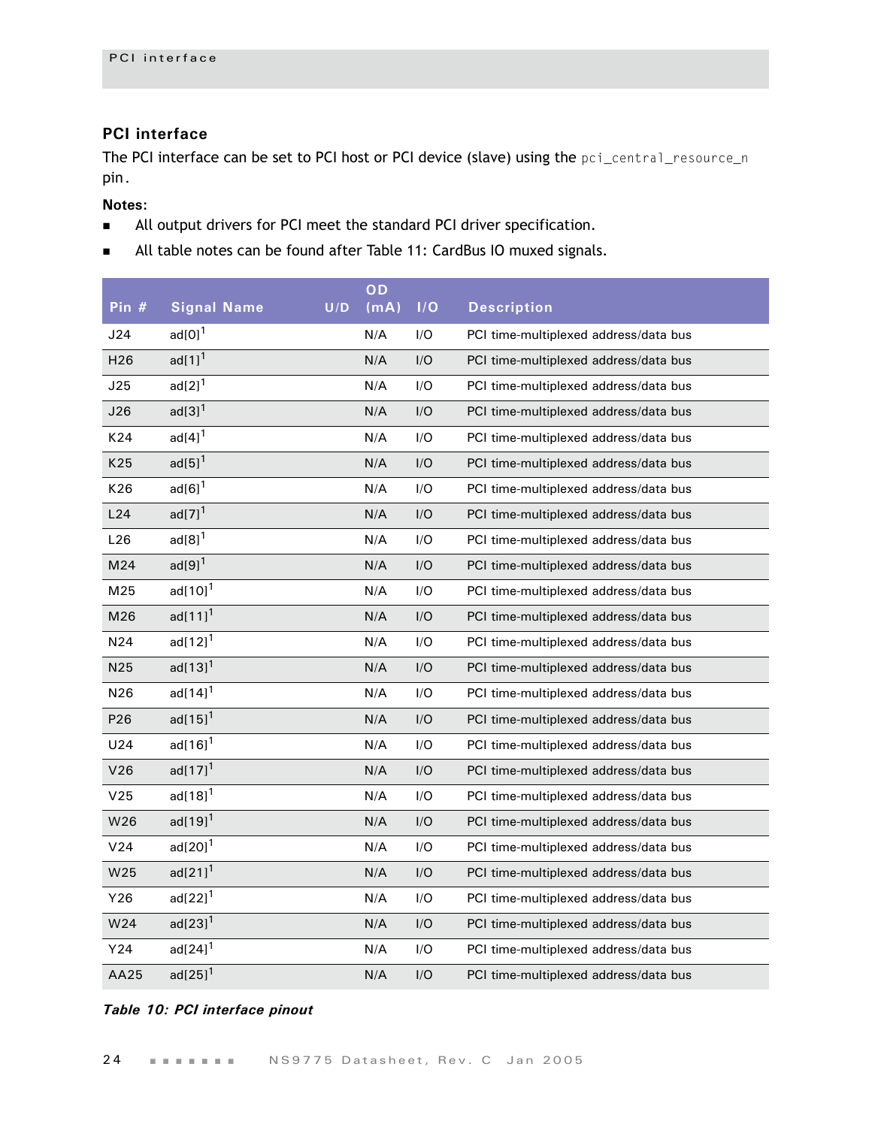## <span id="page-27-0"></span>**PCI interface**

The PCI interface can be set to PCI host or PCI device (slave) using the pci\_central\_resource\_n pin.

## **Notes:**

- All output drivers for PCI meet the standard PCI driver specification.
- All table notes can be found after [Table 11: CardBus IO muxed signals](#page-29-1).

|                 |                             |     | OD   |     |                                       |
|-----------------|-----------------------------|-----|------|-----|---------------------------------------|
| Pin #           | <b>Signal Name</b>          | U/D | (mA) | 1/O | <b>Description</b>                    |
| J24             | $ad[0]$ <sup>1</sup>        |     | N/A  | I/O | PCI time-multiplexed address/data bus |
| H <sub>26</sub> | $ad[1]$ <sup>1</sup>        |     | N/A  | I/O | PCI time-multiplexed address/data bus |
| J25             | $\text{ad}[2]$ <sup>1</sup> |     | N/A  | I/O | PCI time-multiplexed address/data bus |
| J26             | $ad[3]$ <sup>1</sup>        |     | N/A  | I/O | PCI time-multiplexed address/data bus |
| K24             | $\text{ad}[4]^{1}$          |     | N/A  | I/O | PCI time-multiplexed address/data bus |
| K25             | $ad[5]$ <sup>1</sup>        |     | N/A  | I/O | PCI time-multiplexed address/data bus |
| K26             | $ad[6]$ <sup>1</sup>        |     | N/A  | I/O | PCI time-multiplexed address/data bus |
| L24             | ad[7] <sup>1</sup>          |     | N/A  | I/O | PCI time-multiplexed address/data bus |
| L26             | $ad[8]$ <sup>1</sup>        |     | N/A  | I/O | PCI time-multiplexed address/data bus |
| M24             | $ad[9]$ <sup>1</sup>        |     | N/A  | I/O | PCI time-multiplexed address/data bus |
| M25             | $ad[10]$ <sup>1</sup>       |     | N/A  | I/O | PCI time-multiplexed address/data bus |
| M26             | $ad[11]$ <sup>1</sup>       |     | N/A  | I/O | PCI time-multiplexed address/data bus |
| N24             | $ad[12]^{1}$                |     | N/A  | I/O | PCI time-multiplexed address/data bus |
| N25             | $ad[13]^{1}$                |     | N/A  | I/O | PCI time-multiplexed address/data bus |
| N26             | $ad[14]$ <sup>1</sup>       |     | N/A  | I/O | PCI time-multiplexed address/data bus |
| P26             | $ad[15]^{1}$                |     | N/A  | I/O | PCI time-multiplexed address/data bus |
| U24             | $ad[16]$ <sup>1</sup>       |     | N/A  | I/O | PCI time-multiplexed address/data bus |
| V26             | $ad[17]$ <sup>1</sup>       |     | N/A  | I/O | PCI time-multiplexed address/data bus |
| V25             | $ad[18]^{1}$                |     | N/A  | I/O | PCI time-multiplexed address/data bus |
| W26             | $ad[19]$ <sup>1</sup>       |     | N/A  | I/O | PCI time-multiplexed address/data bus |
| V24             | $ad[20]$ <sup>1</sup>       |     | N/A  | I/O | PCI time-multiplexed address/data bus |
| W25             | $ad[21]$ <sup>1</sup>       |     | N/A  | I/O | PCI time-multiplexed address/data bus |
| Y26             | $ad[22]$ <sup>1</sup>       |     | N/A  | I/O | PCI time-multiplexed address/data bus |
| W24             | $ad[23]$ <sup>1</sup>       |     | N/A  | I/O | PCI time-multiplexed address/data bus |
| Y24             | $ad[24]$ <sup>1</sup>       |     | N/A  | I/O | PCI time-multiplexed address/data bus |
| AA25            | $ad[25]$ <sup>1</sup>       |     | N/A  | I/O | PCI time-multiplexed address/data bus |

#### *Table 10: PCI interface pinout*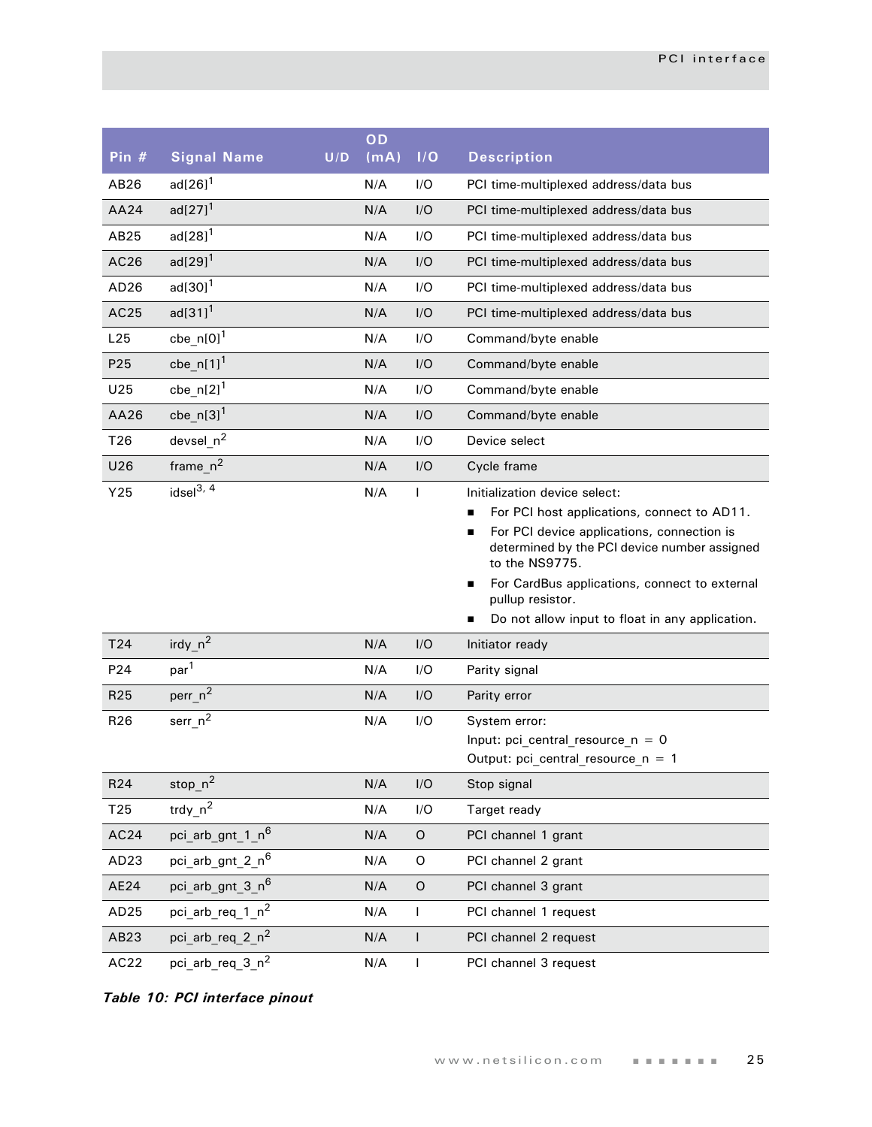| Pin #            | <b>Signal Name</b>           | U/D | OD<br>(mA) | I/O          | <b>Description</b>                                                                                                                                                                                                                                                                                                                                            |
|------------------|------------------------------|-----|------------|--------------|---------------------------------------------------------------------------------------------------------------------------------------------------------------------------------------------------------------------------------------------------------------------------------------------------------------------------------------------------------------|
| AB26             | $ad[26]$ <sup>1</sup>        |     | N/A        | I/O          | PCI time-multiplexed address/data bus                                                                                                                                                                                                                                                                                                                         |
| AA24             | $ad[27]$ <sup>1</sup>        |     | N/A        | I/O          | PCI time-multiplexed address/data bus                                                                                                                                                                                                                                                                                                                         |
| AB25             | $ad[28]$ <sup>1</sup>        |     | N/A        | I/O          | PCI time-multiplexed address/data bus                                                                                                                                                                                                                                                                                                                         |
| AC26             | $ad[29]$ <sup>1</sup>        |     | N/A        | I/O          | PCI time-multiplexed address/data bus                                                                                                                                                                                                                                                                                                                         |
| AD <sub>26</sub> | $ad[30]$ <sup>1</sup>        |     | N/A        | I/O          | PCI time-multiplexed address/data bus                                                                                                                                                                                                                                                                                                                         |
| AC25             | $ad[31]^{1}$                 |     | N/A        | I/O          | PCI time-multiplexed address/data bus                                                                                                                                                                                                                                                                                                                         |
| L25              | cbe_n[0] $1$                 |     | N/A        | I/O          | Command/byte enable                                                                                                                                                                                                                                                                                                                                           |
| P <sub>25</sub>  | $cbe_n[1]^1$                 |     | N/A        | I/O          | Command/byte enable                                                                                                                                                                                                                                                                                                                                           |
| U25              | $cbe_n[2]^1$                 |     | N/A        | I/O          | Command/byte enable                                                                                                                                                                                                                                                                                                                                           |
| AA26             | cbe_n[3] $1$                 |     | N/A        | I/O          | Command/byte enable                                                                                                                                                                                                                                                                                                                                           |
| T <sub>26</sub>  | devsel_ $n^2$                |     | N/A        | I/O          | Device select                                                                                                                                                                                                                                                                                                                                                 |
| U26              | $frame_n^2$                  |     | N/A        | I/O          | Cycle frame                                                                                                                                                                                                                                                                                                                                                   |
| Y25              | idsel <sup>3, 4</sup>        |     | N/A        | I            | Initialization device select:<br>For PCI host applications, connect to AD11.<br>$\blacksquare$<br>For PCI device applications, connection is<br>$\blacksquare$<br>determined by the PCI device number assigned<br>to the NS9775.<br>For CardBus applications, connect to external<br>п<br>pullup resistor.<br>Do not allow input to float in any application. |
| T24              | $\text{irdy } n^2$           |     | N/A        | I/O          | Initiator ready                                                                                                                                                                                                                                                                                                                                               |
| P24              | par <sup>1</sup>             |     | N/A        | I/O          | Parity signal                                                                                                                                                                                                                                                                                                                                                 |
| R25              | perr <sub>n</sub> 2          |     | N/A        | I/O          | Parity error                                                                                                                                                                                                                                                                                                                                                  |
| R <sub>26</sub>  | serr $n^2$                   |     | N/A        | I/O          | System error:<br>Input: pci central resource $n = 0$<br>Output: $pci_central_resource_n = 1$                                                                                                                                                                                                                                                                  |
| R <sub>24</sub>  | stop $n^2$                   |     | N/A        | I/O          | Stop signal                                                                                                                                                                                                                                                                                                                                                   |
| T <sub>25</sub>  | trdy_ $n^2$                  |     | N/A        | I/O          | Target ready                                                                                                                                                                                                                                                                                                                                                  |
| AC24             | pci arb gnt 1 n <sup>6</sup> |     | N/A        | O            | PCI channel 1 grant                                                                                                                                                                                                                                                                                                                                           |
| AD <sub>23</sub> | pci arb gnt 2 n <sup>6</sup> |     | N/A        | 0            | PCI channel 2 grant                                                                                                                                                                                                                                                                                                                                           |
| AE24             | pci arb gnt 3 n <sup>6</sup> |     | N/A        | $\mathsf O$  | PCI channel 3 grant                                                                                                                                                                                                                                                                                                                                           |
| AD <sub>25</sub> | pci arb req 1 $n^2$          |     | N/A        | $\mathsf{I}$ | PCI channel 1 request                                                                                                                                                                                                                                                                                                                                         |
| AB23             | pci arb req 2 $n^2$          |     | N/A        | $\mathsf{I}$ | PCI channel 2 request                                                                                                                                                                                                                                                                                                                                         |
| AC22             | pci arb req 3 n <sup>2</sup> |     | N/A        | $\mathsf{I}$ | PCI channel 3 request                                                                                                                                                                                                                                                                                                                                         |

*Table 10: PCI interface pinout*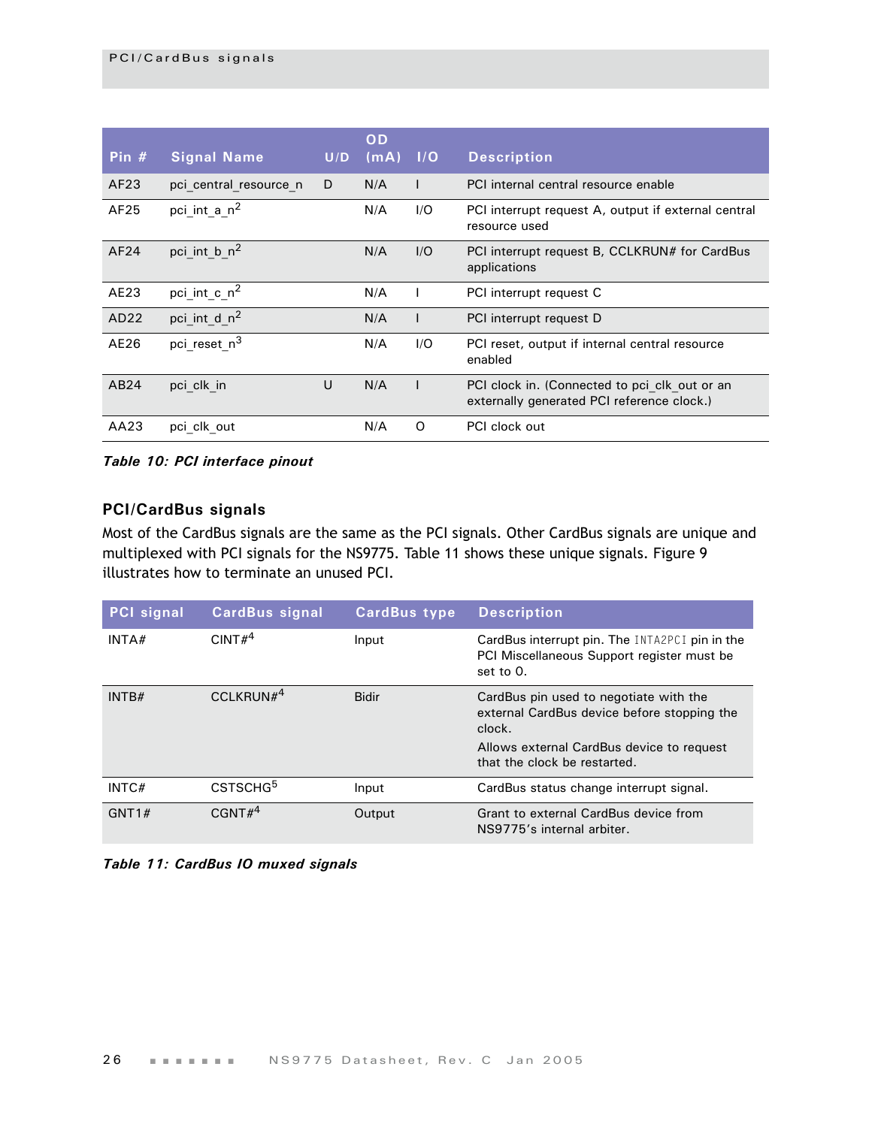| Pin $#$ | <b>Signal Name</b>       | U/D | OD<br>(mA) | 1/O | <b>Description</b>                                                                          |
|---------|--------------------------|-----|------------|-----|---------------------------------------------------------------------------------------------|
| AF23    | pci central resource n   | D   | N/A        |     | PCI internal central resource enable                                                        |
| AF25    | pci int a $n^2$          |     | N/A        | 1/O | PCI interrupt request A, output if external central<br>resource used                        |
| AF24    | pci int b $n^2$          |     | N/A        | 1/O | PCI interrupt request B, CCLKRUN# for CardBus<br>applications                               |
| AE23    | pci int c $n^2$          |     | N/A        |     | PCI interrupt request C                                                                     |
| AD22    | pci int d $n^2$          |     | N/A        |     | PCI interrupt request D                                                                     |
| AE26    | pci reset n <sup>3</sup> |     | N/A        | I/O | PCI reset, output if internal central resource<br>enabled                                   |
| AB24    | pci clk in               | U   | N/A        |     | PCI clock in. (Connected to pci clk out or an<br>externally generated PCI reference clock.) |
| AA23    | pci clk out              |     | N/A        | O   | PCI clock out                                                                               |

*Table 10: PCI interface pinout*

## <span id="page-29-0"></span>**PCI/CardBus signals**

Most of the CardBus signals are the same as the PCI signals. Other CardBus signals are unique and multiplexed with PCI signals for the NS9775. [Table 11](#page-29-1) shows these unique signals. Figure 9 illustrates how to terminate an unused PCI.

| <b>PCI</b> signal | <b>CardBus signal</b> | <b>CardBus type</b> | <b>Description</b>                                                                                                                                                           |
|-------------------|-----------------------|---------------------|------------------------------------------------------------------------------------------------------------------------------------------------------------------------------|
| INTA#             | CINT# <sup>4</sup>    | Input               | CardBus interrupt pin. The INTA2PCI pin in the<br>PCI Miscellaneous Support register must be<br>set to 0.                                                                    |
| INTB#             | CCLKRUN# <sup>4</sup> | <b>Bidir</b>        | CardBus pin used to negotiate with the<br>external CardBus device before stopping the<br>clock.<br>Allows external CardBus device to request<br>that the clock be restarted. |
| INTC#             | CSTSCHG <sup>5</sup>  | Input               | CardBus status change interrupt signal.                                                                                                                                      |
| GNT1#             | CGNT# <sup>4</sup>    | Output              | Grant to external CardBus device from<br>NS9775's internal arbiter.                                                                                                          |

<span id="page-29-1"></span>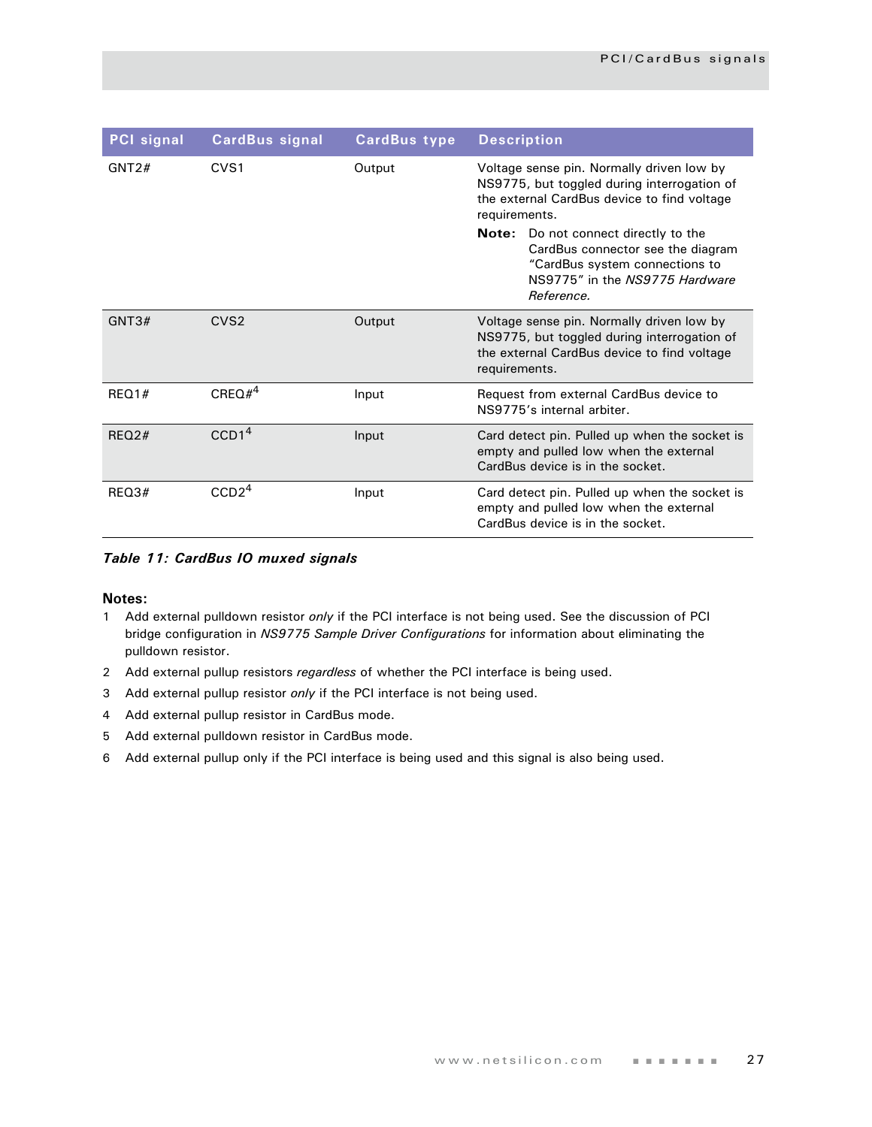| <b>PCI</b> signal | <b>CardBus signal</b> | <b>CardBus type</b> | <b>Description</b>                                                                                                                                                                                                                                                                                                             |
|-------------------|-----------------------|---------------------|--------------------------------------------------------------------------------------------------------------------------------------------------------------------------------------------------------------------------------------------------------------------------------------------------------------------------------|
| GNT2#             | CVS <sub>1</sub>      | Output              | Voltage sense pin. Normally driven low by<br>NS9775, but toggled during interrogation of<br>the external CardBus device to find voltage<br>requirements.<br><b>Note:</b> Do not connect directly to the<br>CardBus connector see the diagram<br>"CardBus system connections to<br>NS9775" in the NS9775 Hardware<br>Reference. |
| GNT3#             | CVS <sub>2</sub>      | Output              | Voltage sense pin. Normally driven low by<br>NS9775, but toggled during interrogation of<br>the external CardBus device to find voltage<br>requirements.                                                                                                                                                                       |
| REO1#             | $CREQ#^4$             | Input               | Request from external CardBus device to<br>NS9775's internal arbiter.                                                                                                                                                                                                                                                          |
| REO2#             | CCD1 <sup>4</sup>     | Input               | Card detect pin. Pulled up when the socket is<br>empty and pulled low when the external<br>CardBus device is in the socket.                                                                                                                                                                                                    |
| REQ3#             | CCD2 <sup>4</sup>     | Input               | Card detect pin. Pulled up when the socket is<br>empty and pulled low when the external<br>CardBus device is in the socket.                                                                                                                                                                                                    |

*Table 11: CardBus IO muxed signals*

#### **Notes:**

- 1 Add external pulldown resistor *only* if the PCI interface is not being used. See the discussion of PCI bridge configuration in *NS9775 Sample Driver Configurations* for information about eliminating the pulldown resistor.
- 2 Add external pullup resistors *regardless* of whether the PCI interface is being used.
- 3 Add external pullup resistor *only* if the PCI interface is not being used.
- 4 Add external pullup resistor in CardBus mode.
- 5 Add external pulldown resistor in CardBus mode.
- 6 Add external pullup only if the PCI interface is being used and this signal is also being used.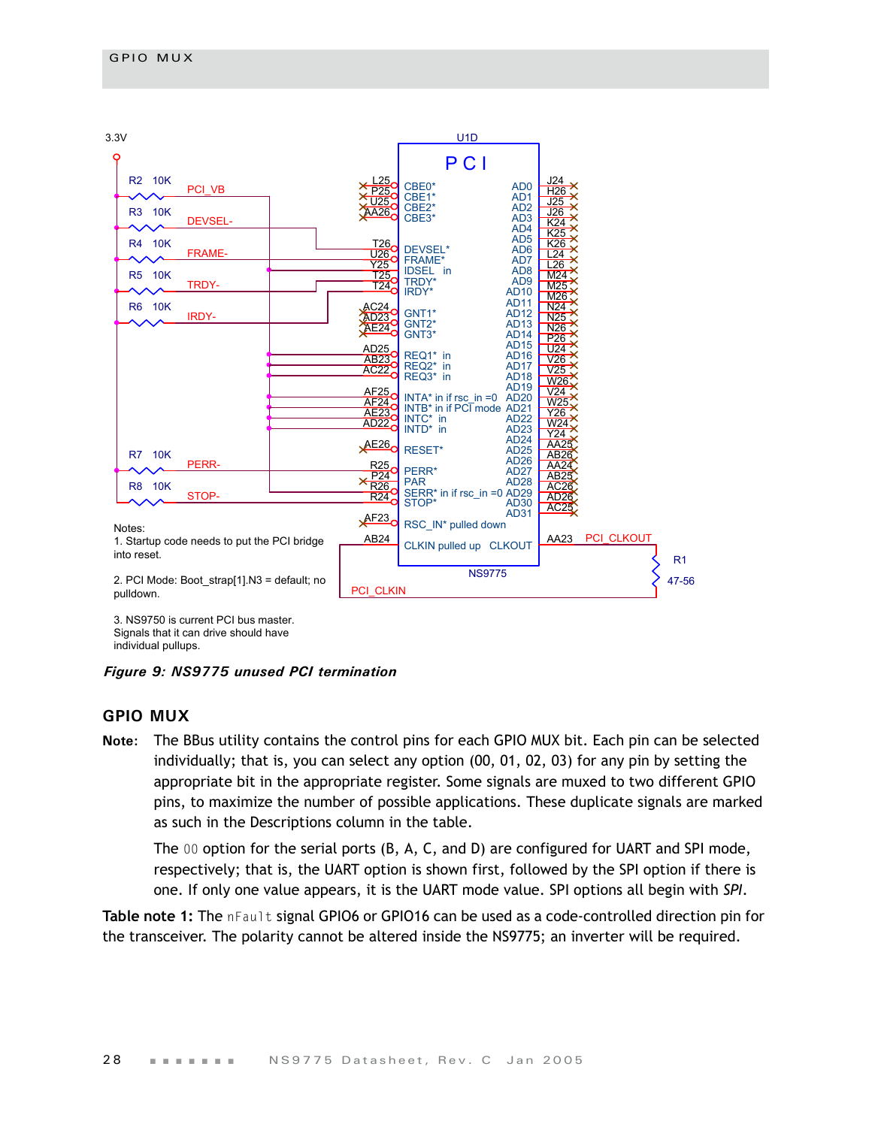

3. NS9750 is current PCI bus master. Signals that it can drive should have individual pullups.

*Figure 9: NS9775 unused PCI termination*

## <span id="page-31-0"></span>**GPIO MUX**

**Note:** The BBus utility contains the control pins for each GPIO MUX bit. Each pin can be selected individually; that is, you can select any option (00, 01, 02, 03) for any pin by setting the appropriate bit in the appropriate register. Some signals are muxed to two different GPIO pins, to maximize the number of possible applications. These duplicate signals are marked as such in the Descriptions column in the table.

The 00 option for the serial ports (B, A, C, and D) are configured for UART and SPI mode, respectively; that is, the UART option is shown first, followed by the SPI option if there is one. If only one value appears, it is the UART mode value. SPI options all begin with *SPI*.

**Table note 1:** The nFault signal GPIO6 or GPIO16 can be used as a code-controlled direction pin for the transceiver. The polarity cannot be altered inside the NS9775; an inverter will be required.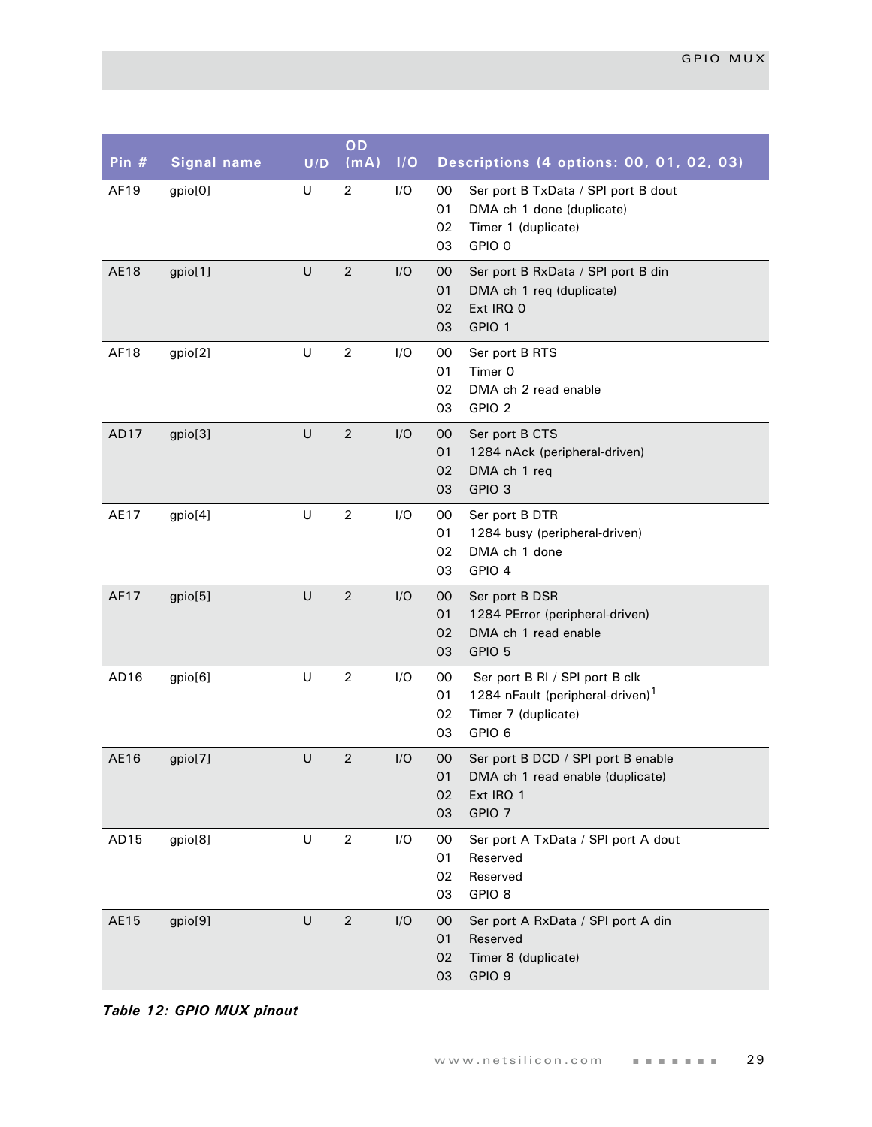| Pin #       | <b>Signal name</b> | U/D     | OD<br>(mA)     | I/O | Descriptions (4 options: 00, 01, 02, 03)                                                                                                |
|-------------|--------------------|---------|----------------|-----|-----------------------------------------------------------------------------------------------------------------------------------------|
| AF19        | gpio[0]            | U       | $\overline{2}$ | I/O | 00<br>Ser port B TxData / SPI port B dout<br>01<br>DMA ch 1 done (duplicate)<br>02<br>Timer 1 (duplicate)<br>03<br>GPIO 0               |
| <b>AE18</b> | gpio[1]            | $\sf U$ | $\overline{2}$ | I/O | 00<br>Ser port B RxData / SPI port B din<br>01<br>DMA ch 1 req (duplicate)<br>02<br>Ext IRQ 0<br>GPIO 1<br>03                           |
| AF18        | gpio[2]            | U       | $\overline{2}$ | I/O | 00<br>Ser port B RTS<br>Timer 0<br>01<br>02<br>DMA ch 2 read enable<br>03<br>GPIO <sub>2</sub>                                          |
| AD17        | gpio[3]            | $\cup$  | $\overline{2}$ | I/O | 00<br>Ser port B CTS<br>01<br>1284 nAck (peripheral-driven)<br>02<br>DMA ch 1 req<br>GPIO <sub>3</sub><br>03                            |
| AE17        | gpio[4]            | $\sf U$ | $\overline{2}$ | I/O | 00<br>Ser port B DTR<br>01<br>1284 busy (peripheral-driven)<br>02<br>DMA ch 1 done<br>03<br>GPIO 4                                      |
| AF17        | gpio[5]            | $\sf U$ | $\overline{2}$ | I/O | 00<br>Ser port B DSR<br>1284 PError (peripheral-driven)<br>01<br>02<br>DMA ch 1 read enable<br>GPIO 5<br>03                             |
| AD16        | gpio[6]            | $\cup$  | $\overline{2}$ | I/O | Ser port B RI / SPI port B clk<br>00<br>1284 nFault (peripheral-driven) <sup>1</sup><br>01<br>02<br>Timer 7 (duplicate)<br>03<br>GPIO 6 |
| AE16        | gpio[7]            | U       | $\overline{2}$ | I/O | 00<br>Ser port B DCD / SPI port B enable<br>01<br>DMA ch 1 read enable (duplicate)<br>02<br>Ext IRQ 1<br>03<br>GPIO <sub>7</sub>        |
| AD15        | gpio[8]            | U       | $\overline{2}$ | I/O | 00<br>Ser port A TxData / SPI port A dout<br>Reserved<br>01<br>02<br>Reserved<br>03<br>GPIO <sub>8</sub>                                |
| AE15        | gpio[9]            | $\cup$  | $\sqrt{2}$     | I/O | 00<br>Ser port A RxData / SPI port A din<br>01<br>Reserved<br>Timer 8 (duplicate)<br>02<br>03<br>GPIO 9                                 |

*Table 12: GPIO MUX pinout*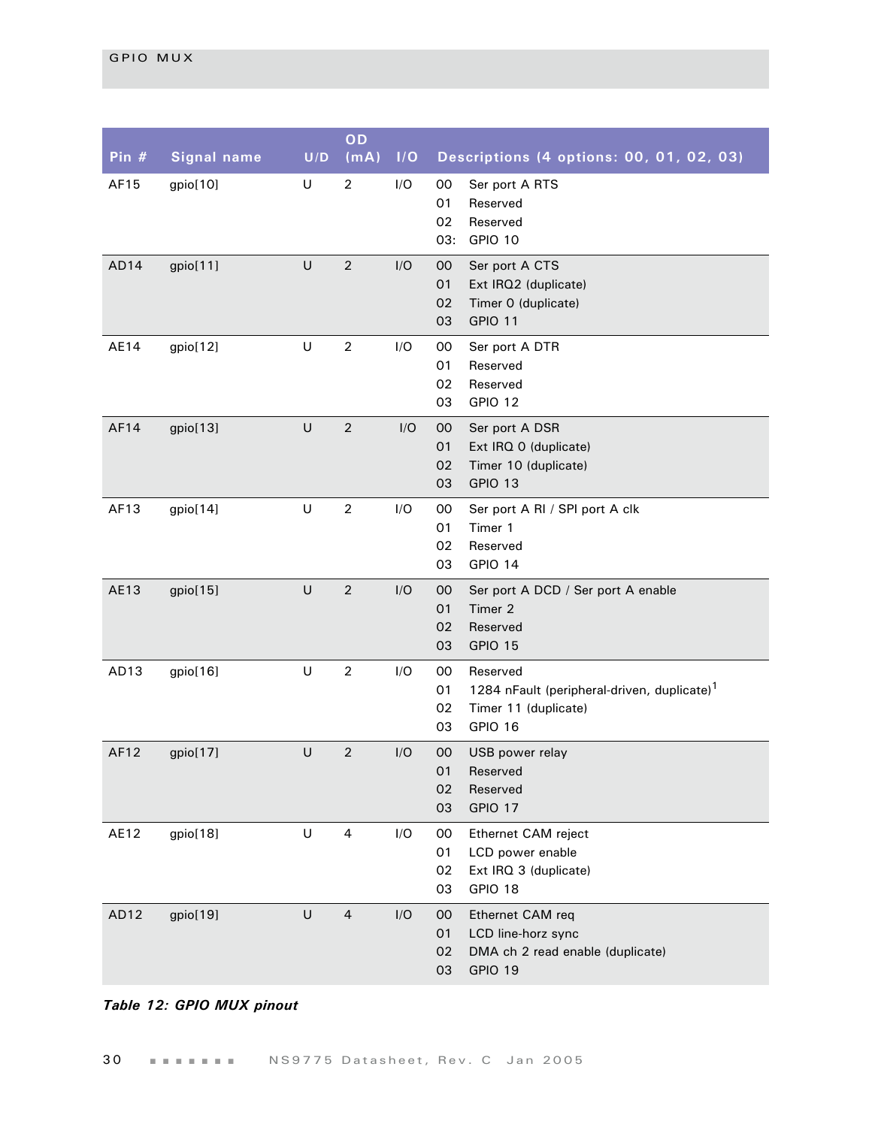| Pin $#$          | <b>Signal name</b> | U/D     | OD<br>(mA)       | 1/O | Descriptions (4 options: 00, 01, 02, 03)                                                                                       |
|------------------|--------------------|---------|------------------|-----|--------------------------------------------------------------------------------------------------------------------------------|
| AF15             | gpio[10]           | $\sf U$ | $\overline{2}$   | I/O | 00<br>Ser port A RTS<br>01<br>Reserved<br>02<br>Reserved<br>03:<br>GPIO 10                                                     |
| AD14             | gpio[11]           | U       | $\overline{2}$   | I/O | 00<br>Ser port A CTS<br>01<br>Ext IRQ2 (duplicate)<br>Timer 0 (duplicate)<br>02<br>GPIO 11<br>03                               |
| AE14             | gpio[12]           | U       | $\overline{2}$   | I/O | 00<br>Ser port A DTR<br>01<br>Reserved<br>Reserved<br>02<br>03<br>GPIO 12                                                      |
| AF14             | gpio[13]           | U       | $\overline{2}$   | I/O | 00<br>Ser port A DSR<br>01<br>Ext IRQ 0 (duplicate)<br>Timer 10 (duplicate)<br>02<br>GPIO 13<br>03                             |
| AF13             | gpio[14]           | U       | $\boldsymbol{2}$ | I/O | 00<br>Ser port A RI / SPI port A clk<br>01<br>Timer 1<br>02<br>Reserved<br>03<br>GPIO 14                                       |
| AE13             | gpio[15]           | U       | $\overline{2}$   | I/O | 00<br>Ser port A DCD / Ser port A enable<br>01<br>Timer 2<br>02<br>Reserved<br>03<br>GPIO 15                                   |
| AD13             | gpio[16]           | U       | $\boldsymbol{2}$ | I/O | 00<br>Reserved<br>1284 nFault (peripheral-driven, duplicate) <sup>1</sup><br>01<br>02<br>Timer 11 (duplicate)<br>03<br>GPIO 16 |
| AF12             | gpio[17]           | U       | $\overline{2}$   | I/O | USB power relay<br>$00\,$<br>01<br>Reserved<br>02<br>Reserved<br>GPIO 17<br>03                                                 |
| AE12             | gpio[18]           | U       | 4                | I/O | 00<br>Ethernet CAM reject<br>01<br>LCD power enable<br>02<br>Ext IRQ 3 (duplicate)<br>03<br>GPIO 18                            |
| AD <sub>12</sub> | gpio[19]           | U       | $\overline{4}$   | I/O | 00<br>Ethernet CAM req<br>01<br>LCD line-horz sync<br>DMA ch 2 read enable (duplicate)<br>02<br>03<br>GPIO 19                  |

## *Table 12: GPIO MUX pinout*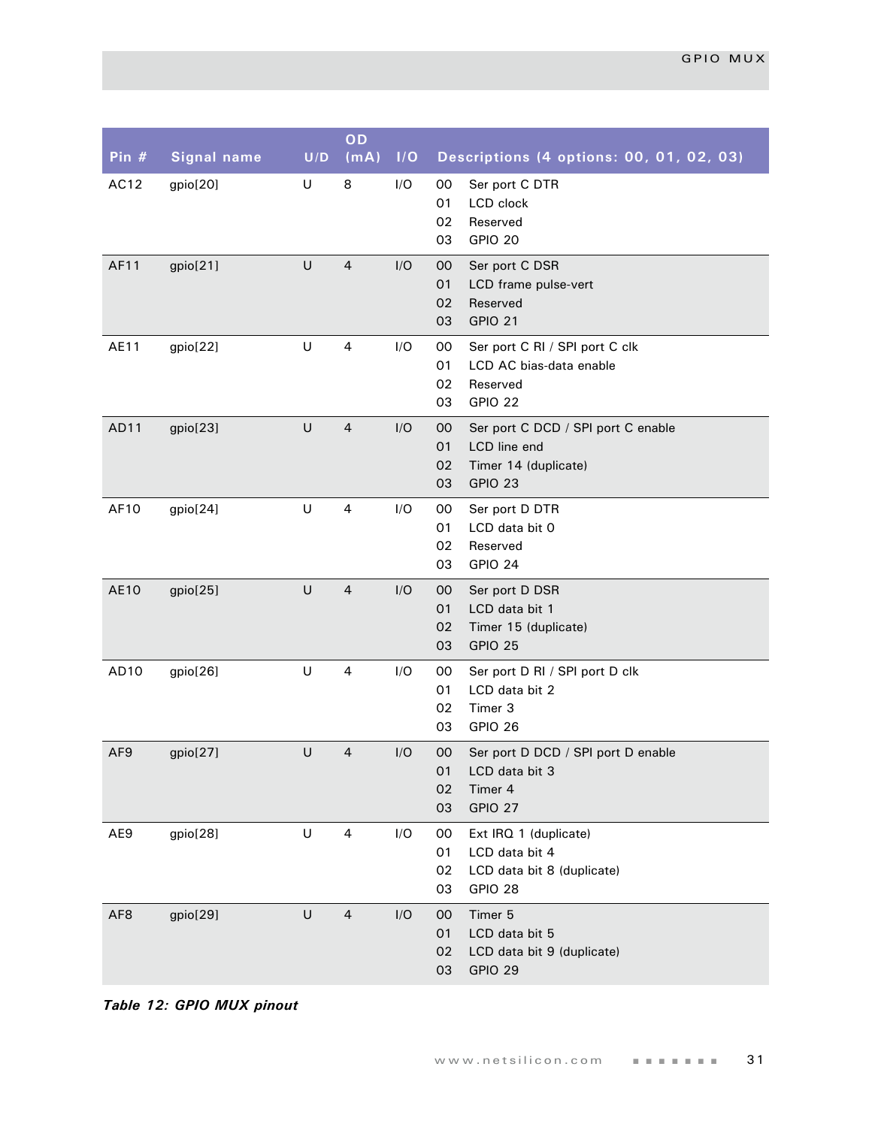| Pin $#$         | <b>Signal name</b> | U/D    | OD<br>(mA)     | I/O | Descriptions (4 options: 00, 01, 02, 03)                                                                      |
|-----------------|--------------------|--------|----------------|-----|---------------------------------------------------------------------------------------------------------------|
| AC12            | gpio[20]           | U      | 8              | I/O | 00<br>Ser port C DTR<br>01<br>LCD clock<br>02<br>Reserved<br>GPIO 20<br>03                                    |
| AF11            | gpio[21]           | U      | $\overline{4}$ | I/O | 00<br>Ser port C DSR<br>01<br>LCD frame pulse-vert<br>Reserved<br>02<br><b>GPIO 21</b><br>03                  |
| AE11            | gpio[22]           | U      | $\overline{a}$ | I/O | Ser port C RI / SPI port C clk<br>00<br>01<br>LCD AC bias-data enable<br>02<br>Reserved<br>GPIO 22<br>03      |
| AD11            | gpio[23]           | U      | $\overline{4}$ | I/O | 00<br>Ser port C DCD / SPI port C enable<br>01<br>LCD line end<br>Timer 14 (duplicate)<br>02<br>GPIO 23<br>03 |
| AF10            | gpio[24]           | U      | 4              | I/O | 00<br>Ser port D DTR<br>01<br>LCD data bit 0<br>02<br>Reserved<br>GPIO 24<br>03                               |
| <b>AE10</b>     | gpio[25]           | U      | $\overline{a}$ | I/O | Ser port D DSR<br>00<br>01<br>LCD data bit 1<br>Timer 15 (duplicate)<br>02<br>GPIO 25<br>03                   |
| AD10            | gpio[26]           | U      | 4              | I/O | Ser port D RI / SPI port D clk<br>00<br>01<br>LCD data bit 2<br>02<br>Timer 3<br>GPIO 26<br>03                |
| AF <sub>9</sub> | gpio[27]           | U      | $\overline{4}$ | I/O | 00<br>Ser port D DCD / SPI port D enable<br>LCD data bit 3<br>01<br>02<br>Timer 4<br>GPIO 27<br>03            |
| AE9             | gpio[28]           | U      | 4              | I/O | Ext IRQ 1 (duplicate)<br>00<br>01<br>LCD data bit 4<br>LCD data bit 8 (duplicate)<br>02<br>03<br>GPIO 28      |
| AF <sub>8</sub> | gpio[29]           | $\cup$ | $\overline{a}$ | I/O | Timer 5<br>$00\,$<br>LCD data bit 5<br>01<br>02<br>LCD data bit 9 (duplicate)<br>03<br>GPIO 29                |

*Table 12: GPIO MUX pinout*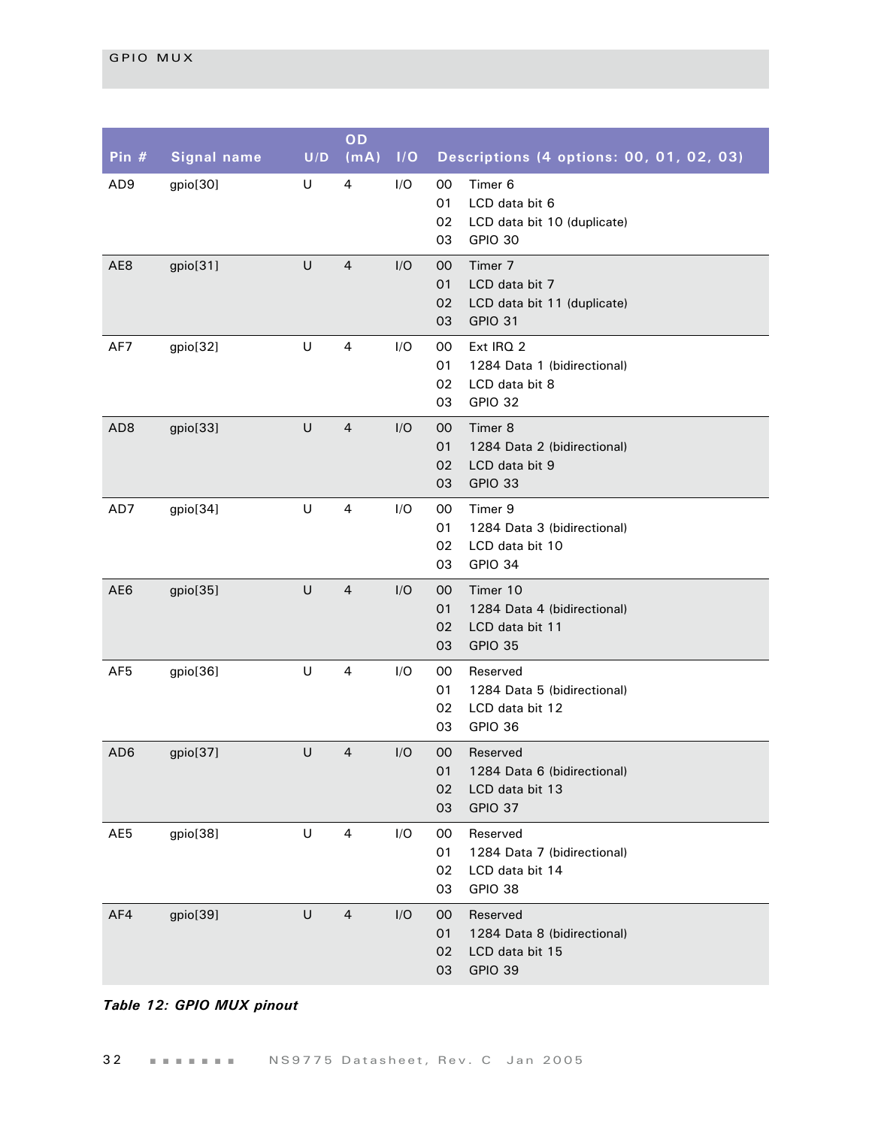| Pin $#$         | <b>Signal name</b> | U/D | OD<br>(mA)     | I/O | Descriptions (4 options: 00, 01, 02, 03)                                                                 |
|-----------------|--------------------|-----|----------------|-----|----------------------------------------------------------------------------------------------------------|
| AD <sub>9</sub> | gpio[30]           | U   | 4              | I/O | 00<br>Timer 6<br>01<br>LCD data bit 6<br>02<br>LCD data bit 10 (duplicate)<br>03<br>GPIO 30              |
| AE8             | gpio[31]           | U   | $\overline{4}$ | I/O | Timer 7<br>$00\,$<br>LCD data bit 7<br>01<br>02<br>LCD data bit 11 (duplicate)<br>03<br><b>GPIO 31</b>   |
| AF7             | gpio[32]           | U   | 4              | I/O | 00<br>Ext IRQ 2<br>1284 Data 1 (bidirectional)<br>01<br>02<br>LCD data bit 8<br>03<br>GPIO 32            |
| AD <sub>8</sub> | gpio[33]           | U   | $\overline{4}$ | I/O | Timer 8<br>$00\,$<br>01<br>1284 Data 2 (bidirectional)<br>LCD data bit 9<br>02<br>GPIO 33<br>03          |
| AD7             | gpio[34]           | U   | 4              | I/O | Timer 9<br>00<br>1284 Data 3 (bidirectional)<br>01<br>LCD data bit 10<br>02<br>03<br>GPIO 34             |
| AE6             | gpio[35]           | U   | $\overline{a}$ | I/O | Timer 10<br>$00\,$<br>01<br>1284 Data 4 (bidirectional)<br>LCD data bit 11<br>02<br>03<br><b>GPIO 35</b> |
| AF <sub>5</sub> | gpio[36]           | U   | 4              | I/O | 00<br>Reserved<br>1284 Data 5 (bidirectional)<br>01<br>02<br>LCD data bit 12<br>03<br>GPIO 36            |
| AD <sub>6</sub> | gpio[37]           | U   | $\overline{4}$ | I/O | 00<br>Reserved<br>01<br>1284 Data 6 (bidirectional)<br>02<br>LCD data bit 13<br>03<br>GPIO 37            |
| AE5             | gpio[38]           | U   | 4              | I/O | 00<br>Reserved<br>01<br>1284 Data 7 (bidirectional)<br>02<br>LCD data bit 14<br>03<br>GPIO 38            |
| AF4             | gpio[39]           | U   | $\overline{4}$ | I/O | Reserved<br>$00\,$<br>01<br>1284 Data 8 (bidirectional)<br>02<br>LCD data bit 15<br>03<br><b>GPIO 39</b> |

## *Table 12: GPIO MUX pinout*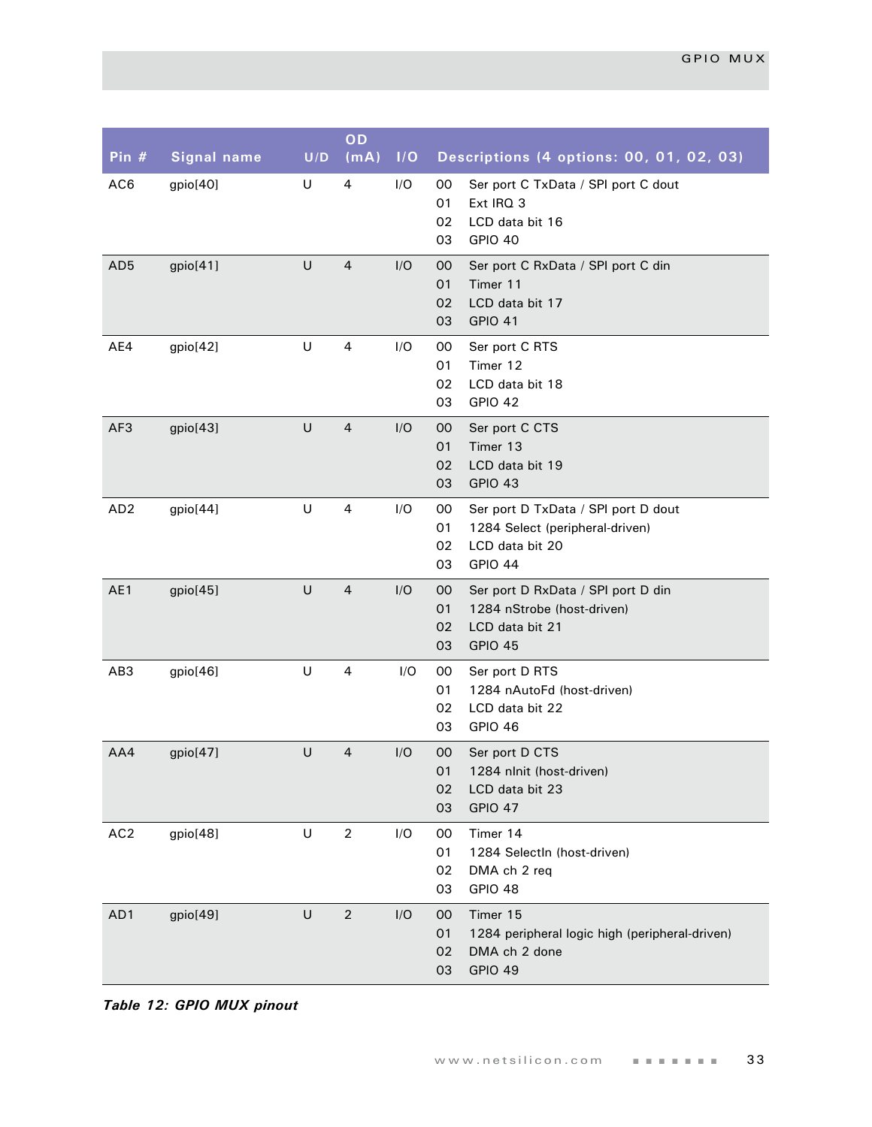| Pin $#$         | <b>Signal name</b> | U/D | OD<br>(mA)     | 1/O | Descriptions (4 options: 00, 01, 02, 03)                                                                                     |
|-----------------|--------------------|-----|----------------|-----|------------------------------------------------------------------------------------------------------------------------------|
| AC6             | gpio[40]           | U   | $\overline{4}$ | I/O | 00<br>Ser port C TxData / SPI port C dout<br>01<br>Ext IRQ 3<br>02<br>LCD data bit 16<br>GPIO 40<br>03                       |
| AD <sub>5</sub> | gpio[41]           | U   | $\overline{4}$ | I/O | 00<br>Ser port C RxData / SPI port C din<br>01<br>Timer 11<br>LCD data bit 17<br>02<br><b>GPIO 41</b><br>03                  |
| AE4             | gpio[42]           | U   | $\overline{a}$ | I/O | 00<br>Ser port C RTS<br>Timer 12<br>01<br>02<br>LCD data bit 18<br>GPIO 42<br>03                                             |
| AF3             | gpio[43]           | U   | $\overline{4}$ | I/O | 00<br>Ser port C CTS<br>Timer 13<br>01<br>LCD data bit 19<br>02<br>GPIO 43<br>03                                             |
| AD <sub>2</sub> | gpio[44]           | U   | 4              | I/O | 00<br>Ser port D TxData / SPI port D dout<br>01<br>1284 Select (peripheral-driven)<br>02<br>LCD data bit 20<br>GPIO 44<br>03 |
| AE1             | gpio[45]           | U   | $\overline{4}$ | I/O | 00<br>Ser port D RxData / SPI port D din<br>01<br>1284 nStrobe (host-driven)<br>LCD data bit 21<br>02<br>GPIO 45<br>03       |
| AB3             | gpio[46]           | U   | $\overline{a}$ | I/O | 00<br>Ser port D RTS<br>01<br>1284 nAutoFd (host-driven)<br>02<br>LCD data bit 22<br>GPIO 46<br>03                           |
| AA4             | gpio[47]           | U   | $\overline{4}$ | I/O | 00<br>Ser port D CTS<br>1284 nlnit (host-driven)<br>01<br>02<br>LCD data bit 23<br>GPIO 47<br>03                             |
| AC <sub>2</sub> | gpio[48]           | U   | $\overline{2}$ | I/O | Timer 14<br>00<br>1284 SelectIn (host-driven)<br>01<br>02<br>DMA ch 2 req<br>03<br>GPIO 48                                   |
| AD1             | gpio[49]           | U   | $\sqrt{2}$     | I/O | Timer 15<br>00<br>01<br>1284 peripheral logic high (peripheral-driven)<br>02<br>DMA ch 2 done<br><b>GPIO 49</b><br>03        |

*Table 12: GPIO MUX pinout*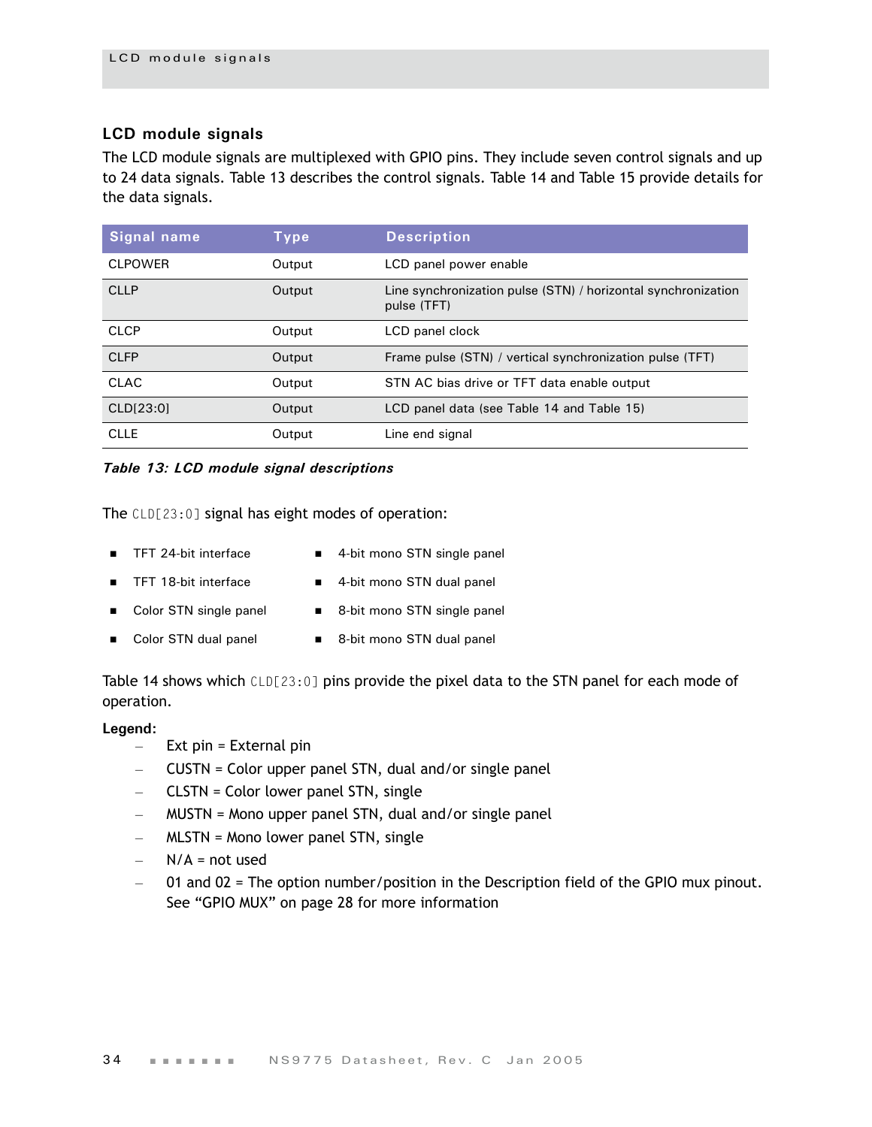## **LCD module signals**

The LCD module signals are multiplexed with GPIO pins. They include seven control signals and up to 24 data signals. [Table 13](#page-37-0) describes the control signals. [Table 14](#page-38-0) and [Table 15](#page-39-0) provide details for the data signals.

| Signal name    | Type   | <b>Description</b>                                                           |
|----------------|--------|------------------------------------------------------------------------------|
| <b>CLPOWER</b> | Output | LCD panel power enable                                                       |
| <b>CLLP</b>    | Output | Line synchronization pulse (STN) / horizontal synchronization<br>pulse (TFT) |
| <b>CLCP</b>    | Output | LCD panel clock                                                              |
| <b>CLFP</b>    | Output | Frame pulse (STN) / vertical synchronization pulse (TFT)                     |
| <b>CLAC</b>    | Output | STN AC bias drive or TFT data enable output                                  |
| CLD[23:0]      | Output | LCD panel data (see Table 14 and Table 15)                                   |
| <b>CLLE</b>    | Output | Line end signal                                                              |

### <span id="page-37-0"></span>*Table 13: LCD module signal descriptions*

The CLD[23:0] signal has eight modes of operation:

- TFT 24-bit interface 4-bit mono STN single panel
	-
- 
- TFT 18-bit interface 4-bit mono STN dual panel
- Color STN single panel 8-bit mono STN single panel
- Color STN dual panel 8-bit mono STN dual panel
- 

[Table 14](#page-38-0) shows which CLD[23:0] pins provide the pixel data to the STN panel for each mode of operation.

#### **Legend:**

- Ext pin = External pin
- CUSTN = Color upper panel STN, dual and/or single panel
- CLSTN = Color lower panel STN, single
- MUSTN = Mono upper panel STN, dual and/or single panel
- MLSTN = Mono lower panel STN, single
- $N/A$  = not used
- 01 and 02 = The option number/position in the Description field of the GPIO mux pinout. See ["GPIO MUX" on page 28](#page-31-0) for more information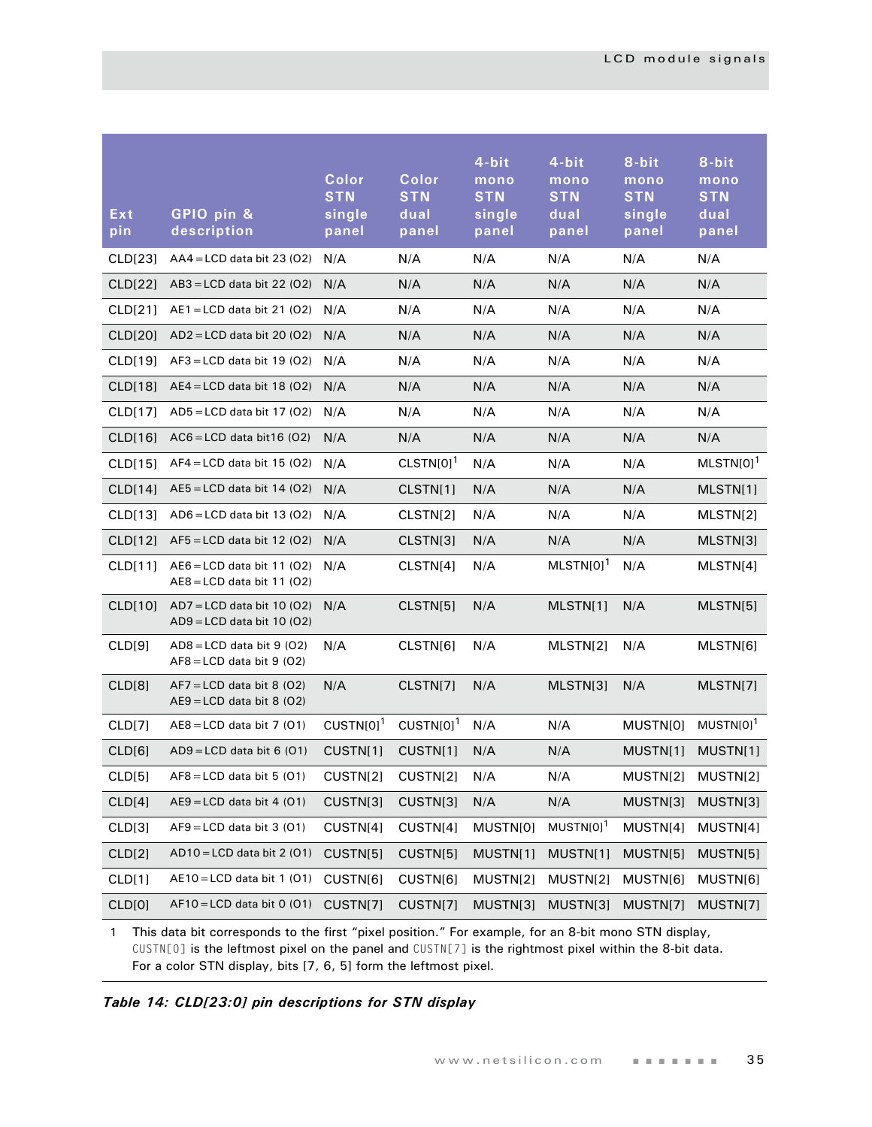| CLD[23]<br>$AA4 = LCD$ data bit 23 (O2)<br>N/A<br>N/A<br>N/A<br>N/A<br>N/A<br>N/A<br>N/A<br>CLD[22]<br>$AB3 = LCD$ data bit 22 (02)<br>N/A<br>N/A<br>N/A<br>N/A<br>N/A<br>CLD[21]<br>$AE1 = LCD$ data bit 21 (02)<br>N/A<br>N/A<br>N/A<br>N/A<br>N/A<br>N/A<br>N/A<br>CLD[20]<br>AD2 = LCD data bit 20 (O2)<br>N/A<br>N/A<br>N/A<br>N/A<br>N/A<br>CLD[19]<br>$AF3 = LCD$ data bit 19 (02)<br>N/A<br>N/A<br>N/A<br>N/A<br>N/A<br>N/A<br>N/A<br>CLD[18]<br>$AE4 = LCD$ data bit 18 (O2)<br>N/A<br>N/A<br>N/A<br>N/A<br>N/A<br>CLD[17]<br>$AD5 = LCD$ data bit 17 (02)<br>N/A<br>N/A<br>N/A<br>N/A<br>N/A<br>N/A<br>N/A<br>N/A<br>N/A<br>CLD[16]<br>$AC6 = LCD$ data bit16 (O2)<br>N/A<br>N/A<br>N/A<br>$CLSTN[0]$ <sup>1</sup><br>$MLSTN[0]$ <sup>1</sup><br>N/A<br>CLD[15]<br>$AF4 = LCD$ data bit 15 (O2)<br>N/A<br>N/A<br>N/A<br>CLD[14]<br>$AE5 = LCD$ data bit 14 (O2)<br>CLSTN[1]<br>N/A<br>N/A<br>N/A<br>MLSTN[1]<br>N/A |
|-------------------------------------------------------------------------------------------------------------------------------------------------------------------------------------------------------------------------------------------------------------------------------------------------------------------------------------------------------------------------------------------------------------------------------------------------------------------------------------------------------------------------------------------------------------------------------------------------------------------------------------------------------------------------------------------------------------------------------------------------------------------------------------------------------------------------------------------------------------------------------------------------------------------------------|
|                                                                                                                                                                                                                                                                                                                                                                                                                                                                                                                                                                                                                                                                                                                                                                                                                                                                                                                               |
|                                                                                                                                                                                                                                                                                                                                                                                                                                                                                                                                                                                                                                                                                                                                                                                                                                                                                                                               |
|                                                                                                                                                                                                                                                                                                                                                                                                                                                                                                                                                                                                                                                                                                                                                                                                                                                                                                                               |
|                                                                                                                                                                                                                                                                                                                                                                                                                                                                                                                                                                                                                                                                                                                                                                                                                                                                                                                               |
|                                                                                                                                                                                                                                                                                                                                                                                                                                                                                                                                                                                                                                                                                                                                                                                                                                                                                                                               |
|                                                                                                                                                                                                                                                                                                                                                                                                                                                                                                                                                                                                                                                                                                                                                                                                                                                                                                                               |
|                                                                                                                                                                                                                                                                                                                                                                                                                                                                                                                                                                                                                                                                                                                                                                                                                                                                                                                               |
|                                                                                                                                                                                                                                                                                                                                                                                                                                                                                                                                                                                                                                                                                                                                                                                                                                                                                                                               |
|                                                                                                                                                                                                                                                                                                                                                                                                                                                                                                                                                                                                                                                                                                                                                                                                                                                                                                                               |
|                                                                                                                                                                                                                                                                                                                                                                                                                                                                                                                                                                                                                                                                                                                                                                                                                                                                                                                               |
| CLSTN[2]<br>N/A<br>CLD[13]<br>$AD6 = LCD$ data bit 13 (O2)<br>N/A<br>N/A<br>N/A<br>MLSTN[2]                                                                                                                                                                                                                                                                                                                                                                                                                                                                                                                                                                                                                                                                                                                                                                                                                                   |
| N/A<br>N/A<br>CLD[12]<br>$AF5 = LCD$ data bit 12 (O2)<br>N/A<br>CLSTN[3]<br>N/A<br>MLSTN[3]                                                                                                                                                                                                                                                                                                                                                                                                                                                                                                                                                                                                                                                                                                                                                                                                                                   |
| $MLSTM[0]$ <sup>1</sup><br>N/A<br>CLD[11]<br>N/A<br>CLSTN[4]<br>N/A<br>MLSTN[4]<br>$AEB = LCD$ data bit 11 (O2)<br>$AEB = LCD$ data bit 11 (O2)                                                                                                                                                                                                                                                                                                                                                                                                                                                                                                                                                                                                                                                                                                                                                                               |
| $AD7 = LCD$ data bit 10 (O2)<br>N/A<br>CLSTN[5]<br>N/A<br>MLSTN[1]<br>N/A<br>MLSTN[5]<br>CLD[10]<br>$AD9 = LCD$ data bit 10 (O2)                                                                                                                                                                                                                                                                                                                                                                                                                                                                                                                                                                                                                                                                                                                                                                                              |
| CLD[9]<br>$AD8 = LCD$ data bit 9 (02)<br>N/A<br>CLSTN[6]<br>N/A<br>MLSTN[2]<br>N/A<br>MLSTN[6]<br>$AF8 = LCD$ data bit 9 (02)                                                                                                                                                                                                                                                                                                                                                                                                                                                                                                                                                                                                                                                                                                                                                                                                 |
| N/A<br>CLD[8]<br>N/A<br>CLSTN[7]<br>MLSTN[3]<br>N/A<br>MLSTN[7]<br>$AF7 = LCD$ data bit 8 (O2)<br>$AE9 = LCD$ data bit 8 (02)                                                                                                                                                                                                                                                                                                                                                                                                                                                                                                                                                                                                                                                                                                                                                                                                 |
| $CUSTN[0]$ <sup>1</sup><br>$CUSTN[0]$ <sup>1</sup><br>$MUSTN[0]$ <sup>1</sup><br>CLD[7]<br>$AEB = LCD$ data bit 7 (01)<br>N/A<br>N/A<br>MUSTN[0]                                                                                                                                                                                                                                                                                                                                                                                                                                                                                                                                                                                                                                                                                                                                                                              |
| CLD[6]<br>$AD9 = LCD$ data bit 6 (01)<br>CUSTN[1]<br>N/A<br>CUSTN[1]<br>N/A<br>MUSTN[1]<br>MUSTN[1]                                                                                                                                                                                                                                                                                                                                                                                                                                                                                                                                                                                                                                                                                                                                                                                                                           |
| CLD[5]<br>$AF8 = LCD$ data bit 5 (O1)<br>CUSTN[2]<br>CUSTN[2]<br>N/A<br>N/A<br>MUSTN[2]<br>MUSTN[2]                                                                                                                                                                                                                                                                                                                                                                                                                                                                                                                                                                                                                                                                                                                                                                                                                           |
| $AE9 = LCD$ data bit 4 (01)<br>N/A<br>CLD[4]<br>CUSTN[3]<br>CUSTN[3]<br>MUSTN[3]<br>MUSTN[3]<br>N/A                                                                                                                                                                                                                                                                                                                                                                                                                                                                                                                                                                                                                                                                                                                                                                                                                           |
| $MUSTN[0]$ <sup>1</sup><br>$AF9 = LCD$ data bit 3 (O1)<br>CLD[3]<br>CUSTN[4]<br>CUSTN[4]<br>MUSTN[0]<br>MUSTN[4]<br>MUSTN[4]                                                                                                                                                                                                                                                                                                                                                                                                                                                                                                                                                                                                                                                                                                                                                                                                  |
| $AD10 = LCD$ data bit 2 (01)<br>CLD[2]<br>CUSTN[5]<br>CUSTN[5]<br>MUSTN[1]<br>MUSTN[1]<br>MUSTN[5]<br>MUSTN[5]                                                                                                                                                                                                                                                                                                                                                                                                                                                                                                                                                                                                                                                                                                                                                                                                                |
| $AE10 = LCD$ data bit 1 (01)<br>CLD[1]<br>CUSTN[6]<br>CUSTN[6]<br>MUSTN[2]<br>MUSTN[2]<br>MUSTN[6]<br>MUSTN[6]                                                                                                                                                                                                                                                                                                                                                                                                                                                                                                                                                                                                                                                                                                                                                                                                                |
| CLD[0]<br>$AF10 = LCD$ data bit 0 (01)<br>CUSTN[7]<br>CUSTN[7]<br>MUSTN[3]<br>MUSTN[3]<br>MUSTN[7]<br>MUSTN[7]                                                                                                                                                                                                                                                                                                                                                                                                                                                                                                                                                                                                                                                                                                                                                                                                                |

1 This data bit corresponds to the first "pixel position." For example, for an 8-bit mono STN display, CUSTN[0] is the leftmost pixel on the panel and CUSTN[7] is the rightmost pixel within the 8-bit data. For a color STN display, bits [7, 6, 5] form the leftmost pixel.

<span id="page-38-0"></span>*Table 14: CLD[23:0] pin descriptions for STN display*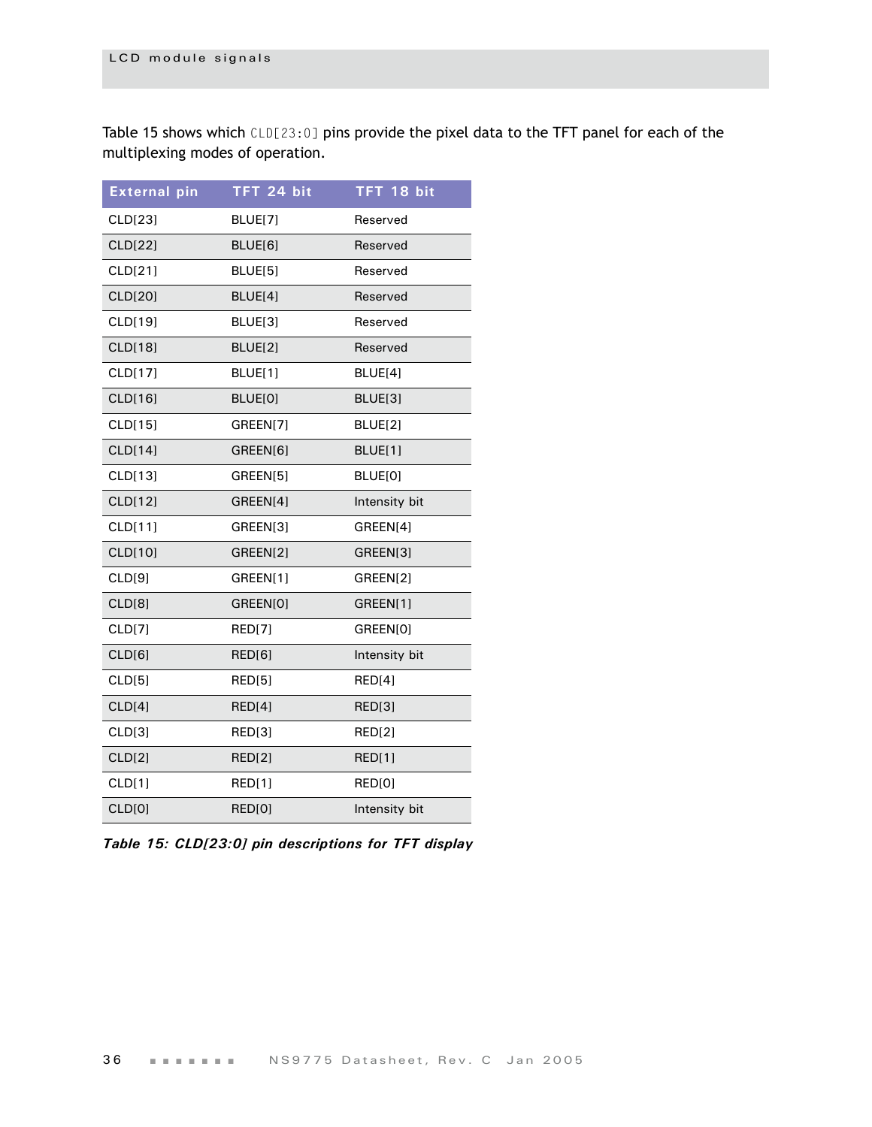[Table 15](#page-39-0) shows which CLD[23:0] pins provide the pixel data to the TFT panel for each of the multiplexing modes of operation.

| <b>External pin</b> | TFT 24 bit    | TFT 18 bit    |
|---------------------|---------------|---------------|
| CLD[23]             | BLUE[7]       | Reserved      |
| CLD[22]             | BLUE[6]       | Reserved      |
| CLD[21]             | BLUE[5]       | Reserved      |
| CLD[20]             | BLUE[4]       | Reserved      |
| CLD[19]             | BLUE[3]       | Reserved      |
| CLD[18]             | BLUE[2]       | Reserved      |
| CLD[17]             | BLUE[1]       | BLUE[4]       |
| CLD[16]             | BLUE[0]       | BLUE[3]       |
| CLD[15]             | GREEN[7]      | BLUE[2]       |
| CLD[14]             | GREEN[6]      | BLUE[1]       |
| CLD[13]             | GREEN[5]      | BLUE[0]       |
| CLD[12]             | GREEN[4]      | Intensity bit |
| CLD[11]             | GREEN[3]      | GREEN[4]      |
| CLD[10]             | GREEN[2]      | GREEN[3]      |
| CLD[9]              | GREEN[1]      | GREEN[2]      |
| CLD[8]              | GREEN[0]      | GREEN[1]      |
| CLD[7]              | <b>RED[7]</b> | GREEN[0]      |
| CLD[6]              | RED[6]        | Intensity bit |
| CLD[5]              | <b>RED[5]</b> | <b>RED[4]</b> |
| CLD[4]              | RED[4]        | RED[3]        |
| CLD[3]              | RED[3]        | <b>RED[2]</b> |
| CLD[2]              | <b>RED[2]</b> | <b>RED[1]</b> |
| CLD[1]              | <b>RED[1]</b> | RED[0]        |
| CLD[0]              | RED[0]        | Intensity bit |

<span id="page-39-0"></span>*Table 15: CLD[23:0] pin descriptions for TFT display*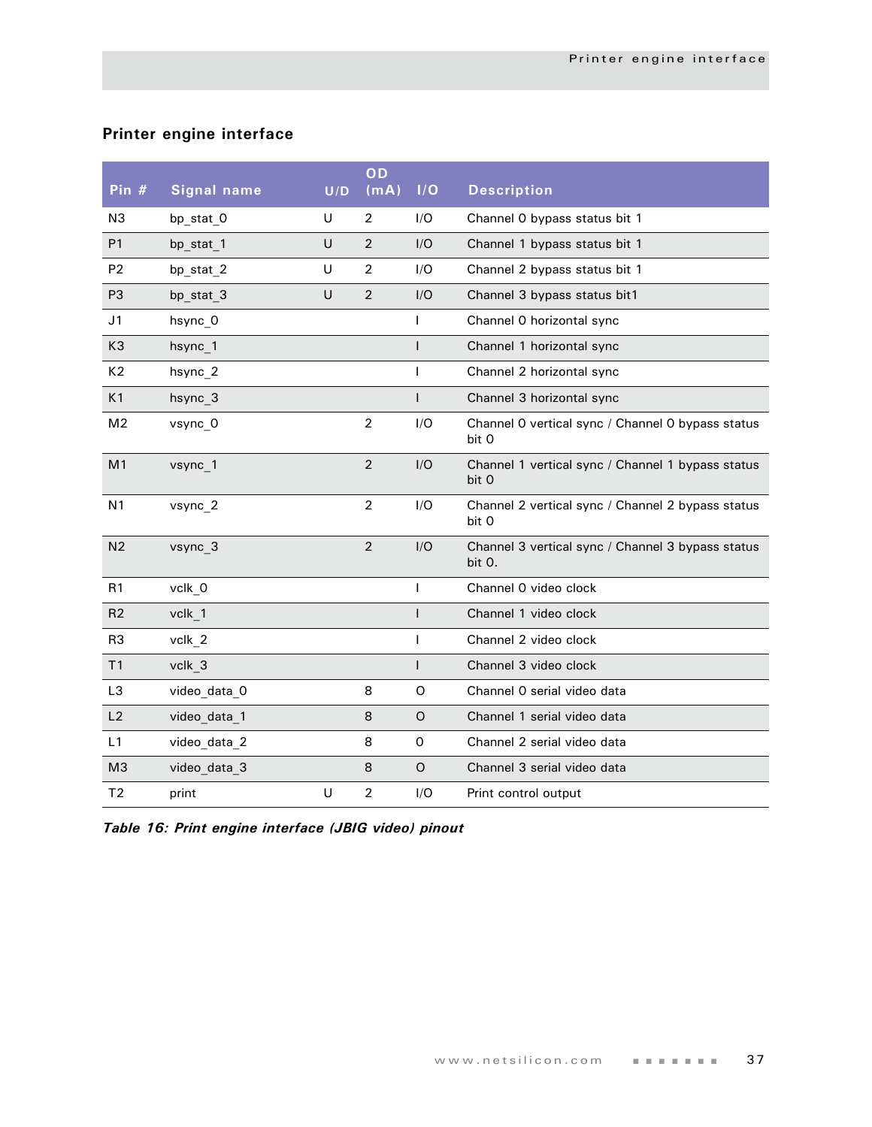## **Printer engine interface**

|                |                    |     | OD             |              |                                                             |
|----------------|--------------------|-----|----------------|--------------|-------------------------------------------------------------|
| Pin $#$        | <b>Signal name</b> | U/D | (mA)           | I/O          | <b>Description</b>                                          |
| N <sub>3</sub> | bp stat O          | U   | 2              | I/O          | Channel O bypass status bit 1                               |
| P <sub>1</sub> | bp stat 1          | U   | $\overline{2}$ | I/O          | Channel 1 bypass status bit 1                               |
| P <sub>2</sub> | bp_stat_2          | U   | 2              | I/O          | Channel 2 bypass status bit 1                               |
| P <sub>3</sub> | bp stat 3          | U   | $\overline{2}$ | I/O          | Channel 3 bypass status bit1                                |
| J <sub>1</sub> | hsync_0            |     |                | T            | Channel O horizontal sync                                   |
| K3             | hsync 1            |     |                | $\mathsf{I}$ | Channel 1 horizontal sync                                   |
| K <sub>2</sub> | hsync_2            |     |                | T            | Channel 2 horizontal sync                                   |
| K1             | hsync 3            |     |                | L            | Channel 3 horizontal sync                                   |
| M <sub>2</sub> | vsync 0            |     | $\overline{2}$ | I/O          | Channel O vertical sync / Channel O bypass status<br>bit 0  |
| M <sub>1</sub> | vsync 1            |     | $\overline{2}$ | I/O          | Channel 1 vertical sync / Channel 1 bypass status<br>bit 0  |
| N <sub>1</sub> | vsync 2            |     | $\overline{2}$ | I/O          | Channel 2 vertical sync / Channel 2 bypass status<br>bit 0  |
| N <sub>2</sub> | vsync 3            |     | $\overline{2}$ | I/O          | Channel 3 vertical sync / Channel 3 bypass status<br>bit 0. |
| R1             | vclk_0             |     |                | T            | Channel O video clock                                       |
| R <sub>2</sub> | vclk 1             |     |                | I            | Channel 1 video clock                                       |
| R <sub>3</sub> | vclk 2             |     |                | т            | Channel 2 video clock                                       |
| T1             | vclk 3             |     |                | $\mathsf{I}$ | Channel 3 video clock                                       |
| L <sub>3</sub> | video_data_0       |     | 8              | O            | Channel O serial video data                                 |
| L2             | video_data_1       |     | 8              | O            | Channel 1 serial video data                                 |
| L1             | video_data_2       |     | 8              | $\mathsf{O}$ | Channel 2 serial video data                                 |
| M <sub>3</sub> | video_data_3       |     | 8              | $\circ$      | Channel 3 serial video data                                 |
| T <sub>2</sub> | print              | U   | $\overline{2}$ | I/O          | Print control output                                        |

*Table 16: Print engine interface (JBIG video) pinout*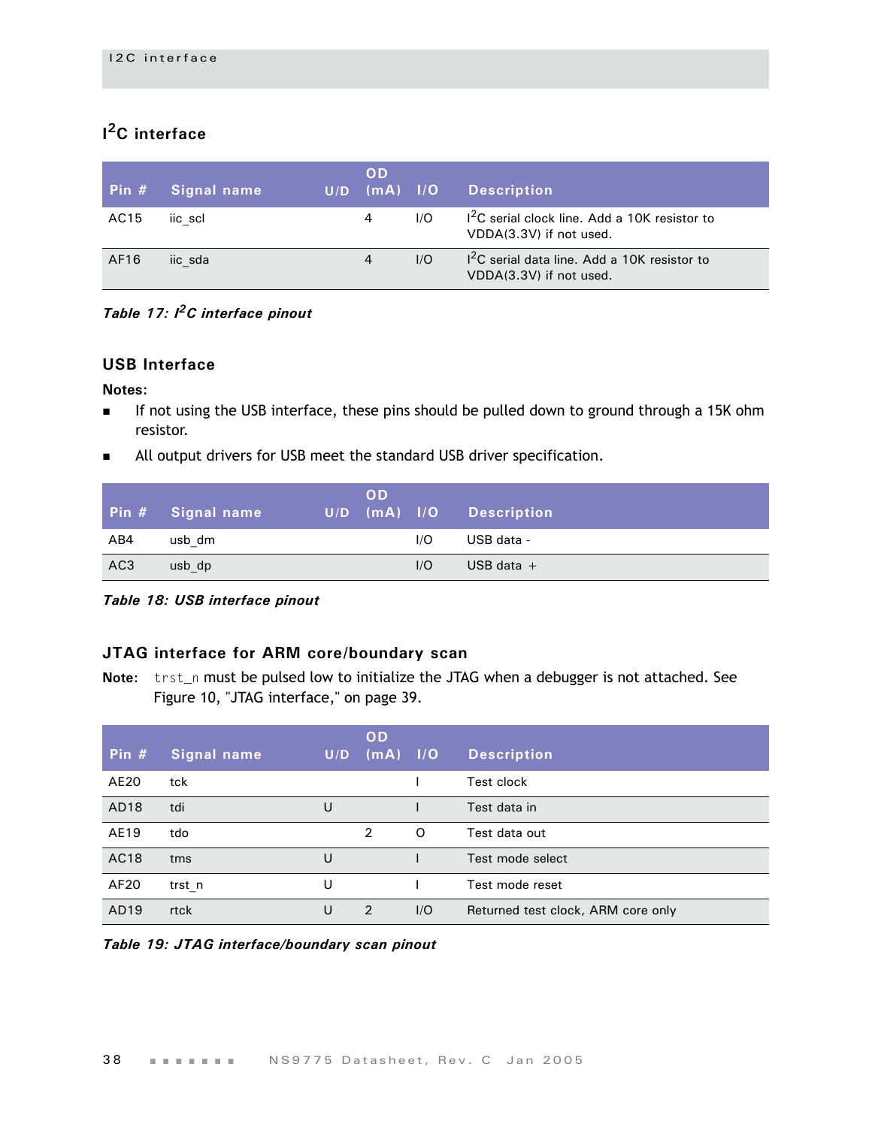## **I 2C interface**

| Pin $#$ | Signal name | U/D | <b>OD</b><br>$\mathsf{Im}\mathsf{A}$ $\mathsf{I}/\mathsf{O}$ |     | <b>Description</b>                                                        |
|---------|-------------|-----|--------------------------------------------------------------|-----|---------------------------------------------------------------------------|
| AC15    | iic scl     |     | 4                                                            | 1/O | $12C$ serial clock line. Add a 10K resistor to<br>VDDA(3.3V) if not used. |
| AF16    | iic sda     |     | 4                                                            | 1/O | $12C$ serial data line. Add a 10K resistor to<br>VDDA(3.3V) if not used.  |

*Table 17: I2C interface pinout*

## **USB Interface**

#### **Notes:**

- If not using the USB interface, these pins should be pulled down to ground through a 15K ohm resistor.
- **All output drivers for USB meet the standard USB driver specification.**

|                 | Pin # Signal name | U/D | <b>OD</b><br>$(mA)$ $1/O$ |     | Description  |
|-----------------|-------------------|-----|---------------------------|-----|--------------|
| AB4             | usb dm            |     |                           | I/O | USB data -   |
| AC <sub>3</sub> | usb dp            |     |                           | 1/O | USB data $+$ |

*Table 18: USB interface pinout*

## **JTAG interface for ARM core/boundary scan**

**Note:** trst\_n must be pulsed low to initialize the JTAG when a debugger is not attached. See Figure 10, "JTAG interface," on page 39.

| Pin $#$ | Signal name | U/D | OD<br>$\sqrt{(mA)}$ $1/O$ |     | <b>Description</b>                 |
|---------|-------------|-----|---------------------------|-----|------------------------------------|
| AE20    | tck         |     |                           |     | Test clock                         |
| AD18    | tdi         | U   |                           |     | Test data in                       |
| AE19    | tdo         |     | 2                         | O   | Test data out                      |
| AC18    | tms         | U   |                           |     | Test mode select                   |
| AF20    | trst n      | U   |                           |     | Test mode reset                    |
| AD19    | rtck        | U   | $\mathcal{P}$             | 1/O | Returned test clock, ARM core only |

*Table 19: JTAG interface/boundary scan pinout*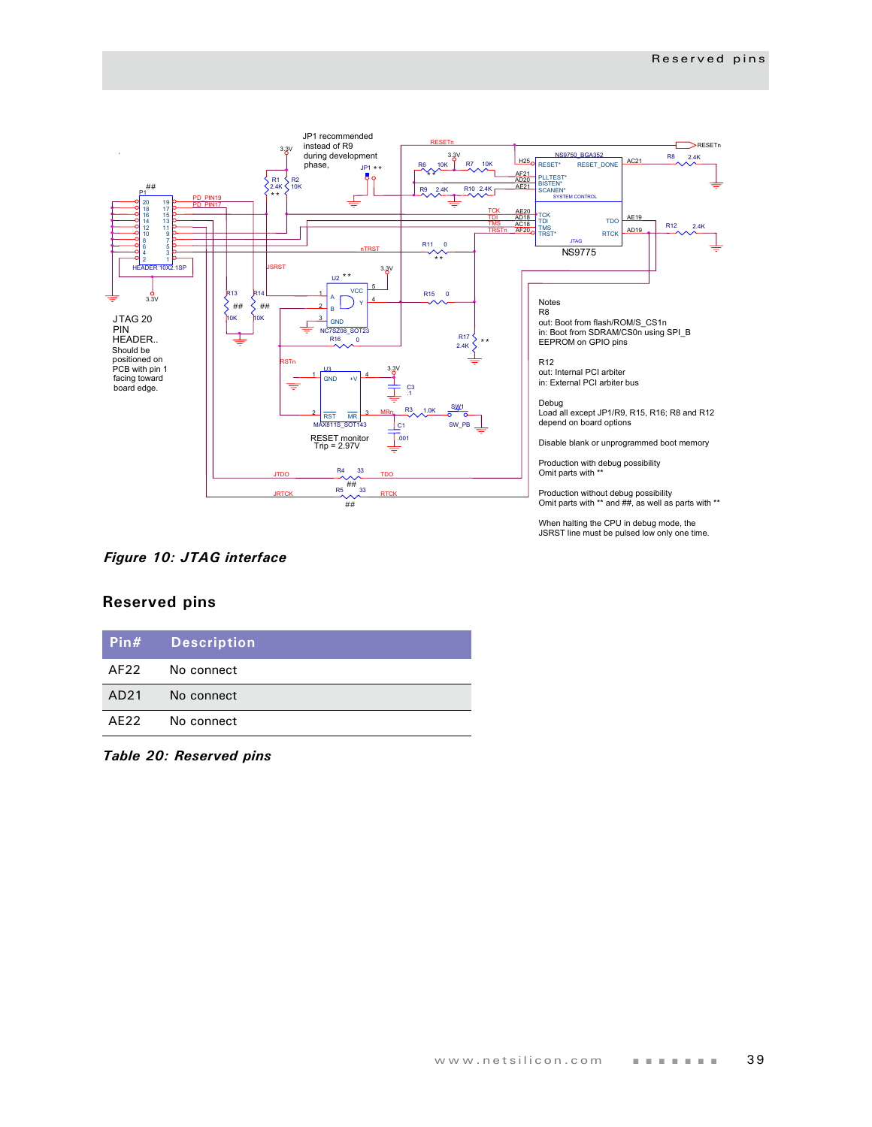

When halting the CPU in debug mode, the JSRST line must be pulsed low only one time.

### *Figure 10: JTAG interface*

## **Reserved pins**

|      | Pin# Description |
|------|------------------|
|      | AF22 No connect  |
|      | AD21 No connect  |
| AF22 | No connect       |

*Table 20: Reserved pins*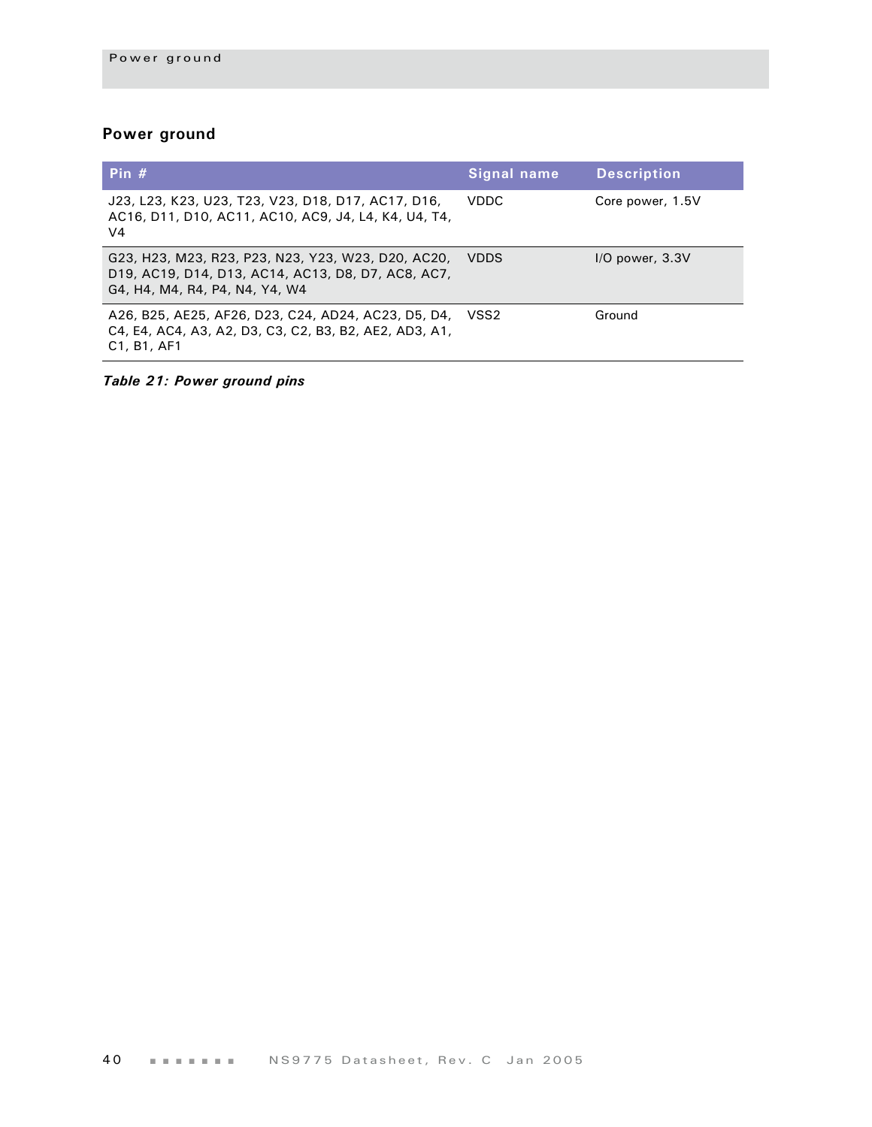## **Power ground**

| Pin $#$                                                                                                                                                            | Signal name | <b>Description</b>  |
|--------------------------------------------------------------------------------------------------------------------------------------------------------------------|-------------|---------------------|
| J23, L23, K23, U23, T23, V23, D18, D17, AC17, D16,<br>AC16, D11, D10, AC11, AC10, AC9, J4, L4, K4, U4, T4,<br>V <sub>4</sub>                                       | VDDC.       | Core power, 1.5V    |
| G23, H23, M23, R23, P23, N23, Y23, W23, D20, AC20,<br>D19, AC19, D14, D13, AC14, AC13, D8, D7, AC8, AC7,<br>G4, H4, M4, R4, P4, N4, Y4, W4                         | <b>VDDS</b> | $I/O$ power, $3.3V$ |
| A26, B25, AE25, AF26, D23, C24, AD24, AC23, D5, D4,<br>C4, E4, AC4, A3, A2, D3, C3, C2, B3, B2, AE2, AD3, A1,<br>C <sub>1</sub> , B <sub>1</sub> , AF <sub>1</sub> | VSS2        | Ground              |

*Table 21: Power ground pins*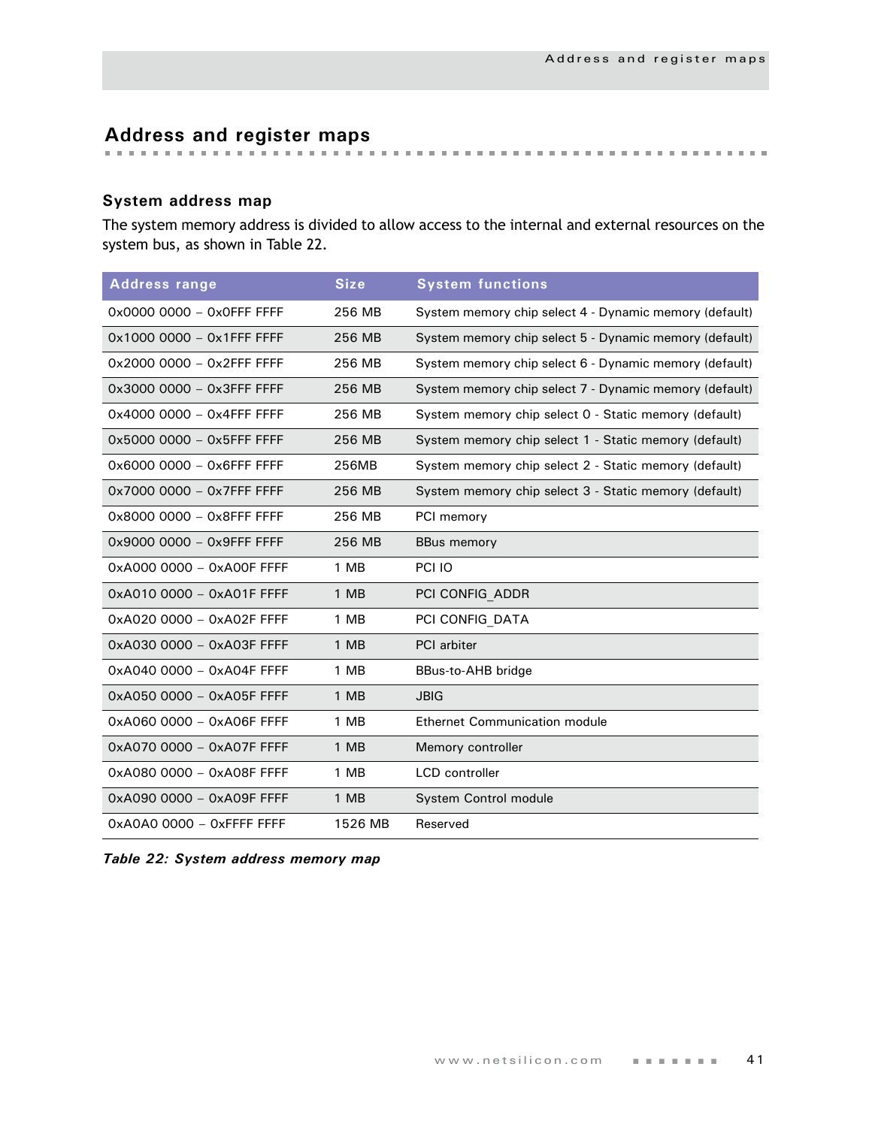# **Address and register maps**

## **System address map**

The system memory address is divided to allow access to the internal and external resources on the system bus, as shown in [Table 22](#page-44-0).

| <b>Address range</b>      | <b>Size</b> | <b>System functions</b>                                |
|---------------------------|-------------|--------------------------------------------------------|
| 0x0000 0000 - 0x0FFF FFFF | 256 MB      | System memory chip select 4 - Dynamic memory (default) |
| 0x1000 0000 - 0x1FFF FFFF | 256 MB      | System memory chip select 5 - Dynamic memory (default) |
| 0x2000 0000 - 0x2FFF FFFF | 256 MB      | System memory chip select 6 - Dynamic memory (default) |
| 0x3000 0000 - 0x3FFF FFFF | 256 MB      | System memory chip select 7 - Dynamic memory (default) |
| 0x4000 0000 - 0x4FFF FFFF | 256 MB      | System memory chip select 0 - Static memory (default)  |
| 0x5000 0000 - 0x5FFF FFFF | 256 MB      | System memory chip select 1 - Static memory (default)  |
| 0x6000 0000 - 0x6FFF FFFF | 256MB       | System memory chip select 2 - Static memory (default)  |
| 0x7000 0000 - 0x7FFF FFFF | 256 MB      | System memory chip select 3 - Static memory (default)  |
| 0x8000 0000 - 0x8FFF FFFF | 256 MB      | PCI memory                                             |
| 0x9000 0000 - 0x9FFF FFFF | 256 MB      | <b>BBus memory</b>                                     |
| 0xA000 0000 - 0xA00F FFFF | 1 MB        | PCI IO                                                 |
| 0xA010 0000 - 0xA01F FFFF | 1 MB        | PCI CONFIG ADDR                                        |
| 0xA020 0000 - 0xA02F FFFF | 1 MB        | PCI CONFIG DATA                                        |
| 0xA030 0000 - 0xA03F FFFF | 1 MB        | <b>PCI</b> arbiter                                     |
| 0xA040 0000 - 0xA04F FFFF | 1 MB        | BBus-to-AHB bridge                                     |
| 0xA050 0000 - 0xA05F FFFF | 1 MB        | <b>JBIG</b>                                            |
| 0xA060 0000 - 0xA06F FFFF | 1 MB        | <b>Ethernet Communication module</b>                   |
| 0xA070 0000 - 0xA07F FFFF | 1 MB        | Memory controller                                      |
| 0xA080 0000 - 0xA08F FFFF | 1 MB        | <b>LCD</b> controller                                  |
| 0xA090 0000 - 0xA09F FFFF | 1 MB        | System Control module                                  |
| 0xA0A0 0000 - 0xFFFF FFFF | 1526 MB     | Reserved                                               |

<span id="page-44-0"></span>

|  |  |  |  |  | Table 22: System address memory map |  |
|--|--|--|--|--|-------------------------------------|--|
|--|--|--|--|--|-------------------------------------|--|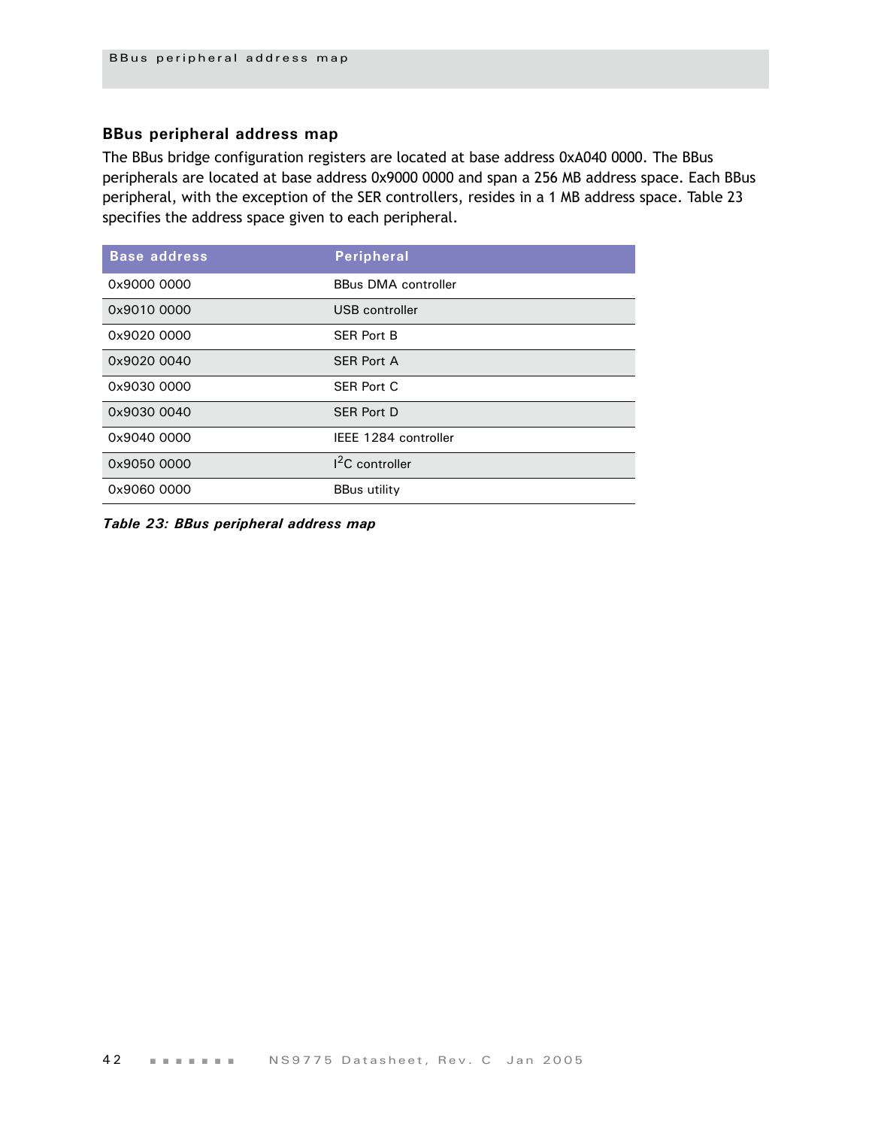## **BBus peripheral address map**

The BBus bridge configuration registers are located at base address 0xA040 0000. The BBus peripherals are located at base address 0x9000 0000 and span a 256 MB address space. Each BBus peripheral, with the exception of the SER controllers, resides in a 1 MB address space. [Table 23](#page-45-0)  specifies the address space given to each peripheral.

| <b>Base address</b> | <b>Peripheral</b>          |
|---------------------|----------------------------|
| 0x9000 0000         | <b>BBus DMA controller</b> |
| 0x9010 0000         | USB controller             |
| 0x9020 0000         | <b>SER Port B</b>          |
| 0x9020 0040         | <b>SER Port A</b>          |
| 0x9030 0000         | <b>SER Port C</b>          |
| 0x9030 0040         | <b>SER Port D</b>          |
| 0x9040 0000         | IEEE 1284 controller       |
| 0x9050 0000         | <sup>2</sup> C controller  |
| 0x9060 0000         | <b>BBus utility</b>        |

<span id="page-45-0"></span>*Table 23: BBus peripheral address map*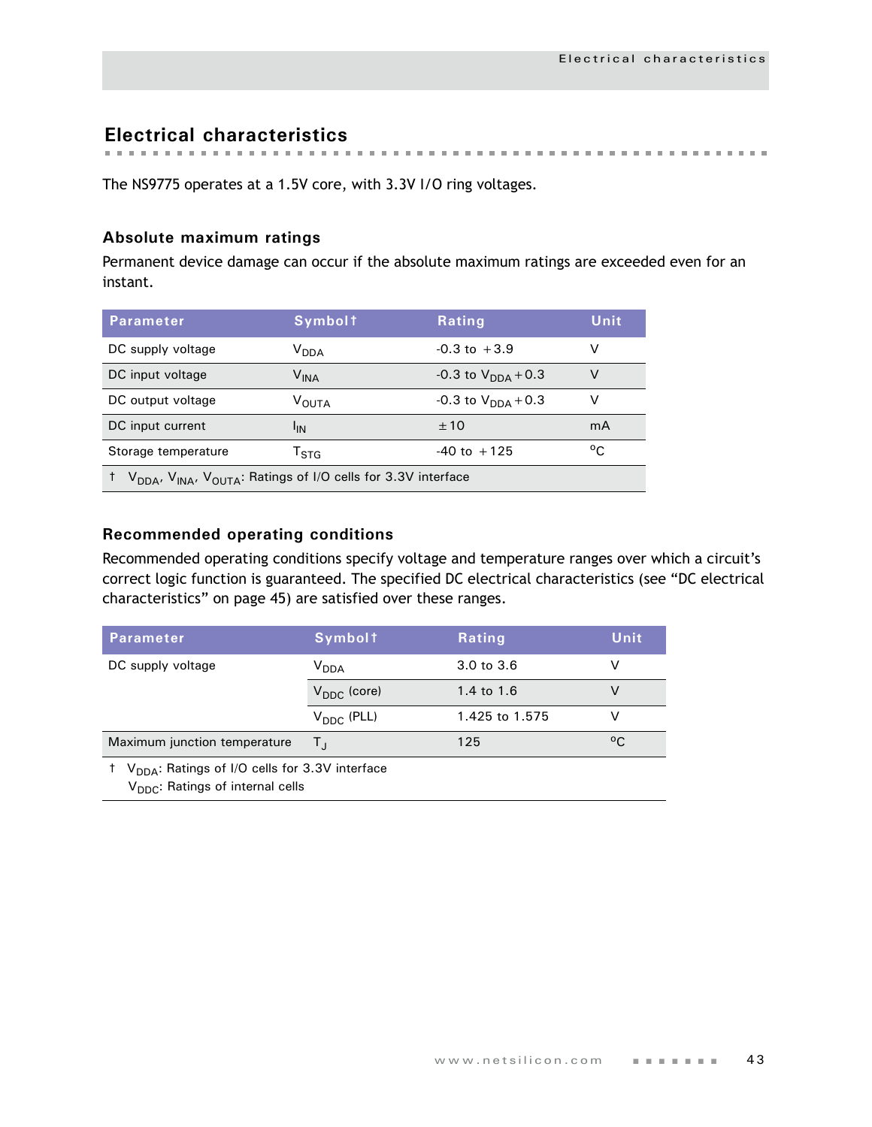**Electrical characteristics**

The NS9775 operates at a 1.5V core, with 3.3V I/O ring voltages.

## **Absolute maximum ratings**

Permanent device damage can occur if the absolute maximum ratings are exceeded even for an instant.

| <b>Parameter</b>                                                                                  | <b>Symbolt</b>              | Rating                         | Unit         |  |
|---------------------------------------------------------------------------------------------------|-----------------------------|--------------------------------|--------------|--|
| DC supply voltage                                                                                 | V <sub>DDA</sub>            | $-0.3$ to $+3.9$               | v            |  |
| DC input voltage                                                                                  | $\mathsf{V}_{\mathsf{INA}}$ | -0.3 to $V_{\text{DNA}} + 0.3$ | V            |  |
| DC output voltage                                                                                 | <b>VOUTA</b>                | $-0.3$ to $V_{DDA}$ + 0.3      | v            |  |
| DC input current                                                                                  | 'IN                         | ±10                            | mA           |  |
| Storage temperature                                                                               | $\mathsf{T}_{\text{STA}}$   | $-40$ to $+125$                | $^{\circ}$ C |  |
| V <sub>DDA</sub> , V <sub>INA</sub> , V <sub>OUTA</sub> : Ratings of I/O cells for 3.3V interface |                             |                                |              |  |

## **Recommended operating conditions**

Recommended operating conditions specify voltage and temperature ranges over which a circuit's correct logic function is guaranteed. The specified DC electrical characteristics (see ["DC electrical](#page-48-0)  [characteristics" on page 45\)](#page-48-0) are satisfied over these ranges.

| <b>Parameter</b>                                                                                                        | <b>Symbolt</b>          | Rating         | Unit |  |  |
|-------------------------------------------------------------------------------------------------------------------------|-------------------------|----------------|------|--|--|
| DC supply voltage                                                                                                       | V <sub>DDA</sub>        | 3.0 to 3.6     |      |  |  |
|                                                                                                                         | $V_{\text{DDC}}$ (core) | 1.4 to 1.6     | v    |  |  |
|                                                                                                                         | $V_{\text{DDC}}$ (PLL)  | 1.425 to 1.575 |      |  |  |
| Maximum junction temperature                                                                                            | Τı                      | 125            | °C.  |  |  |
| <sup>†</sup> V <sub>DDA</sub> : Ratings of I/O cells for 3.3V interface<br>V <sub>DDC</sub> : Ratings of internal cells |                         |                |      |  |  |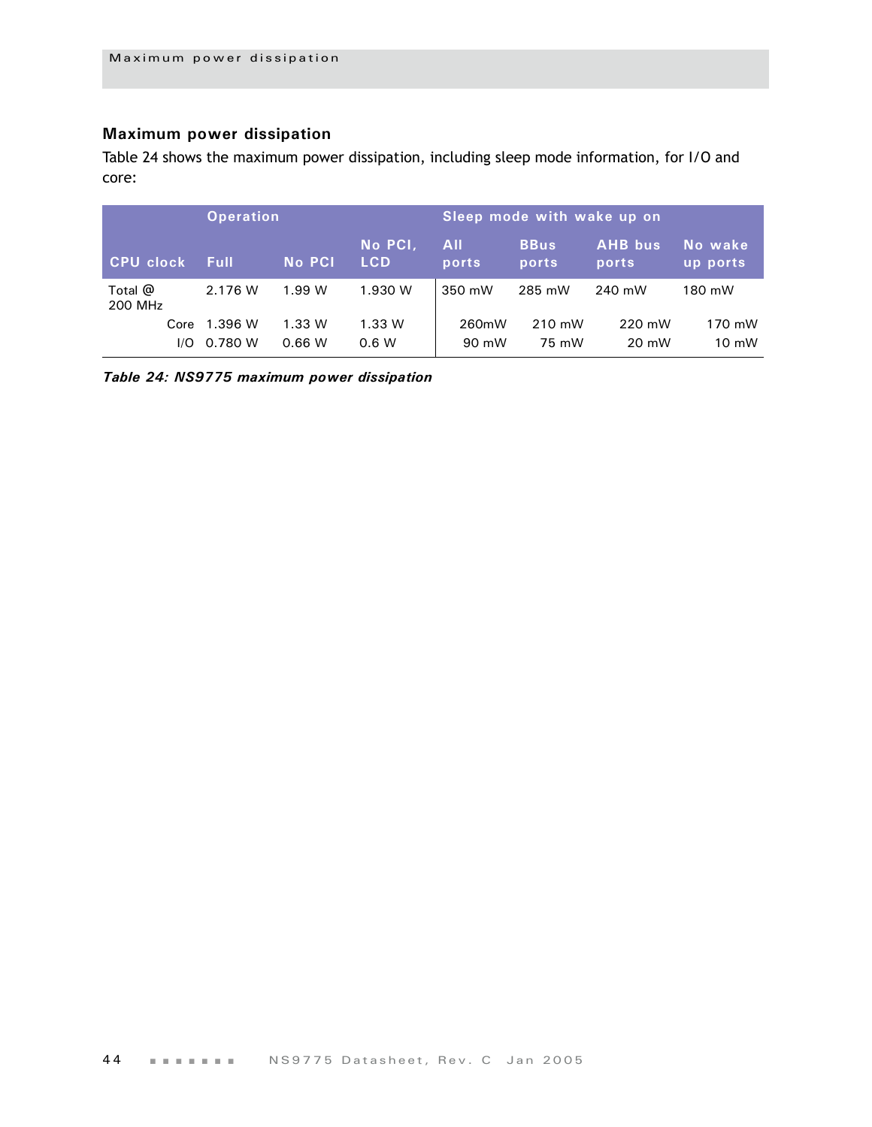## **Maximum power dissipation**

[Table 24](#page-47-0) shows the maximum power dissipation, including sleep mode information, for I/O and core:

| <b>Operation</b>     |             |                                        |         | Sleep mode with wake up on |                      |                         |                       |  |
|----------------------|-------------|----------------------------------------|---------|----------------------------|----------------------|-------------------------|-----------------------|--|
| <b>CPU clock</b>     | <b>Full</b> | No PCI,<br><b>No PCI</b><br><b>LCD</b> |         | <b>All</b><br>ports        | <b>BBus</b><br>ports | <b>AHB</b> bus<br>ports | 'No wake,<br>up ports |  |
| Total $@$<br>200 MHz | 2.176 W     | 1.99 W                                 | 1.930 W | 350 mW                     | 285 mW               | 240 mW                  | 180 mW                |  |
| Core                 | 1.396 W     | 1.33 W                                 | 1.33 W  | 260mW                      | 210 mW               | 220 mW                  | 170 mW                |  |
| I/O                  | 0.780 W     | 0.66 W                                 | 0.6 W   | 90 mW                      | 75 mW                | 20 mW                   | $10 \text{ mW}$       |  |

<span id="page-47-0"></span>*Table 24: NS9775 maximum power dissipation*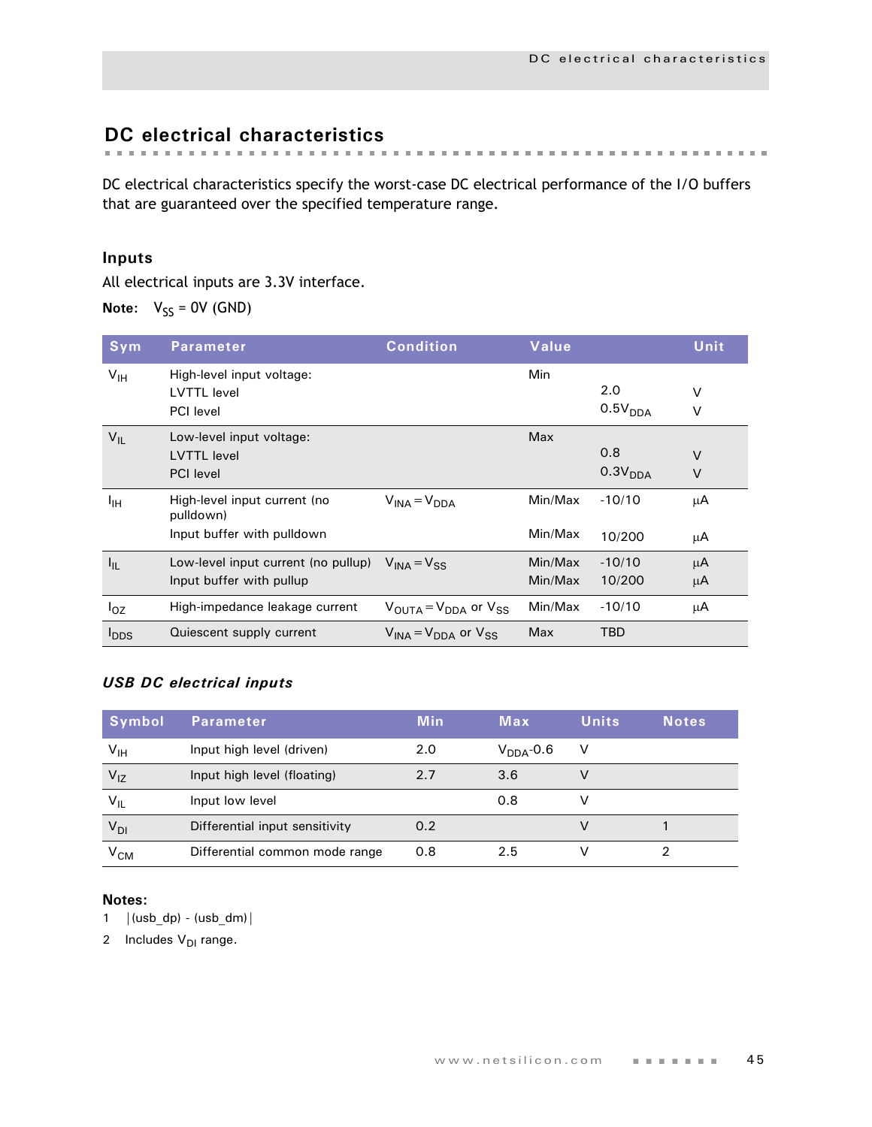# <span id="page-48-0"></span>**DC electrical characteristics**

DC electrical characteristics specify the worst-case DC electrical performance of the I/O buffers that are guaranteed over the specified temperature range.

## **Inputs**

All electrical inputs are 3.3V interface.

**Note:**  $V_{SS} = 0V$  (GND)

| Sym              | <b>Parameter</b>                                                        | <b>Condition</b>                                      | Value              |                            | Unit             |
|------------------|-------------------------------------------------------------------------|-------------------------------------------------------|--------------------|----------------------------|------------------|
| V <sub>IH</sub>  | High-level input voltage:<br><b>LVTTL</b> level<br><b>PCI</b> level     |                                                       | Min                | 2.0<br>0.5V <sub>DDA</sub> | V<br>v           |
| $V_{IL}$         | Low-level input voltage:<br><b>LVTTL</b> level<br><b>PCI</b> level      |                                                       | Max                | 0.8<br>0.3V <sub>DDA</sub> | $\vee$<br>$\vee$ |
| ŀщ               | High-level input current (no<br>pulldown)<br>Input buffer with pulldown | $V_{INA} = V_{DDA}$                                   | Min/Max<br>Min/Max | $-10/10$<br>10/200         | μA<br>μA         |
| $I_{IL}$         | Low-level input current (no pullup)<br>Input buffer with pullup         | $V_{INA} = V_{SS}$                                    | Min/Max<br>Min/Max | $-10/10$<br>10/200         | μA<br>μA         |
| $I_{OZ}$         | High-impedance leakage current                                          | $V_{\text{OUTA}} = V_{\text{DDA}}$ or $V_{\text{SS}}$ | Min/Max            | $-10/10$                   | μA               |
| $I_{\text{DDS}}$ | Quiescent supply current                                                | $V_{\text{INA}} = V_{\text{DDA}}$ or $V_{\text{SS}}$  | Max                | TBD                        |                  |

## *USB DC electrical inputs*

| Symbol                                         | Parameter                      | <b>Min</b> | Max            | <b>Units</b> | <b>Notes</b> |
|------------------------------------------------|--------------------------------|------------|----------------|--------------|--------------|
| $\mathsf{v}_{\scriptscriptstyle{\mathsf{IH}}}$ | Input high level (driven)      | 2.0        | $V_{DDA}$ -0.6 | V            |              |
| $V_{IZ}$                                       | Input high level (floating)    | 2.7        | 3.6            | v            |              |
| $V_{IL}$                                       | Input low level                |            | 0.8            | v            |              |
| $V_{DI}$                                       | Differential input sensitivity | 0.2        |                |              |              |
| V <sub>CM</sub>                                | Differential common mode range | 0.8        | 2.5            |              |              |

## **Notes:**

1  $|(usb\ dp) - (usb\ dm)|$ 

2 Includes  $V_{DI}$  range.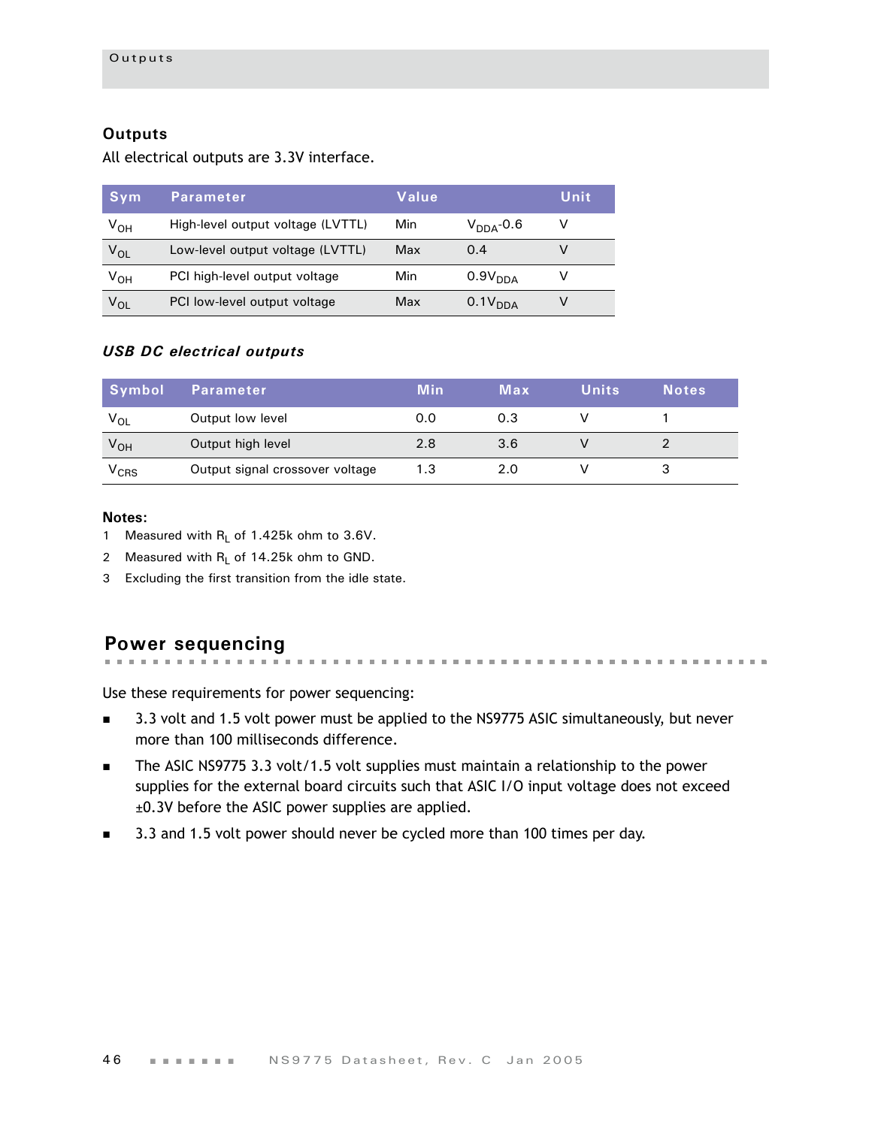## **Outputs**

All electrical outputs are 3.3V interface.

| Sym             | Parameter                         | Value |                     | Unit |
|-----------------|-----------------------------------|-------|---------------------|------|
| V <sub>он</sub> | High-level output voltage (LVTTL) | Min   | $V_{DDA}$ -0.6      | v    |
| $V_{OL}$        | Low-level output voltage (LVTTL)  | Max   | 0.4                 |      |
| V <sub>он</sub> | PCI high-level output voltage     | Min   | 0.9V <sub>DDA</sub> |      |
| $V_{OL}$        | PCI low-level output voltage      | Max   | 0.1V <sub>DDA</sub> |      |

## *USB DC electrical outputs*

| Symbol    | <b>Parameter</b>                | <b>Min</b> | Max | <b>Units</b> | <b>Notes</b> |
|-----------|---------------------------------|------------|-----|--------------|--------------|
| $V_{OL}$  | Output low level                | 0.0        | 0.3 |              |              |
| $V_{OH}$  | Output high level               | 2.8        | 3.6 |              |              |
| $V_{CRS}$ | Output signal crossover voltage | 1.3        | 2.0 |              |              |

#### **Notes:**

- 1 Measured with  $R_L$  of 1.425k ohm to 3.6V.
- 2 Measured with  $R_1$  of 14.25k ohm to GND.
- 3 Excluding the first transition from the idle state.

more than 100 milliseconds difference.

#### **Power sequencing** . . . . . . . . . . . . . . . .

Use these requirements for power sequencing:

- 3.3 volt and 1.5 volt power must be applied to the NS9775 ASIC simultaneously, but never
- The ASIC NS9775 3.3 volt/1.5 volt supplies must maintain a relationship to the power supplies for the external board circuits such that ASIC I/O input voltage does not exceed ±0.3V before the ASIC power supplies are applied.
- 3.3 and 1.5 volt power should never be cycled more than 100 times per day.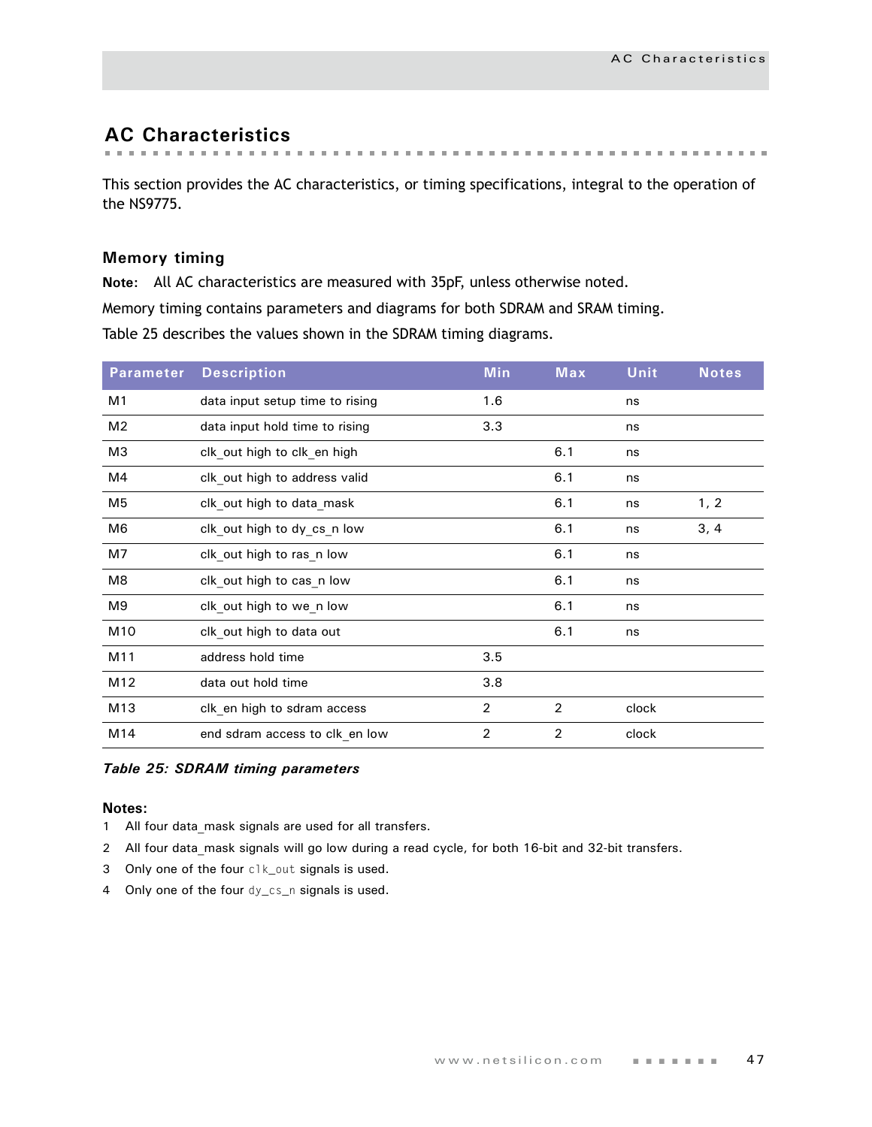# **AC Characteristics**

This section provides the AC characteristics, or timing specifications, integral to the operation of the NS9775.

## **Memory timing**

**Note:** All AC characteristics are measured with 35pF, unless otherwise noted.

Memory timing contains parameters and diagrams for both SDRAM and SRAM timing.

Table 25 describes the values shown in the SDRAM timing diagrams.

| <b>Parameter</b> | <b>Description</b>              | <b>Min</b>     | Max | <b>Unit</b> | <b>Notes</b> |
|------------------|---------------------------------|----------------|-----|-------------|--------------|
| M1               | data input setup time to rising | 1.6            |     | ns          |              |
| M <sub>2</sub>   | data input hold time to rising  | 3.3            |     | ns          |              |
| M3               | clk out high to clk en high     |                | 6.1 | ns          |              |
| M4               | clk out high to address valid   |                | 6.1 | ns          |              |
| M5               | clk out high to data mask       |                | 6.1 | ns          | 1, 2         |
| M6               | clk out high to dy cs_n low     |                | 6.1 | ns          | 3, 4         |
| M7               | clk out high to ras n low       |                | 6.1 | ns          |              |
| M8               | clk_out high to cas_n low       |                | 6.1 | ns          |              |
| M9               | clk out high to we n low        |                | 6.1 | ns          |              |
| M10              | clk out high to data out        |                | 6.1 | ns          |              |
| M11              | address hold time               | 3.5            |     |             |              |
| M12              | data out hold time              | 3.8            |     |             |              |
| M13              | clk_en high to sdram access     | $\overline{2}$ | 2   | clock       |              |
| M14              | end sdram access to clk_en low  | 2              | 2   | clock       |              |

#### *Table 25: SDRAM timing parameters*

- 1 All four data mask signals are used for all transfers.
- 2 All four data mask signals will go low during a read cycle, for both 16-bit and 32-bit transfers.
- 3 Only one of the four clk\_out signals is used.
- 4 Only one of the four dy\_cs\_n signals is used.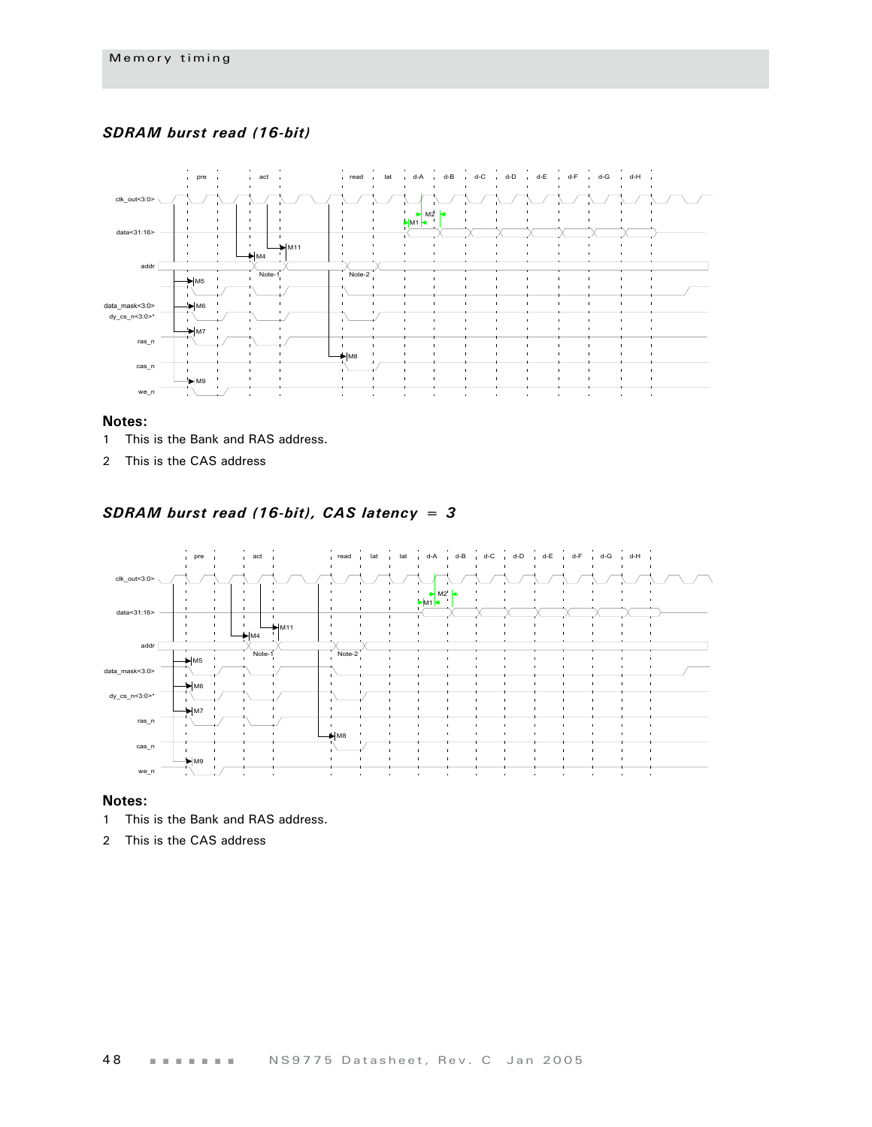## *SDRAM burst read (16-bit)*



#### **Notes:**

- 1 This is the Bank and RAS address.
- 2 This is the CAS address

## *SDRAM burst read (16-bit), CAS latency = 3*



- 1 This is the Bank and RAS address.
- 2 This is the CAS address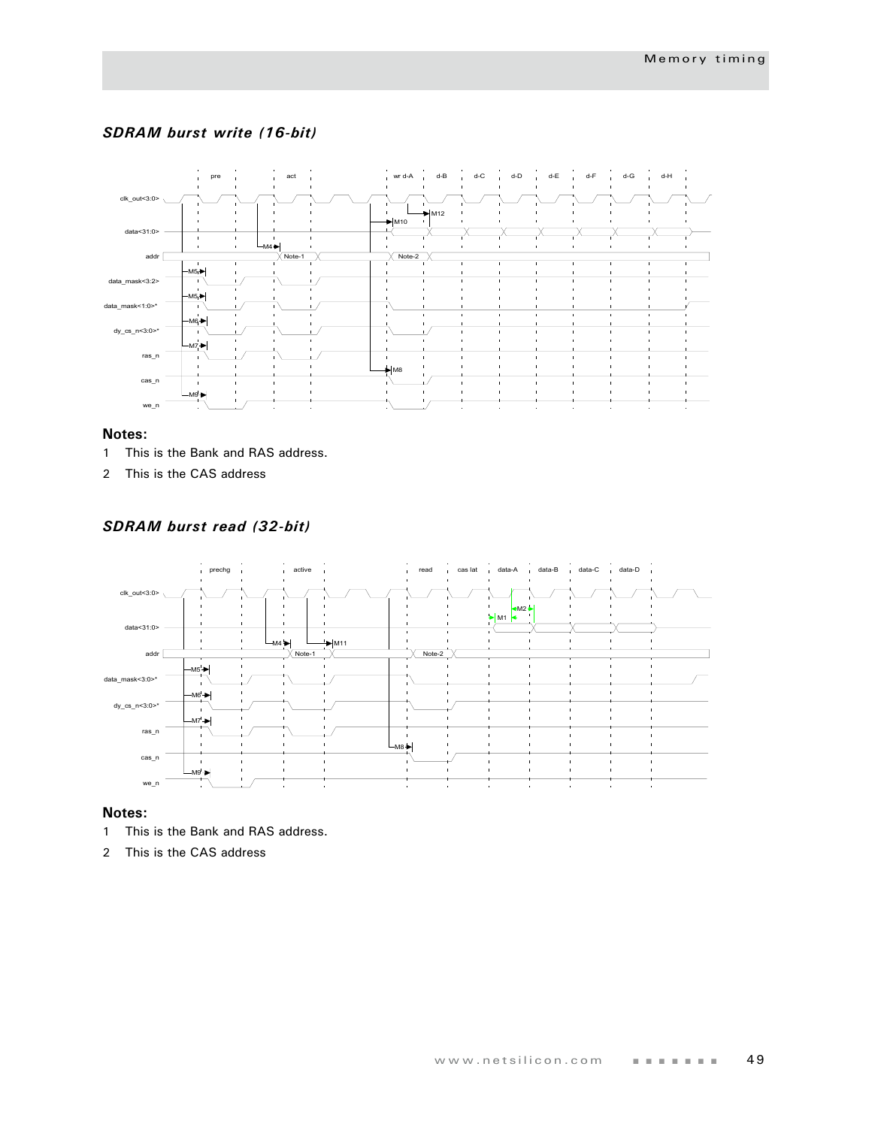## *SDRAM burst write (16-bit)*



#### **Notes:**

- 1 This is the Bank and RAS address.
- 2 This is the CAS address

## *SDRAM burst read (32-bit)*



- 1 This is the Bank and RAS address.
- 2 This is the CAS address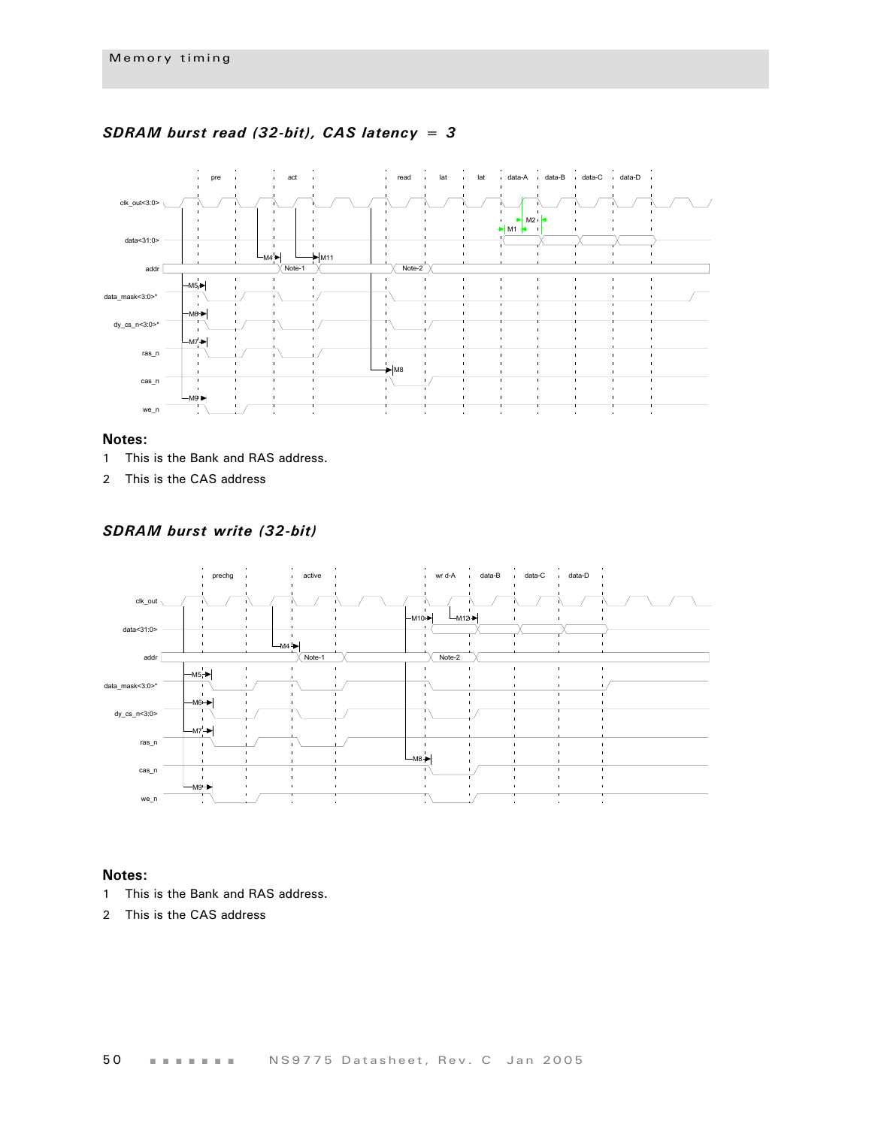

### *SDRAM burst read (32-bit), CAS latency = 3*

#### **Notes:**

- 1 This is the Bank and RAS address.
- 2 This is the CAS address

*SDRAM burst write (32-bit)*



- 1 This is the Bank and RAS address.
- 2 This is the CAS address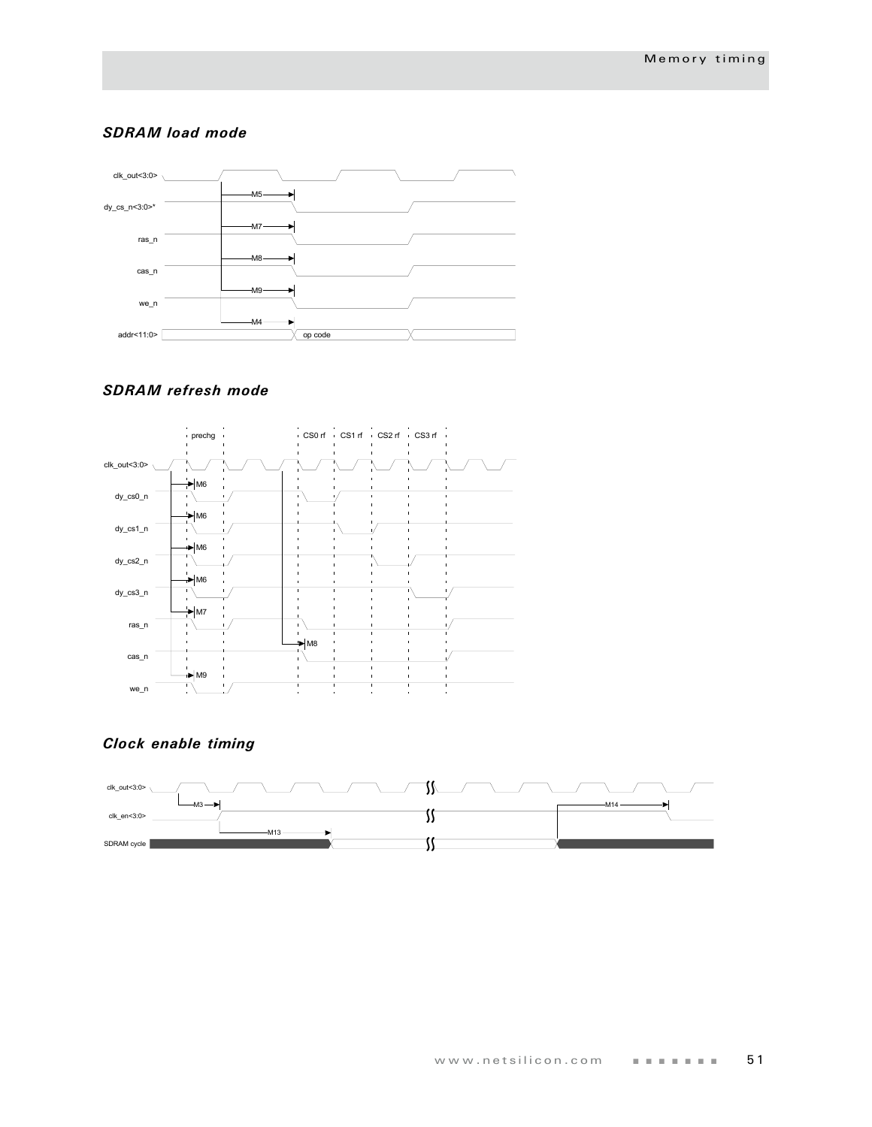#### *SDRAM load mode*



## *SDRAM refresh mode*



## *Clock enable timing*

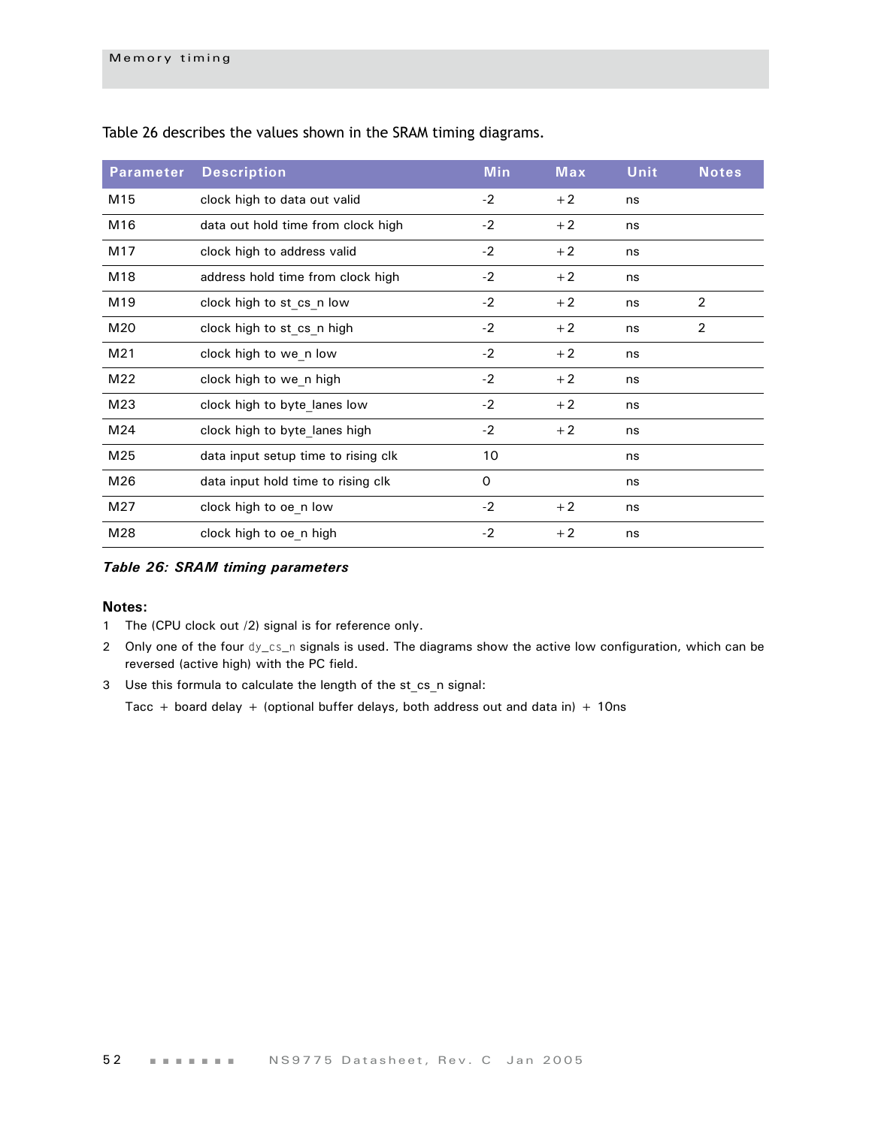| <b>Parameter</b> | <b>Description</b>                  | <b>Min</b> | Max  | Unit | <b>Notes</b> |
|------------------|-------------------------------------|------------|------|------|--------------|
| M15              | clock high to data out valid        | $-2$       | $+2$ | ns   |              |
| M16              | data out hold time from clock high  | $-2$       | $+2$ | ns   |              |
| M17              | clock high to address valid         | $-2$       | $+2$ | ns   |              |
| M18              | address hold time from clock high   | $-2$       | $+2$ | ns   |              |
| M19              | clock high to st cs n low           | $-2$       | $+2$ | ns   | 2            |
| M20              | clock high to st cs n high          | $-2$       | $+2$ | ns   | 2            |
| M21              | clock high to we n low              | $-2$       | $+2$ | ns   |              |
| M22              | clock high to we n high             | $-2$       | $+2$ | ns   |              |
| M23              | clock high to byte lanes low        | $-2$       | $+2$ | ns   |              |
| M24              | clock high to byte lanes high       | $-2$       | $+2$ | ns   |              |
| M25              | data input setup time to rising clk | 10         |      | ns   |              |
| M26              | data input hold time to rising clk  | 0          |      | ns   |              |
| M27              | clock high to oe n low              | $-2$       | $+2$ | ns   |              |
| M28              | clock high to oe_n high             | $-2$       | $+2$ | ns   |              |

[Table 26](#page-55-0) describes the values shown in the SRAM timing diagrams.

#### <span id="page-55-0"></span>*Table 26: SRAM timing parameters*

#### **Notes:**

- 1 The (CPU clock out /2) signal is for reference only.
- 2 Only one of the four dy\_cs\_n signals is used. The diagrams show the active low configuration, which can be reversed (active high) with the PC field.
- 3 Use this formula to calculate the length of the st\_cs\_n signal:

Tacc + board delay + (optional buffer delays, both address out and data in) + 10ns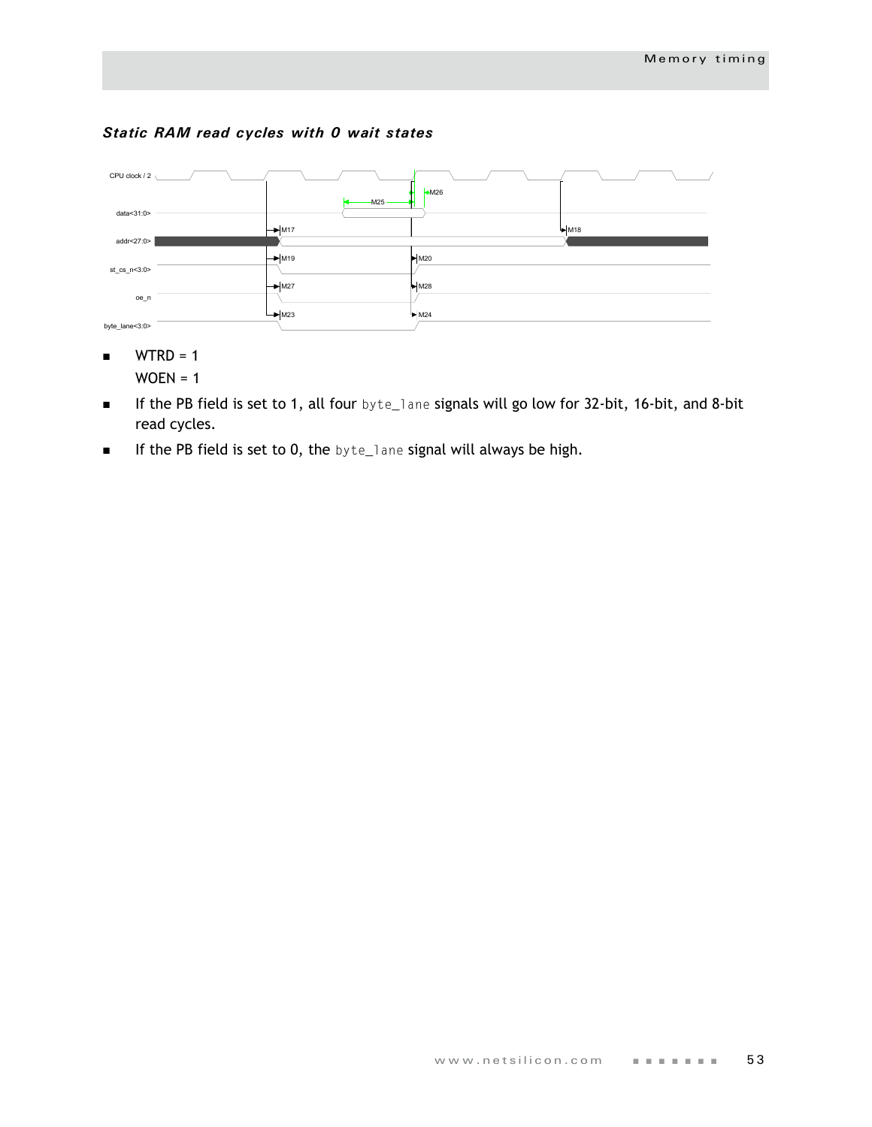## *Static RAM read cycles with 0 wait states*



- $WTRD = 1$  $WOEN = 1$
- If the PB field is set to 1, all four byte\_lane signals will go low for 32-bit, 16-bit, and 8-bit read cycles.
- **If the PB field is set to 0, the byte\_lane signal will always be high.**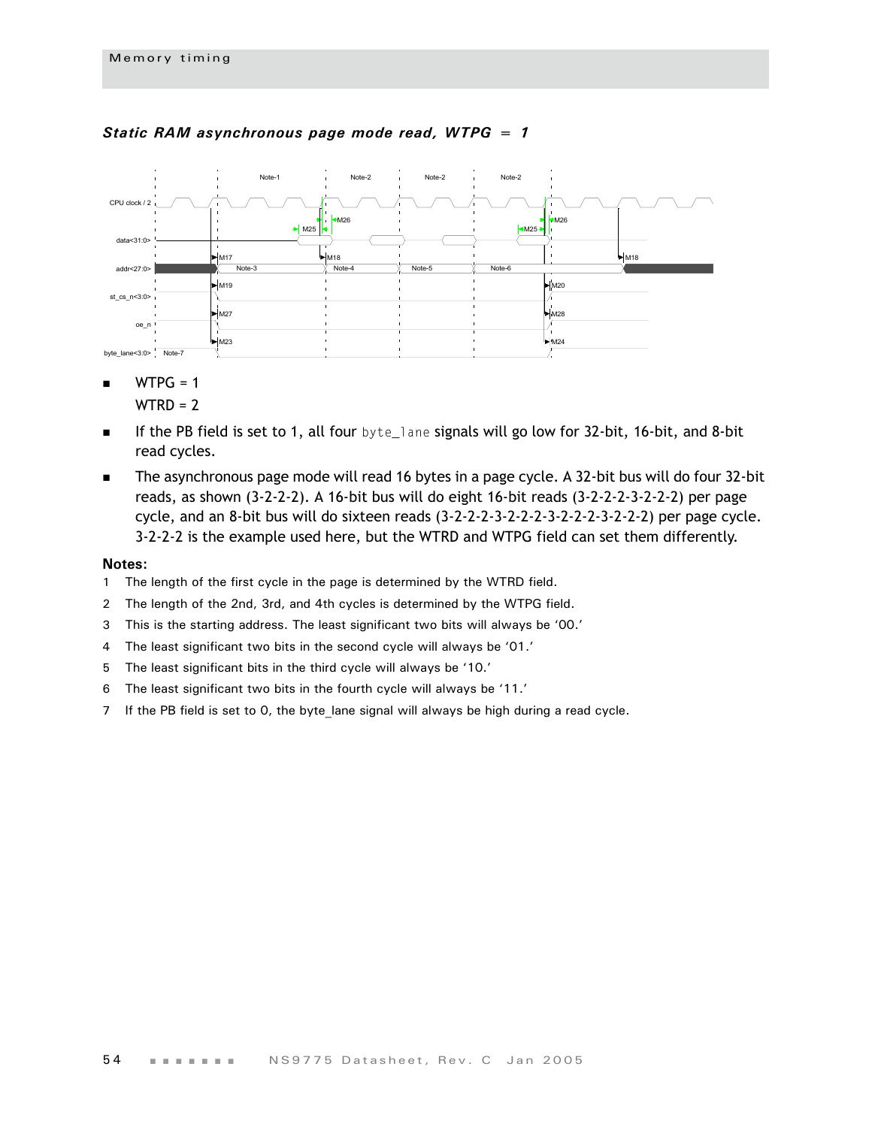

#### *Static RAM asynchronous page mode read, WTPG = 1*

 $WTPG = 1$ 

 $WTRD = 2$ 

- If the PB field is set to 1, all four byte\_lane signals will go low for 32-bit, 16-bit, and 8-bit read cycles.
- The asynchronous page mode will read 16 bytes in a page cycle. A 32-bit bus will do four 32-bit reads, as shown (3-2-2-2). A 16-bit bus will do eight 16-bit reads (3-2-2-2-3-2-2-2) per page cycle, and an 8-bit bus will do sixteen reads (3-2-2-2-3-2-2-2-3-2-2-2-3-2-2-2) per page cycle. 3-2-2-2 is the example used here, but the WTRD and WTPG field can set them differently.

- 1 The length of the first cycle in the page is determined by the WTRD field.
- 2 The length of the 2nd, 3rd, and 4th cycles is determined by the WTPG field.
- 3 This is the starting address. The least significant two bits will always be '00.'
- 4 The least significant two bits in the second cycle will always be '01.'
- 5 The least significant bits in the third cycle will always be '10.'
- 6 The least significant two bits in the fourth cycle will always be '11.'
- 7 If the PB field is set to 0, the byte\_lane signal will always be high during a read cycle.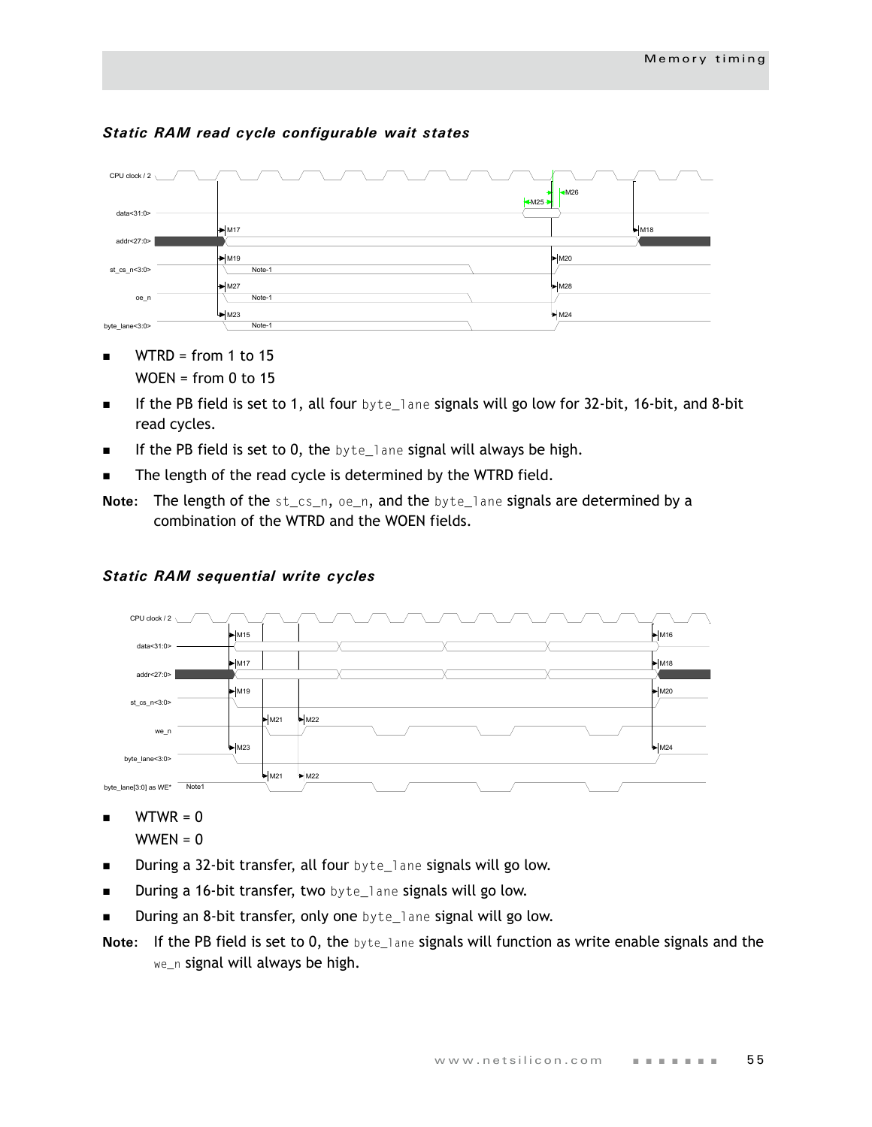

## *Static RAM read cycle configurable wait states*

- $\blacksquare$  WTRD = from 1 to 15  $WOEN = from 0 to 15$
- If the PB field is set to 1, all four  $byte$  and signals will go low for 32-bit, 16-bit, and 8-bit read cycles.
- $\blacksquare$  If the PB field is set to 0, the byte\_lane signal will always be high.
- The length of the read cycle is determined by the WTRD field.
- **Note:** The length of the st\_cs\_n, oe\_n, and the byte\_lane signals are determined by a combination of the WTRD and the WOEN fields.



## *Static RAM sequential write cycles*

 $\blacksquare$  WTWR = 0

- During a 32-bit transfer, all four byte\_lane signals will go low.
- **During a 16-bit transfer, two** byte\_lane signals will go low.
- During an 8-bit transfer, only one byte\_lane signal will go low.
- **Note:** If the PB field is set to 0, the byte\_lane signals will function as write enable signals and the we\_n signal will always be high.

 $WWEN = 0$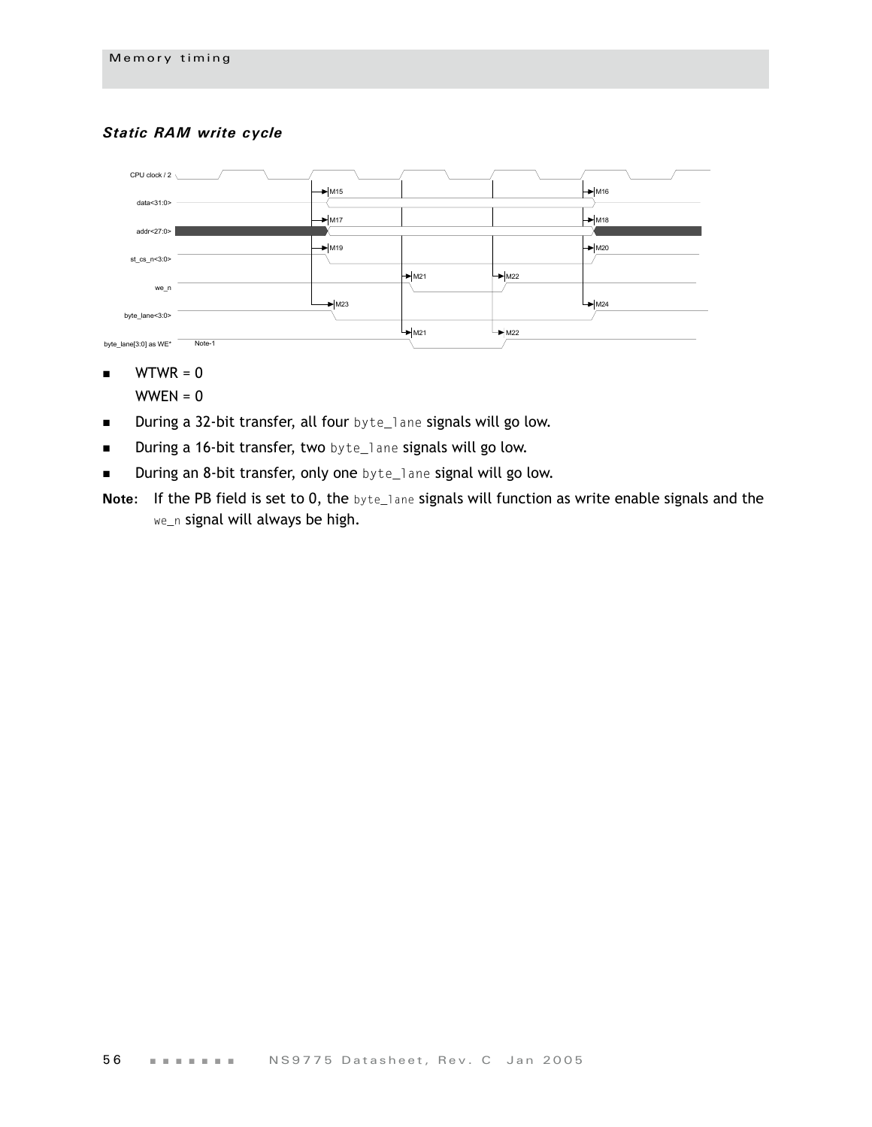## *Static RAM write cycle*



- $\blacksquare$  WTWR = 0
	- $WWEN = 0$
- **During a 32-bit transfer, all four** byte\_lane signals will go low.
- **During a 16-bit transfer, two** byte\_lane signals will go low.
- **During an 8-bit transfer, only one** byte\_lane signal will go low.
- **Note:** If the PB field is set to 0, the byte\_lane signals will function as write enable signals and the we\_n signal will always be high.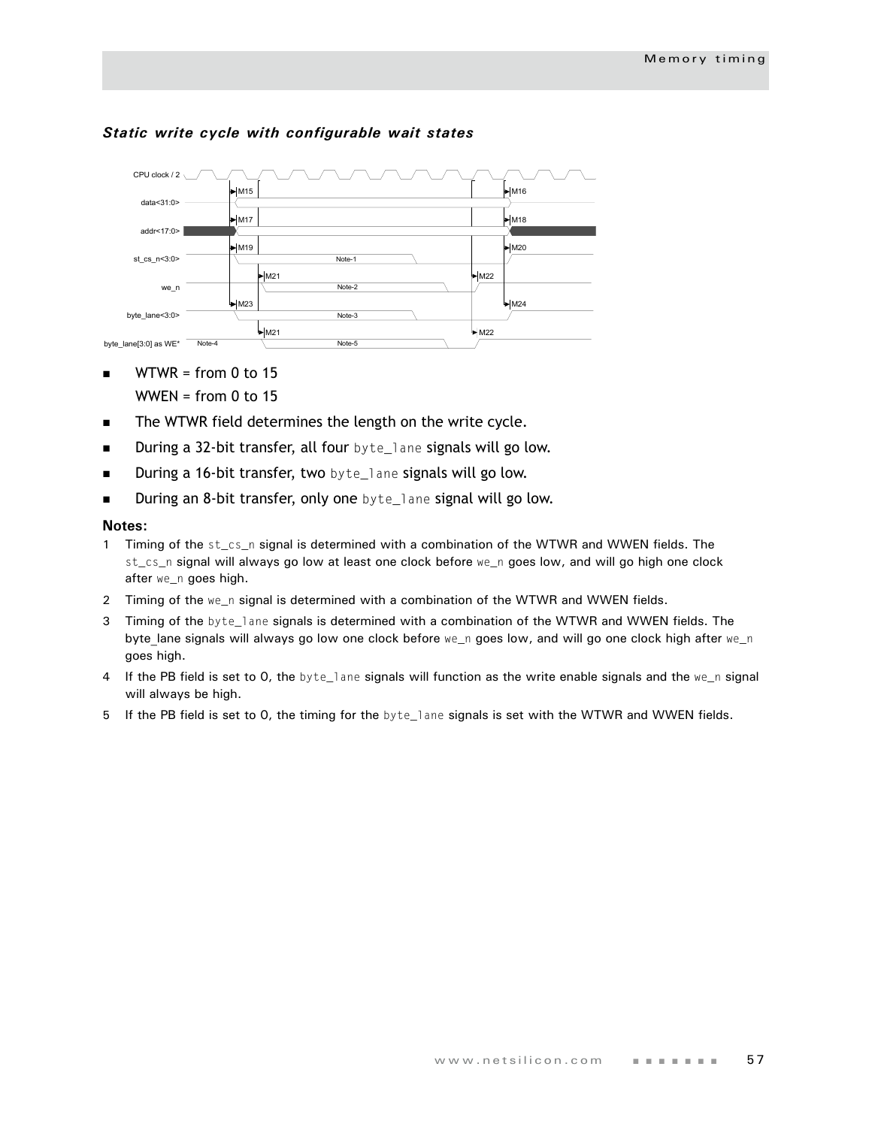

#### *Static write cycle with configurable wait states*

- $WTWR = from 0 to 15$ WWEN = from  $0$  to 15
- The WTWR field determines the length on the write cycle.
- **During a 32-bit transfer, all four** byte\_lane signals will go low.
- **During a 16-bit transfer, two** byte\_lane signals will go low.
- **During an 8-bit transfer, only one** byte\_lane signal will go low.

- 1 Timing of the st\_cs\_n signal is determined with a combination of the WTWR and WWEN fields. The st\_cs\_n signal will always go low at least one clock before we\_n goes low, and will go high one clock after we\_n goes high.
- 2 Timing of the we\_n signal is determined with a combination of the WTWR and WWEN fields.
- 3 Timing of the byte\_lane signals is determined with a combination of the WTWR and WWEN fields. The byte lane signals will always go low one clock before we\_n goes low, and will go one clock high after we\_n goes high.
- 4 If the PB field is set to 0, the byte\_lane signals will function as the write enable signals and the we\_n signal will always be high.
- 5 If the PB field is set to 0, the timing for the byte\_lane signals is set with the WTWR and WWEN fields.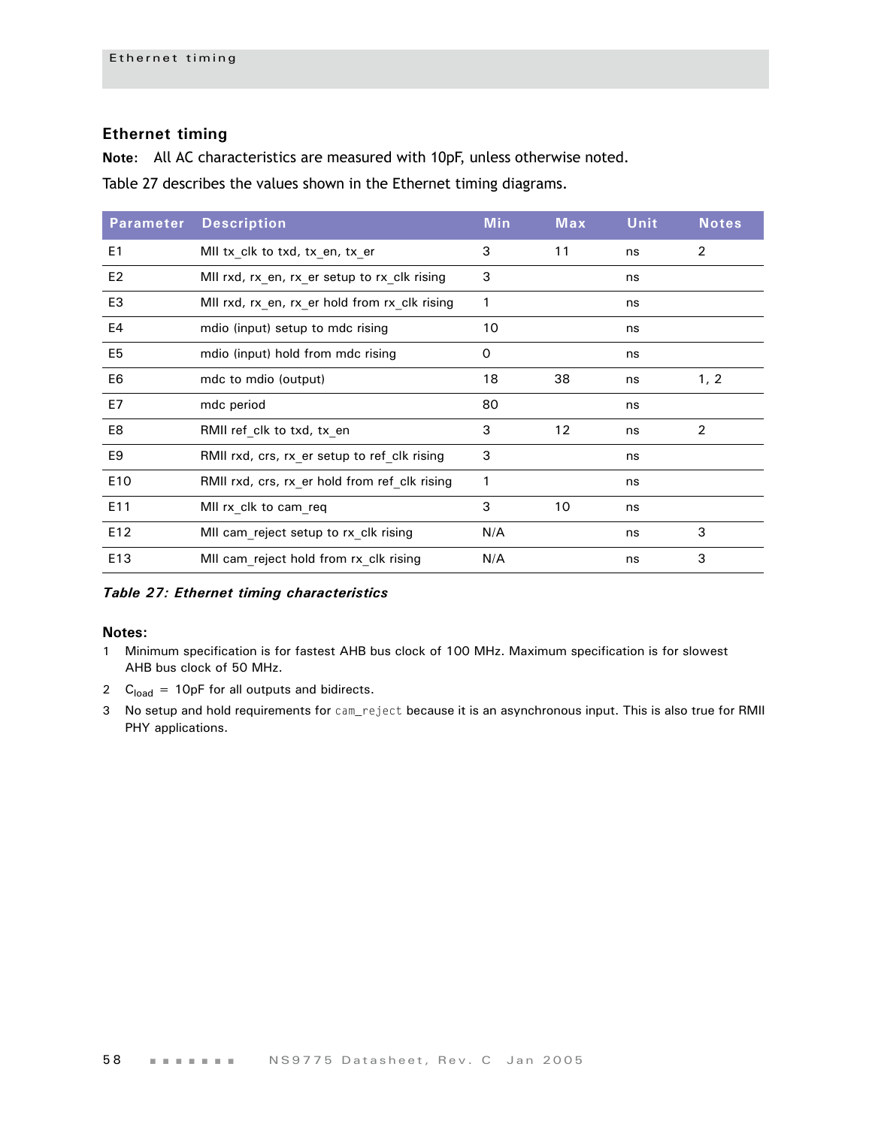## **Ethernet timing**

**Note:** All AC characteristics are measured with 10pF, unless otherwise noted.

[Table 27](#page-61-0) describes the values shown in the Ethernet timing diagrams.

| <b>Parameter</b> | <b>Description</b>                            | <b>Min</b> | Max | <b>Unit</b> | <b>Notes</b> |
|------------------|-----------------------------------------------|------------|-----|-------------|--------------|
| E <sub>1</sub>   | MII tx_clk to txd, tx_en, tx_er               | 3          | 11  | ns          | 2            |
| E <sub>2</sub>   | MII rxd, rx en, rx er setup to rx clk rising  | 3          |     | ns          |              |
| E <sub>3</sub>   | MII rxd, rx en, rx er hold from rx clk rising | 1          |     | ns          |              |
| E4               | mdio (input) setup to mdc rising              | 10         |     | ns          |              |
| E <sub>5</sub>   | mdio (input) hold from mdc rising             | 0          |     | ns          |              |
| E6               | mdc to mdio (output)                          | 18         | 38  | ns          | 1, 2         |
| E7               | mdc period                                    | 80         |     | ns          |              |
| E8               | RMII ref clk to txd, tx en                    | 3          | 12  | ns          | 2            |
| E <sub>9</sub>   | RMII rxd, crs, rx er setup to ref clk rising  | 3          |     | ns          |              |
| E10              | RMII rxd, crs, rx er hold from ref clk rising | 1          |     | ns          |              |
| E11              | MII rx clk to cam req                         | 3          | 10  | ns          |              |
| E12              | MII cam reject setup to rx clk rising         | N/A        |     | ns          | 3            |
| E13              | MII cam reject hold from rx clk rising        | N/A        |     | ns          | 3            |

<span id="page-61-0"></span>*Table 27: Ethernet timing characteristics*

- 1 Minimum specification is for fastest AHB bus clock of 100 MHz. Maximum specification is for slowest AHB bus clock of 50 MHz.
- 2  $C<sub>load</sub> = 10pF$  for all outputs and bidirects.
- 3 No setup and hold requirements for cam\_reject because it is an asynchronous input. This is also true for RMII PHY applications.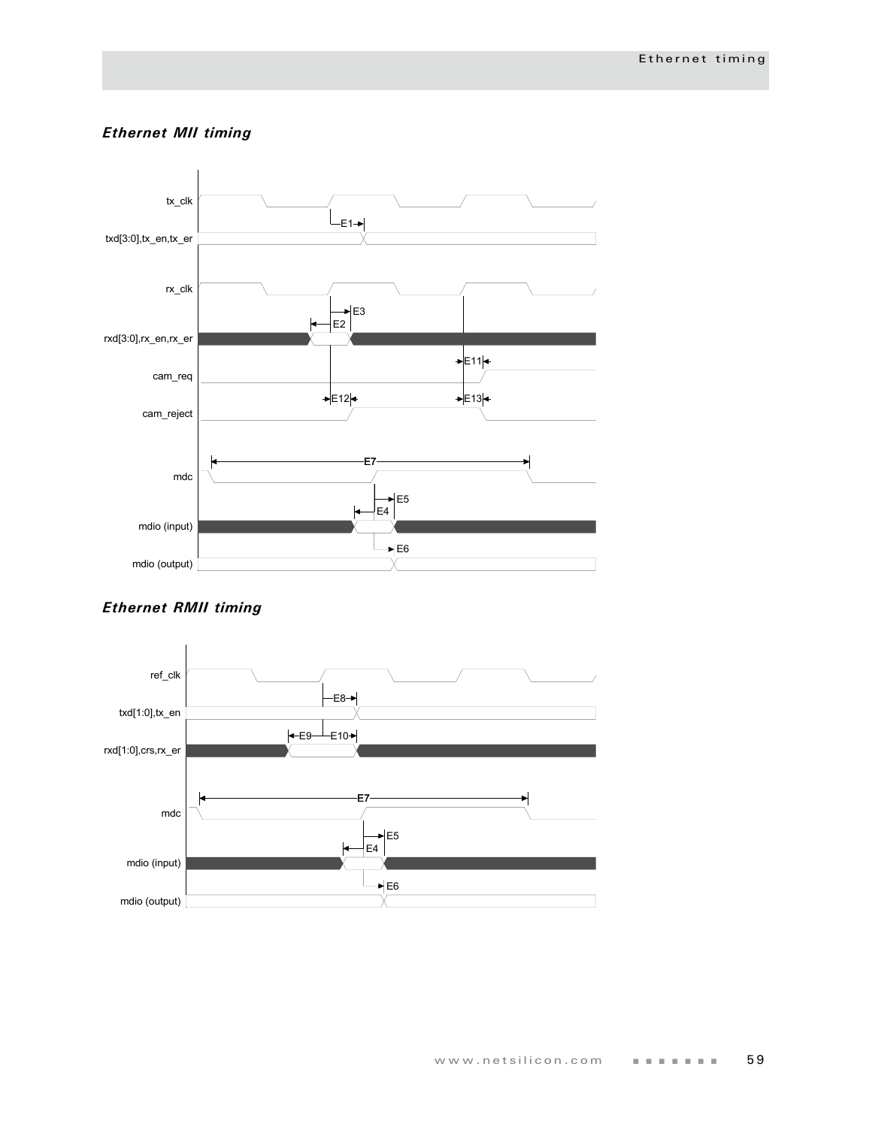## *Ethernet MII timing*



## *Ethernet RMII timing*

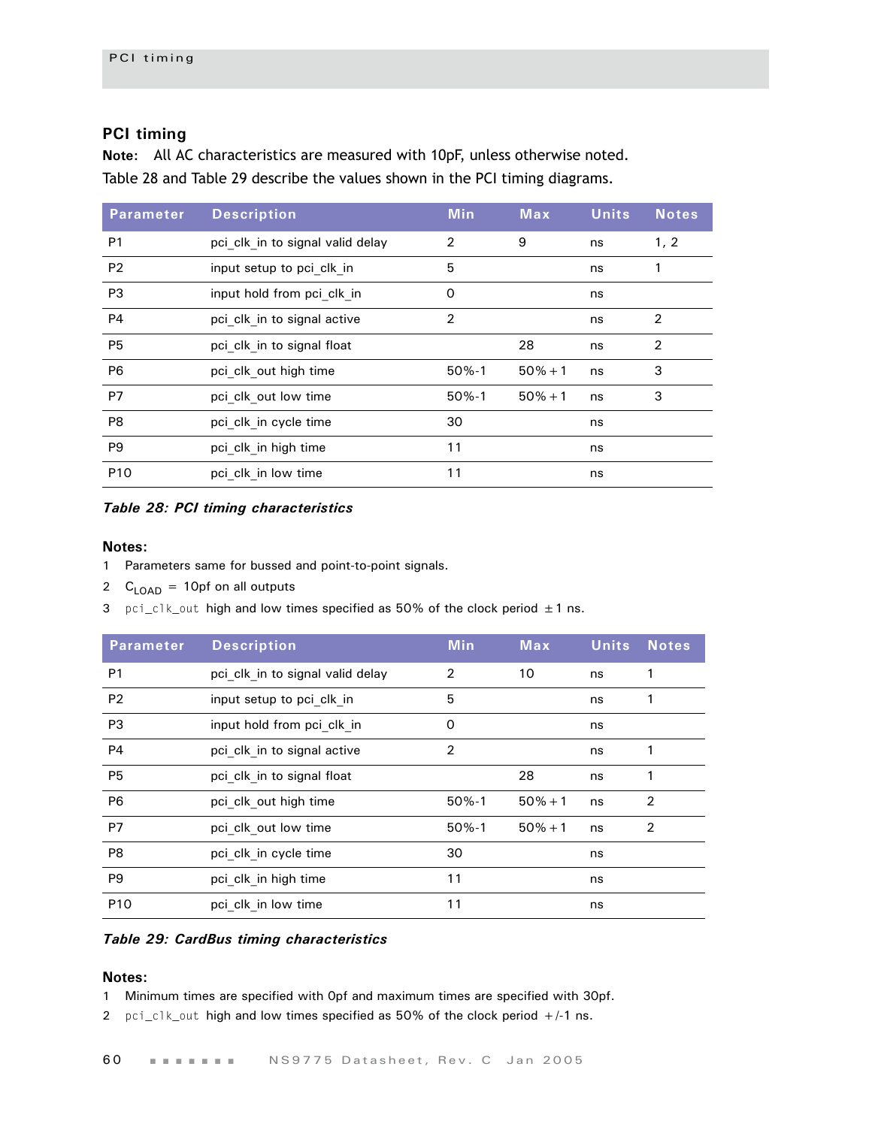## **PCI timing**

**Note:** All AC characteristics are measured with 10pF, unless otherwise noted. [Table 28](#page-63-0) and [Table 29](#page-63-1) describe the values shown in the PCI timing diagrams.

| <b>Parameter</b> | <b>Description</b>               | <b>Min</b>     | <b>Max</b> | <b>Units</b> | <b>Notes</b> |
|------------------|----------------------------------|----------------|------------|--------------|--------------|
| P <sub>1</sub>   | pci clk in to signal valid delay | 2              | 9          | ns           | 1, 2         |
| P <sub>2</sub>   | input setup to pci clk in        | 5              |            | ns           |              |
| P <sub>3</sub>   | input hold from pci clk in       | 0              |            | ns           |              |
| <b>P4</b>        | pci clk in to signal active      | $\overline{2}$ |            | ns           | 2            |
| P <sub>5</sub>   | pci clk in to signal float       |                | 28         | ns           | 2            |
| P <sub>6</sub>   | pci clk out high time            | $50% - 1$      | $50% + 1$  | ns           | 3            |
| P7               | pci clk out low time             | $50% - 1$      | $50% + 1$  | ns           | 3            |
| P8               | pci clk in cycle time            | 30             |            | ns           |              |
| P <sub>9</sub>   | pci clk in high time             | 11             |            | ns           |              |
| P <sub>10</sub>  | pci clk in low time              | 11             |            | ns           |              |

#### <span id="page-63-0"></span>*Table 28: PCI timing characteristics*

#### **Notes:**

- 1 Parameters same for bussed and point-to-point signals.
- 2  $C_{\text{LOAD}} = 10 \text{p}$  f on all outputs
- 3 pci\_clk\_out high and low times specified as 50% of the clock period  $\pm 1$  ns.

| <b>Parameter</b> | <b>Description</b>               | <b>Min</b>     | Max       | <b>Units</b> | <b>Notes</b>   |
|------------------|----------------------------------|----------------|-----------|--------------|----------------|
| P <sub>1</sub>   | pci clk in to signal valid delay | $\overline{2}$ | 10        | ns           |                |
| <b>P2</b>        | input setup to pci clk in        | 5              |           | ns           | 1              |
| P <sub>3</sub>   | input hold from pci clk in       | 0              |           | ns           |                |
| <b>P4</b>        | pci clk in to signal active      | 2              |           | ns           |                |
| P <sub>5</sub>   | pci clk in to signal float       |                | 28        | ns           | 1              |
| P <sub>6</sub>   | pci clk out high time            | $50% - 1$      | $50% + 1$ | ns           | $\overline{2}$ |
| <b>P7</b>        | pci clk out low time             | $50% - 1$      | $50% + 1$ | ns           | $\overline{2}$ |
| P <sub>8</sub>   | pci clk in cycle time            | 30             |           | ns           |                |
| P <sub>9</sub>   | pci clk in high time             | 11             |           | ns           |                |
| P <sub>10</sub>  | pci clk in low time              | 11             |           | ns           |                |

#### <span id="page-63-1"></span>*Table 29: CardBus timing characteristics*

## **Notes:**

1 Minimum times are specified with 0pf and maximum times are specified with 30pf.

2 pci\_clk\_out high and low times specified as 50% of the clock period +/-1 ns.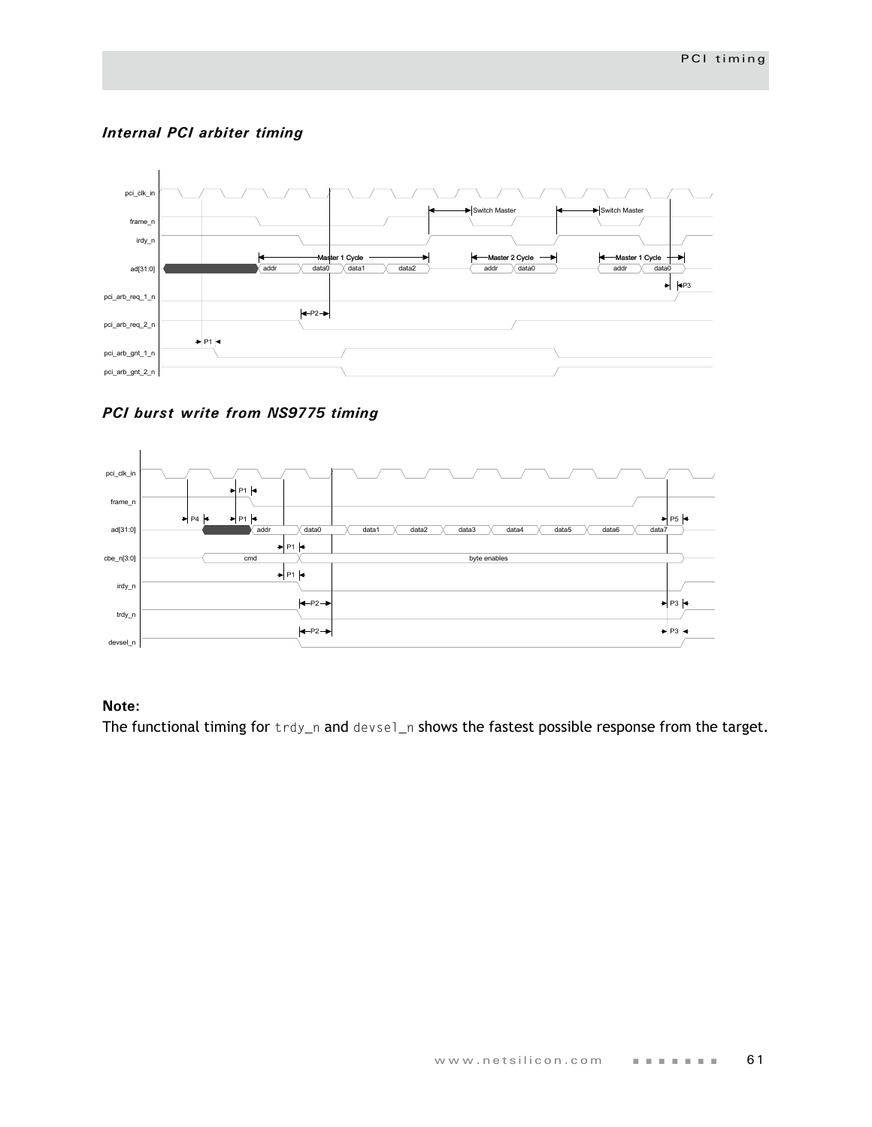## *Internal PCI arbiter timing*



*PCI burst write from NS9775 timing*



## **Note:**

The functional timing for trdy\_n and devsel\_n shows the fastest possible response from the target.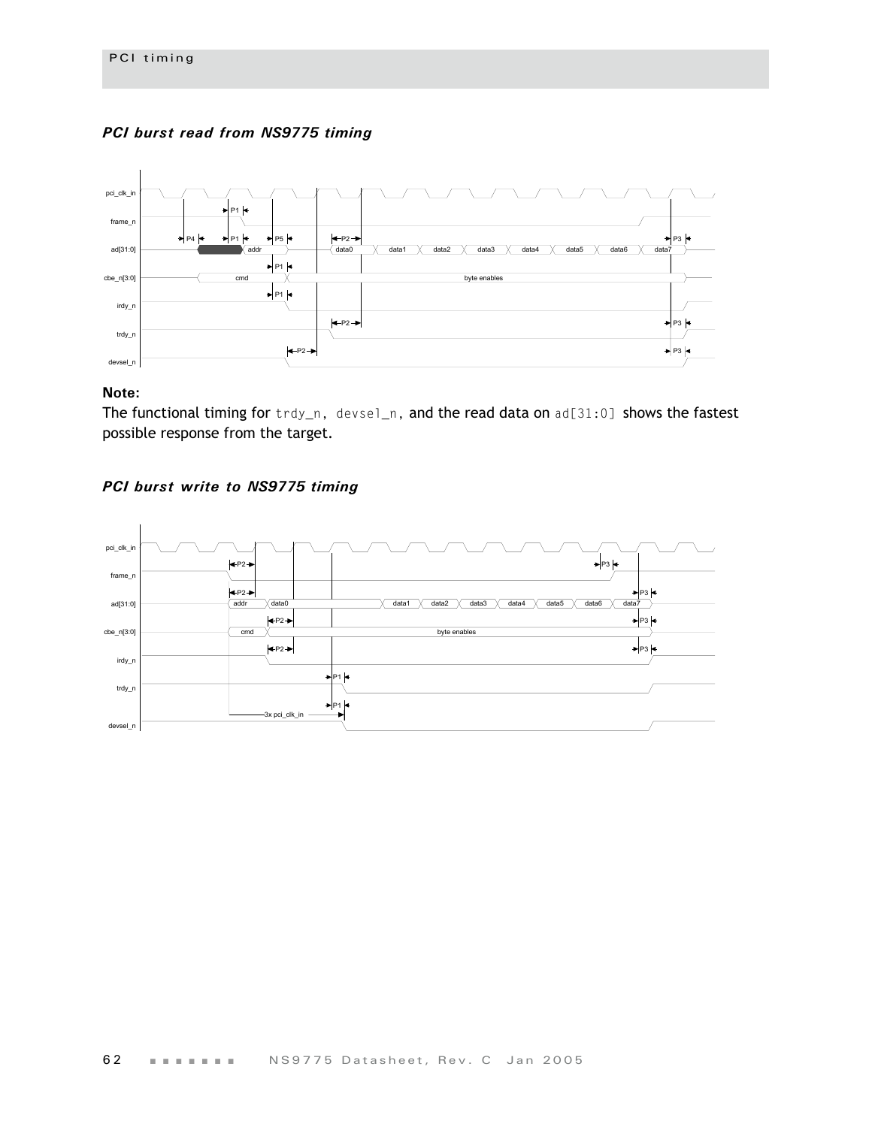### *PCI burst read from NS9775 timing*



### **Note:**

The functional timing for trdy\_n, devsel\_n, and the read data on ad[31:0] shows the fastest possible response from the target.



### *PCI burst write to NS9775 timing*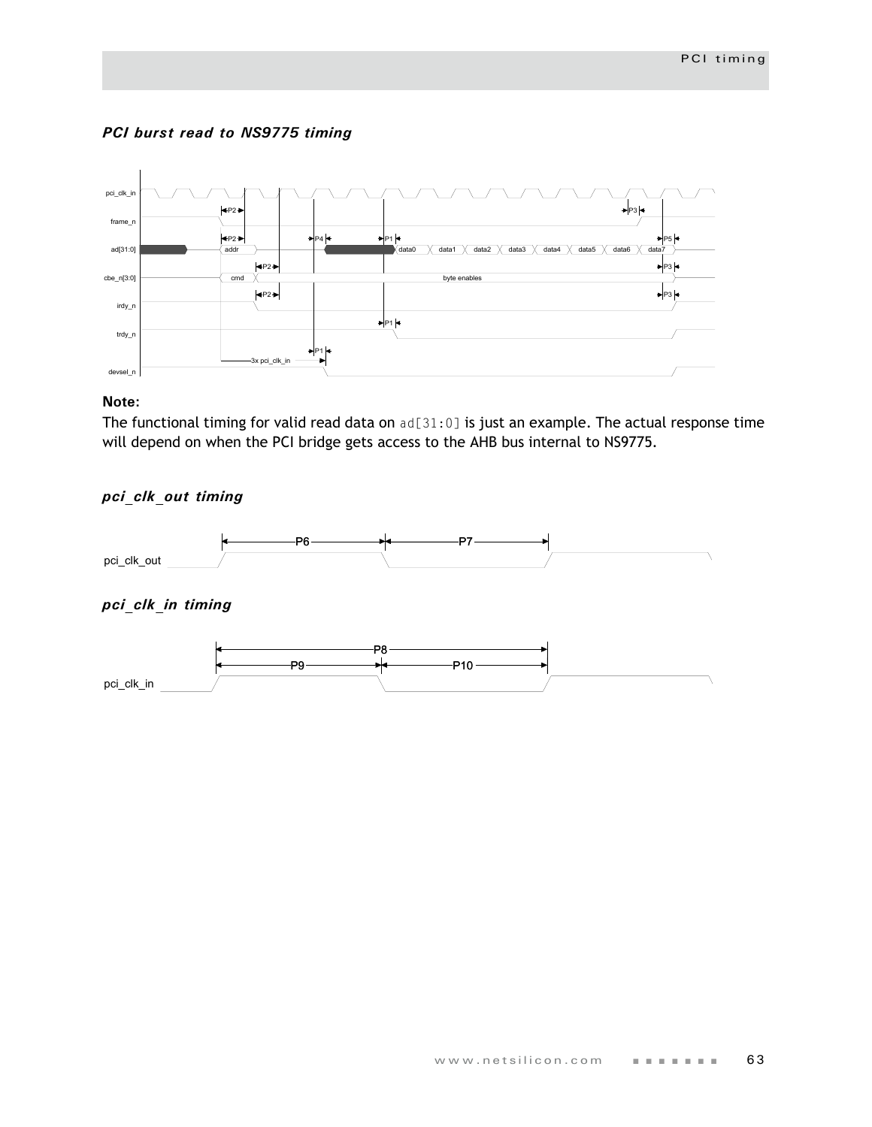## *PCI burst read to NS9775 timing*



## **Note:**

The functional timing for valid read data on ad[31:0] is just an example. The actual response time will depend on when the PCI bridge gets access to the AHB bus internal to NS9775.

## *pci\_clk\_out timing*

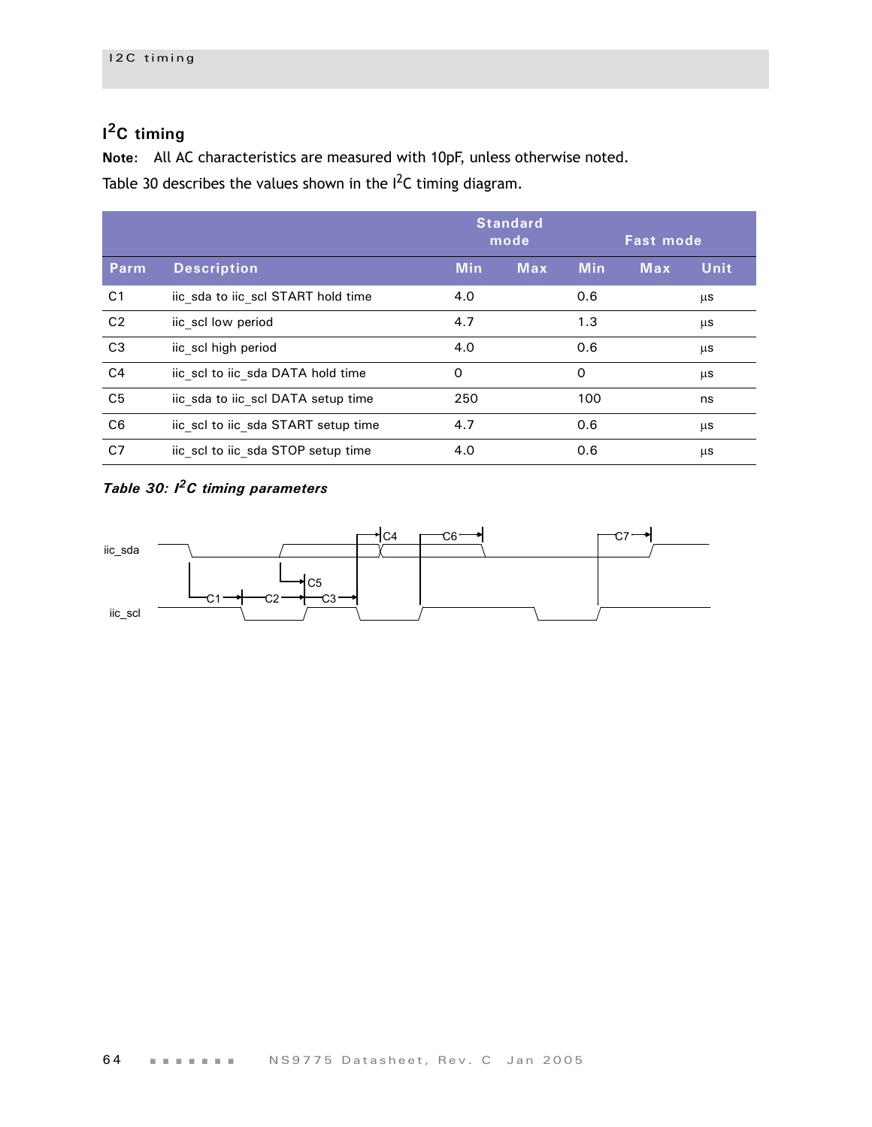## **I 2C timing**

**Note:** All AC characteristics are measured with 10pF, unless otherwise noted.

Table 30 describes the values shown in the  $I^2C$  timing diagram.

|                |                                     | <b>Standard</b><br>mode |            | <b>Fast mode</b> |            |             |
|----------------|-------------------------------------|-------------------------|------------|------------------|------------|-------------|
| Parm           | <b>Description</b>                  | <b>Min</b>              | <b>Max</b> | <b>Min</b>       | <b>Max</b> | <b>Unit</b> |
| C <sub>1</sub> | iic sda to iic scl START hold time  | 4.0                     |            | 0.6              |            | μs          |
| C <sub>2</sub> | iic scl low period                  | 4.7                     |            | 1.3              |            | μs          |
| C <sub>3</sub> | iic scl high period                 | 4.0                     |            | 0.6              |            | μs          |
| C <sub>4</sub> | iic scl to iic sda DATA hold time   | $\Omega$                |            | $\Omega$         |            | μs          |
| C <sub>5</sub> | iic sda to iic scl DATA setup time  | 250                     |            | 100              |            | ns          |
| C <sub>6</sub> | iic scl to iic sda START setup time | 4.7                     |            | 0.6              |            | μs          |
| C <sub>7</sub> | iic scl to iic sda STOP setup time  | 4.0                     |            | 0.6              |            | μs          |

## *Table 30: I2C timing parameters*

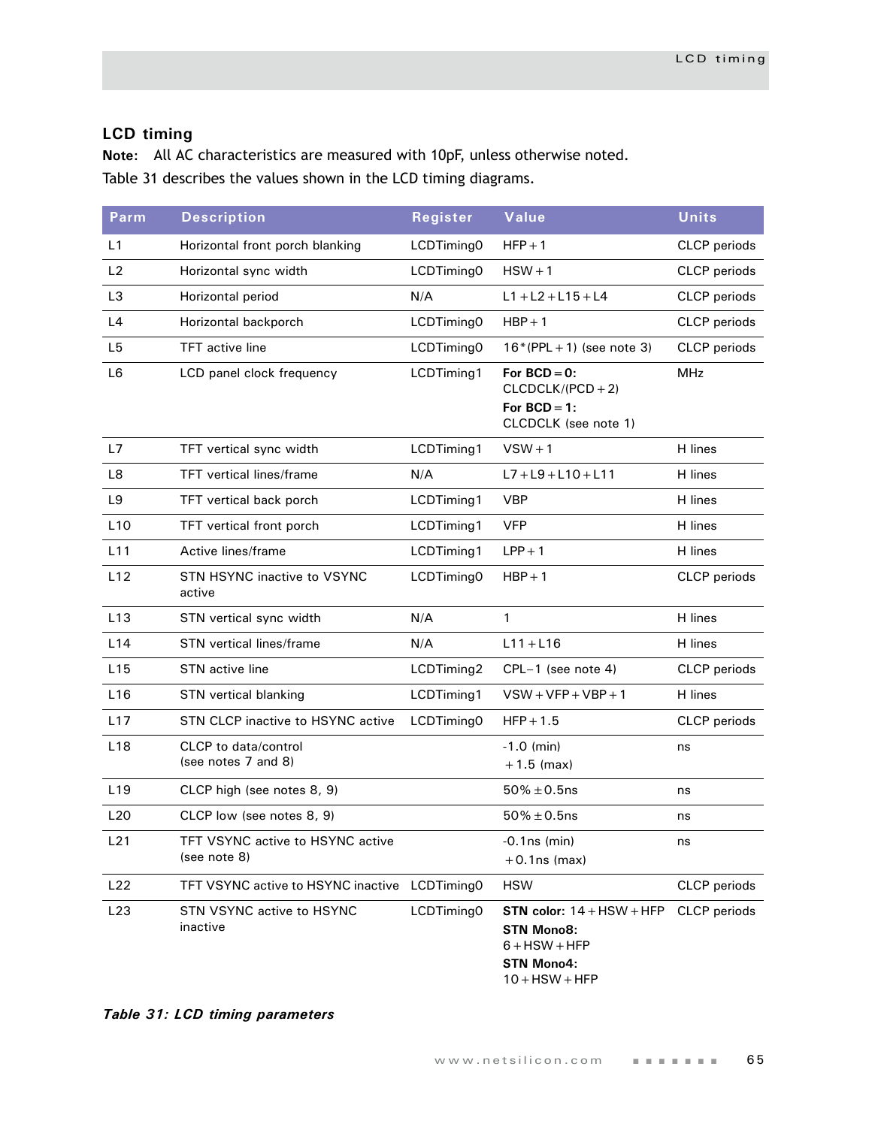## **LCD timing**

**Note:** All AC characteristics are measured with 10pF, unless otherwise noted. [Table 31](#page-68-0) describes the values shown in the LCD timing diagrams.

| <b>Parm</b>     | <b>Description</b>                                 | Register   | Value                                                                                                        | <b>Units</b>        |  |
|-----------------|----------------------------------------------------|------------|--------------------------------------------------------------------------------------------------------------|---------------------|--|
| L1              | Horizontal front porch blanking                    | LCDTiming0 | $HFP + 1$                                                                                                    | <b>CLCP</b> periods |  |
| L2              | Horizontal sync width                              | LCDTiming0 | $HSW + 1$                                                                                                    | CLCP periods        |  |
| L <sub>3</sub>  | Horizontal period                                  | N/A        | $L1 + L2 + L15 + L4$                                                                                         | CLCP periods        |  |
| L4              | Horizontal backporch                               | LCDTiming0 | $HBP + 1$                                                                                                    | CLCP periods        |  |
| L <sub>5</sub>  | <b>TFT</b> active line                             | LCDTiming0 | $16*(PPL + 1)$ (see note 3)                                                                                  | CLCP periods        |  |
| L <sub>6</sub>  | LCD panel clock frequency                          | LCDTiming1 | For $BCD = 0$ :<br>$CLCDCLK/(PCD + 2)$<br>For $BCD = 1$ :<br>CLCDCLK (see note 1)                            | <b>MHz</b>          |  |
| L7              | TFT vertical sync width                            | LCDTiming1 | $VSW + 1$                                                                                                    | H lines             |  |
| L8              | <b>TFT</b> vertical lines/frame                    | N/A        | $L7 + L9 + L10 + L11$                                                                                        | H lines             |  |
| L9              | TFT vertical back porch                            | LCDTiming1 | <b>VBP</b>                                                                                                   | H lines             |  |
| L10             | TFT vertical front porch                           | LCDTiming1 | <b>VFP</b>                                                                                                   | H lines             |  |
| L11             | Active lines/frame                                 | LCDTiming1 | $LPP + 1$                                                                                                    | H lines             |  |
| L12             | STN HSYNC inactive to VSYNC<br>active              | LCDTiming0 | $HBP + 1$                                                                                                    | <b>CLCP</b> periods |  |
| L13             | STN vertical sync width                            | N/A        | $\mathbf{1}$                                                                                                 | H lines             |  |
| L14             | <b>STN</b> vertical lines/frame                    | N/A        | $L11 + L16$                                                                                                  | H lines             |  |
| L15             | STN active line                                    | LCDTiming2 | CPL-1 (see note 4)                                                                                           | <b>CLCP</b> periods |  |
| L16             | STN vertical blanking                              | LCDTiming1 | $VSW+VFP+VBP+1$                                                                                              | H lines             |  |
| L17             | STN CLCP inactive to HSYNC active                  | LCDTiming0 | $HFP + 1.5$                                                                                                  | <b>CLCP</b> periods |  |
| L <sub>18</sub> | <b>CLCP</b> to data/control<br>(see notes 7 and 8) |            | $-1.0$ (min)<br>$+1.5$ (max)                                                                                 | ns                  |  |
| L <sub>19</sub> | CLCP high (see notes 8, 9)                         |            | $50\% \pm 0.5$ ns                                                                                            | ns                  |  |
| L20             | CLCP low (see notes 8, 9)                          |            | $50\% \pm 0.5$ ns                                                                                            | ns                  |  |
| L21             | TFT VSYNC active to HSYNC active<br>(see note 8)   |            | $-0.1$ ns (min)<br>$+0.1$ ns (max)                                                                           | ns                  |  |
| L22             | TFT VSYNC active to HSYNC inactive                 | LCDTiming0 | <b>HSW</b>                                                                                                   | <b>CLCP</b> periods |  |
| L23             | STN VSYNC active to HSYNC<br>inactive              | LCDTiming0 | STN color: $14 + HSW + HFP$<br><b>STN Mono8:</b><br>$6 + HSW + HFP$<br><b>STN Mono4:</b><br>$10 +$ HSW + HFP | <b>CLCP</b> periods |  |

<span id="page-68-0"></span>*Table 31: LCD timing parameters*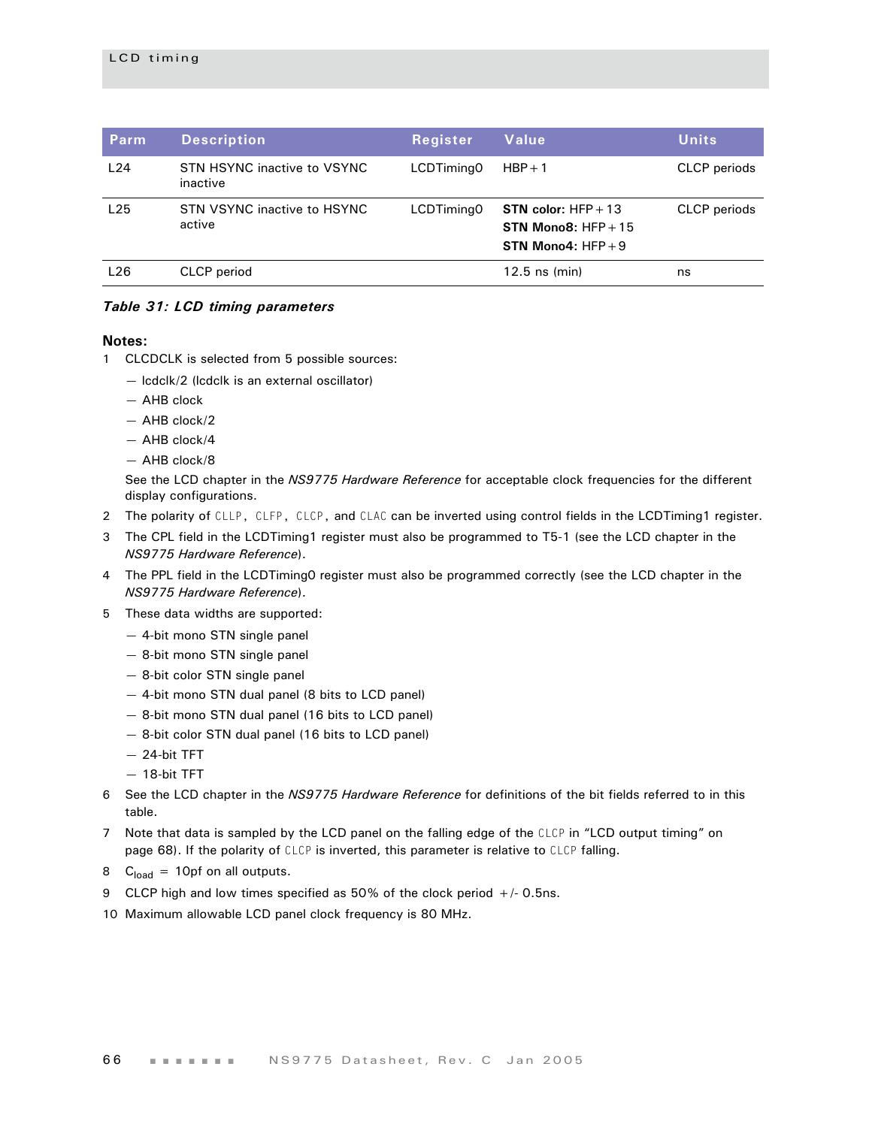| Parm | <b>Description</b>                      | <b>Register</b> | Value                                                                         | <b>Units</b>        |
|------|-----------------------------------------|-----------------|-------------------------------------------------------------------------------|---------------------|
| L24  | STN HSYNC inactive to VSYNC<br>inactive | LCDTiming0      | $HBP + 1$                                                                     | CLCP periods        |
| L25  | STN VSYNC inactive to HSYNC<br>active   | LCDTiming0      | <b>STN color:</b> $HFP + 13$<br>STN Mono8: $HFP + 15$<br>STN Mono4: $HFP + 9$ | <b>CLCP</b> periods |
| L26  | CLCP period                             |                 | $12.5$ ns (min)                                                               | ns                  |

#### *Table 31: LCD timing parameters*

#### **Notes:**

- 1 CLCDCLK is selected from 5 possible sources:
	- lcdclk/2 (lcdclk is an external oscillator)
	- AHB clock
	- AHB clock/2
	- AHB clock/4
	- AHB clock/8

See the LCD chapter in the *NS9775 Hardware Reference* for acceptable clock frequencies for the different display configurations.

- 2 The polarity of CLLP, CLFP, CLCP, and CLAC can be inverted using control fields in the LCDTiming1 register.
- 3 The CPL field in the LCDTiming1 register must also be programmed to T5-1 (see the LCD chapter in the *NS9775 Hardware Reference*).
- 4 The PPL field in the LCDTiming0 register must also be programmed correctly (see the LCD chapter in the *NS9775 Hardware Reference*).
- 5 These data widths are supported:
	- 4-bit mono STN single panel
	- 8-bit mono STN single panel
	- 8-bit color STN single panel
	- 4-bit mono STN dual panel (8 bits to LCD panel)
	- 8-bit mono STN dual panel (16 bits to LCD panel)
	- 8-bit color STN dual panel (16 bits to LCD panel)
	- 24-bit TFT
	- 18-bit TFT
- 6 See the LCD chapter in the *NS9775 Hardware Reference* for definitions of the bit fields referred to in this table.
- 7 Note that data is sampled by the LCD panel on the falling edge of the CLCP in "LCD output timing" on page 68). If the polarity of CLCP is inverted, this parameter is relative to CLCP falling.
- 8  $C<sub>load</sub> = 10pf$  on all outputs.
- 9 CLCP high and low times specified as 50% of the clock period +/- 0.5ns.
- 10 Maximum allowable LCD panel clock frequency is 80 MHz.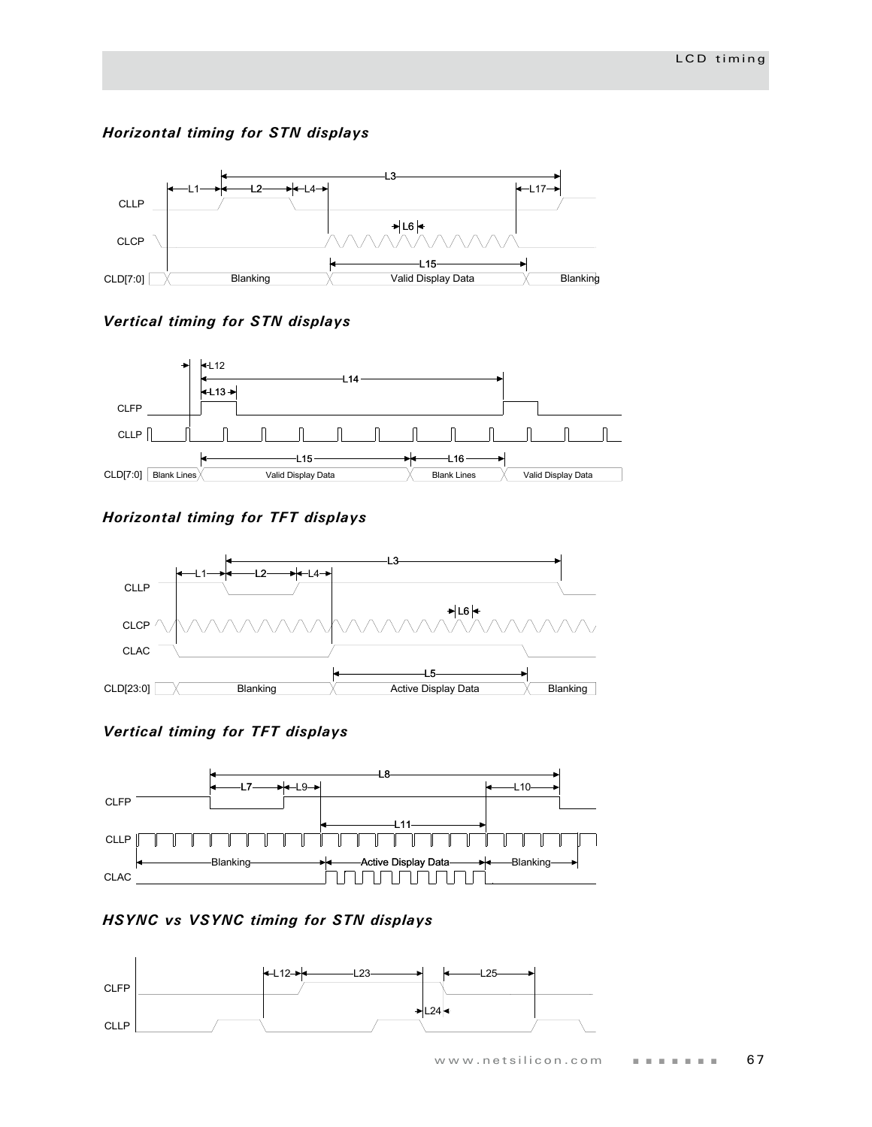## *Horizontal timing for STN displays*



## *Vertical timing for STN displays*



## *Horizontal timing for TFT displays*



## *Vertical timing for TFT displays*



## *HSYNC vs VSYNC timing for STN displays*

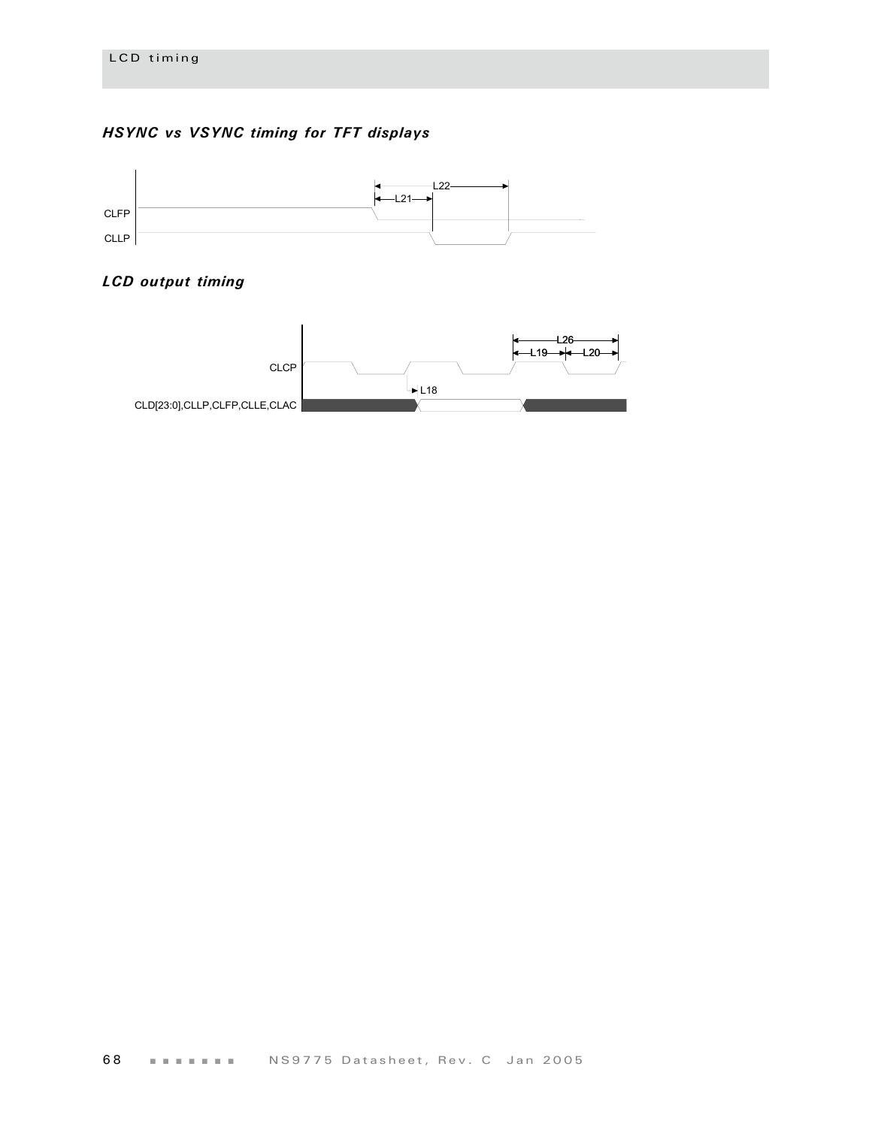## *HSYNC vs VSYNC timing for TFT displays*



## *LCD output timing*

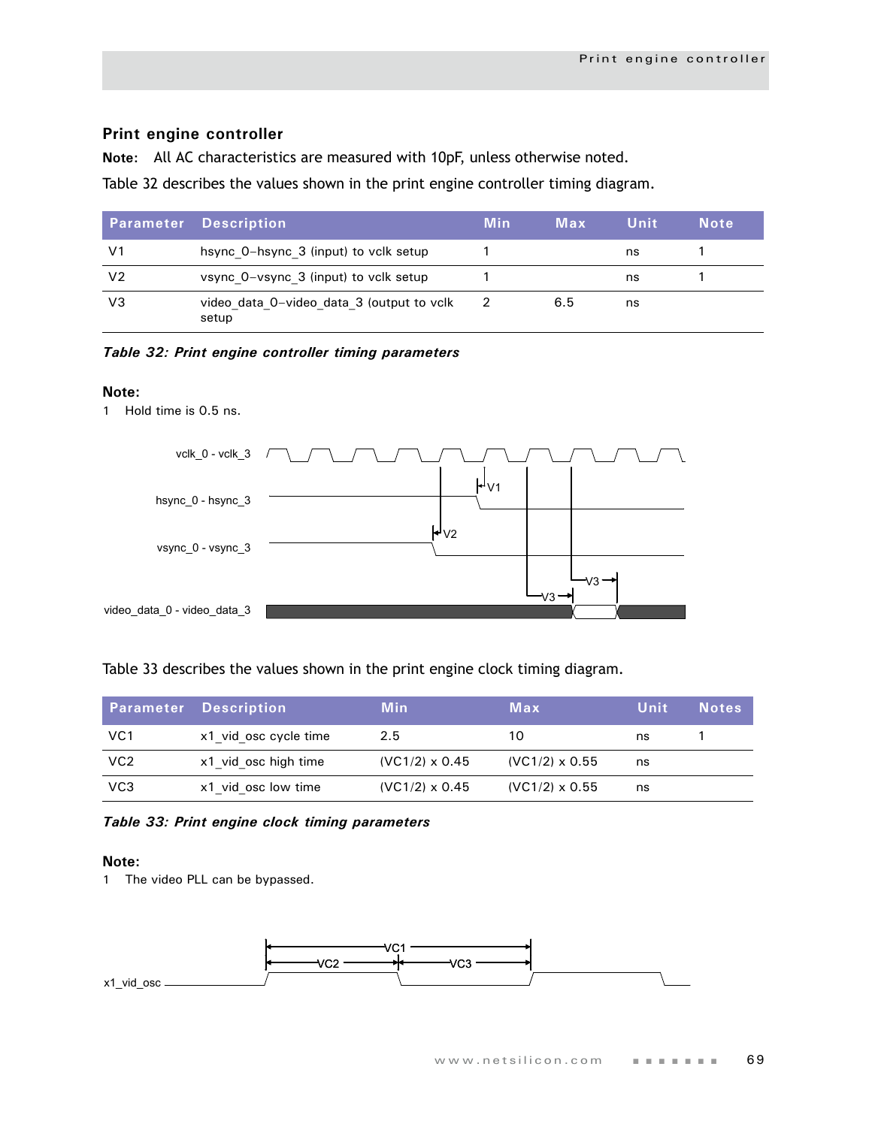## **Print engine controller**

**Note:** All AC characteristics are measured with 10pF, unless otherwise noted.

Table 32 describes the values shown in the print engine controller timing diagram.

|                | <b>Parameter Description</b>                       | <b>Min</b> | Max | Unit | <b>Note</b> |
|----------------|----------------------------------------------------|------------|-----|------|-------------|
| V1             | hsync 0-hsync 3 (input) to vclk setup              |            |     | ns   |             |
| V <sub>2</sub> | vsync 0-vsync 3 (input) to vclk setup              |            |     | ns   |             |
| VЗ             | video data 0-video data 3 (output to volk<br>setup |            | 6.5 | ns   |             |

*Table 32: Print engine controller timing parameters*

## **Note:**

1 Hold time is 0.5 ns.



Table 33 describes the values shown in the print engine clock timing diagram.

|                 | <b>Parameter Description</b> | Min                   | Max                   | Unit | <b>Notes</b> |
|-----------------|------------------------------|-----------------------|-----------------------|------|--------------|
| VC <sub>1</sub> | x1 vid osc cycle time        | 2.5                   | 10                    | ns   |              |
| VC <sub>2</sub> | x1 vid osc high time         | $(VC1/2) \times 0.45$ | $(VC1/2) \times 0.55$ | ns   |              |
| VC <sub>3</sub> | x1 vid osc low time          | $(VC1/2) \times 0.45$ | $(VC1/2) \times 0.55$ | ns   |              |

*Table 33: Print engine clock timing parameters*

## **Note:**

1 The video PLL can be bypassed.

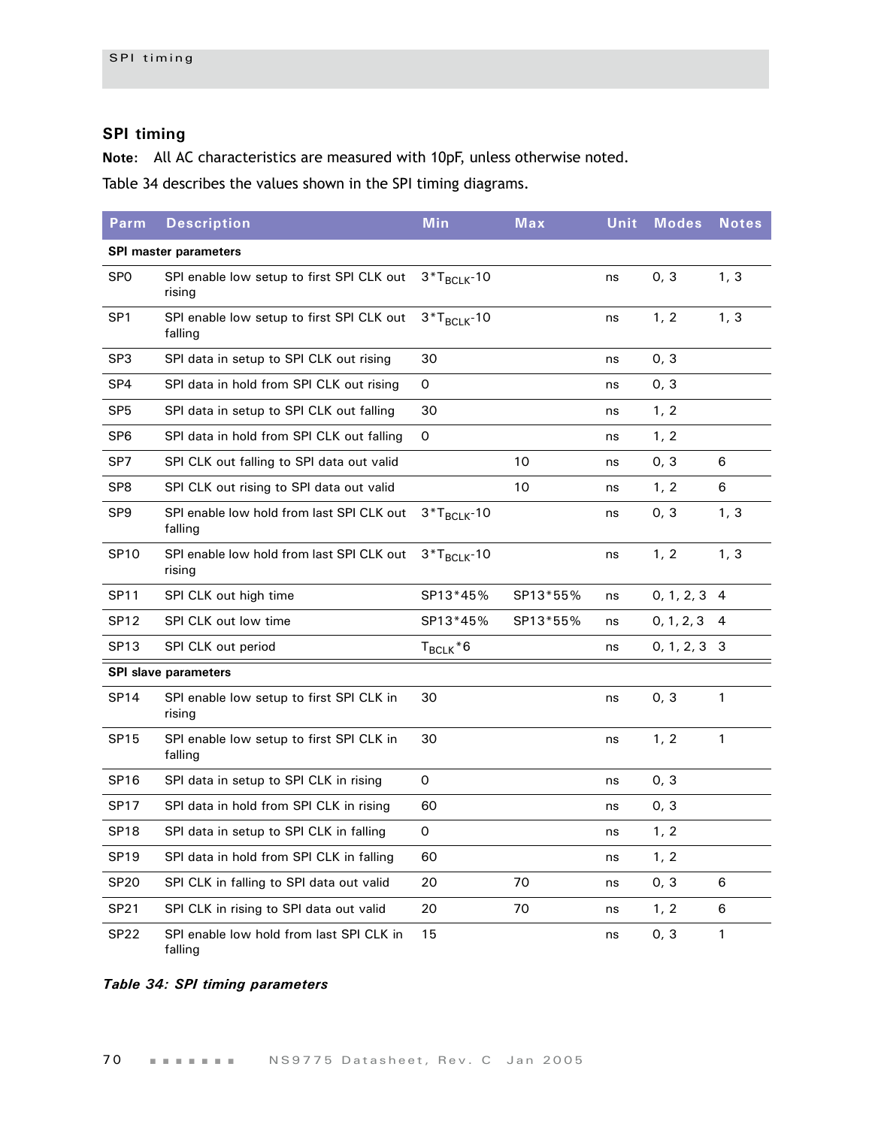# **SPI timing**

**Note:** All AC characteristics are measured with 10pF, unless otherwise noted.

[Table 34](#page-73-0) describes the values shown in the SPI timing diagrams.

| Parm             | <b>Description</b>                                   | <b>Min</b>       | Max      | Unit | <b>Modes</b> | <b>Notes</b>   |
|------------------|------------------------------------------------------|------------------|----------|------|--------------|----------------|
|                  | <b>SPI master parameters</b>                         |                  |          |      |              |                |
| SP <sub>0</sub>  | SPI enable low setup to first SPI CLK out<br>rising  | $3*T_{BCLK}$ -10 |          | ns   | 0, 3         | 1, 3           |
| SP <sub>1</sub>  | SPI enable low setup to first SPI CLK out<br>falling | $3*T_{BCLK}$ -10 |          | ns   | 1, 2         | 1, 3           |
| SP <sub>3</sub>  | SPI data in setup to SPI CLK out rising              | 30               |          | ns   | 0, 3         |                |
| SP <sub>4</sub>  | SPI data in hold from SPI CLK out rising             | 0                |          | ns   | 0, 3         |                |
| SP <sub>5</sub>  | SPI data in setup to SPI CLK out falling             | 30               |          | ns   | 1, 2         |                |
| SP <sub>6</sub>  | SPI data in hold from SPI CLK out falling            | 0                |          | ns   | 1, 2         |                |
| SP7              | SPI CLK out falling to SPI data out valid            |                  | 10       | ns   | 0, 3         | 6              |
| SP <sub>8</sub>  | SPI CLK out rising to SPI data out valid             |                  | 10       | ns   | 1, 2         | 6              |
| SP <sub>9</sub>  | SPI enable low hold from last SPI CLK out<br>falling | $3*T_{BCLK}$ -10 |          | ns   | 0, 3         | 1, 3           |
| <b>SP10</b>      | SPI enable low hold from last SPI CLK out<br>rising  | $3*T_{BCLK}$ -10 |          | ns   | 1, 2         | 1, 3           |
| <b>SP11</b>      | SPI CLK out high time                                | SP13*45%         | SP13*55% | ns   | 0, 1, 2, 3   | $\overline{4}$ |
| SP <sub>12</sub> | SPI CLK out low time                                 | SP13*45%         | SP13*55% | ns   | 0, 1, 2, 3   | 4              |
| SP <sub>13</sub> | SPI CLK out period                                   | $T_{BCLK}$ *6    |          | ns   | 0, 1, 2, 3   | 3              |
|                  | <b>SPI slave parameters</b>                          |                  |          |      |              |                |
| <b>SP14</b>      | SPI enable low setup to first SPI CLK in<br>rising   | 30               |          | ns   | 0, 3         | $\mathbf{1}$   |
| <b>SP15</b>      | SPI enable low setup to first SPI CLK in<br>falling  | 30               |          | ns   | 1, 2         | $\mathbf{1}$   |
| <b>SP16</b>      | SPI data in setup to SPI CLK in rising               | $\Omega$         |          | ns   | 0, 3         |                |
| <b>SP17</b>      | SPI data in hold from SPI CLK in rising              | 60               |          | ns   | 0, 3         |                |
| SP <sub>18</sub> | SPI data in setup to SPI CLK in falling              | 0                |          | ns   | 1, 2         |                |
| <b>SP19</b>      | SPI data in hold from SPI CLK in falling             | 60               |          | ns   | 1, 2         |                |
| <b>SP20</b>      | SPI CLK in falling to SPI data out valid             | 20               | 70       | ns   | 0, 3         | 6              |
| SP21             | SPI CLK in rising to SPI data out valid              | 20               | 70       | ns   | 1, 2         | 6              |
| SP <sub>22</sub> | SPI enable low hold from last SPI CLK in<br>falling  | 15               |          | ns   | 0, 3         | 1              |

<span id="page-73-0"></span>*Table 34: SPI timing parameters*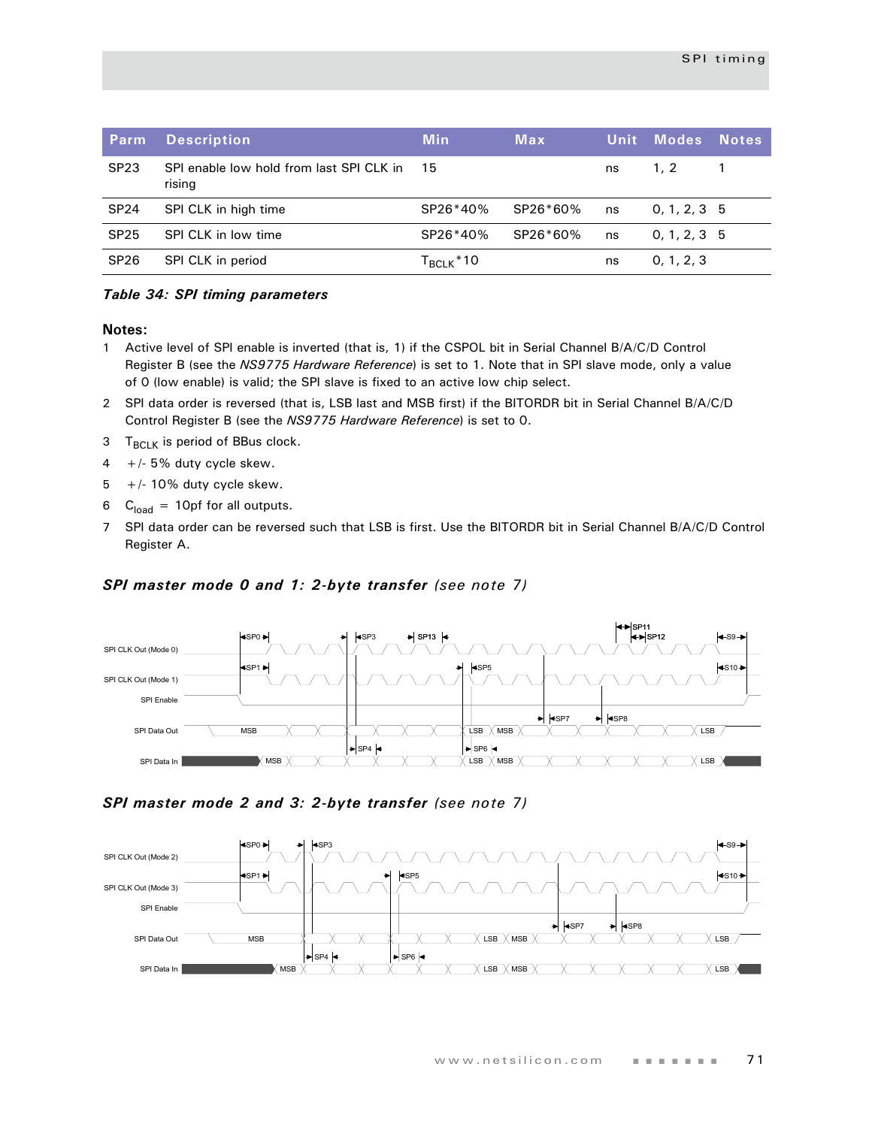| Parm             | <b>Description</b>                                 | <b>Min</b>             | <b>Max</b> |    | <b>Unit Modes</b> ' | <b>Notes</b> |
|------------------|----------------------------------------------------|------------------------|------------|----|---------------------|--------------|
| SP <sub>23</sub> | SPI enable low hold from last SPI CLK in<br>rising | -15                    |            | ns | 1.2                 |              |
| <b>SP24</b>      | SPI CLK in high time                               | SP26*40%               | SP26*60%   | ns | 0, 1, 2, 3, 5       |              |
| <b>SP25</b>      | SPI CLK in low time                                | SP26*40%               | SP26*60%   | ns | 0, 1, 2, 3, 5       |              |
| <b>SP26</b>      | SPI CLK in period                                  | Т <sub>вськ</sub> * 10 |            | ns | 0, 1, 2, 3          |              |

#### *Table 34: SPI timing parameters*

#### **Notes:**

- 1 Active level of SPI enable is inverted (that is, 1) if the CSPOL bit in Serial Channel B/A/C/D Control Register B (see the *NS9775 Hardware Reference*) is set to 1. Note that in SPI slave mode, only a value of 0 (low enable) is valid; the SPI slave is fixed to an active low chip select.
- 2 SPI data order is reversed (that is, LSB last and MSB first) if the BITORDR bit in Serial Channel B/A/C/D Control Register B (see the *NS9775 Hardware Reference*) is set to 0.
- $3$  T<sub>BCLK</sub> is period of BBus clock.
- $4 +/- 5%$  duty cycle skew.
- $5 +/- 10\%$  duty cycle skew.
- 6  $C<sub>load</sub> = 10pf$  for all outputs.
- 7 SPI data order can be reversed such that LSB is first. Use the BITORDR bit in Serial Channel B/A/C/D Control Register A.

### *SPI master mode 0 and 1: 2-byte transfer (see note 7)*



## *SPI master mode 2 and 3: 2-byte transfer (see note 7)*

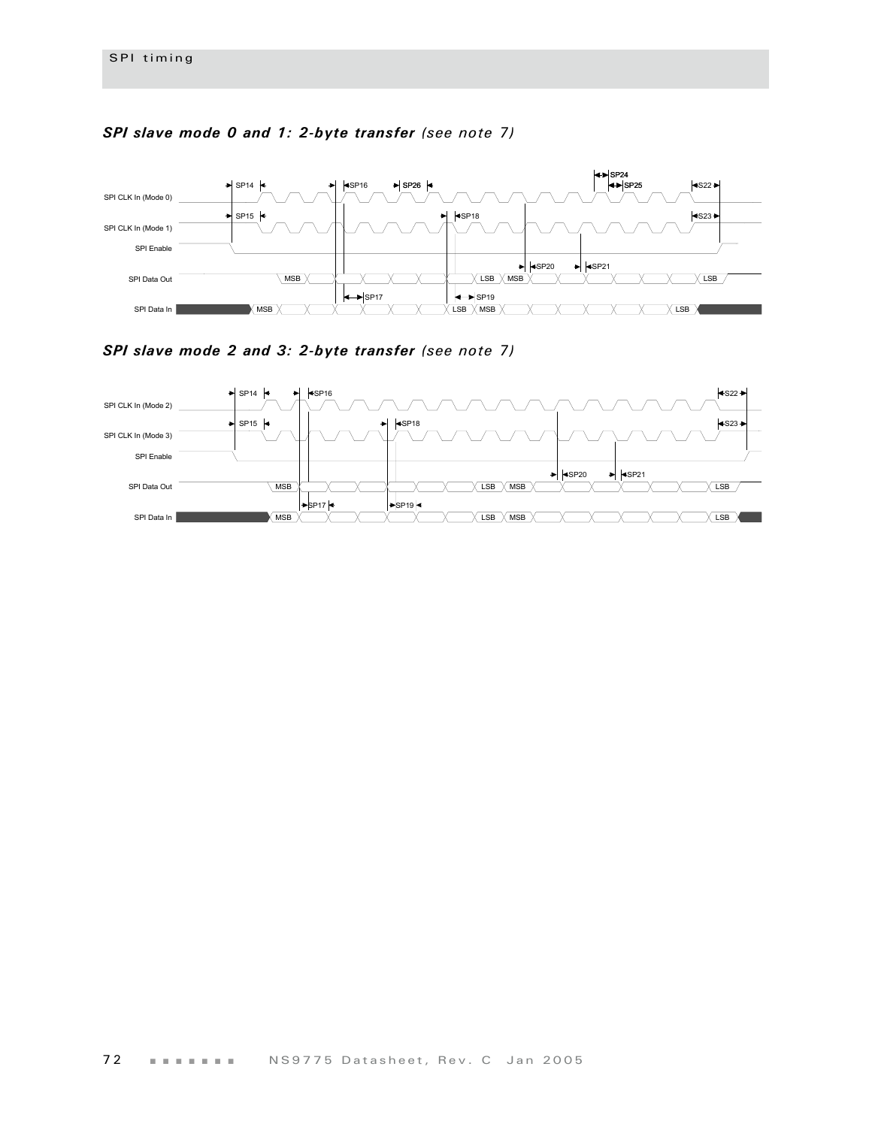

## *SPI slave mode 0 and 1: 2-byte transfer (see note 7)*

*SPI slave mode 2 and 3: 2-byte transfer (see note 7)*

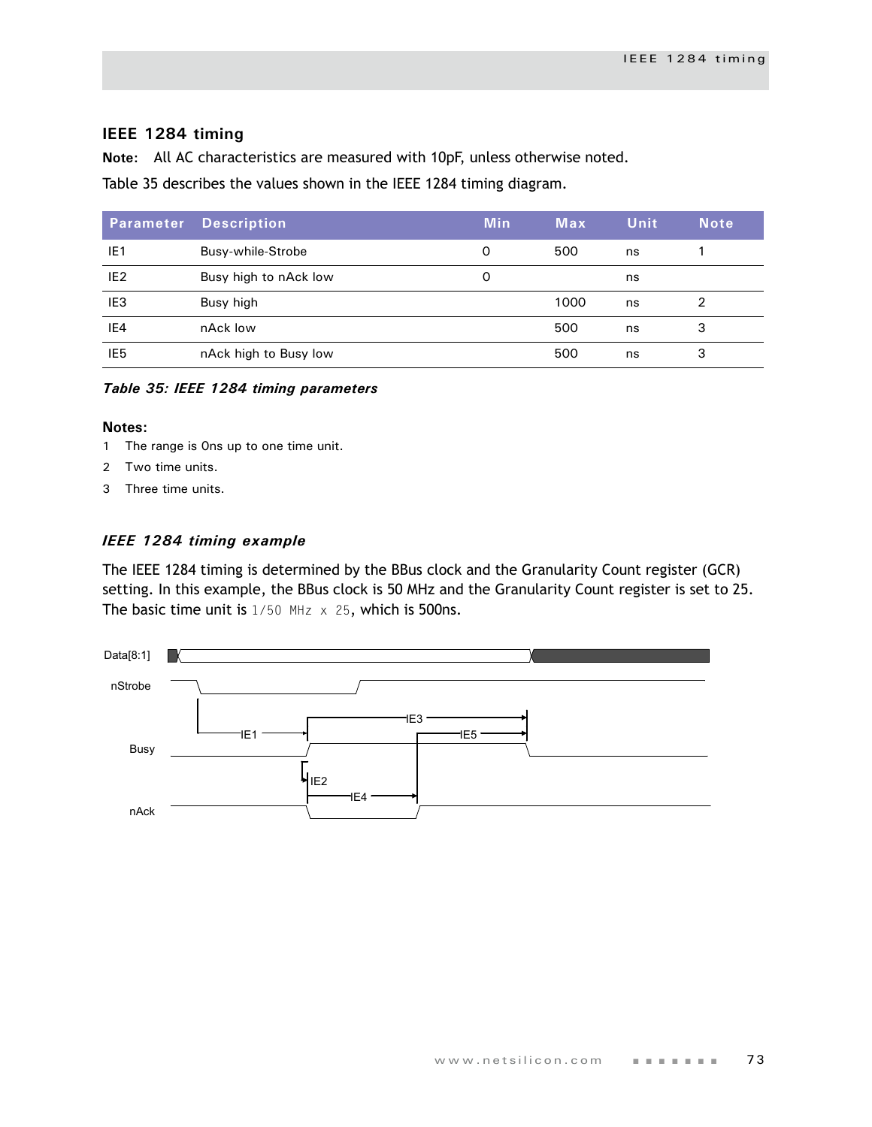## **IEEE 1284 timing**

**Note:** All AC characteristics are measured with 10pF, unless otherwise noted.

[Table 35](#page-76-0) describes the values shown in the IEEE 1284 timing diagram.

| Parameter       | <b>Description</b>    | <b>Min</b> | Max  | <b>Unit</b> | <b>Note</b> |
|-----------------|-----------------------|------------|------|-------------|-------------|
| IE <sub>1</sub> | Busy-while-Strobe     | O          | 500  | ns          |             |
| IE <sub>2</sub> | Busy high to nAck low | 0          |      | ns          |             |
| IE <sub>3</sub> | Busy high             |            | 1000 | ns          | 2           |
| IE4             | nAck low              |            | 500  | ns          | 3           |
| IE <sub>5</sub> | nAck high to Busy low |            | 500  | ns          | 3           |

<span id="page-76-0"></span>*Table 35: IEEE 1284 timing parameters*

#### **Notes:**

- 1 The range is 0ns up to one time unit.
- 2 Two time units.
- 3 Three time units.

#### *IEEE 1284 timing example*

The IEEE 1284 timing is determined by the BBus clock and the Granularity Count register (GCR) setting. In this example, the BBus clock is 50 MHz and the Granularity Count register is set to 25. The basic time unit is  $1/50$  MHz  $\times$  25, which is 500ns.

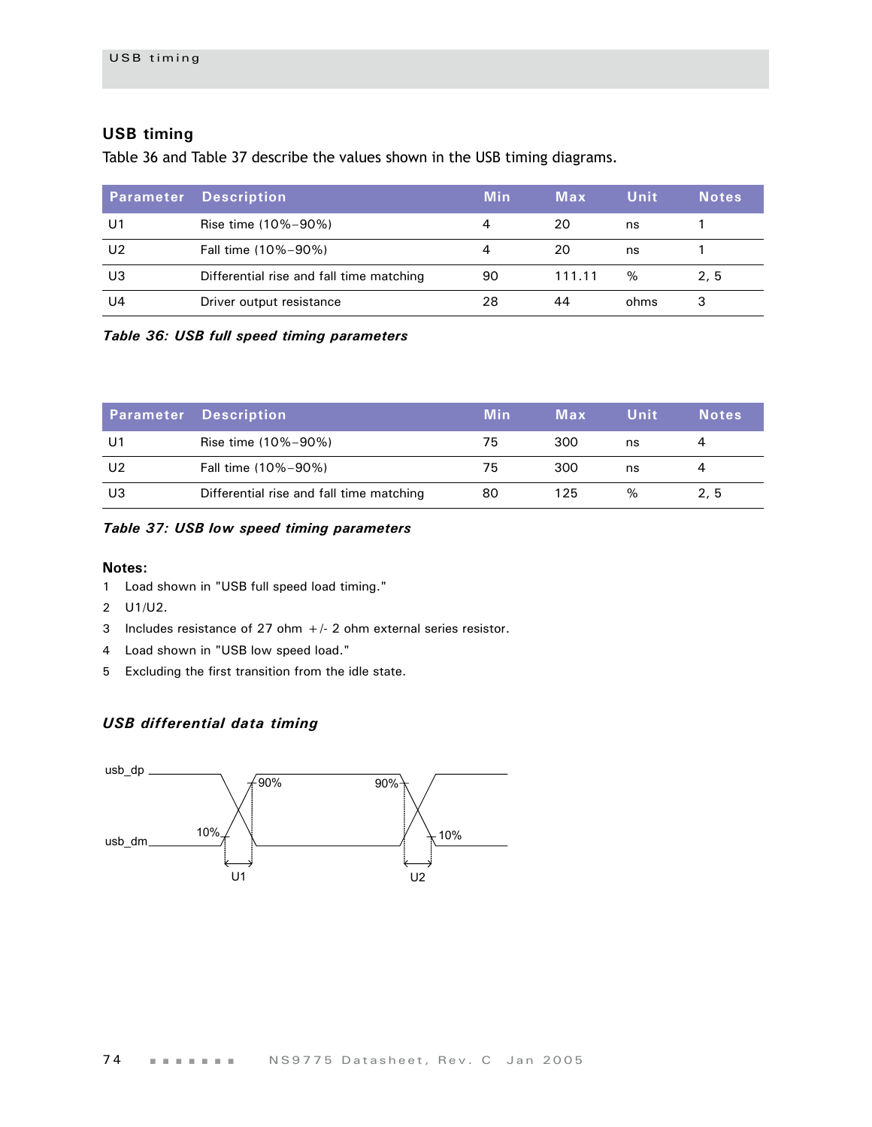# **USB timing**

[Table 36](#page-77-0) and [Table 37](#page-77-1) describe the values shown in the USB timing diagrams.

| <b>Parameter</b> | <b>Description</b>                       | <b>Min</b> | Max    | Unit | <b>Notes</b> |
|------------------|------------------------------------------|------------|--------|------|--------------|
| U1               | Rise time (10%-90%)                      | 4          | 20     | ns   |              |
| U2               | Fall time (10%-90%)                      |            | 20     | ns   |              |
| U3               | Differential rise and fall time matching | 90         | 111.11 | %    | 2, 5         |
| U4               | Driver output resistance                 | 28         | 44     | ohms | 3            |

<span id="page-77-0"></span>*Table 36: USB full speed timing parameters*

|                | <b>Parameter Description</b>             | Min | Max | Unit | <b>Notes</b> |
|----------------|------------------------------------------|-----|-----|------|--------------|
| U1             | Rise time (10%-90%)                      | 75  | 300 | ns   |              |
| U <sub>2</sub> | Fall time (10%-90%)                      | 75  | 300 | ns   |              |
| U3             | Differential rise and fall time matching | 80  | 125 | %    | 2.5          |

#### <span id="page-77-1"></span>*Table 37: USB low speed timing parameters*

#### **Notes:**

- 1 Load shown in ["USB full speed load timing."](#page-78-0)
- 2 U1/U2.
- 3 Includes resistance of 27 ohm  $+/-$  2 ohm external series resistor.
- 4 Load shown in ["USB low speed load."](#page-78-1)
- 5 Excluding the first transition from the idle state.

# *USB differential data timing*

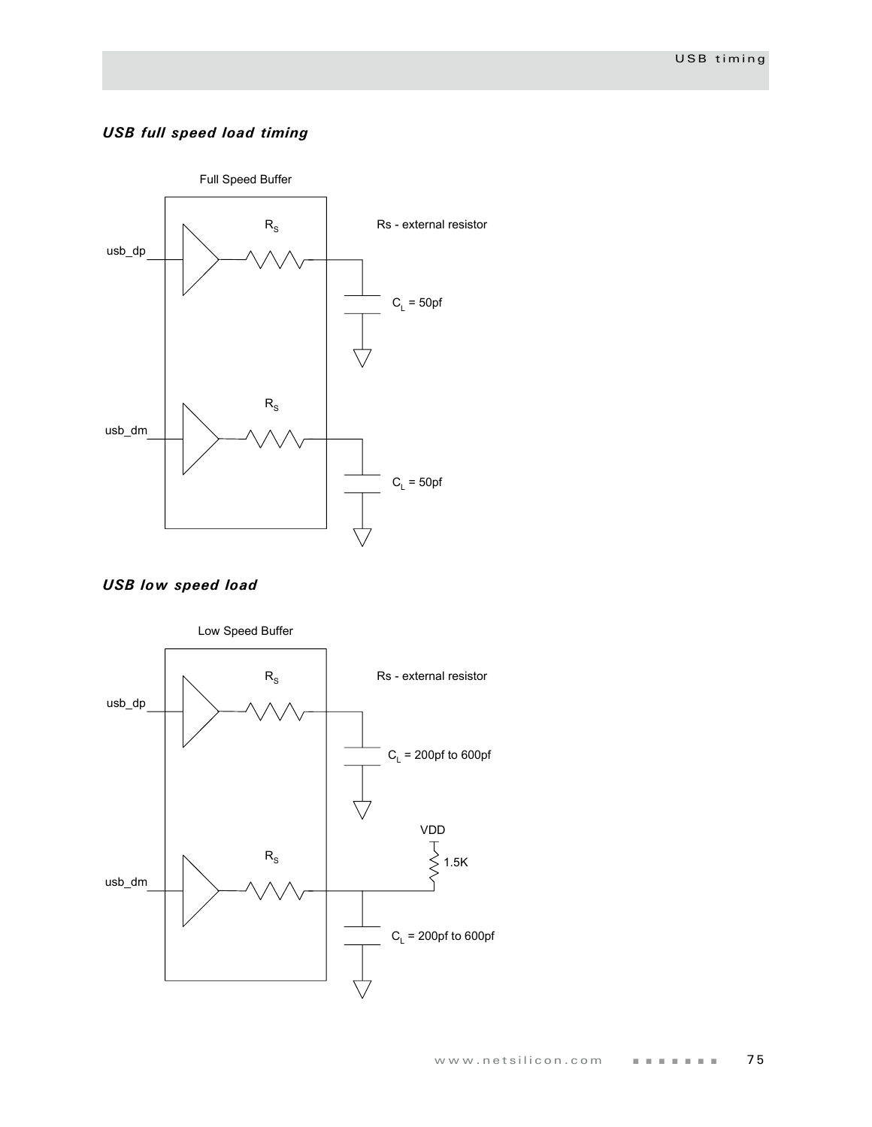# <span id="page-78-0"></span>*USB full speed load timing*



<span id="page-78-1"></span>

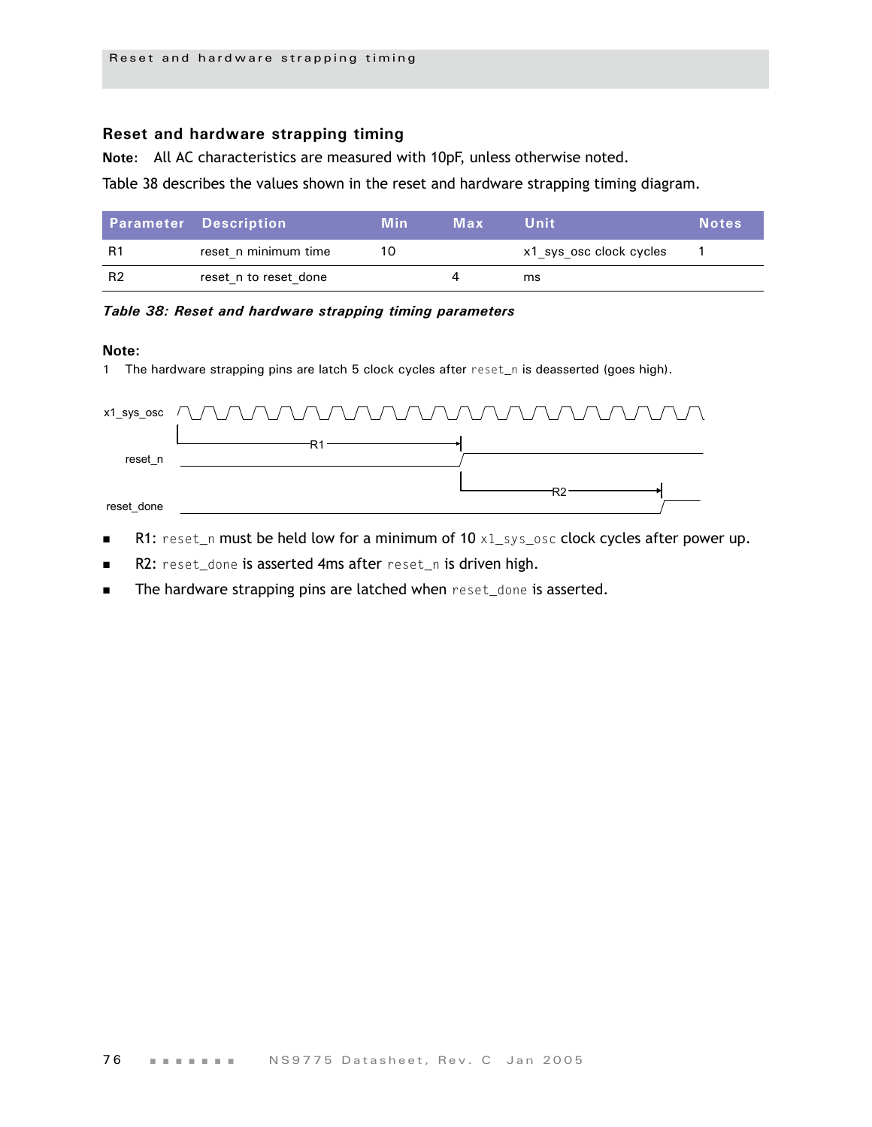# **Reset and hardware strapping timing**

**Note:** All AC characteristics are measured with 10pF, unless otherwise noted.

[Table 38](#page-79-0) describes the values shown in the reset and hardware strapping timing diagram.

|                | <b>Parameter Description</b> | Min | Max | Uniti                   | <b>Notes</b> |
|----------------|------------------------------|-----|-----|-------------------------|--------------|
| R1             | reset n minimum time         | 10  |     | x1 sys osc clock cycles |              |
| R <sub>2</sub> | reset n to reset done        |     |     | ms                      |              |

#### <span id="page-79-0"></span>*Table 38: Reset and hardware strapping timing parameters*

#### **Note:**

1 The hardware strapping pins are latch 5 clock cycles after reset\_n is deasserted (goes high).

|            | x1_sys_osc $\bigcap$ $\bigcap$ $\bigcap$ $\bigcap$ $\bigcap$ $\bigcap$ $\bigcap$ $\bigcap$ $\bigcap$ $\bigcap$ $\bigcap$ $\bigcap$ $\bigcap$ $\bigcap$ $\bigcap$ $\bigcap$ $\bigcap$ $\bigcap$ $\bigcap$ $\bigcap$ $\bigcap$ $\bigcap$ $\bigcap$ $\bigcap$ |  |
|------------|------------------------------------------------------------------------------------------------------------------------------------------------------------------------------------------------------------------------------------------------------------|--|
|            |                                                                                                                                                                                                                                                            |  |
| reset n    |                                                                                                                                                                                                                                                            |  |
|            |                                                                                                                                                                                                                                                            |  |
| reset done |                                                                                                                                                                                                                                                            |  |

- R1: reset\_n must be held low for a minimum of  $10 \times 1$ \_sys\_osc clock cycles after power up.
- R2: reset\_done is asserted 4ms after reset\_n is driven high.
- The hardware strapping pins are latched when reset\_done is asserted.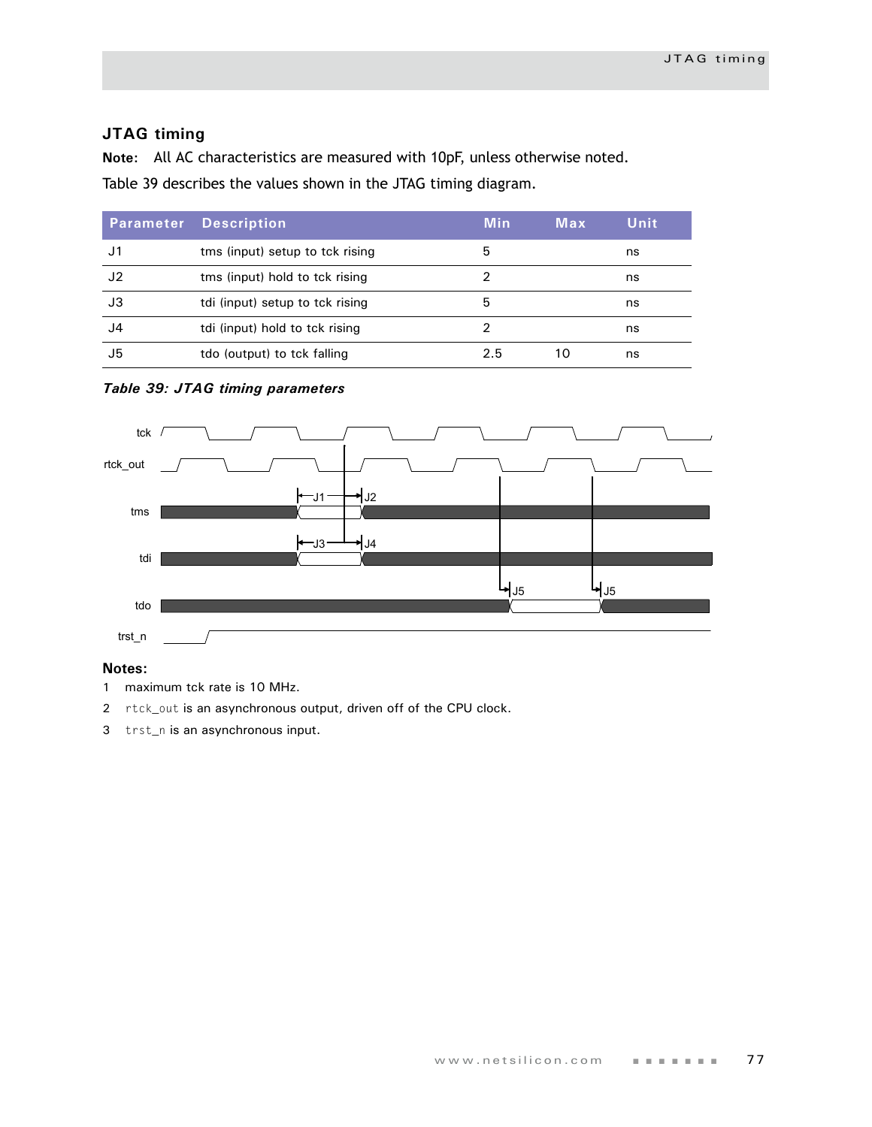# **JTAG timing**

**Note:** All AC characteristics are measured with 10pF, unless otherwise noted. [Table 39](#page-80-0) describes the values shown in the JTAG timing diagram.

| Parameter | <b>Description</b>              | <b>Min</b> | Max | Unit |
|-----------|---------------------------------|------------|-----|------|
| J1        | tms (input) setup to tck rising | 5          |     | ns   |
| J2        | tms (input) hold to tck rising  | 2          |     | ns   |
| J3        | tdi (input) setup to tck rising | 5          |     | ns   |
| J4        | tdi (input) hold to tck rising  |            |     | ns   |
| J5        | tdo (output) to tck falling     | 2.5        | 10  | ns   |

#### <span id="page-80-0"></span>*Table 39: JTAG timing parameters*



## **Notes:**

- 1 maximum tck rate is 10 MHz.
- 2 rtck\_out is an asynchronous output, driven off of the CPU clock.
- 3 trst\_n is an asynchronous input.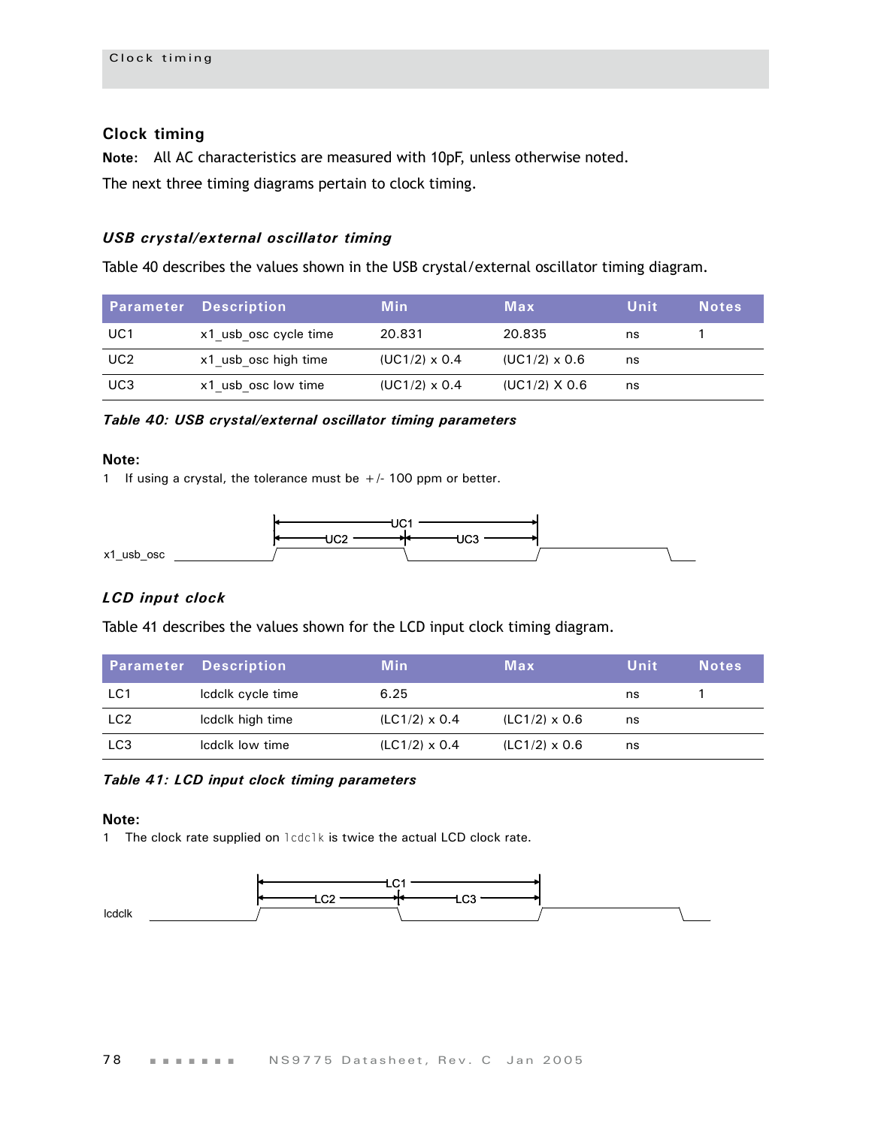# **Clock timing**

**Note:** All AC characteristics are measured with 10pF, unless otherwise noted. The next three timing diagrams pertain to clock timing.

# *USB crystal/external oscillator timing*

[Table 40](#page-81-0) describes the values shown in the USB crystal/external oscillator timing diagram.

|                 | <b>Parameter Description</b> | <b>Min</b>           | Max                  | Unit | <b>Notes</b> |
|-----------------|------------------------------|----------------------|----------------------|------|--------------|
| UC1             | x1 usb osc cycle time        | 20.831               | 20.835               | ns   |              |
| UC <sub>2</sub> | x1 usb osc high time         | $(UC1/2) \times 0.4$ | $(UC1/2) \times 0.6$ | ns   |              |
| UC3             | x1 usb osc low time          | $(UC1/2) \times 0.4$ | $(UC1/2)$ X 0.6      | ns   |              |

<span id="page-81-0"></span>*Table 40: USB crystal/external oscillator timing parameters*

#### **Note:**

1 If using a crystal, the tolerance must be  $+/-100$  ppm or better.



## *LCD input clock*

[Table 41](#page-81-1) describes the values shown for the LCD input clock timing diagram.

|                 | <b>Parameter Description</b> | <b>Min</b>           | Max                  | Unit | <b>Notes</b> |
|-----------------|------------------------------|----------------------|----------------------|------|--------------|
| LC1             | Icdclk cycle time            | 6.25                 |                      | ns   |              |
| LC <sub>2</sub> | Icdclk high time             | $(LC1/2) \times 0.4$ | $(LC1/2) \times 0.6$ | ns   |              |
| LC <sub>3</sub> | Icdclk low time              | $(LC1/2) \times 0.4$ | $(LC1/2) \times 0.6$ | ns   |              |

<span id="page-81-1"></span>*Table 41: LCD input clock timing parameters*

#### **Note:**

1 The clock rate supplied on lcdclk is twice the actual LCD clock rate.

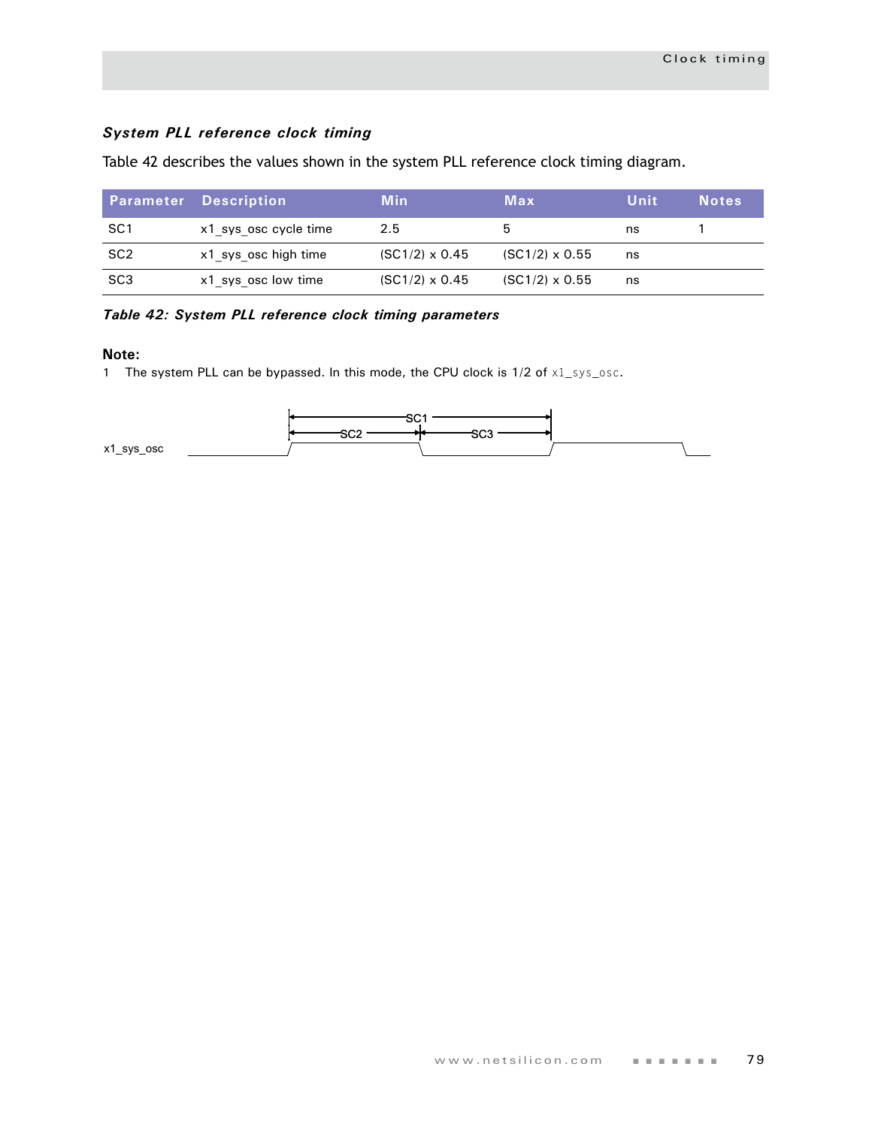# *System PLL reference clock timing*

Table 42 describes the values shown in the system PLL reference clock timing diagram.

|                 | <b>Parameter Description</b> | <b>Min</b>            | Max                   | Unit | <b>Notes</b> |
|-----------------|------------------------------|-----------------------|-----------------------|------|--------------|
| SC1             | x1 sys osc cycle time        | 2.5                   |                       | ns   |              |
| SC <sub>2</sub> | x1 sys osc high time         | $(SC1/2) \times 0.45$ | $(SC1/2) \times 0.55$ | ns   |              |
| SC <sub>3</sub> | x1 sys osc low time          | $(SC1/2) \times 0.45$ | $(SC1/2) \times 0.55$ | ns   |              |

## *Table 42: System PLL reference clock timing parameters*

#### **Note:**

1 The system PLL can be bypassed. In this mode, the CPU clock is 1/2 of x1\_sys\_osc.

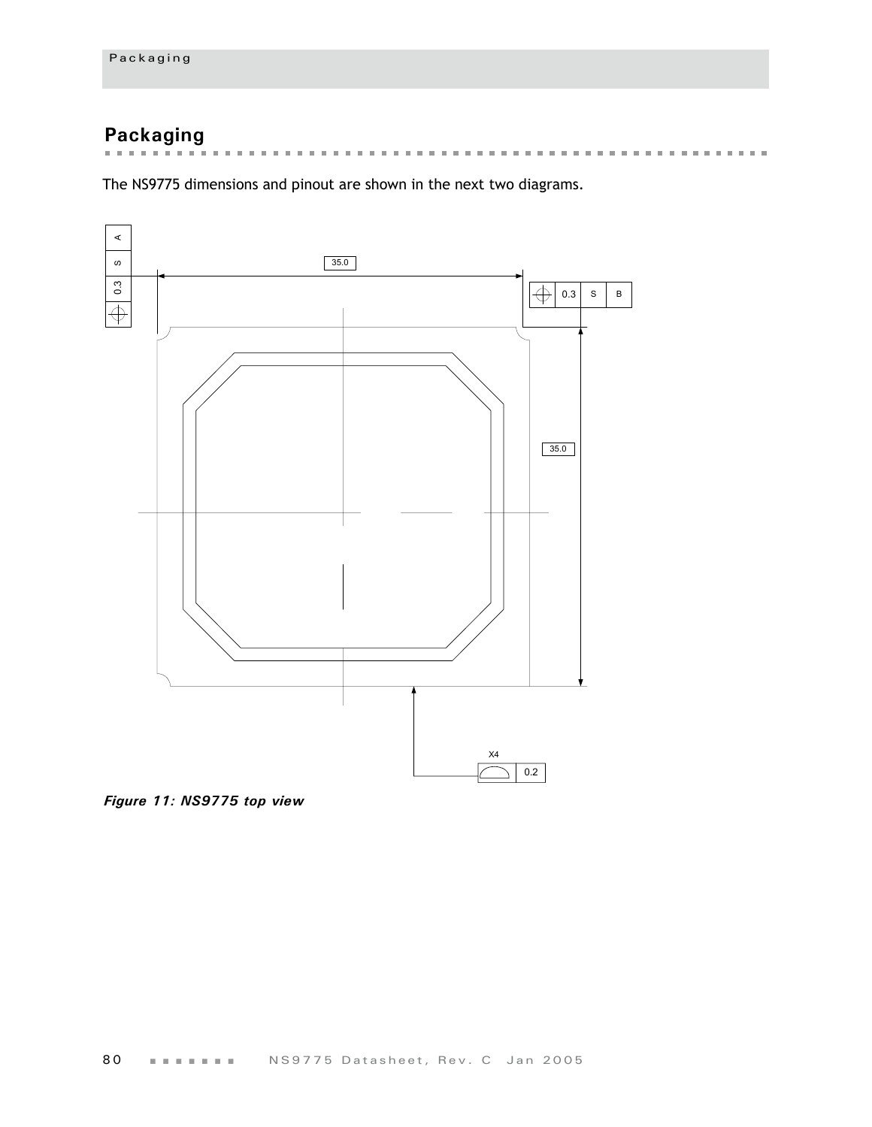# **Packaging**

the control of the control of  $\mathbf{m}$  $\pm$  $\mathcal{M} \rightarrow \mathcal{M}$  . And  $\mathbf{m}$  $\mathbf{m}$  $\mathbb{R}^n$  $\mathbf{m}$  $\mathbb{R}^d$  $\mathbf{m}$  $\mathbb{R}^d$  $\mathbf{m}$  $\mathbb{R}^d$  $\mathbf{m}$  $\sim$  $\mathbf{m}$  $\sim$ . . . . . . . . . . . . . . . . . . .

The NS9775 dimensions and pinout are shown in the next two diagrams.



*Figure 11: NS9775 top view*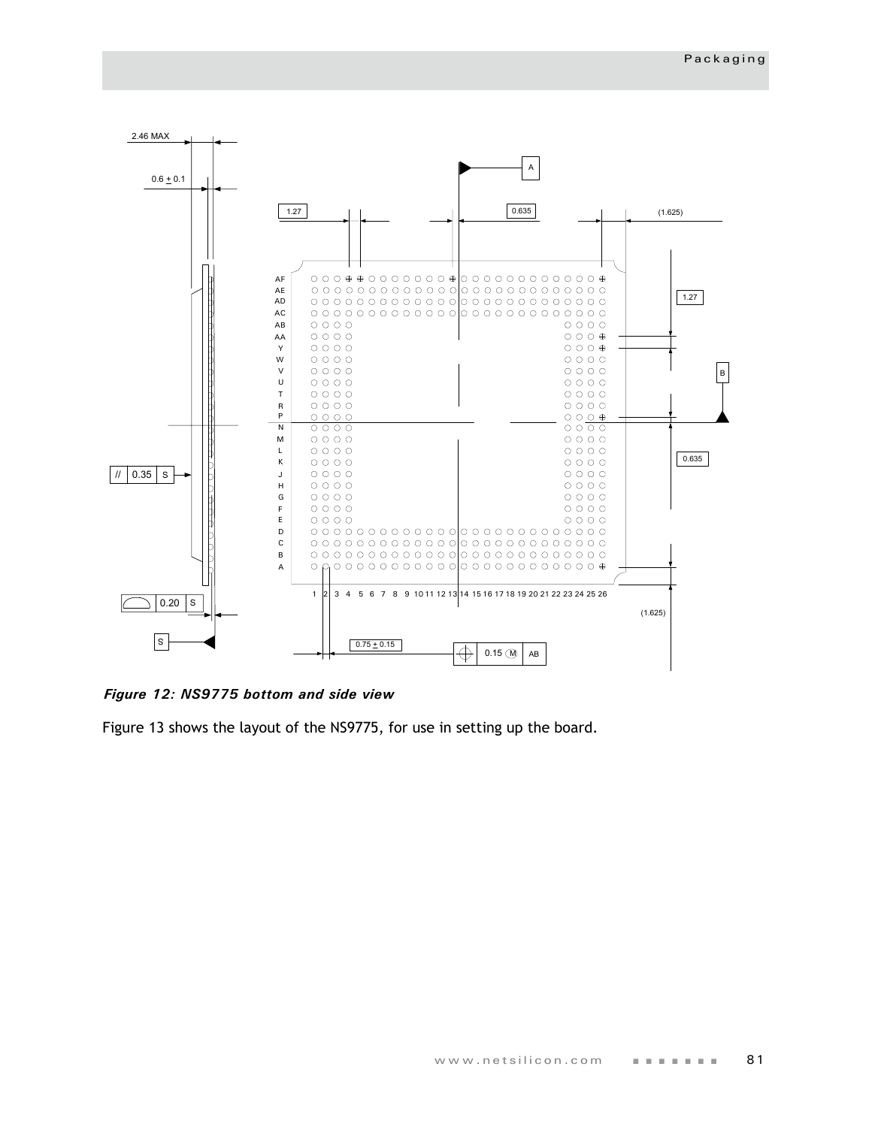

*Figure 12: NS9775 bottom and side view*

[Figure 13](#page-85-0) shows the layout of the NS9775, for use in setting up the board.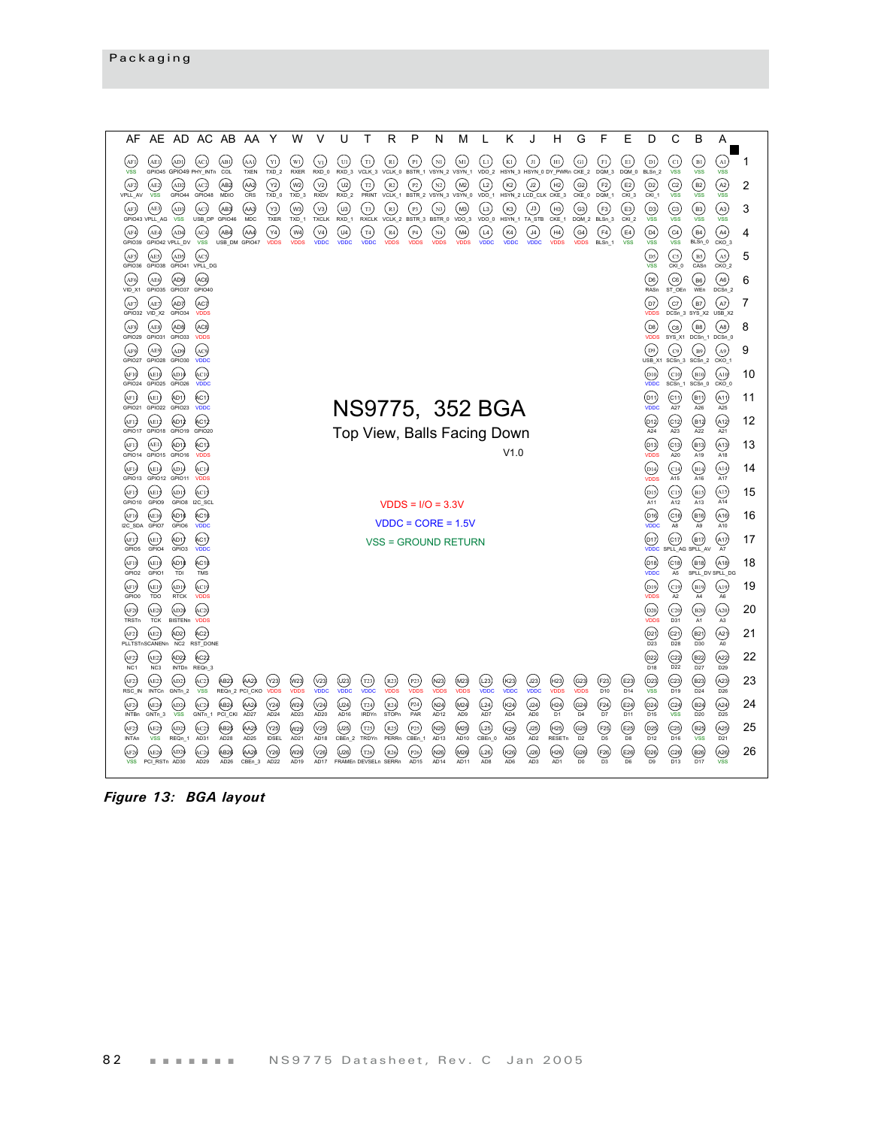| AF                       | AE.                             | AD.                        |                                         | AC AB                   | AA                   | Y                            | W                          | v                    | U                             | Т                        | R                    | P                         | N                                                  | м                        | L                    | ĸ                              |                                                                            | н                                         | G                       | F                                              | Е                             | D                                           | С                                          | в                                                     | Α                                          |    |
|--------------------------|---------------------------------|----------------------------|-----------------------------------------|-------------------------|----------------------|------------------------------|----------------------------|----------------------|-------------------------------|--------------------------|----------------------|---------------------------|----------------------------------------------------|--------------------------|----------------------|--------------------------------|----------------------------------------------------------------------------|-------------------------------------------|-------------------------|------------------------------------------------|-------------------------------|---------------------------------------------|--------------------------------------------|-------------------------------------------------------|--------------------------------------------|----|
| (AFI)<br><b>VSS</b>      | (AE J<br>GPIO <sub>45</sub>     | (adi)                      | (aci<br>GPIO49 PHY_INTn                 | AB1<br>COL              | (АА1)<br><b>TXEN</b> | $\mathbf{Y}$<br>$TXD_2$      | $(w_1)$<br>RXER            | $(v_1)$<br>RXD_0     | (u)<br>RXD_3                  | ίTΙ,<br>VCLK_3           | (R1)                 | (p1)                      | $\overline{\rm{M}}$<br>VCLK_0 BSTR_1 VSYN_2 VSYN_1 | $\binom{M}{1}$           | (L1)                 | K1                             | $\mathbf{H}$                                                               | (нг)<br>VDO_2 HSYN_3 HSYN_0 DY_PWRn CKE_2 | $(a_1)$                 | (F1)<br>DQM_3                                  | E1<br>DQM_0                   | $\frac{1}{2}$<br>$BLSn_2$                   | (cı)<br><b>VSS</b>                         | $\left($ B1 $\right)$<br><b>VSS</b>                   | $_{\rm (Al)}$<br><b>VSS</b>                | 1  |
| (AF2)<br>VPLL_AV         | (E)<br><b>VSS</b>               | (AD2)<br>GPIO44            | (AC2)<br>GPIO48                         | (ав2<br>MDIO            | (да)<br>CRS          | $({\sf Y2})$<br>TXD 0        | (w <sub>2</sub> )<br>TXD 3 | (v2)<br><b>RXDV</b>  | (u2)<br>RXD <sub>2</sub>      | $\binom{12}{ }$<br>PRINT | (R2)<br>VCLK_1       | (P2)<br>BSTR_2            | N2<br>VSYN 3 VSYN 0                                | (M2)                     | (L2)<br>VDO 1        | $(\kappa_2)$<br>HSYN 2 LCD CLK | $\left($ J2 $\right)$                                                      | (H2)<br>CKE 3                             | (G2)<br>CKE_0           | F2)<br>DQM 1                                   | $(\text{E2})$<br>CKI 3        | (D2)<br>CKI <sub>1</sub>                    | (c2)<br><b>VSS</b>                         | (B2)<br><b>VSS</b>                                    | A2<br><b>VSS</b>                           | 2  |
| (AF3)                    | (AE3<br>GPIO43 VPLL AG          | (AD3)<br><b>VSS</b>        | (AC3)<br>USB_DP                         | (авз)<br>GPIO46         | (ааз)<br><b>MDC</b>  | $(\forall 3)$<br>TXER        | (w3)<br>TXD_1              | (v3)<br><b>TXCLK</b> | (uз)<br>RXD_1                 | (T3)<br><b>RXCLK</b>     | (R3)<br>VCLK_2       | (p3)<br>BSTR_3            | N3<br>BSTR_0                                       | (мз)<br>$VDO_3$          | (L3)<br>VDO_0        | $(\kappa_3)$<br>HSYN_1         | $\left( \begin{smallmatrix} \text{J3} \end{smallmatrix} \right)$<br>TA_STB | (нз)<br>CKE_1                             | $\left($ G3)<br>DOM 2   | (F3)<br>BLSn 3                                 | (E3)<br>CKI <sub>2</sub>      | $\left( \overline{D3}\right)$<br><b>VSS</b> | (c3)<br><b>VSS</b>                         | (вз)<br><b>VSS</b>                                    | (A3)<br><b>VSS</b>                         | 3  |
| (AF4)<br>GPIO39          | (AE4                            | (AD4)<br>GPIO42 VPLL_DV    | (AC4)<br><b>VSS</b>                     | (АВ4)<br>USB_DM GPIO47  | (аа4)                | $(\forall 4)$<br><b>VDDS</b> | (w4)<br><b>VDDS</b>        | ( v4)<br><b>VDDC</b> | (u4)<br>vnnc                  | (T4)<br>VDDC.            | (R4)<br><b>VDDS</b>  | (P4)<br><b>VDDS</b>       | N4<br><b>VDDS</b>                                  | (M4)<br><b>VDDS</b>      | (14)<br><b>VDDC</b>  | (K4)<br><b>VDDC</b>            | J4<br>vonc.                                                                | (H4)<br><b>VDDS</b>                       | (G4)<br>vnns            | (F4)<br>$BLSn_1$                               | $(\mathsf{E4})$<br><b>VSS</b> | (D4)<br><b>VSS</b>                          | $\begin{pmatrix} c_4 \\ s_5 \end{pmatrix}$ | $(B4)$<br>BLSn_0                                      | $(A4)$ <sub>CKO_3</sub>                    | 4  |
| (AF5)<br>GPIO36          | (AE5)<br>GPIO38                 | (AD5)<br>GPIO41            | (AC5<br>VPLL DG                         |                         |                      |                              |                            |                      |                               |                          |                      |                           |                                                    |                          |                      |                                |                                                                            |                                           |                         |                                                |                               | DS<br><b>VSS</b>                            | (cs)<br>CKI 0                              | (в5)<br>CASn                                          | (A5)<br>CKO <sub>2</sub>                   | 5  |
| (AF6)<br>VID_X1          | (AE6<br>GPIO35                  | (AD6)<br>GPIO37            | (AC6)<br>GPIO <sub>40</sub>             |                         |                      |                              |                            |                      |                               |                          |                      |                           |                                                    |                          |                      |                                |                                                                            |                                           |                         |                                                |                               | (D6)<br>RASn                                | (c6)<br>ST_OEn                             | (B6)<br>WEn                                           | (A6)<br>DCSn 2                             | 6  |
| (AF7)                    | (AE7<br>GPIO32 VID X2           | (AD7)<br>GPIO34            | (AC7<br><b>VDDS</b>                     |                         |                      |                              |                            |                      |                               |                          |                      |                           |                                                    |                          |                      |                                |                                                                            |                                           |                         |                                                |                               | (D7)<br><b>VDDS</b>                         | (c7)                                       | (в7)<br>DCSn_3 SYS_X2                                 | (A7)<br>$USB$ $X2$                         | 7  |
| (AF8)<br>GPIO29          | (AE8<br>GPIO31                  | (AD8)<br>GPIO33            | (АС8)<br><b>VDDS</b>                    |                         |                      |                              |                            |                      |                               |                          |                      |                           |                                                    |                          |                      |                                |                                                                            |                                           |                         |                                                |                               | $($ D8 $)$<br><b>VDDS</b>                   | (cs)<br>SYS_X1                             | (вв)<br>$DCSn_1$                                      | (A8)<br>DCSn 0                             | 8  |
| (AF9)<br>GPIO27          | (AE9<br>GPIO28                  | (AD9)<br>GPIO30            | (ac9<br>VDDC                            |                         |                      |                              |                            |                      |                               |                          |                      |                           |                                                    |                          |                      |                                |                                                                            |                                           |                         |                                                |                               | $_{\rm (D9)}$<br>USB_X1 SCSn_3              | (c9)                                       | (B9)<br>$SCSn_2$                                      | A9<br>CKO <sub>1</sub>                     | 9  |
| (AF19<br>GPIO24          | (AE1)<br>GPIO25                 | (ADI)<br>GPIO26            | $_{\rm (AC1)}$<br>VDDC                  |                         |                      |                              |                            |                      |                               |                          |                      |                           |                                                    |                          |                      |                                |                                                                            |                                           |                         |                                                |                               | (D10)<br>VDDC                               | $_{\rm (c_{10})}$<br>SCSn 1                | $_{\rm (B10)}$<br>$SCSn$ <sub>0</sub>                 | (A10)<br>CKO <sub>0</sub>                  | 10 |
| (AF1)<br>GPIO21          | (AE1)<br>GPIO22                 | (AD1)<br>GPIO23            | $(2c_1)$<br>VDDC                        |                         |                      |                              |                            |                      |                               |                          |                      |                           | NS9775,352 BGA                                     |                          |                      |                                |                                                                            |                                           |                         |                                                |                               | (D11)<br><b>VDDC</b>                        | $_{(c_1)}$<br>A27                          | (611)<br>A26                                          | $\omega$<br>A25                            | 11 |
| (AF1)<br>GPIO17          | $_{\rm (AE1)}$<br>GPIO18 GPIO19 | (AD1)                      | (AC1)<br>GPIO20                         |                         |                      |                              |                            |                      |                               |                          |                      |                           | Top View, Balls Facing Down                        |                          |                      |                                |                                                                            |                                           |                         |                                                |                               | (p12)<br>A <sub>24</sub>                    | $\left( 2\right)$<br>$\overline{A23}$      | $\begin{pmatrix} 812 \\ A22 \end{pmatrix}$            | (A12)<br>A <sub>21</sub>                   | 12 |
| (AF1)<br>GPIO14          | (aei)<br>GPIO15                 | (AD1)<br>GPIO16            | (AC13)<br>VDDS                          |                         |                      |                              |                            |                      |                               |                          |                      |                           |                                                    |                          |                      | V1.0                           |                                                                            |                                           |                         |                                                |                               | $\overline{v}$<br><b>VDDS</b>               | $_{\left(\text{c13}\right)}$<br>A20        | $\left(613\right)$<br>A19                             | (A13)<br>A18                               | 13 |
| (AF1)<br>GPIO13          | (AE1)<br>GPIO12                 | (AD14<br>GPIO11            | $(\alpha c_1)$<br><b>VDDS</b>           |                         |                      |                              |                            |                      |                               |                          |                      |                           |                                                    |                          |                      |                                |                                                                            |                                           |                         |                                                |                               | (D14)<br><b>VDDS</b>                        | (c14)<br>A15                               | $_{(B14)}$<br>A16                                     | (A14)<br>A17                               | 14 |
| (AF1)<br>GPIO10          | (AE1)<br>GPIO9                  | (AD1)                      | $(\alpha c_1)$<br>GPIO8 I2C SCL         |                         |                      |                              |                            |                      |                               |                          |                      |                           | $VDDS = I/O = 3.3V$                                |                          |                      |                                |                                                                            |                                           |                         |                                                |                               | (D15)<br>A11                                | (c15)<br>A12                               | $\begin{pmatrix} B15 \\ A13 \end{pmatrix}$            | $\begin{pmatrix} 415 \\ 414 \end{pmatrix}$ | 15 |
| (AF1)<br>I2C_SDA         | (AE19<br>GPIO7                  | (AD1)<br>GPIO6             | (AC1)<br>VDDC                           |                         |                      |                              |                            |                      |                               |                          |                      |                           | $VDDC = CORE = 1.5V$                               |                          |                      |                                |                                                                            |                                           |                         |                                                |                               | (D16)<br>VDDC                               | (16<br>$\overline{AB}$                     | $\overset{\text{\tiny{(B16)}}}{=}$<br>$\overline{AB}$ | (416)<br>$\overline{A10}$                  | 16 |
| (AF1)<br>GPIO5           | (AE17<br>GPIO <sub>4</sub>      | (AD1)<br>GPIO <sub>3</sub> | (AC1)<br>VDDC                           |                         |                      |                              |                            |                      |                               |                          |                      |                           | <b>VSS = GROUND RETURN</b>                         |                          |                      |                                |                                                                            |                                           |                         |                                                |                               | (p17)                                       | $(c_{17})$                                 | (B17)<br>VDDC SPLL_AG SPLL_AV                         | (A17)<br>$\overline{A7}$                   | 17 |
| (AF19<br>GPIO2           | (AE1§<br>GPIO1                  | (AD1)<br>TDI               | (AC1)<br>TMS                            |                         |                      |                              |                            |                      |                               |                          |                      |                           |                                                    |                          |                      |                                |                                                                            |                                           |                         |                                                |                               | (D18)<br>VDDC                               | (c18)<br>$\overline{A5}$                   | (B18)                                                 | (A18)<br>SPLL DV SPLL DG                   | 18 |
| (AF19<br>GPIO0           | (AE15<br>TDO                    | (AD19<br><b>RTCK</b>       | (AC19<br><b>VDDS</b>                    |                         |                      |                              |                            |                      |                               |                          |                      |                           |                                                    |                          |                      |                                |                                                                            |                                           |                         |                                                |                               | (D19)<br><b>VDDS</b>                        | (c19)<br>$\overline{A2}$                   | (B19)<br>$\overline{A4}$                              | $\left($ A19<br>A <sub>6</sub>             | 19 |
| (AF2)<br>TRSTn           | (AE2)<br>TCK                    | (AD2)<br><b>BISTENn</b>    | $\left(\text{c2}\right)$<br><b>VDDS</b> |                         |                      |                              |                            |                      |                               |                          |                      |                           |                                                    |                          |                      |                                |                                                                            |                                           |                         |                                                |                               | (p20)<br><b>VDDS</b>                        | (c20)<br>D31                               | $\overset{\text{\tiny{(B20)}}}{=}$<br>$\overline{A1}$ | $\circledcirc$<br>$\overline{A3}$          | 20 |
| (AF2)                    | (AE2)<br>PLLTSTnSCANENn         | (AD2)                      | (AC2)<br>NC2 RST_DONE                   |                         |                      |                              |                            |                      |                               |                          |                      |                           |                                                    |                          |                      |                                |                                                                            |                                           |                         |                                                |                               | (02)<br>D <sub>23</sub>                     | $(c_{21})$<br>D <sub>28</sub>              | $\left( 62\right)$<br>D30                             | (42)<br>A <sub>0</sub>                     | 21 |
| (AF2)<br>NC <sub>1</sub> | (AE2)<br>NC <sub>3</sub>        | (AD2)<br><b>INTDn</b>      | $($ c2 $)$<br>REQn_3                    |                         |                      |                              |                            |                      |                               |                          |                      |                           |                                                    |                          |                      |                                |                                                                            |                                           |                         |                                                |                               | (022)<br>D <sub>18</sub>                    | $\left( 22\right)$<br>$\overline{D22}$     | (B22)<br>$\overline{D27}$                             | (422)<br>$\overline{D29}$                  | 22 |
| (AF2)<br>RSC IN          | (AE2)<br><b>INTCn</b>           | (AD2)<br>GNTn_2            | $_{(AC2)}$<br><b>VSS</b>                | (чв2)<br>REQn 2 PCI CKO | (AA2)                | (Y23)<br><b>VDDS</b>         | (w23<br>VDDS               | (v23)<br><b>VDDC</b> | (U23)<br><b>VDDC</b>          | (T23)<br><b>VDDC</b>     | (R23)<br><b>VDDS</b> | (P23)<br><b>VDDS</b>      | (N23)<br><b>VDDS</b>                               | (M23)<br><b>VDDS</b>     | (L23)<br><b>VDDC</b> | (K23)<br><b>VDDC</b>           | (J23)<br>VDDC                                                              | (H23)<br><b>VDDS</b>                      | (G23<br><b>VDDS</b>     | (F23)<br>D10                                   | (E23)<br>D <sub>14</sub>      | (023)<br><b>VSS</b>                         | $_{(c23)}$<br>D19                          | (823)<br>D <sub>24</sub>                              | (423)<br>D <sub>26</sub>                   | 23 |
| (AF2)<br><b>INTBn</b>    | (1E2)<br>GNTn_3                 | (AD2)<br><b>VSS</b>        | (AC2)<br>GNTn_1                         | (AB2)<br>PCI_CKI        | (442)<br>AD27        | (Y24)<br>AD24                | (w24<br>AD <sub>23</sub>   | (v24)<br>AD20        | (124)<br>AD16                 | (124)<br><b>IRDYn</b>    | (r24)<br>STOPn       | (P24)<br>PAR              | (N24)<br>AD <sub>12</sub>                          | ( <u>1424</u><br>AD9     | (24)<br>AD7          | (K24)<br>AD <sub>4</sub>       | (J24)<br>AD <sub>0</sub>                                                   | $(\pm 24)$<br>D <sub>1</sub>              | (624)<br>$\Box$ 4       | $\begin{pmatrix} 524 \\ 07 \end{pmatrix}$      | (E24)<br>D11                  | $\odot$<br>D <sub>15</sub>                  | (c24)<br><b>VSS</b>                        | $\overset{62}{\leftrightarrow}$<br>D <sub>20</sub>    | (424)<br>D <sub>25</sub>                   | 24 |
| (AF2)<br><b>INTAn</b>    | (AE2)<br><b>VSS</b>             | AD2<br>REQn 1              | (4C25<br>AD31                           | (чв2)<br>AD28           | (AA2\$<br>AD25       | (Y25)<br><b>IDSEL</b>        | (w25<br>AD21               | (v25)<br>AD18        | (u25)<br>CBEn 2               | $(\text{t25})$<br>TRDYn  | $(x_{25})$<br>PERRn  | $_{\rm (P25)}$<br>CBEn 1  | (N25)<br>AD13                                      | (125<br>AD <sub>10</sub> | (25)<br>CBEn_0       | (K25)<br>AD5                   | $\begin{pmatrix} 1 & 2 & 5 \\ 2 & 2 & 5 \\ 2 & 2 & 2 \end{pmatrix}$        | (H25)<br><b>RESET<sub>n</sub></b>         | (G25<br>n <sub>2</sub>  | $\begin{pmatrix} 5 & 2 \\ 2 & 5 \end{pmatrix}$ | (E25)<br>$\overline{28}$      | (p25<br>$\frac{6}{112}$                     | (c25)<br>$\frac{6}{216}$                   | (B25)<br><b>VSS</b>                                   | (A25)<br>$\frac{6}{21}$                    | 25 |
| (AF2)<br><b>VSS</b>      | AE26<br>PCI_RSTn AD30           | AD2 <sub>9</sub>           | (AC26<br>AD29                           | AB <sub>2</sub><br>AD26 | (AA2)\$<br>CBEn_3    | (Y26)<br>AD <sub>22</sub>    | (w26<br>AD <sub>19</sub>   | (v26)<br>AD17        | (u26)<br>FRAMEn DEVSELn SERRn | (T26)                    | (R26)                | (P26)<br>AD <sub>15</sub> | (N26)<br>AD <sub>14</sub>                          | (M26)<br>AD11            | (126)<br>AD8         | (K26)<br>AD6                   | (J26)<br>AD3                                                               | (H26)<br>AD <sub>1</sub>                  | (G26)<br>D <sub>0</sub> | (F26)<br>D <sub>3</sub>                        | (E26)<br>D <sub>6</sub>       | (D26<br>D <sub>9</sub>                      | (c26)<br>D <sub>13</sub>                   | (B26)<br>D17                                          | (A26)<br><b>VSS</b>                        | 26 |
|                          |                                 |                            |                                         |                         |                      |                              |                            |                      |                               |                          |                      |                           |                                                    |                          |                      |                                |                                                                            |                                           |                         |                                                |                               |                                             |                                            |                                                       |                                            |    |

<span id="page-85-0"></span>*Figure 13: BGA layout*